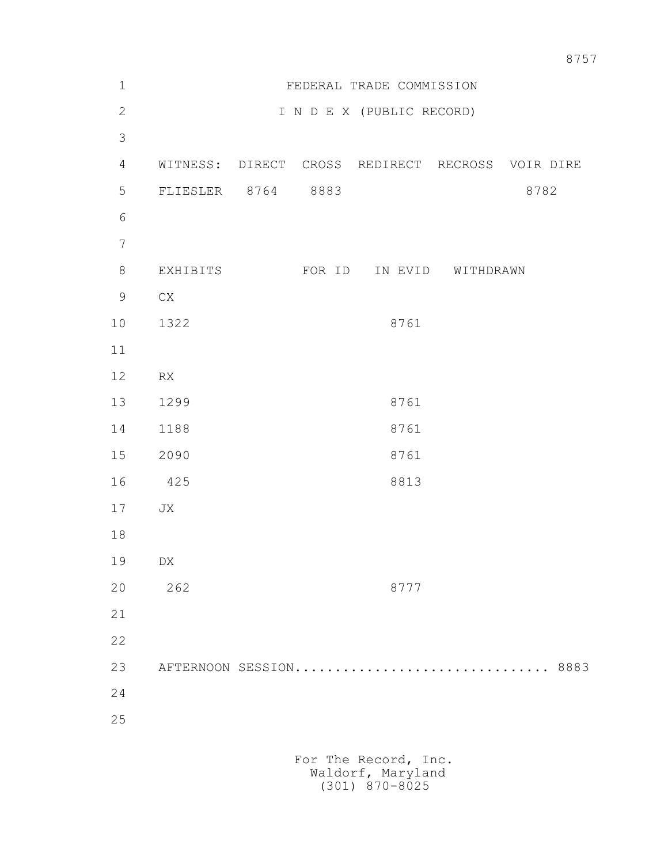| $\mathbf 1$      |                      | FEDERAL TRADE COMMISSION  |        |                                                  |                   |      |      |
|------------------|----------------------|---------------------------|--------|--------------------------------------------------|-------------------|------|------|
| $\mathbf{2}$     |                      | I N D E X (PUBLIC RECORD) |        |                                                  |                   |      |      |
| $\mathcal{S}$    |                      |                           |        |                                                  |                   |      |      |
| $\overline{4}$   |                      |                           |        | WITNESS: DIRECT CROSS REDIRECT RECROSS VOIR DIRE |                   |      |      |
| 5                | FLIESLER 8764 8883   |                           |        |                                                  |                   | 8782 |      |
| 6                |                      |                           |        |                                                  |                   |      |      |
| $\boldsymbol{7}$ |                      |                           |        |                                                  |                   |      |      |
| $\,8\,$          | EXHIBITS             |                           | FOR ID |                                                  | IN EVID WITHDRAWN |      |      |
| $\mathsf 9$      | CX                   |                           |        |                                                  |                   |      |      |
| 10               | 1322                 |                           |        | 8761                                             |                   |      |      |
| 11               |                      |                           |        |                                                  |                   |      |      |
| 12               | RX                   |                           |        |                                                  |                   |      |      |
| 13               | 1299                 |                           |        | 8761                                             |                   |      |      |
| 14               | 1188                 |                           |        | 8761                                             |                   |      |      |
| 15               | 2090                 |                           |        | 8761                                             |                   |      |      |
| 16               | 425                  |                           |        | 8813                                             |                   |      |      |
| 17               | JX                   |                           |        |                                                  |                   |      |      |
| 18               |                      |                           |        |                                                  |                   |      |      |
| 19               | DX                   |                           |        |                                                  |                   |      |      |
| 20               | 262                  |                           |        | 8777                                             |                   |      |      |
| 21               |                      |                           |        |                                                  |                   |      |      |
| 22               |                      |                           |        |                                                  |                   |      |      |
| 23               |                      |                           |        | AFTERNOON SESSION                                |                   |      | 8883 |
| 24               |                      |                           |        |                                                  |                   |      |      |
| 25               |                      |                           |        |                                                  |                   |      |      |
|                  |                      |                           |        |                                                  |                   |      |      |
|                  | For The Record, Inc. |                           |        |                                                  |                   |      |      |

Waldorf, Maryland (301) 870-8025

8757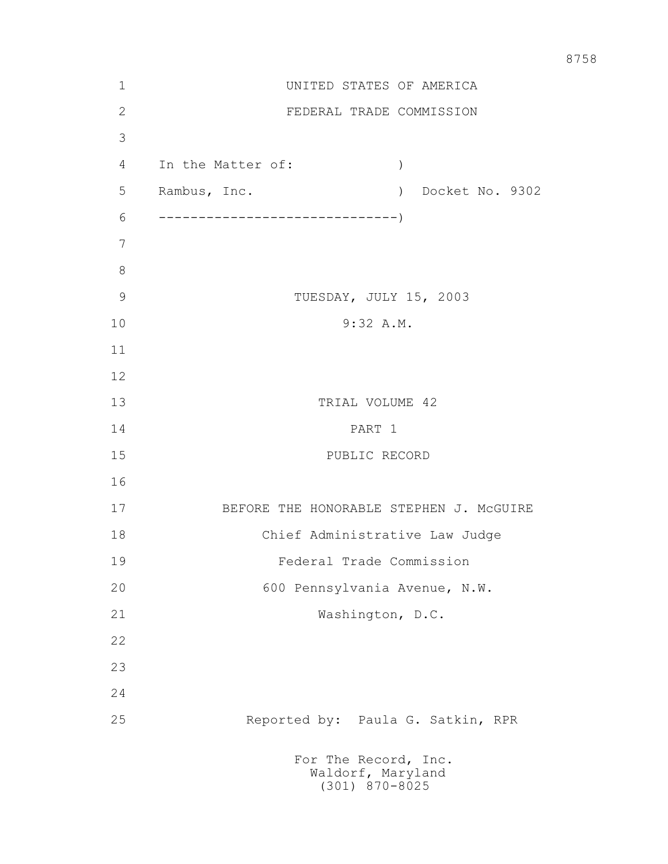| 1             | UNITED STATES OF AMERICA                            |  |  |  |  |  |  |
|---------------|-----------------------------------------------------|--|--|--|--|--|--|
| $\mathbf{2}$  | FEDERAL TRADE COMMISSION                            |  |  |  |  |  |  |
| 3             |                                                     |  |  |  |  |  |  |
| 4             | In the Matter of:<br>$\lambda$                      |  |  |  |  |  |  |
| 5             | Rambus, Inc.<br>Docket No. 9302<br>$\left( \right)$ |  |  |  |  |  |  |
| 6             |                                                     |  |  |  |  |  |  |
| 7             |                                                     |  |  |  |  |  |  |
| 8             |                                                     |  |  |  |  |  |  |
| $\mathcal{G}$ | TUESDAY, JULY 15, 2003                              |  |  |  |  |  |  |
| 10            | 9:32 A.M.                                           |  |  |  |  |  |  |
| 11            |                                                     |  |  |  |  |  |  |
| 12            |                                                     |  |  |  |  |  |  |
| 13            | TRIAL VOLUME 42                                     |  |  |  |  |  |  |
| 14            | PART 1                                              |  |  |  |  |  |  |
| 15            | PUBLIC RECORD                                       |  |  |  |  |  |  |
| 16            |                                                     |  |  |  |  |  |  |
| 17            | BEFORE THE HONORABLE STEPHEN J. MCGUIRE             |  |  |  |  |  |  |
| 18            | Chief Administrative Law Judge                      |  |  |  |  |  |  |
| 19            | Federal Trade Commission                            |  |  |  |  |  |  |
| 20            | 600 Pennsylvania Avenue, N.W.                       |  |  |  |  |  |  |
| 21            | Washington, D.C.                                    |  |  |  |  |  |  |
| 22            |                                                     |  |  |  |  |  |  |
| 23            |                                                     |  |  |  |  |  |  |
| 24            |                                                     |  |  |  |  |  |  |
| 25            | Reported by: Paula G. Satkin, RPR                   |  |  |  |  |  |  |
|               | For The Record, Inc.<br>Waldorf, Maryland           |  |  |  |  |  |  |

(301) 870-8025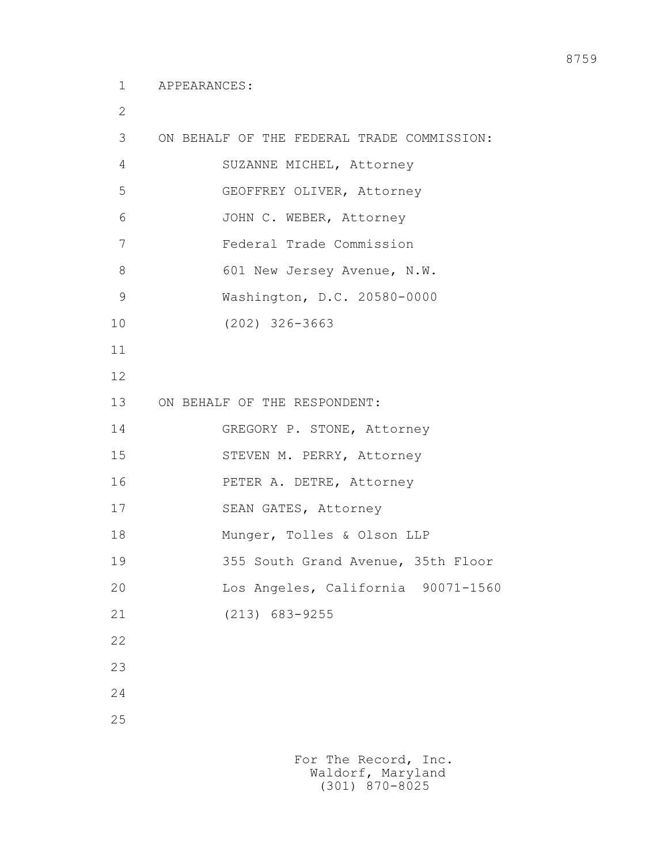2

| 3              | ON BEHALF OF THE FEDERAL TRADE COMMISSION: |
|----------------|--------------------------------------------|
| $\overline{4}$ | SUZANNE MICHEL, Attorney                   |
| 5              | GEOFFREY OLIVER, Attorney                  |
| 6              | JOHN C. WEBER, Attorney                    |
| 7              | Federal Trade Commission                   |
| 8              | 601 New Jersey Avenue, N.W.                |
| $\mathcal{G}$  | Washington, D.C. 20580-0000                |
| 10             | $(202)$ 326-3663                           |
| 11             |                                            |
| 12             |                                            |
| 13             | ON BEHALF OF THE RESPONDENT:               |
| 14             | GREGORY P. STONE, Attorney                 |
| 15             | STEVEN M. PERRY, Attorney                  |
| 16             | PETER A. DETRE, Attorney                   |
| 17             | SEAN GATES, Attorney                       |
| 18             | Munger, Tolles & Olson LLP                 |
| 19             | 355 South Grand Avenue, 35th Floor         |
| 20             | Los Angeles, California 90071-1560         |
| 21             | $(213)$ 683-9255                           |
| 22             |                                            |
| 23             |                                            |
| 24             |                                            |
| 25             |                                            |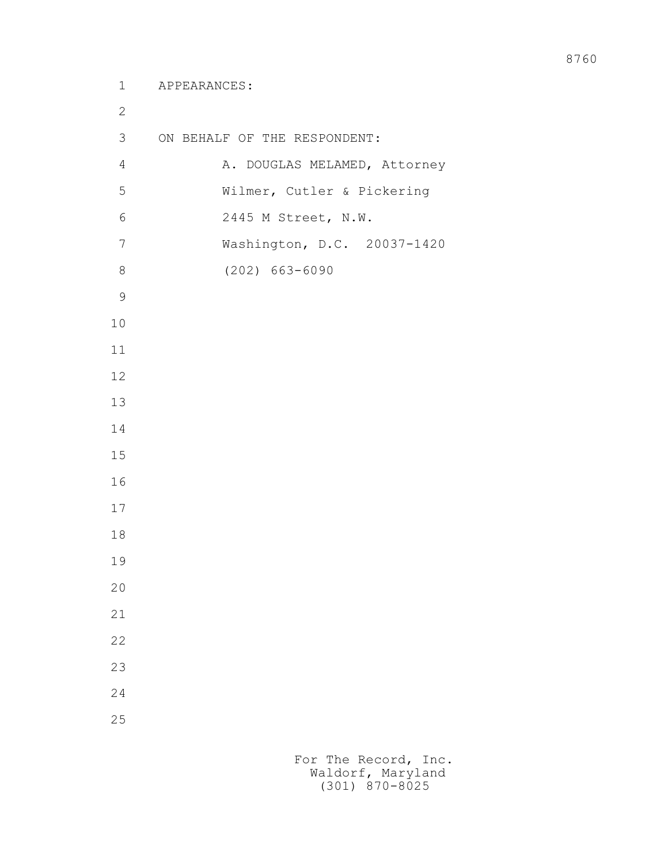```
 2
 3 ON BEHALF OF THE RESPONDENT:
4 A. DOUGLAS MELAMED, Attorney
 5 Wilmer, Cutler & Pickering
 6 2445 M Street, N.W.
 7 Washington, D.C. 20037-1420
 8 (202) 663-6090
 9
10
11
12
13
14
15
16
17
18
19
20
21
22
23
24
25
```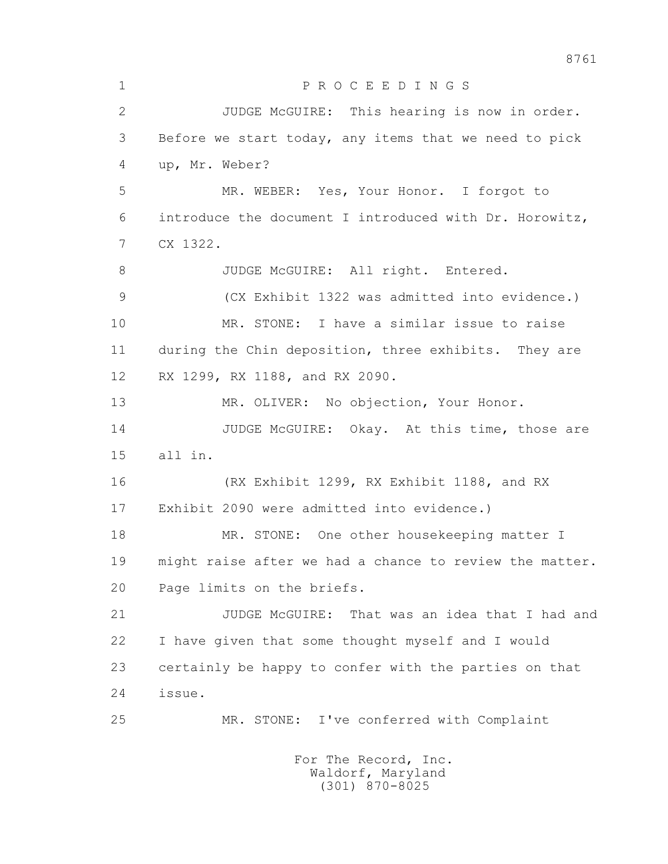1 P R O C E E D I N G S 2 JUDGE McGUIRE: This hearing is now in order. 3 Before we start today, any items that we need to pick 4 up, Mr. Weber? 5 MR. WEBER: Yes, Your Honor. I forgot to 6 introduce the document I introduced with Dr. Horowitz, 7 CX 1322. 8 JUDGE McGUIRE: All right. Entered. 9 (CX Exhibit 1322 was admitted into evidence.) 10 MR. STONE: I have a similar issue to raise 11 during the Chin deposition, three exhibits. They are 12 RX 1299, RX 1188, and RX 2090. 13 MR. OLIVER: No objection, Your Honor. 14 JUDGE McGUIRE: Okay. At this time, those are 15 all in. 16 (RX Exhibit 1299, RX Exhibit 1188, and RX 17 Exhibit 2090 were admitted into evidence.) 18 MR. STONE: One other housekeeping matter I 19 might raise after we had a chance to review the matter. 20 Page limits on the briefs. 21 JUDGE McGUIRE: That was an idea that I had and 22 I have given that some thought myself and I would 23 certainly be happy to confer with the parties on that 24 issue. 25 MR. STONE: I've conferred with Complaint For The Record, Inc. Waldorf, Maryland (301) 870-8025

8761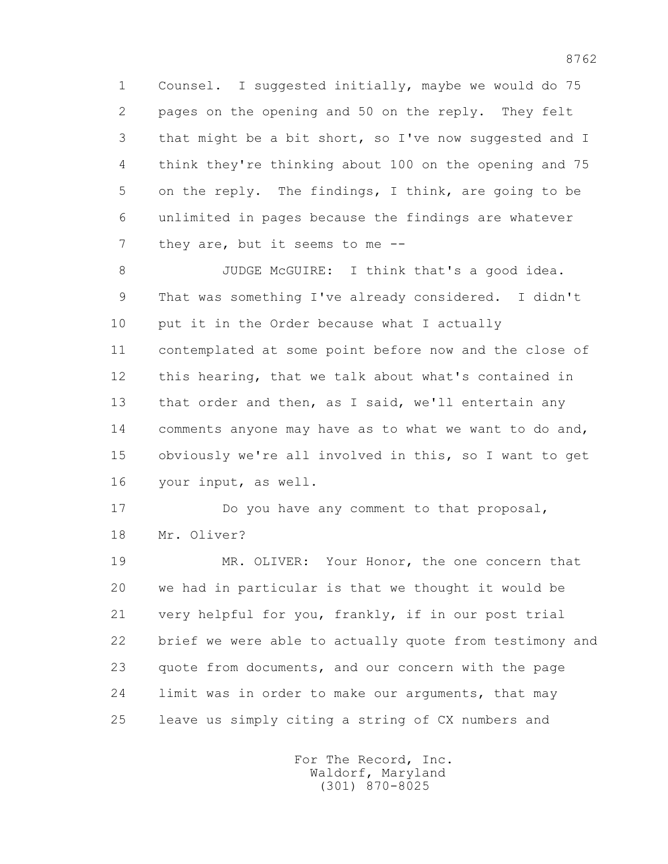1 Counsel. I suggested initially, maybe we would do 75 2 pages on the opening and 50 on the reply. They felt 3 that might be a bit short, so I've now suggested and I 4 think they're thinking about 100 on the opening and 75 5 on the reply. The findings, I think, are going to be 6 unlimited in pages because the findings are whatever 7 they are, but it seems to me --

8 JUDGE McGUIRE: I think that's a good idea. 9 That was something I've already considered. I didn't 10 put it in the Order because what I actually 11 contemplated at some point before now and the close of 12 this hearing, that we talk about what's contained in 13 that order and then, as I said, we'll entertain any 14 comments anyone may have as to what we want to do and, 15 obviously we're all involved in this, so I want to get 16 your input, as well.

17 Do you have any comment to that proposal, 18 Mr. Oliver?

 19 MR. OLIVER: Your Honor, the one concern that 20 we had in particular is that we thought it would be 21 very helpful for you, frankly, if in our post trial 22 brief we were able to actually quote from testimony and 23 quote from documents, and our concern with the page 24 limit was in order to make our arguments, that may 25 leave us simply citing a string of CX numbers and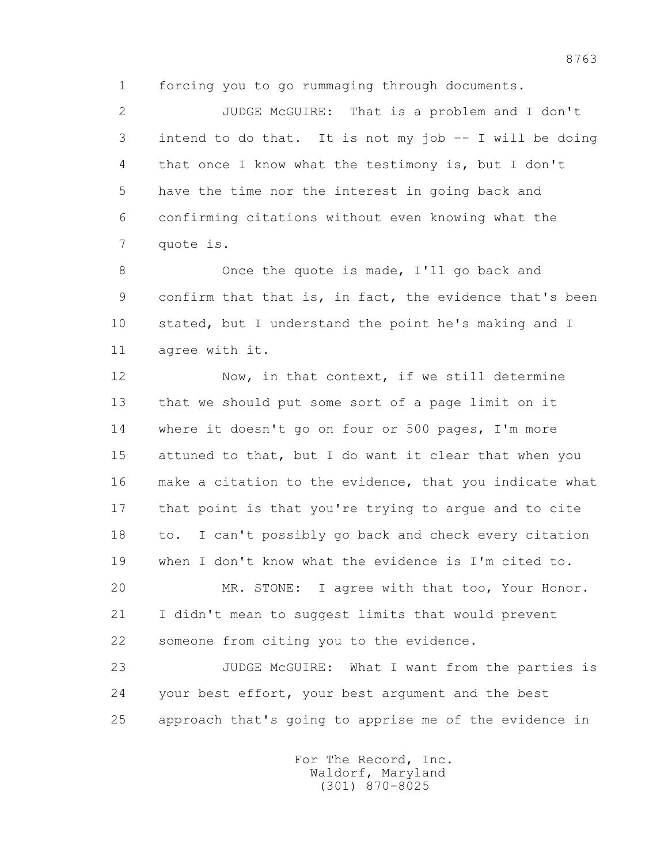1 forcing you to go rummaging through documents.

 2 JUDGE McGUIRE: That is a problem and I don't 3 intend to do that. It is not my job -- I will be doing 4 that once I know what the testimony is, but I don't 5 have the time nor the interest in going back and 6 confirming citations without even knowing what the 7 quote is.

8 Once the quote is made, I'll go back and 9 confirm that that is, in fact, the evidence that's been 10 stated, but I understand the point he's making and I 11 agree with it.

12 Now, in that context, if we still determine 13 that we should put some sort of a page limit on it 14 where it doesn't go on four or 500 pages, I'm more 15 attuned to that, but I do want it clear that when you 16 make a citation to the evidence, that you indicate what 17 that point is that you're trying to argue and to cite 18 to. I can't possibly go back and check every citation 19 when I don't know what the evidence is I'm cited to.

 20 MR. STONE: I agree with that too, Your Honor. 21 I didn't mean to suggest limits that would prevent 22 someone from citing you to the evidence.

 23 JUDGE McGUIRE: What I want from the parties is 24 your best effort, your best argument and the best 25 approach that's going to apprise me of the evidence in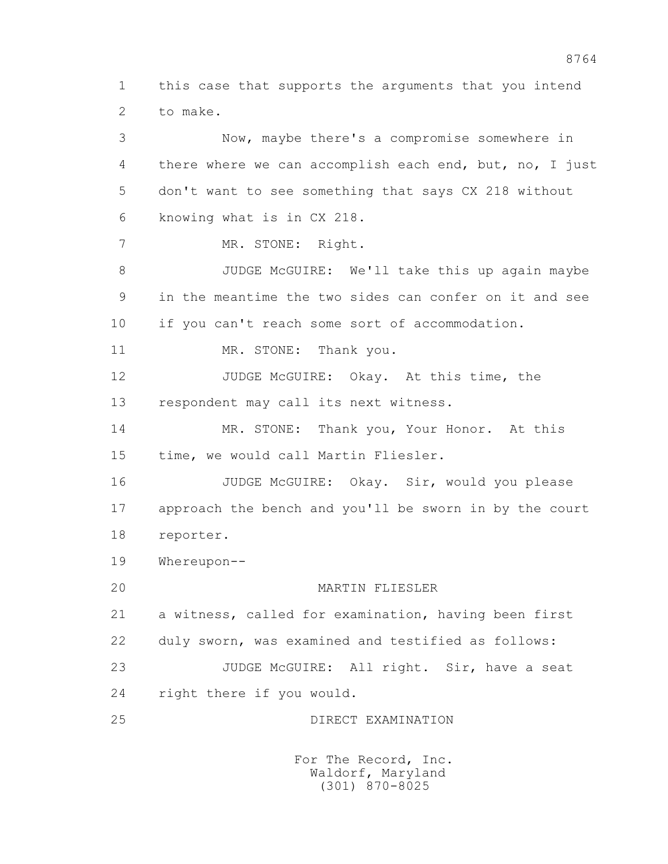1 this case that supports the arguments that you intend 2 to make.

 3 Now, maybe there's a compromise somewhere in 4 there where we can accomplish each end, but, no, I just 5 don't want to see something that says CX 218 without 6 knowing what is in CX 218. 7 MR. STONE: Right. 8 JUDGE McGUIRE: We'll take this up again maybe 9 in the meantime the two sides can confer on it and see 10 if you can't reach some sort of accommodation. 11 MR. STONE: Thank you. 12 JUDGE McGUIRE: Okay. At this time, the 13 respondent may call its next witness. 14 MR. STONE: Thank you, Your Honor. At this 15 time, we would call Martin Fliesler. 16 JUDGE McGUIRE: Okay. Sir, would you please 17 approach the bench and you'll be sworn in by the court 18 reporter. 19 Whereupon-- 20 MARTIN FLIESLER 21 a witness, called for examination, having been first 22 duly sworn, was examined and testified as follows: 23 JUDGE McGUIRE: All right. Sir, have a seat 24 right there if you would. 25 DIRECT EXAMINATION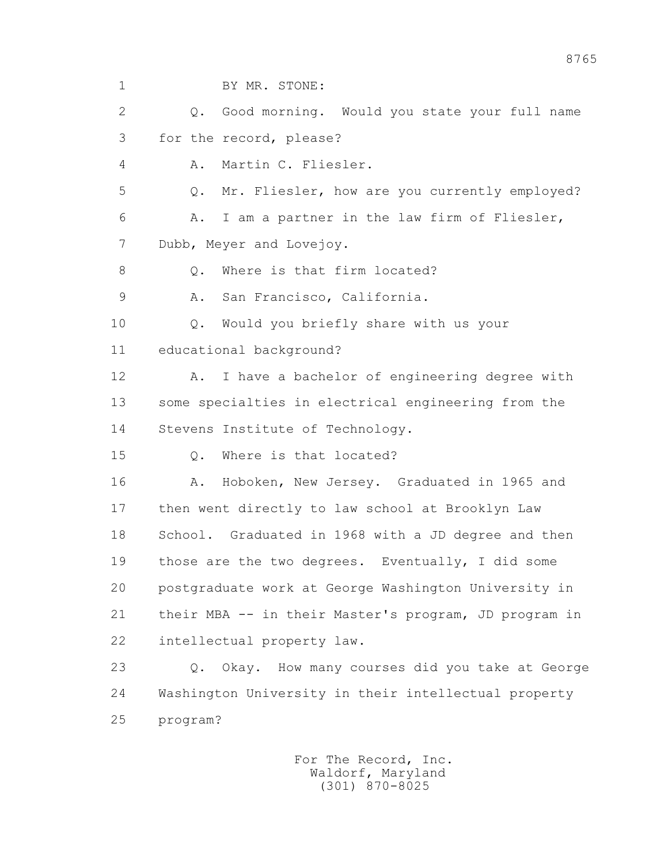1 BY MR. STONE: 2 Q. Good morning. Would you state your full name 3 for the record, please? 4 A. Martin C. Fliesler. 5 Q. Mr. Fliesler, how are you currently employed? 6 A. I am a partner in the law firm of Fliesler, 7 Dubb, Meyer and Lovejoy. 8 0. Where is that firm located? 9 A. San Francisco, California. 10 Q. Would you briefly share with us your 11 educational background? 12 A. I have a bachelor of engineering degree with 13 some specialties in electrical engineering from the 14 Stevens Institute of Technology. 15 Q. Where is that located? 16 A. Hoboken, New Jersey. Graduated in 1965 and 17 then went directly to law school at Brooklyn Law 18 School. Graduated in 1968 with a JD degree and then 19 those are the two degrees. Eventually, I did some 20 postgraduate work at George Washington University in 21 their MBA -- in their Master's program, JD program in 22 intellectual property law. 23 Q. Okay. How many courses did you take at George 24 Washington University in their intellectual property 25 program?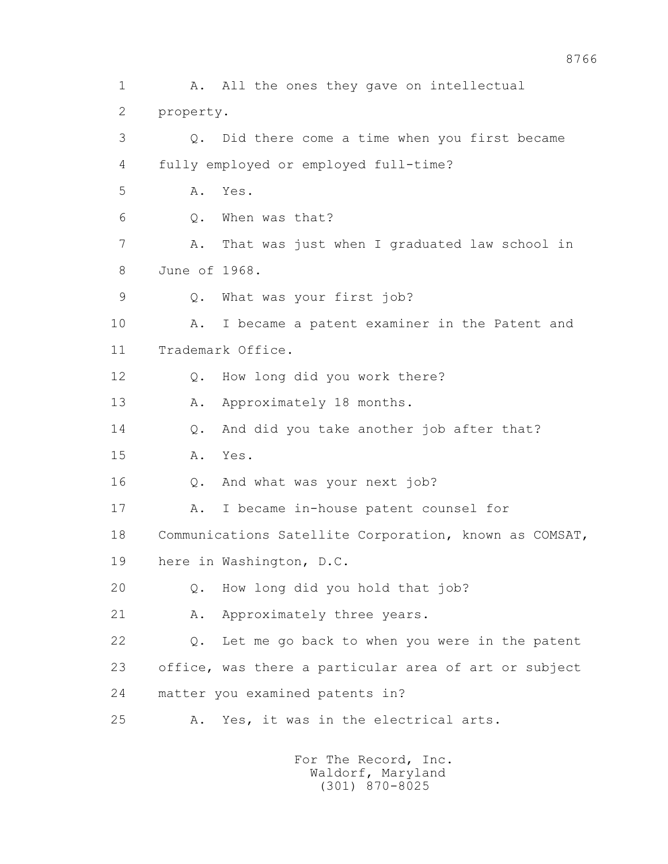1 A. All the ones they gave on intellectual 2 property. 3 Q. Did there come a time when you first became 4 fully employed or employed full-time? 5 A. Yes. 6 Q. When was that? 7 A. That was just when I graduated law school in 8 June of 1968. 9 Q. What was your first job? 10 A. I became a patent examiner in the Patent and 11 Trademark Office. 12 Q. How long did you work there? 13 A. Approximately 18 months. 14 Q. And did you take another job after that? 15 A. Yes. 16 Q. And what was your next job? 17 A. I became in-house patent counsel for 18 Communications Satellite Corporation, known as COMSAT, 19 here in Washington, D.C. 20 Q. How long did you hold that job? 21 A. Approximately three years. 22 Q. Let me go back to when you were in the patent 23 office, was there a particular area of art or subject 24 matter you examined patents in? 25 A. Yes, it was in the electrical arts.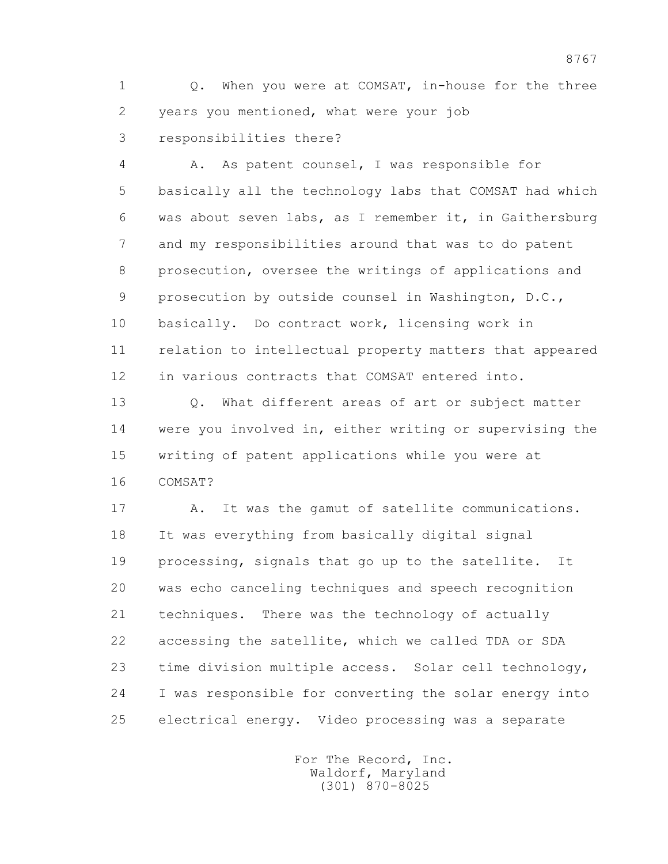1 Q. When you were at COMSAT, in-house for the three 2 years you mentioned, what were your job 3 responsibilities there?

 4 A. As patent counsel, I was responsible for 5 basically all the technology labs that COMSAT had which 6 was about seven labs, as I remember it, in Gaithersburg 7 and my responsibilities around that was to do patent 8 prosecution, oversee the writings of applications and 9 prosecution by outside counsel in Washington, D.C., 10 basically. Do contract work, licensing work in 11 relation to intellectual property matters that appeared 12 in various contracts that COMSAT entered into.

 13 Q. What different areas of art or subject matter 14 were you involved in, either writing or supervising the 15 writing of patent applications while you were at 16 COMSAT?

 17 A. It was the gamut of satellite communications. 18 It was everything from basically digital signal 19 processing, signals that go up to the satellite. It 20 was echo canceling techniques and speech recognition 21 techniques. There was the technology of actually 22 accessing the satellite, which we called TDA or SDA 23 time division multiple access. Solar cell technology, 24 I was responsible for converting the solar energy into 25 electrical energy. Video processing was a separate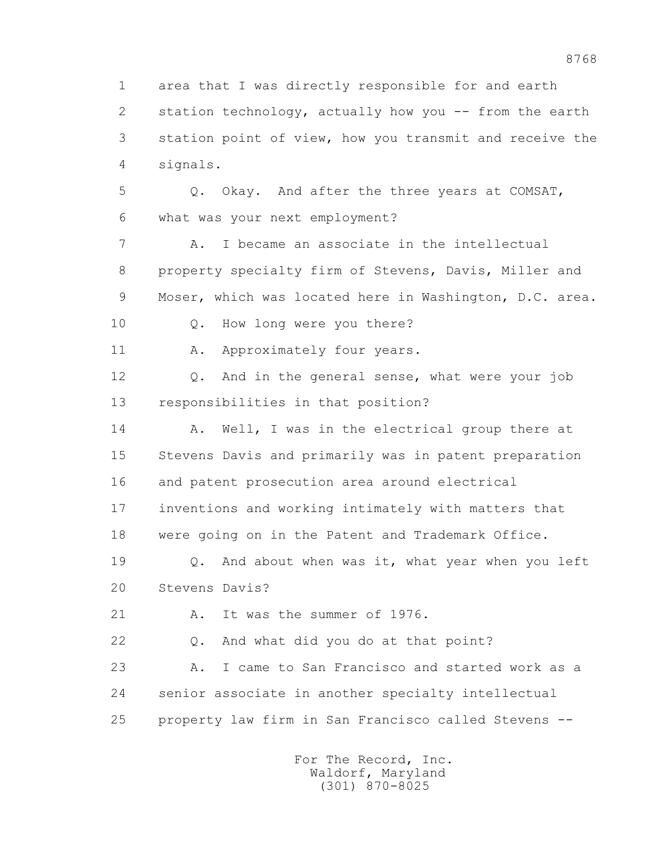1 area that I was directly responsible for and earth 2 station technology, actually how you -- from the earth 3 station point of view, how you transmit and receive the 4 signals. 5 Q. Okay. And after the three years at COMSAT, 6 what was your next employment? 7 A. I became an associate in the intellectual 8 property specialty firm of Stevens, Davis, Miller and 9 Moser, which was located here in Washington, D.C. area. 10 Q. How long were you there? 11 A. Approximately four years. 12 Q. And in the general sense, what were your job 13 responsibilities in that position? 14 A. Well, I was in the electrical group there at 15 Stevens Davis and primarily was in patent preparation 16 and patent prosecution area around electrical 17 inventions and working intimately with matters that 18 were going on in the Patent and Trademark Office. 19 Q. And about when was it, what year when you left 20 Stevens Davis? 21 A. It was the summer of 1976. 22 Q. And what did you do at that point? 23 A. I came to San Francisco and started work as a 24 senior associate in another specialty intellectual 25 property law firm in San Francisco called Stevens --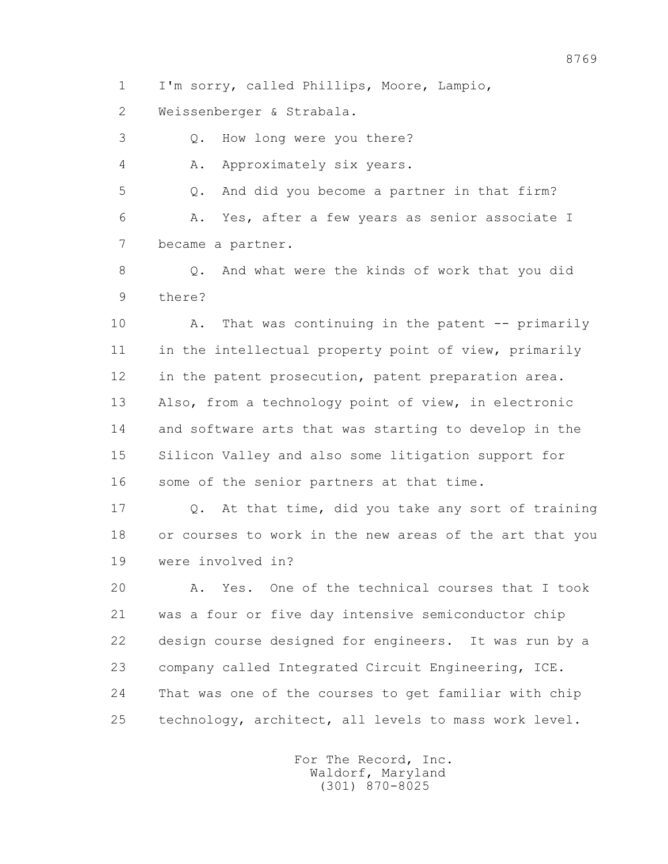1 I'm sorry, called Phillips, Moore, Lampio,

2 Weissenberger & Strabala.

3 Q. How long were you there?

4 A. Approximately six years.

 5 Q. And did you become a partner in that firm? 6 A. Yes, after a few years as senior associate I 7 became a partner.

8 0. And what were the kinds of work that you did 9 there?

10 A. That was continuing in the patent -- primarily 11 in the intellectual property point of view, primarily 12 in the patent prosecution, patent preparation area. 13 Also, from a technology point of view, in electronic 14 and software arts that was starting to develop in the 15 Silicon Valley and also some litigation support for 16 some of the senior partners at that time.

 17 Q. At that time, did you take any sort of training 18 or courses to work in the new areas of the art that you 19 were involved in?

 20 A. Yes. One of the technical courses that I took 21 was a four or five day intensive semiconductor chip 22 design course designed for engineers. It was run by a 23 company called Integrated Circuit Engineering, ICE. 24 That was one of the courses to get familiar with chip 25 technology, architect, all levels to mass work level.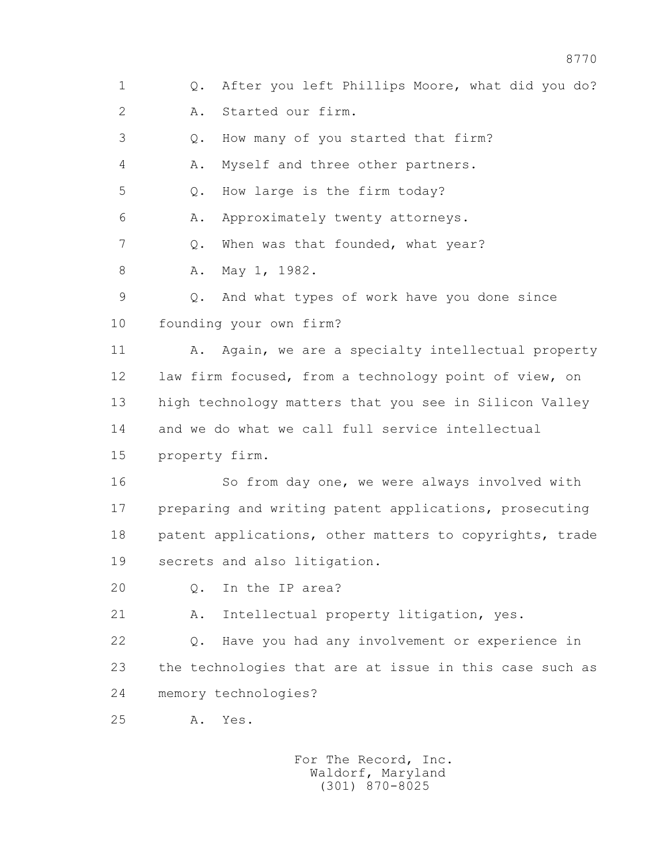1 Q. After you left Phillips Moore, what did you do? 2 A. Started our firm. 3 Q. How many of you started that firm? 4 A. Myself and three other partners. 5 Q. How large is the firm today? 6 A. Approximately twenty attorneys. 7 0. When was that founded, what year? 8 A. May 1, 1982. 9 Q. And what types of work have you done since 10 founding your own firm? 11 A. Again, we are a specialty intellectual property 12 law firm focused, from a technology point of view, on 13 high technology matters that you see in Silicon Valley 14 and we do what we call full service intellectual 15 property firm. 16 So from day one, we were always involved with 17 preparing and writing patent applications, prosecuting 18 patent applications, other matters to copyrights, trade 19 secrets and also litigation. 20 0. In the IP area? 21 A. Intellectual property litigation, yes. 22 Q. Have you had any involvement or experience in 23 the technologies that are at issue in this case such as 24 memory technologies? 25 A. Yes.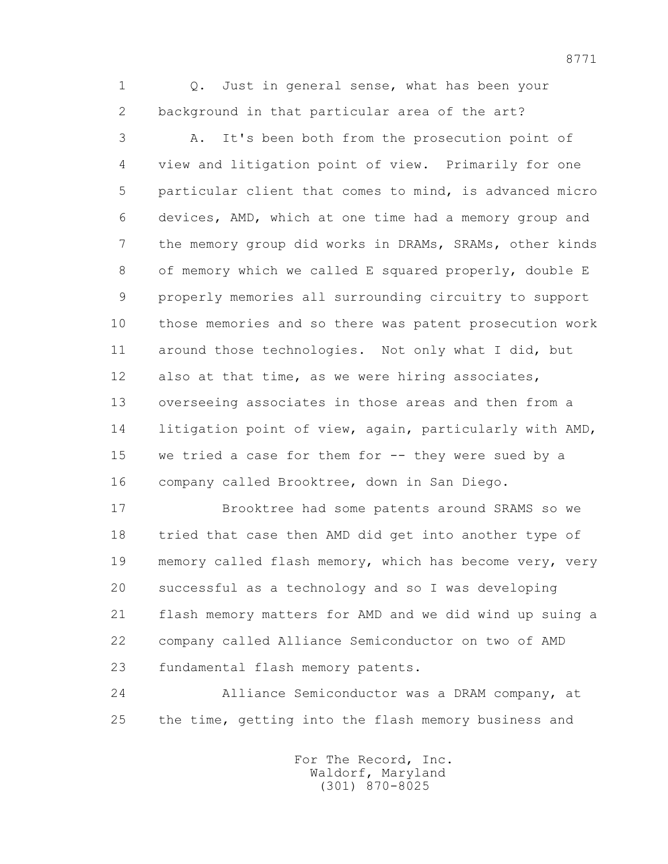1 Q. Just in general sense, what has been your 2 background in that particular area of the art?

 3 A. It's been both from the prosecution point of 4 view and litigation point of view. Primarily for one 5 particular client that comes to mind, is advanced micro 6 devices, AMD, which at one time had a memory group and 7 the memory group did works in DRAMs, SRAMs, other kinds 8 of memory which we called E squared properly, double E 9 properly memories all surrounding circuitry to support 10 those memories and so there was patent prosecution work 11 around those technologies. Not only what I did, but 12 also at that time, as we were hiring associates, 13 overseeing associates in those areas and then from a 14 litigation point of view, again, particularly with AMD, 15 we tried a case for them for -- they were sued by a 16 company called Brooktree, down in San Diego.

 17 Brooktree had some patents around SRAMS so we 18 tried that case then AMD did get into another type of 19 memory called flash memory, which has become very, very 20 successful as a technology and so I was developing 21 flash memory matters for AMD and we did wind up suing a 22 company called Alliance Semiconductor on two of AMD 23 fundamental flash memory patents.

 24 Alliance Semiconductor was a DRAM company, at 25 the time, getting into the flash memory business and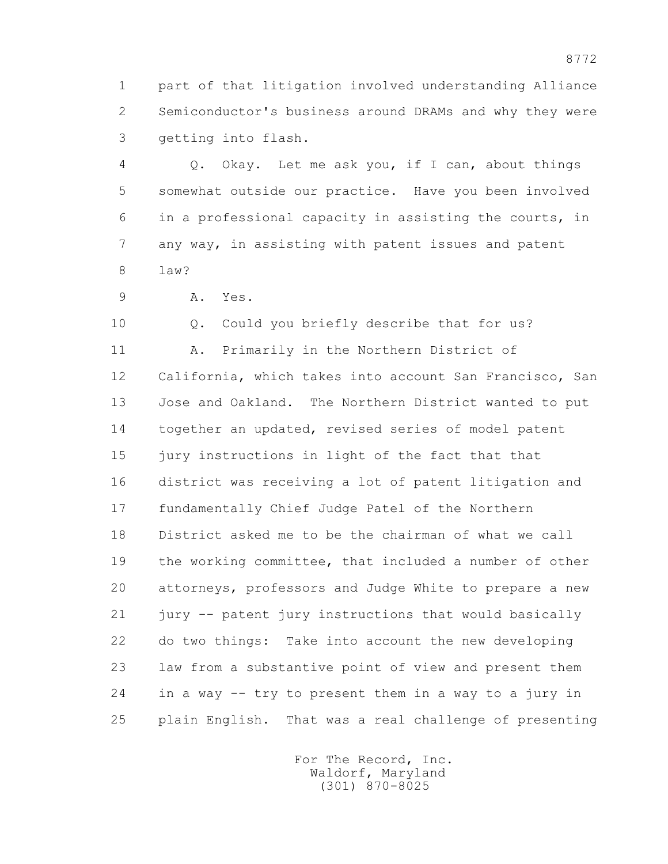1 part of that litigation involved understanding Alliance 2 Semiconductor's business around DRAMs and why they were 3 getting into flash.

 4 Q. Okay. Let me ask you, if I can, about things 5 somewhat outside our practice. Have you been involved 6 in a professional capacity in assisting the courts, in 7 any way, in assisting with patent issues and patent 8 law?

9 A. Yes.

 10 Q. Could you briefly describe that for us? 11 A. Primarily in the Northern District of 12 California, which takes into account San Francisco, San 13 Jose and Oakland. The Northern District wanted to put 14 together an updated, revised series of model patent 15 jury instructions in light of the fact that that 16 district was receiving a lot of patent litigation and 17 fundamentally Chief Judge Patel of the Northern 18 District asked me to be the chairman of what we call 19 the working committee, that included a number of other 20 attorneys, professors and Judge White to prepare a new 21 jury -- patent jury instructions that would basically 22 do two things: Take into account the new developing 23 law from a substantive point of view and present them 24 in a way -- try to present them in a way to a jury in 25 plain English. That was a real challenge of presenting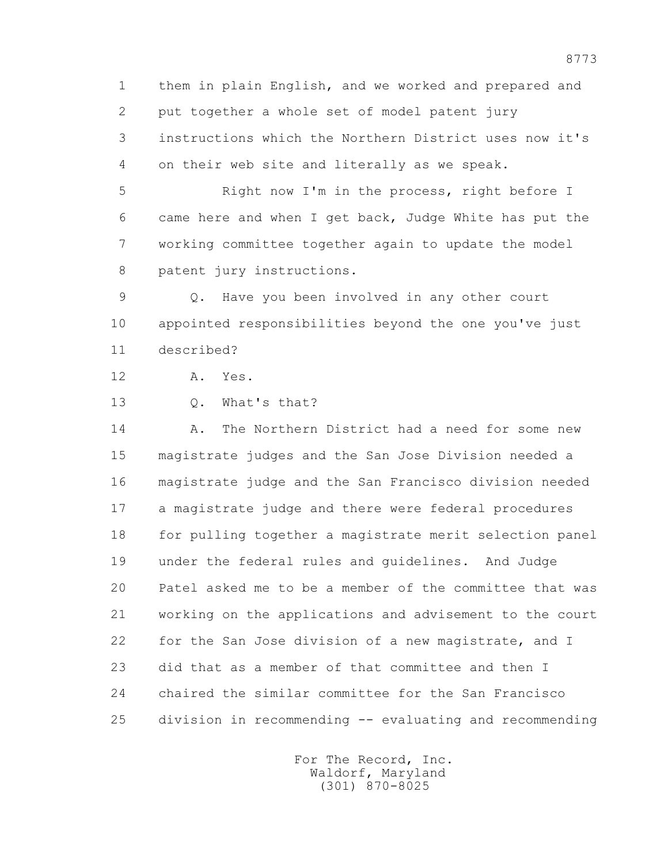1 them in plain English, and we worked and prepared and 2 put together a whole set of model patent jury 3 instructions which the Northern District uses now it's 4 on their web site and literally as we speak.

 5 Right now I'm in the process, right before I 6 came here and when I get back, Judge White has put the 7 working committee together again to update the model 8 patent jury instructions.

 9 Q. Have you been involved in any other court 10 appointed responsibilities beyond the one you've just 11 described?

12 A. Yes.

13 Q. What's that?

 14 A. The Northern District had a need for some new 15 magistrate judges and the San Jose Division needed a 16 magistrate judge and the San Francisco division needed 17 a magistrate judge and there were federal procedures 18 for pulling together a magistrate merit selection panel 19 under the federal rules and guidelines. And Judge 20 Patel asked me to be a member of the committee that was 21 working on the applications and advisement to the court 22 for the San Jose division of a new magistrate, and I 23 did that as a member of that committee and then I 24 chaired the similar committee for the San Francisco 25 division in recommending -- evaluating and recommending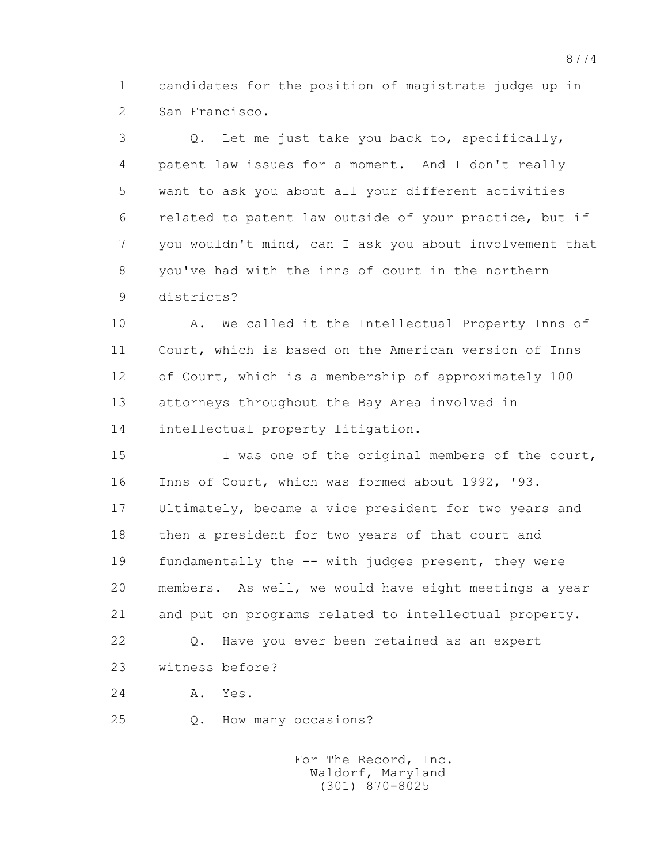1 candidates for the position of magistrate judge up in 2 San Francisco.

 3 Q. Let me just take you back to, specifically, 4 patent law issues for a moment. And I don't really 5 want to ask you about all your different activities 6 related to patent law outside of your practice, but if 7 you wouldn't mind, can I ask you about involvement that 8 you've had with the inns of court in the northern 9 districts?

 10 A. We called it the Intellectual Property Inns of 11 Court, which is based on the American version of Inns 12 of Court, which is a membership of approximately 100 13 attorneys throughout the Bay Area involved in 14 intellectual property litigation.

 15 I was one of the original members of the court, 16 Inns of Court, which was formed about 1992, '93. 17 Ultimately, became a vice president for two years and 18 then a president for two years of that court and 19 fundamentally the -- with judges present, they were 20 members. As well, we would have eight meetings a year 21 and put on programs related to intellectual property. 22 Q. Have you ever been retained as an expert 23 witness before?

24 A. Yes.

25 Q. How many occasions?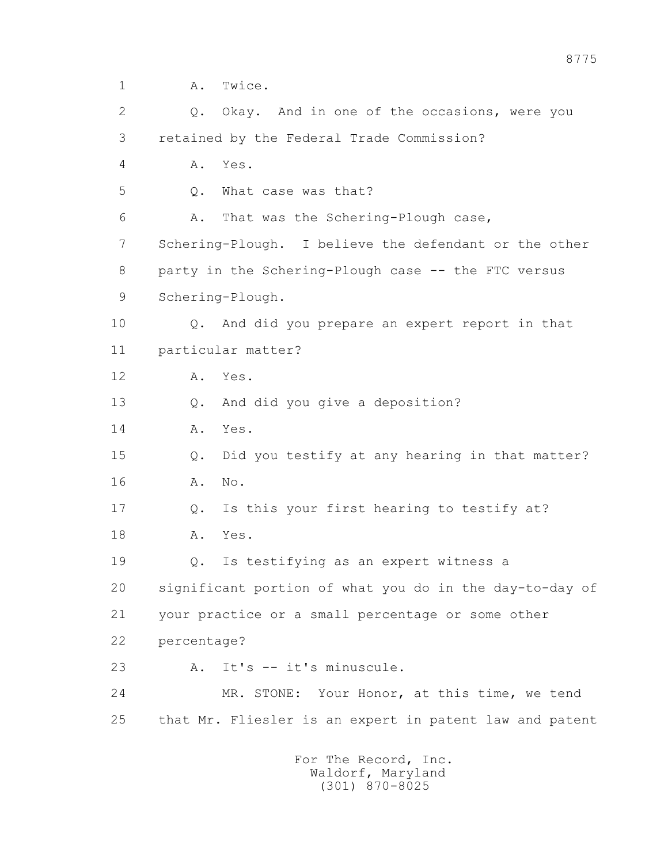1 A. Twice.

 2 Q. Okay. And in one of the occasions, were you 3 retained by the Federal Trade Commission? 4 A. Yes. 5 Q. What case was that? 6 A. That was the Schering-Plough case, 7 Schering-Plough. I believe the defendant or the other 8 party in the Schering-Plough case -- the FTC versus 9 Schering-Plough. 10 Q. And did you prepare an expert report in that 11 particular matter? 12 A. Yes. 13 Q. And did you give a deposition? 14 A. Yes. 15 Q. Did you testify at any hearing in that matter? 16 A. No. 17 Q. Is this your first hearing to testify at? 18 A. Yes. 19 Q. Is testifying as an expert witness a 20 significant portion of what you do in the day-to-day of 21 your practice or a small percentage or some other 22 percentage? 23 A. It's -- it's minuscule. 24 MR. STONE: Your Honor, at this time, we tend 25 that Mr. Fliesler is an expert in patent law and patent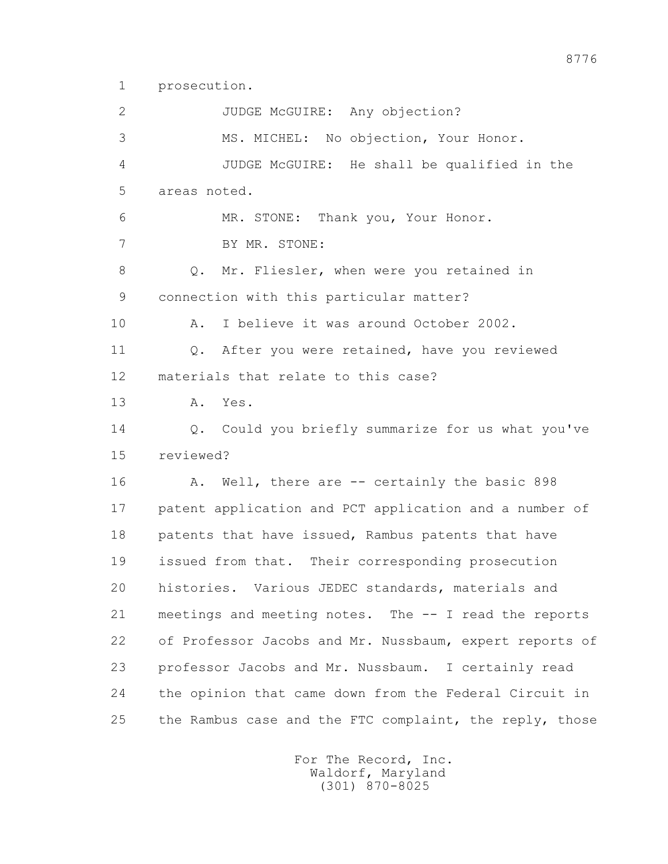1 prosecution.

2 JUDGE McGUIRE: Any objection? 3 MS. MICHEL: No objection, Your Honor. 4 JUDGE McGUIRE: He shall be qualified in the 5 areas noted. 6 MR. STONE: Thank you, Your Honor. 7 BY MR. STONE: 8 Q. Mr. Fliesler, when were you retained in 9 connection with this particular matter? 10 A. I believe it was around October 2002. 11 Q. After you were retained, have you reviewed 12 materials that relate to this case? 13 A. Yes. 14 0. Could you briefly summarize for us what you've 15 reviewed? 16 A. Well, there are -- certainly the basic 898 17 patent application and PCT application and a number of 18 patents that have issued, Rambus patents that have 19 issued from that. Their corresponding prosecution 20 histories. Various JEDEC standards, materials and 21 meetings and meeting notes. The -- I read the reports 22 of Professor Jacobs and Mr. Nussbaum, expert reports of 23 professor Jacobs and Mr. Nussbaum. I certainly read 24 the opinion that came down from the Federal Circuit in 25 the Rambus case and the FTC complaint, the reply, those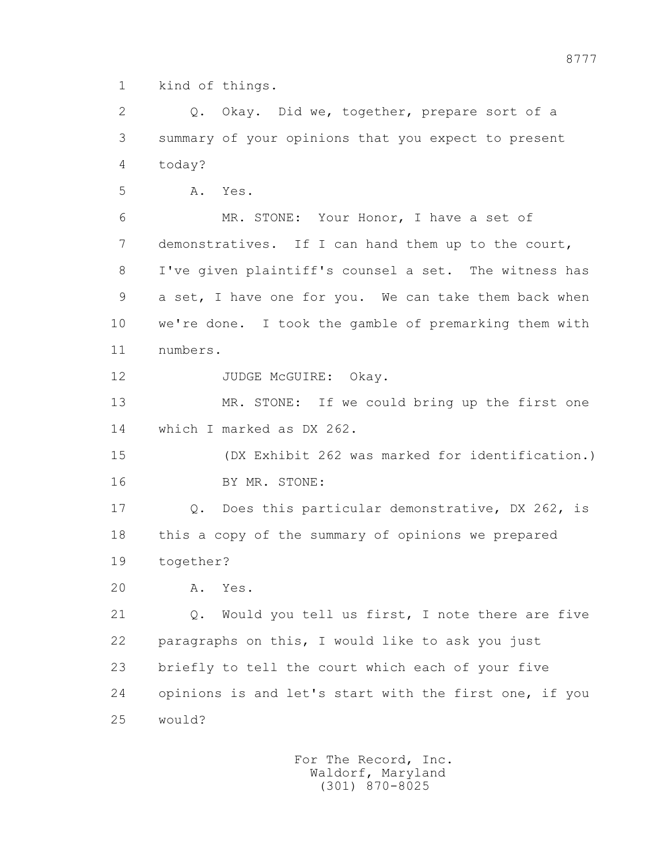1 kind of things.

2 0. Okay. Did we, together, prepare sort of a 3 summary of your opinions that you expect to present 4 today?

5 A. Yes.

 6 MR. STONE: Your Honor, I have a set of 7 demonstratives. If I can hand them up to the court, 8 I've given plaintiff's counsel a set. The witness has 9 a set, I have one for you. We can take them back when 10 we're done. I took the gamble of premarking them with 11 numbers.

12 JUDGE McGUIRE: Okay.

 13 MR. STONE: If we could bring up the first one 14 which I marked as DX 262.

 15 (DX Exhibit 262 was marked for identification.) 16 BY MR. STONE:

 17 Q. Does this particular demonstrative, DX 262, is 18 this a copy of the summary of opinions we prepared 19 together?

20 A. Yes.

 21 Q. Would you tell us first, I note there are five 22 paragraphs on this, I would like to ask you just 23 briefly to tell the court which each of your five 24 opinions is and let's start with the first one, if you 25 would?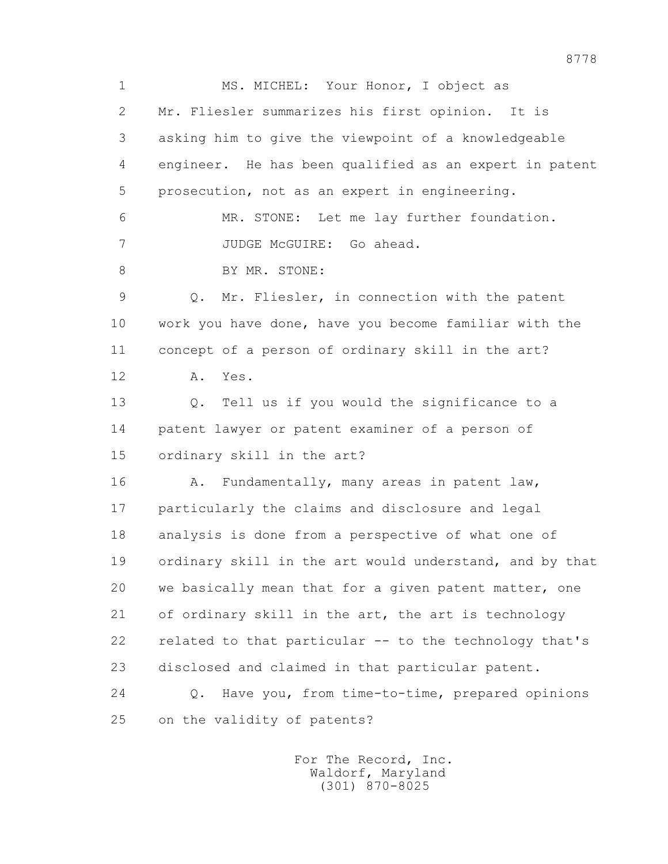1 MS. MICHEL: Your Honor, I object as 2 Mr. Fliesler summarizes his first opinion. It is 3 asking him to give the viewpoint of a knowledgeable 4 engineer. He has been qualified as an expert in patent 5 prosecution, not as an expert in engineering. 6 MR. STONE: Let me lay further foundation. 7 JUDGE McGUIRE: Go ahead. 8 BY MR. STONE: 9 Q. Mr. Fliesler, in connection with the patent 10 work you have done, have you become familiar with the 11 concept of a person of ordinary skill in the art? 12 A. Yes. 13 Q. Tell us if you would the significance to a 14 patent lawyer or patent examiner of a person of 15 ordinary skill in the art? 16 A. Fundamentally, many areas in patent law, 17 particularly the claims and disclosure and legal 18 analysis is done from a perspective of what one of 19 ordinary skill in the art would understand, and by that 20 we basically mean that for a given patent matter, one 21 of ordinary skill in the art, the art is technology 22 related to that particular -- to the technology that's 23 disclosed and claimed in that particular patent. 24 Q. Have you, from time-to-time, prepared opinions 25 on the validity of patents?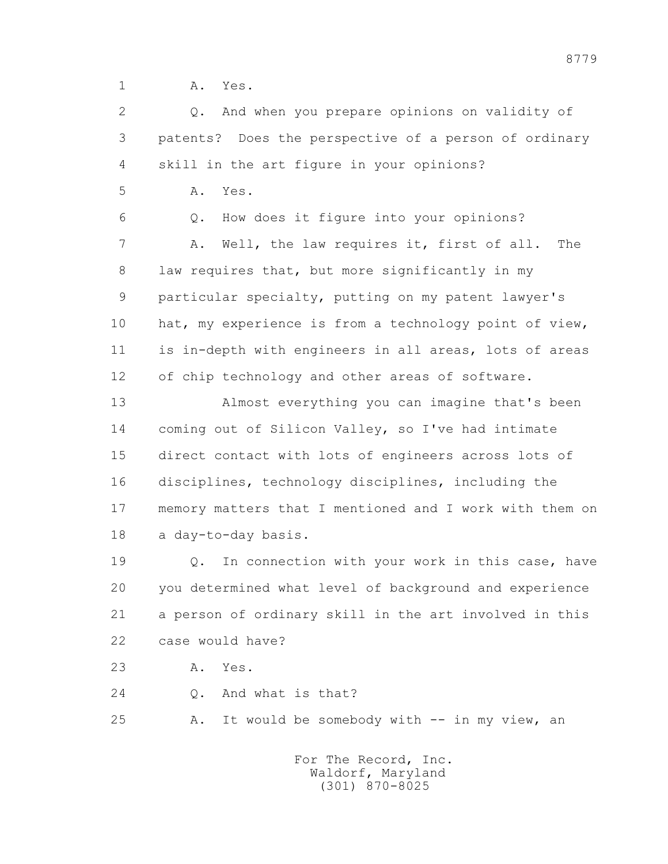1 A. Yes.

 2 Q. And when you prepare opinions on validity of 3 patents? Does the perspective of a person of ordinary 4 skill in the art figure in your opinions?

5 A. Yes.

 6 Q. How does it figure into your opinions? 7 A. Well, the law requires it, first of all. The 8 law requires that, but more significantly in my 9 particular specialty, putting on my patent lawyer's 10 hat, my experience is from a technology point of view, 11 is in-depth with engineers in all areas, lots of areas 12 of chip technology and other areas of software.

 13 Almost everything you can imagine that's been 14 coming out of Silicon Valley, so I've had intimate 15 direct contact with lots of engineers across lots of 16 disciplines, technology disciplines, including the 17 memory matters that I mentioned and I work with them on 18 a day-to-day basis.

 19 Q. In connection with your work in this case, have 20 you determined what level of background and experience 21 a person of ordinary skill in the art involved in this 22 case would have?

23 A. Yes.

24 Q. And what is that?

25 A. It would be somebody with -- in my view, an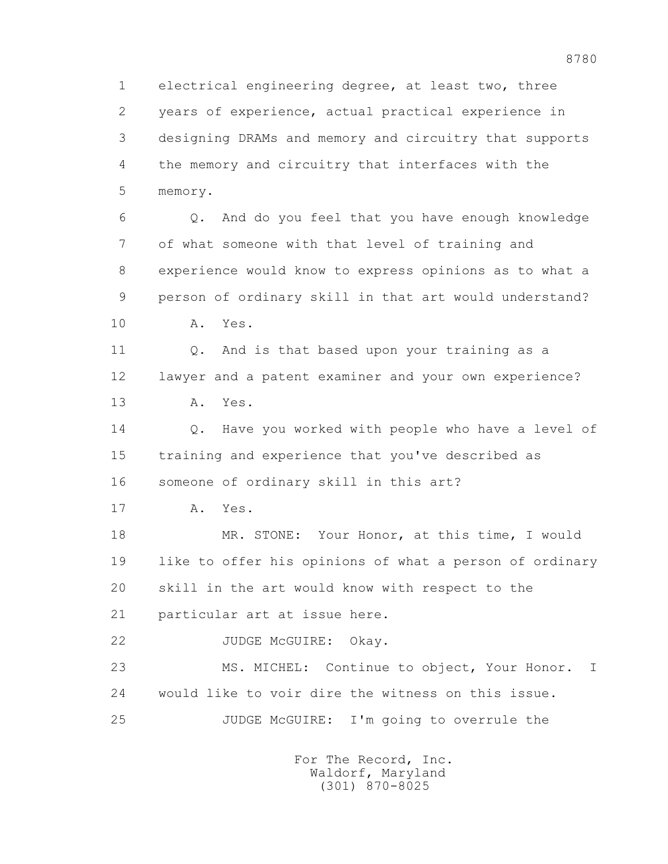1 electrical engineering degree, at least two, three 2 years of experience, actual practical experience in 3 designing DRAMs and memory and circuitry that supports 4 the memory and circuitry that interfaces with the 5 memory.

 6 Q. And do you feel that you have enough knowledge 7 of what someone with that level of training and 8 experience would know to express opinions as to what a 9 person of ordinary skill in that art would understand? 10 A. Yes.

11 0. And is that based upon your training as a 12 lawyer and a patent examiner and your own experience? 13 A. Yes.

 14 Q. Have you worked with people who have a level of 15 training and experience that you've described as 16 someone of ordinary skill in this art?

17 A. Yes.

 18 MR. STONE: Your Honor, at this time, I would 19 like to offer his opinions of what a person of ordinary 20 skill in the art would know with respect to the 21 particular art at issue here.

22 JUDGE McGUIRE: Okay.

 23 MS. MICHEL: Continue to object, Your Honor. I 24 would like to voir dire the witness on this issue. 25 JUDGE McGUIRE: I'm going to overrule the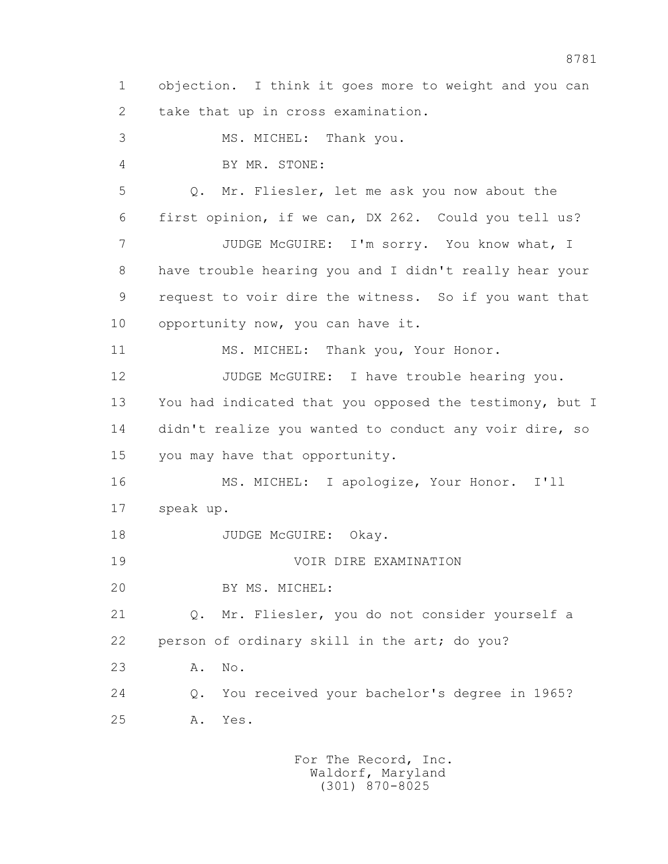1 objection. I think it goes more to weight and you can 2 take that up in cross examination. 3 MS. MICHEL: Thank you. 4 BY MR. STONE: 5 Q. Mr. Fliesler, let me ask you now about the 6 first opinion, if we can, DX 262. Could you tell us? 7 JUDGE McGUIRE: I'm sorry. You know what, I 8 have trouble hearing you and I didn't really hear your 9 request to voir dire the witness. So if you want that 10 opportunity now, you can have it. 11 MS. MICHEL: Thank you, Your Honor. 12 JUDGE McGUIRE: I have trouble hearing you. 13 You had indicated that you opposed the testimony, but I 14 didn't realize you wanted to conduct any voir dire, so 15 you may have that opportunity. 16 MS. MICHEL: I apologize, Your Honor. I'll 17 speak up. 18 JUDGE McGUIRE: Okay. 19 VOIR DIRE EXAMINATION 20 BY MS. MICHEL: 21 Q. Mr. Fliesler, you do not consider yourself a 22 person of ordinary skill in the art; do you? 23 A. No. 24 Q. You received your bachelor's degree in 1965? 25 A. Yes.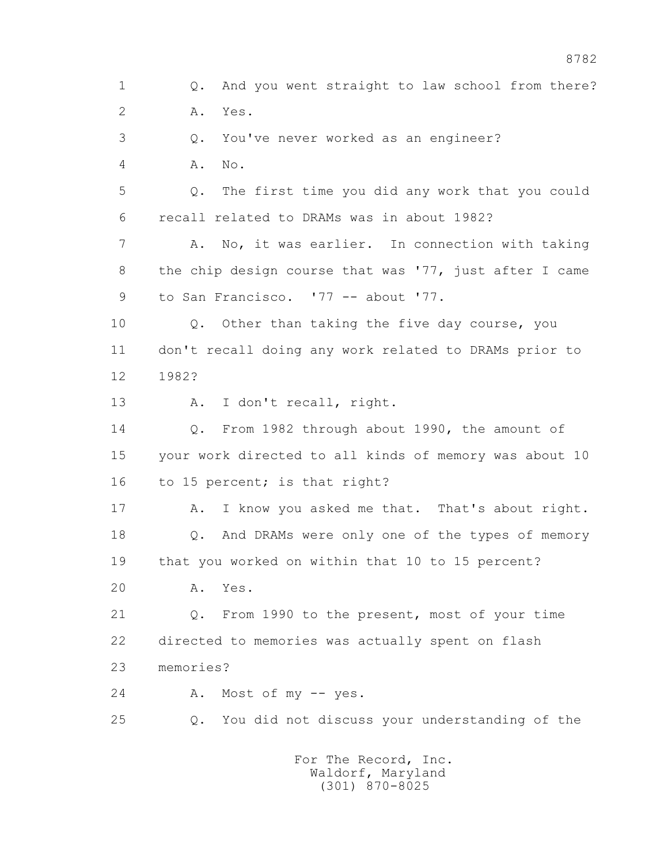1 Q. And you went straight to law school from there? 2 A. Yes. 3 Q. You've never worked as an engineer? 4 A. No. 5 Q. The first time you did any work that you could 6 recall related to DRAMs was in about 1982? 7 A. No, it was earlier. In connection with taking 8 the chip design course that was '77, just after I came 9 to San Francisco. '77 -- about '77. 10 Q. Other than taking the five day course, you 11 don't recall doing any work related to DRAMs prior to 12 1982? 13 A. I don't recall, right. 14 Q. From 1982 through about 1990, the amount of 15 your work directed to all kinds of memory was about 10 16 to 15 percent; is that right? 17 A. I know you asked me that. That's about right. 18 Q. And DRAMs were only one of the types of memory 19 that you worked on within that 10 to 15 percent? 20 A. Yes. 21 Q. From 1990 to the present, most of your time 22 directed to memories was actually spent on flash 23 memories? 24 A. Most of my -- yes. 25 Q. You did not discuss your understanding of the For The Record, Inc.

8782

 Waldorf, Maryland (301) 870-8025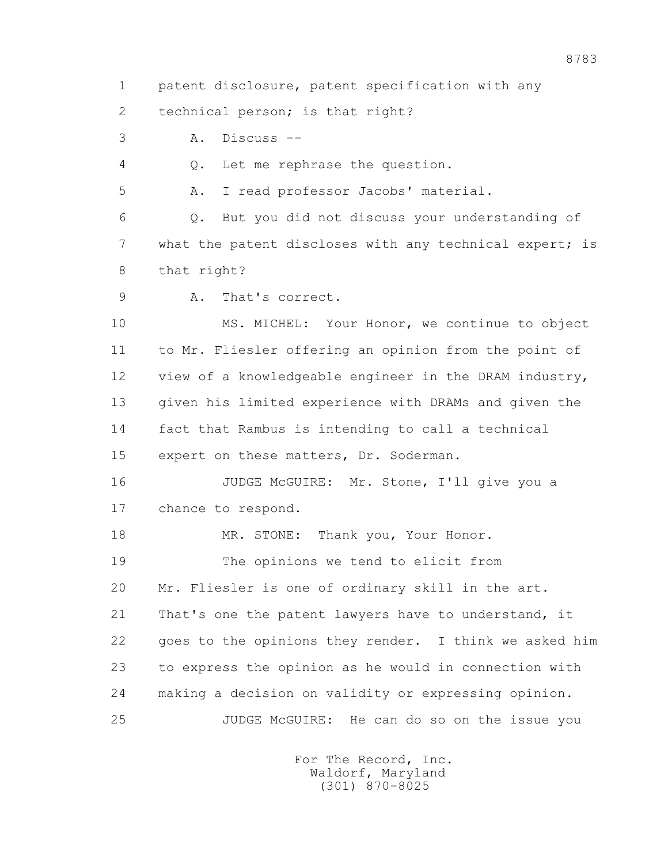1 patent disclosure, patent specification with any

2 technical person; is that right?

3 A. Discuss --

4 Q. Let me rephrase the question.

5 A. I read professor Jacobs' material.

 6 Q. But you did not discuss your understanding of 7 what the patent discloses with any technical expert; is 8 that right?

9 A. That's correct.

 10 MS. MICHEL: Your Honor, we continue to object 11 to Mr. Fliesler offering an opinion from the point of 12 view of a knowledgeable engineer in the DRAM industry, 13 given his limited experience with DRAMs and given the 14 fact that Rambus is intending to call a technical 15 expert on these matters, Dr. Soderman.

16 JUDGE McGUIRE: Mr. Stone, I'll give you a 17 chance to respond.

18 MR. STONE: Thank you, Your Honor.

 19 The opinions we tend to elicit from 20 Mr. Fliesler is one of ordinary skill in the art. 21 That's one the patent lawyers have to understand, it 22 goes to the opinions they render. I think we asked him 23 to express the opinion as he would in connection with 24 making a decision on validity or expressing opinion.

25 JUDGE McGUIRE: He can do so on the issue you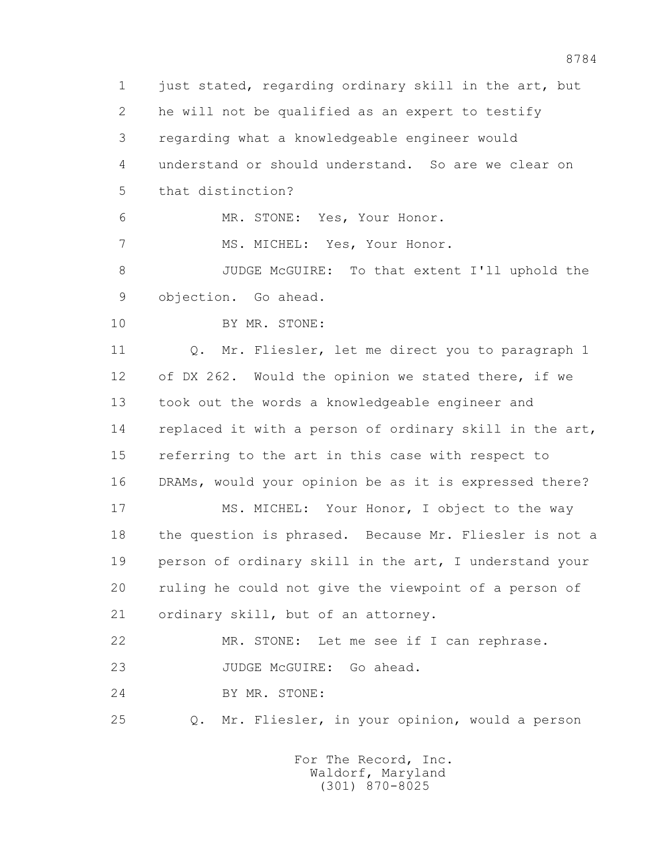1 just stated, regarding ordinary skill in the art, but 2 he will not be qualified as an expert to testify 3 regarding what a knowledgeable engineer would 4 understand or should understand. So are we clear on 5 that distinction? 6 MR. STONE: Yes, Your Honor. 7 MS. MICHEL: Yes, Your Honor. 8 JUDGE McGUIRE: To that extent I'll uphold the 9 objection. Go ahead. 10 BY MR. STONE: 11 0. Mr. Fliesler, let me direct you to paragraph 1 12 of DX 262. Would the opinion we stated there, if we 13 took out the words a knowledgeable engineer and 14 replaced it with a person of ordinary skill in the art, 15 referring to the art in this case with respect to 16 DRAMs, would your opinion be as it is expressed there? 17 MS. MICHEL: Your Honor, I object to the way 18 the question is phrased. Because Mr. Fliesler is not a 19 person of ordinary skill in the art, I understand your 20 ruling he could not give the viewpoint of a person of 21 ordinary skill, but of an attorney. 22 MR. STONE: Let me see if I can rephrase. 23 JUDGE McGUIRE: Go ahead. 24 BY MR. STONE: 25 Q. Mr. Fliesler, in your opinion, would a person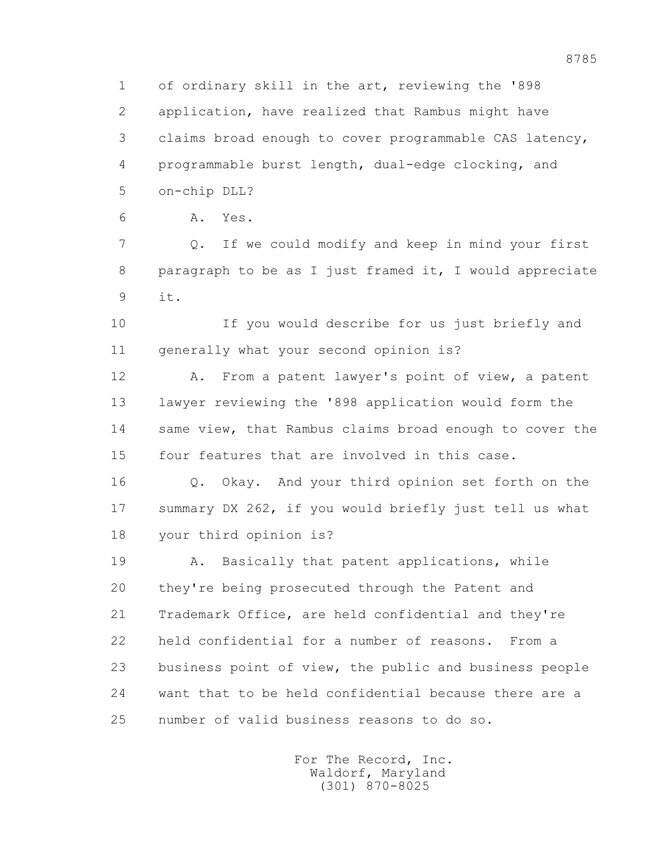1 of ordinary skill in the art, reviewing the '898 2 application, have realized that Rambus might have 3 claims broad enough to cover programmable CAS latency, 4 programmable burst length, dual-edge clocking, and 5 on-chip DLL?

6 A. Yes.

 7 Q. If we could modify and keep in mind your first 8 paragraph to be as I just framed it, I would appreciate 9 it.

 10 If you would describe for us just briefly and 11 generally what your second opinion is?

 12 A. From a patent lawyer's point of view, a patent 13 lawyer reviewing the '898 application would form the 14 same view, that Rambus claims broad enough to cover the 15 four features that are involved in this case.

 16 Q. Okay. And your third opinion set forth on the 17 summary DX 262, if you would briefly just tell us what 18 your third opinion is?

 19 A. Basically that patent applications, while 20 they're being prosecuted through the Patent and 21 Trademark Office, are held confidential and they're 22 held confidential for a number of reasons. From a 23 business point of view, the public and business people 24 want that to be held confidential because there are a 25 number of valid business reasons to do so.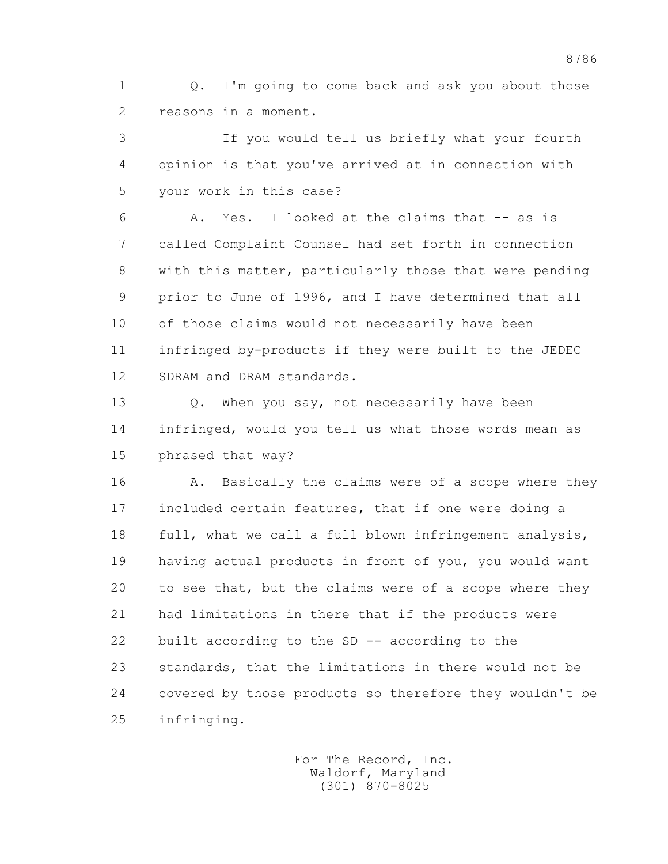1 Q. I'm going to come back and ask you about those 2 reasons in a moment.

 3 If you would tell us briefly what your fourth 4 opinion is that you've arrived at in connection with 5 your work in this case?

 6 A. Yes. I looked at the claims that -- as is 7 called Complaint Counsel had set forth in connection 8 with this matter, particularly those that were pending 9 prior to June of 1996, and I have determined that all 10 of those claims would not necessarily have been 11 infringed by-products if they were built to the JEDEC 12 SDRAM and DRAM standards.

13 O. When you say, not necessarily have been 14 infringed, would you tell us what those words mean as 15 phrased that way?

16 A. Basically the claims were of a scope where they 17 included certain features, that if one were doing a 18 full, what we call a full blown infringement analysis, 19 having actual products in front of you, you would want 20 to see that, but the claims were of a scope where they 21 had limitations in there that if the products were 22 built according to the SD -- according to the 23 standards, that the limitations in there would not be 24 covered by those products so therefore they wouldn't be 25 infringing.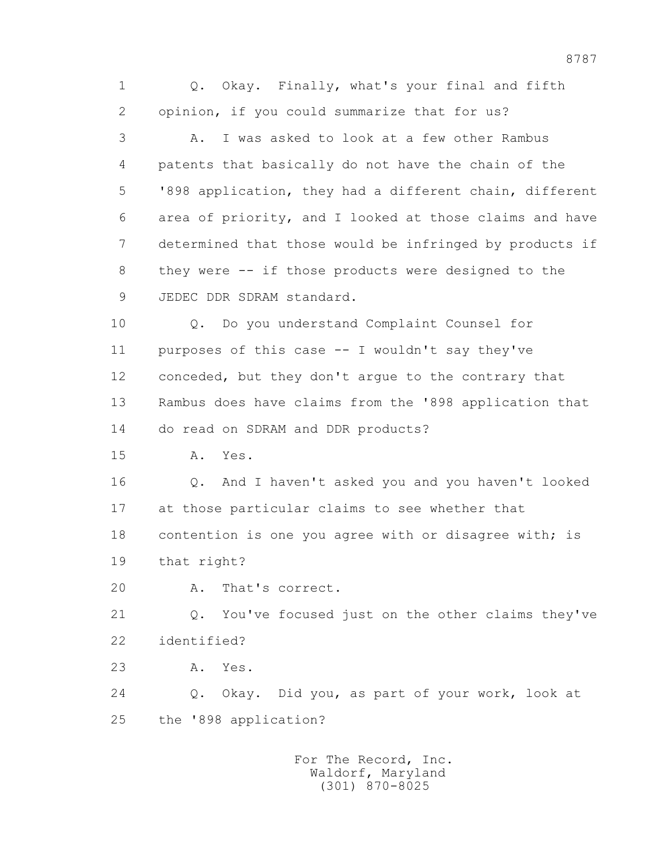1 Q. Okay. Finally, what's your final and fifth 2 opinion, if you could summarize that for us? 3 A. I was asked to look at a few other Rambus 4 patents that basically do not have the chain of the 5 '898 application, they had a different chain, different 6 area of priority, and I looked at those claims and have 7 determined that those would be infringed by products if 8 they were -- if those products were designed to the 9 JEDEC DDR SDRAM standard. 10 Q. Do you understand Complaint Counsel for 11 purposes of this case -- I wouldn't say they've 12 conceded, but they don't argue to the contrary that 13 Rambus does have claims from the '898 application that 14 do read on SDRAM and DDR products? 15 A. Yes. 16 Q. And I haven't asked you and you haven't looked 17 at those particular claims to see whether that 18 contention is one you agree with or disagree with; is 19 that right? 20 A. That's correct. 21 Q. You've focused just on the other claims they've 22 identified? 23 A. Yes. 24 Q. Okay. Did you, as part of your work, look at 25 the '898 application? For The Record, Inc. Waldorf, Maryland

(301) 870-8025

8787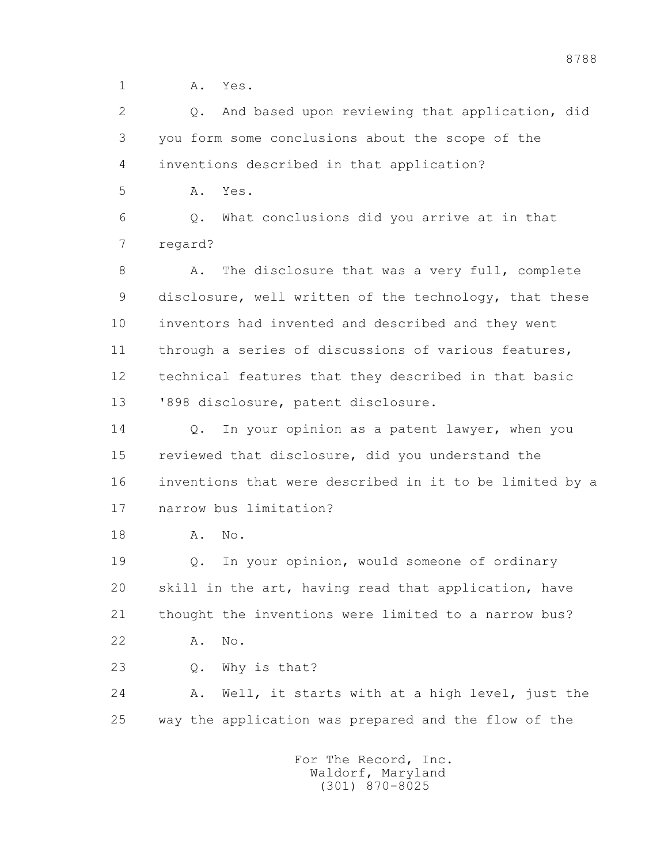1 **A.** Yes.

 2 Q. And based upon reviewing that application, did 3 you form some conclusions about the scope of the 4 inventions described in that application? 5 A. Yes.

 6 Q. What conclusions did you arrive at in that 7 regard?

8 A. The disclosure that was a very full, complete 9 disclosure, well written of the technology, that these 10 inventors had invented and described and they went 11 through a series of discussions of various features, 12 technical features that they described in that basic 13 '898 disclosure, patent disclosure.

 14 Q. In your opinion as a patent lawyer, when you 15 reviewed that disclosure, did you understand the 16 inventions that were described in it to be limited by a 17 narrow bus limitation?

18 A. No.

 19 Q. In your opinion, would someone of ordinary 20 skill in the art, having read that application, have 21 thought the inventions were limited to a narrow bus? 22 A. No.

- 
- 23 Q. Why is that?

 24 A. Well, it starts with at a high level, just the 25 way the application was prepared and the flow of the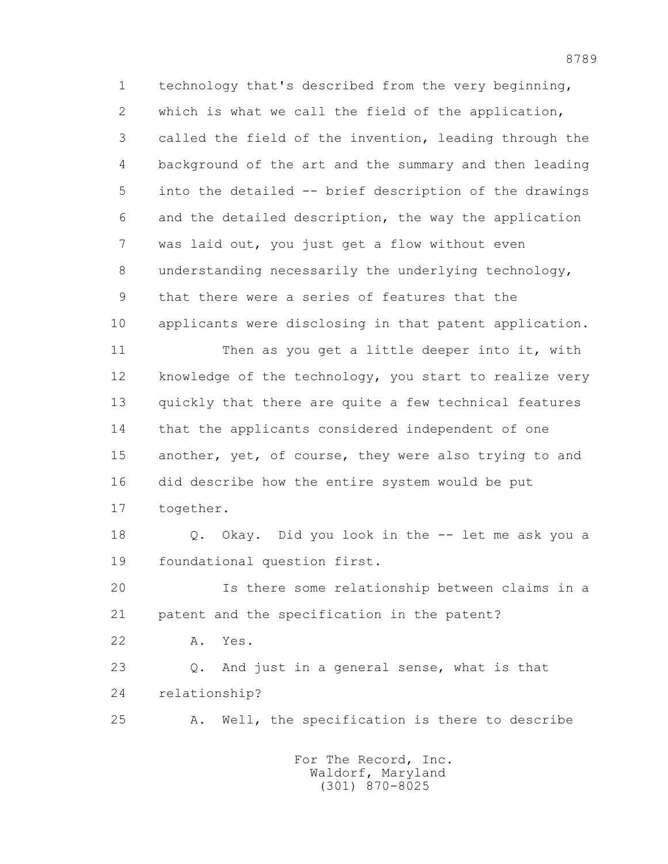1 technology that's described from the very beginning, 2 which is what we call the field of the application, 3 called the field of the invention, leading through the 4 background of the art and the summary and then leading 5 into the detailed -- brief description of the drawings 6 and the detailed description, the way the application 7 was laid out, you just get a flow without even 8 understanding necessarily the underlying technology, 9 that there were a series of features that the 10 applicants were disclosing in that patent application. 11 Then as you get a little deeper into it, with 12 knowledge of the technology, you start to realize very 13 quickly that there are quite a few technical features 14 that the applicants considered independent of one 15 another, yet, of course, they were also trying to and 16 did describe how the entire system would be put 17 together. 18 Q. Okay. Did you look in the -- let me ask you a 19 foundational question first. 20 Is there some relationship between claims in a

21 patent and the specification in the patent?

22 A. Yes.

 23 Q. And just in a general sense, what is that 24 relationship?

25 A. Well, the specification is there to describe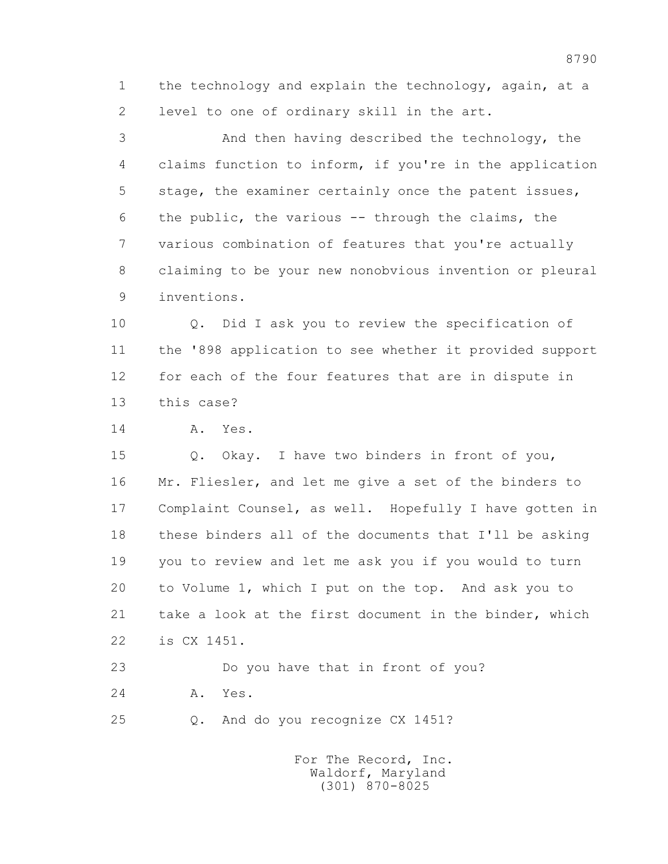1 the technology and explain the technology, again, at a 2 level to one of ordinary skill in the art.

 3 And then having described the technology, the 4 claims function to inform, if you're in the application 5 stage, the examiner certainly once the patent issues, 6 the public, the various -- through the claims, the 7 various combination of features that you're actually 8 claiming to be your new nonobvious invention or pleural 9 inventions.

 10 Q. Did I ask you to review the specification of 11 the '898 application to see whether it provided support 12 for each of the four features that are in dispute in 13 this case?

14 A. Yes.

 15 Q. Okay. I have two binders in front of you, 16 Mr. Fliesler, and let me give a set of the binders to 17 Complaint Counsel, as well. Hopefully I have gotten in 18 these binders all of the documents that I'll be asking 19 you to review and let me ask you if you would to turn 20 to Volume 1, which I put on the top. And ask you to 21 take a look at the first document in the binder, which 22 is CX 1451.

 23 Do you have that in front of you? 24 A. Yes.

25 Q. And do you recognize CX 1451?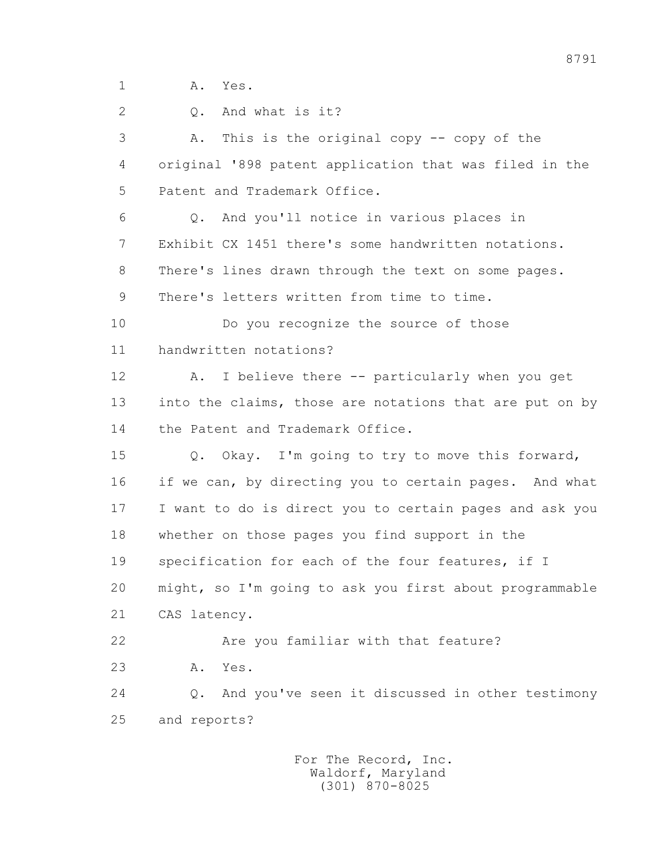1 A. Yes.

 2 Q. And what is it? 3 A. This is the original copy -- copy of the 4 original '898 patent application that was filed in the 5 Patent and Trademark Office. 6 Q. And you'll notice in various places in 7 Exhibit CX 1451 there's some handwritten notations. 8 There's lines drawn through the text on some pages. 9 There's letters written from time to time. 10 Do you recognize the source of those 11 handwritten notations? 12 A. I believe there -- particularly when you get 13 into the claims, those are notations that are put on by 14 the Patent and Trademark Office. 15 Q. Okay. I'm going to try to move this forward, 16 if we can, by directing you to certain pages. And what 17 I want to do is direct you to certain pages and ask you 18 whether on those pages you find support in the 19 specification for each of the four features, if I 20 might, so I'm going to ask you first about programmable 21 CAS latency. 22 Are you familiar with that feature? 23 A. Yes. 24 Q. And you've seen it discussed in other testimony 25 and reports?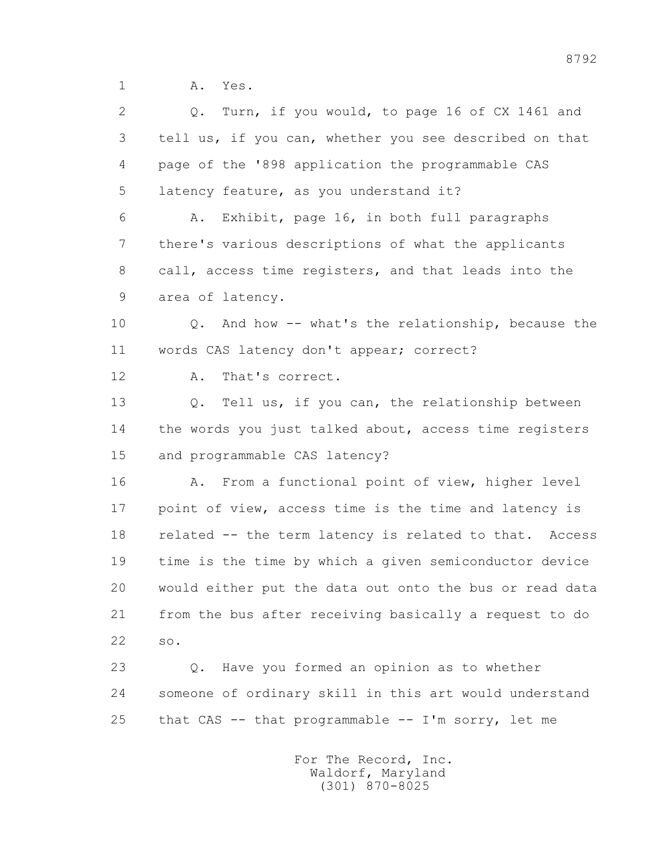1 **A.** Yes.

 2 Q. Turn, if you would, to page 16 of CX 1461 and 3 tell us, if you can, whether you see described on that 4 page of the '898 application the programmable CAS 5 latency feature, as you understand it? 6 A. Exhibit, page 16, in both full paragraphs 7 there's various descriptions of what the applicants 8 call, access time registers, and that leads into the 9 area of latency. 10 Q. And how -- what's the relationship, because the 11 words CAS latency don't appear; correct? 12 A. That's correct. 13 Q. Tell us, if you can, the relationship between 14 the words you just talked about, access time registers 15 and programmable CAS latency? 16 A. From a functional point of view, higher level 17 point of view, access time is the time and latency is 18 related -- the term latency is related to that. Access 19 time is the time by which a given semiconductor device 20 would either put the data out onto the bus or read data 21 from the bus after receiving basically a request to do 22 so. 23 Q. Have you formed an opinion as to whether 24 someone of ordinary skill in this art would understand 25 that CAS -- that programmable -- I'm sorry, let me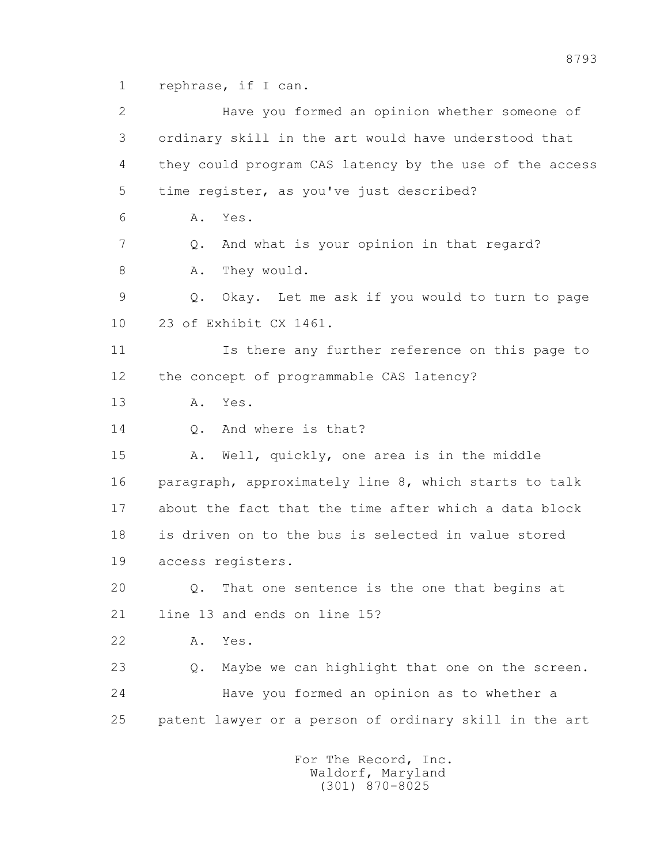1 rephrase, if I can.

 2 Have you formed an opinion whether someone of 3 ordinary skill in the art would have understood that 4 they could program CAS latency by the use of the access 5 time register, as you've just described? 6 A. Yes. 7 Q. And what is your opinion in that regard? 8 A. They would. 9 Q. Okay. Let me ask if you would to turn to page 10 23 of Exhibit CX 1461. 11 Is there any further reference on this page to 12 the concept of programmable CAS latency? 13 A. Yes. 14 0. And where is that? 15 A. Well, quickly, one area is in the middle 16 paragraph, approximately line 8, which starts to talk 17 about the fact that the time after which a data block 18 is driven on to the bus is selected in value stored 19 access registers. 20 Q. That one sentence is the one that begins at 21 line 13 and ends on line 15? 22 A. Yes. 23 Q. Maybe we can highlight that one on the screen. 24 Have you formed an opinion as to whether a 25 patent lawyer or a person of ordinary skill in the art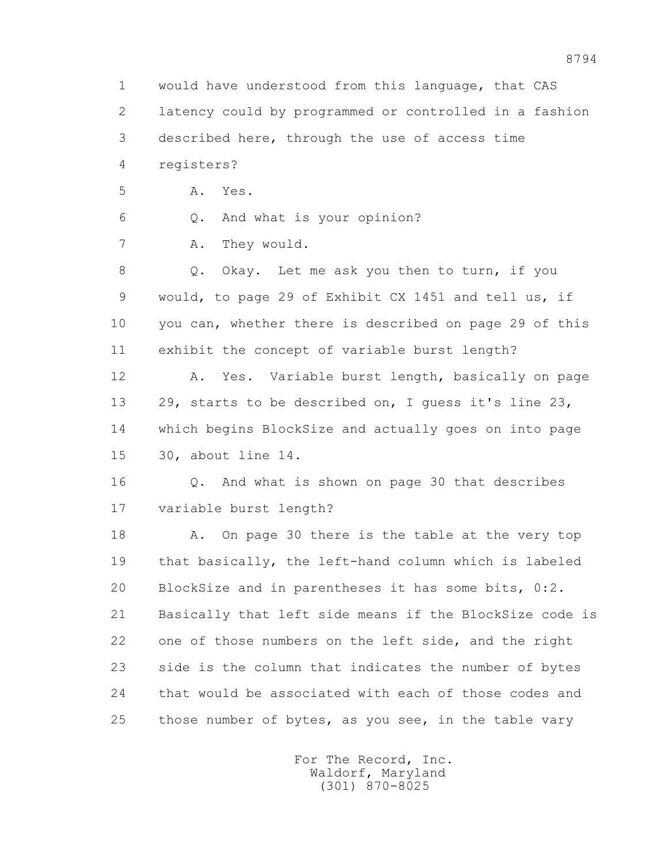1 would have understood from this language, that CAS 2 latency could by programmed or controlled in a fashion 3 described here, through the use of access time 4 registers? 5 A. Yes. 6 Q. And what is your opinion? 7 A. They would. 8 Q. Okay. Let me ask you then to turn, if you 9 would, to page 29 of Exhibit CX 1451 and tell us, if 10 you can, whether there is described on page 29 of this 11 exhibit the concept of variable burst length? 12 A. Yes. Variable burst length, basically on page 13 29, starts to be described on, I guess it's line 23, 14 which begins BlockSize and actually goes on into page 15 30, about line 14. 16 Q. And what is shown on page 30 that describes 17 variable burst length? 18 A. On page 30 there is the table at the very top 19 that basically, the left-hand column which is labeled 20 BlockSize and in parentheses it has some bits, 0:2. 21 Basically that left side means if the BlockSize code is 22 one of those numbers on the left side, and the right 23 side is the column that indicates the number of bytes 24 that would be associated with each of those codes and 25 those number of bytes, as you see, in the table vary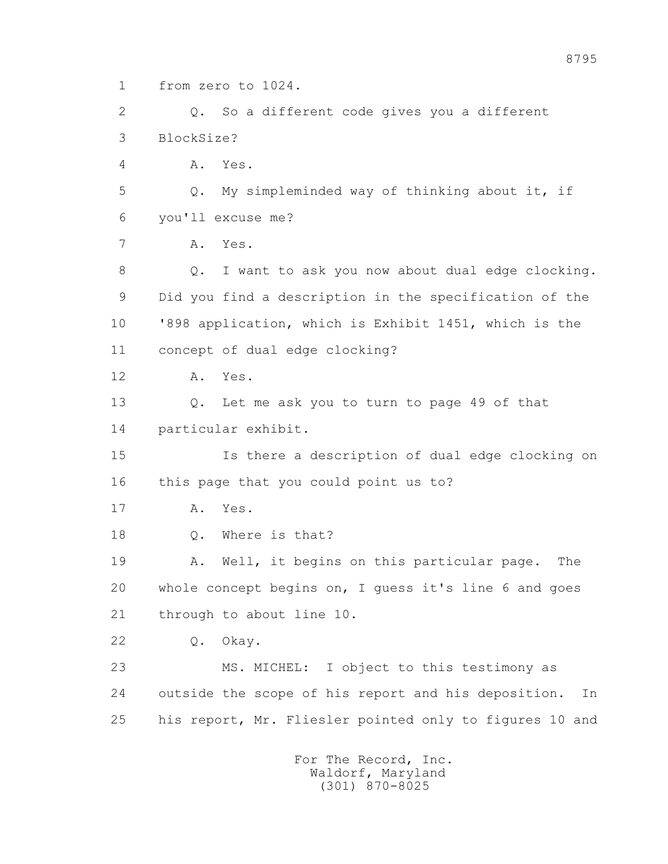1 from zero to 1024.

 2 Q. So a different code gives you a different 3 BlockSize? 4 A. Yes.

 5 Q. My simpleminded way of thinking about it, if 6 you'll excuse me?

7 A. Yes.

 8 Q. I want to ask you now about dual edge clocking. 9 Did you find a description in the specification of the 10 '898 application, which is Exhibit 1451, which is the 11 concept of dual edge clocking?

12 A. Yes.

 13 Q. Let me ask you to turn to page 49 of that 14 particular exhibit.

 15 Is there a description of dual edge clocking on 16 this page that you could point us to?

17 A. Yes.

18 Q. Where is that?

 19 A. Well, it begins on this particular page. The 20 whole concept begins on, I guess it's line 6 and goes 21 through to about line 10.

22 Q. Okay.

 23 MS. MICHEL: I object to this testimony as 24 outside the scope of his report and his deposition. In 25 his report, Mr. Fliesler pointed only to figures 10 and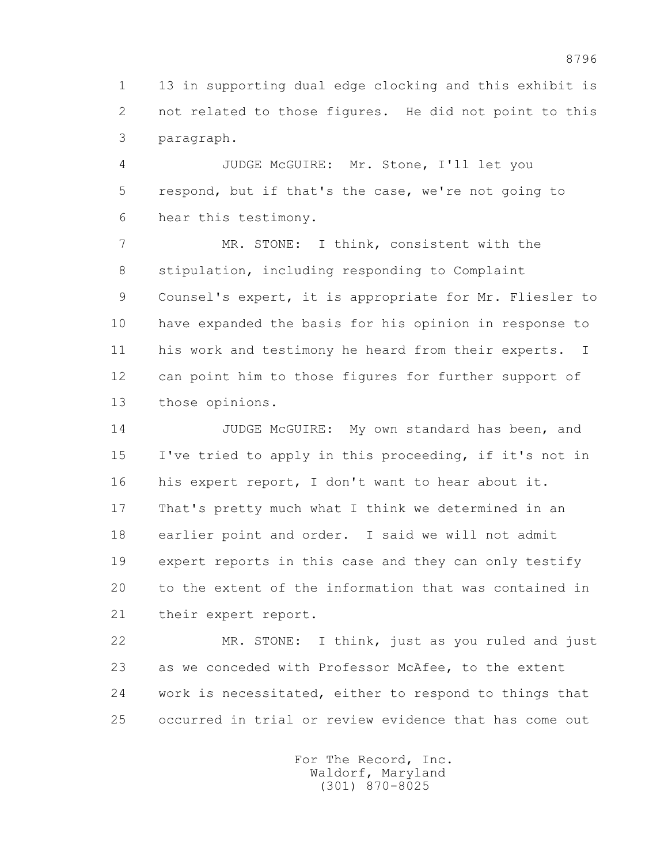1 13 in supporting dual edge clocking and this exhibit is 2 not related to those figures. He did not point to this 3 paragraph.

 4 JUDGE McGUIRE: Mr. Stone, I'll let you 5 respond, but if that's the case, we're not going to 6 hear this testimony.

 7 MR. STONE: I think, consistent with the 8 stipulation, including responding to Complaint 9 Counsel's expert, it is appropriate for Mr. Fliesler to 10 have expanded the basis for his opinion in response to 11 his work and testimony he heard from their experts. I 12 can point him to those figures for further support of 13 those opinions.

 14 JUDGE McGUIRE: My own standard has been, and 15 I've tried to apply in this proceeding, if it's not in 16 his expert report, I don't want to hear about it. 17 That's pretty much what I think we determined in an 18 earlier point and order. I said we will not admit 19 expert reports in this case and they can only testify 20 to the extent of the information that was contained in 21 their expert report.

 22 MR. STONE: I think, just as you ruled and just 23 as we conceded with Professor McAfee, to the extent 24 work is necessitated, either to respond to things that 25 occurred in trial or review evidence that has come out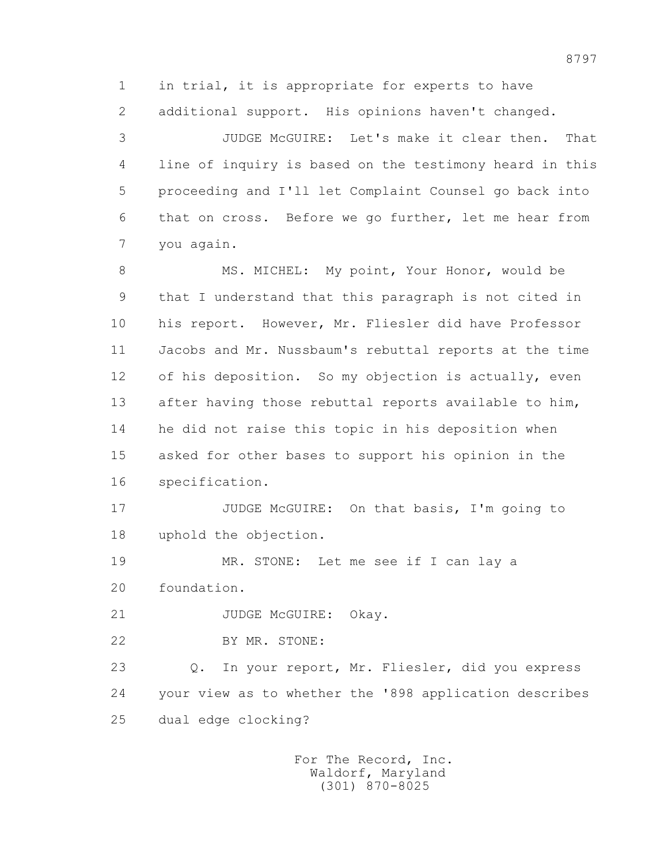1 in trial, it is appropriate for experts to have 2 additional support. His opinions haven't changed.

 3 JUDGE McGUIRE: Let's make it clear then. That 4 line of inquiry is based on the testimony heard in this 5 proceeding and I'll let Complaint Counsel go back into 6 that on cross. Before we go further, let me hear from 7 you again.

8 MS. MICHEL: My point, Your Honor, would be 9 that I understand that this paragraph is not cited in 10 his report. However, Mr. Fliesler did have Professor 11 Jacobs and Mr. Nussbaum's rebuttal reports at the time 12 of his deposition. So my objection is actually, even 13 after having those rebuttal reports available to him, 14 he did not raise this topic in his deposition when 15 asked for other bases to support his opinion in the 16 specification.

17 JUDGE McGUIRE: On that basis, I'm going to 18 uphold the objection.

 19 MR. STONE: Let me see if I can lay a 20 foundation.

21 JUDGE McGUIRE: Okay.

22 BY MR. STONE:

 23 Q. In your report, Mr. Fliesler, did you express 24 your view as to whether the '898 application describes 25 dual edge clocking?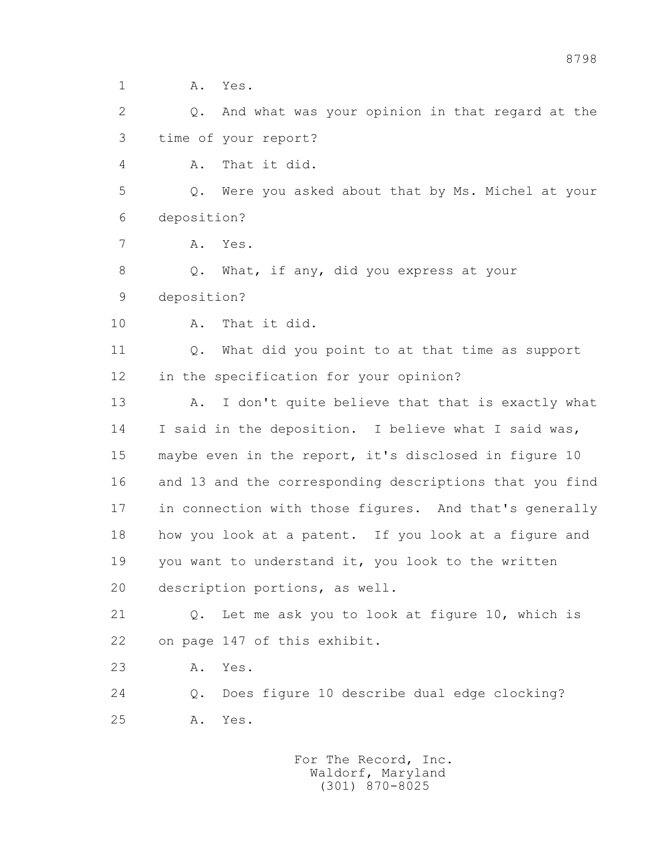1 **A.** Yes. 2 Q. And what was your opinion in that regard at the 3 time of your report? 4 A. That it did. 5 Q. Were you asked about that by Ms. Michel at your 6 deposition? 7 A. Yes. 8 Q. What, if any, did you express at your 9 deposition? 10 A. That it did. 11 Q. What did you point to at that time as support 12 in the specification for your opinion? 13 A. I don't quite believe that that is exactly what 14 I said in the deposition. I believe what I said was, 15 maybe even in the report, it's disclosed in figure 10 16 and 13 and the corresponding descriptions that you find 17 in connection with those figures. And that's generally 18 how you look at a patent. If you look at a figure and 19 you want to understand it, you look to the written 20 description portions, as well. 21 Q. Let me ask you to look at figure 10, which is 22 on page 147 of this exhibit. 23 A. Yes. 24 Q. Does figure 10 describe dual edge clocking? 25 A. Yes.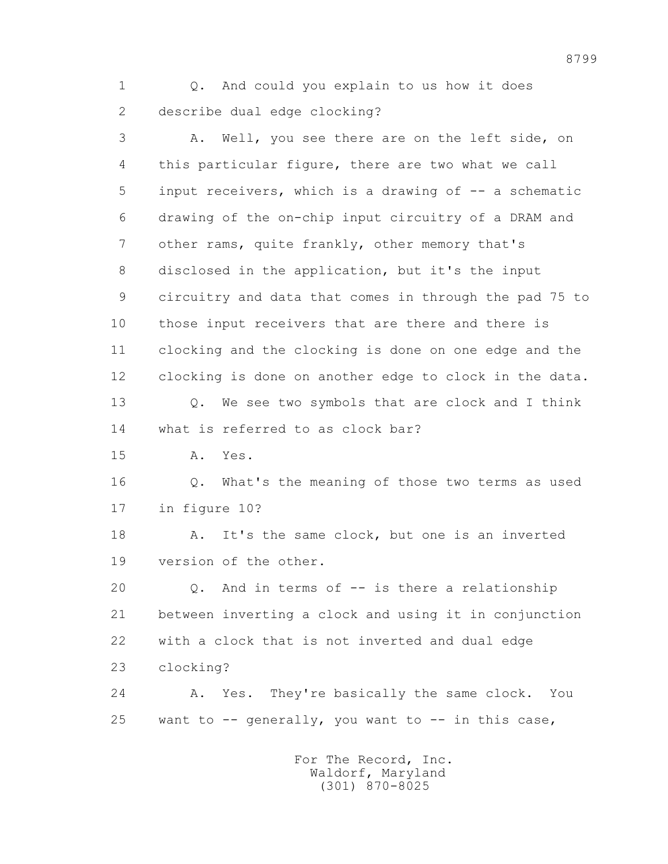1 Q. And could you explain to us how it does 2 describe dual edge clocking?

 3 A. Well, you see there are on the left side, on 4 this particular figure, there are two what we call 5 input receivers, which is a drawing of -- a schematic 6 drawing of the on-chip input circuitry of a DRAM and 7 other rams, quite frankly, other memory that's 8 disclosed in the application, but it's the input 9 circuitry and data that comes in through the pad 75 to 10 those input receivers that are there and there is 11 clocking and the clocking is done on one edge and the 12 clocking is done on another edge to clock in the data. 13 Q. We see two symbols that are clock and I think 14 what is referred to as clock bar? 15 A. Yes. 16 Q. What's the meaning of those two terms as used 17 in figure 10? 18 A. It's the same clock, but one is an inverted 19 version of the other. 20 Q. And in terms of -- is there a relationship 21 between inverting a clock and using it in conjunction 22 with a clock that is not inverted and dual edge 23 clocking? 24 A. Yes. They're basically the same clock. You 25 want to  $-$  generally, you want to  $-$  in this case,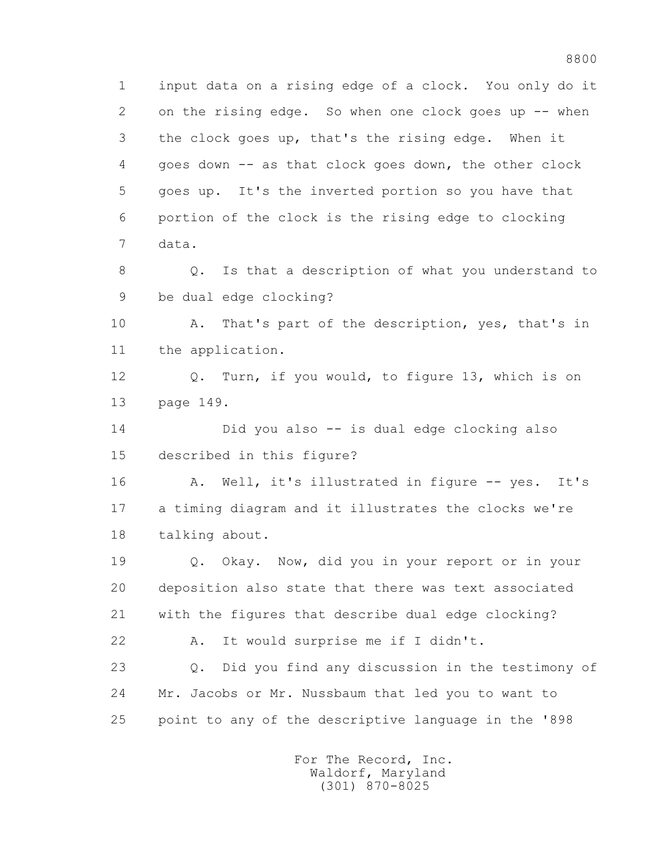1 input data on a rising edge of a clock. You only do it 2 on the rising edge. So when one clock goes up -- when 3 the clock goes up, that's the rising edge. When it 4 goes down -- as that clock goes down, the other clock 5 goes up. It's the inverted portion so you have that 6 portion of the clock is the rising edge to clocking 7 data. 8 Q. Is that a description of what you understand to 9 be dual edge clocking? 10 A. That's part of the description, yes, that's in 11 the application. 12 Q. Turn, if you would, to figure 13, which is on 13 page 149. 14 Did you also -- is dual edge clocking also 15 described in this figure? 16 A. Well, it's illustrated in figure -- yes. It's 17 a timing diagram and it illustrates the clocks we're 18 talking about. 19 Q. Okay. Now, did you in your report or in your 20 deposition also state that there was text associated 21 with the figures that describe dual edge clocking? 22 A. It would surprise me if I didn't. 23 Q. Did you find any discussion in the testimony of

 24 Mr. Jacobs or Mr. Nussbaum that led you to want to 25 point to any of the descriptive language in the '898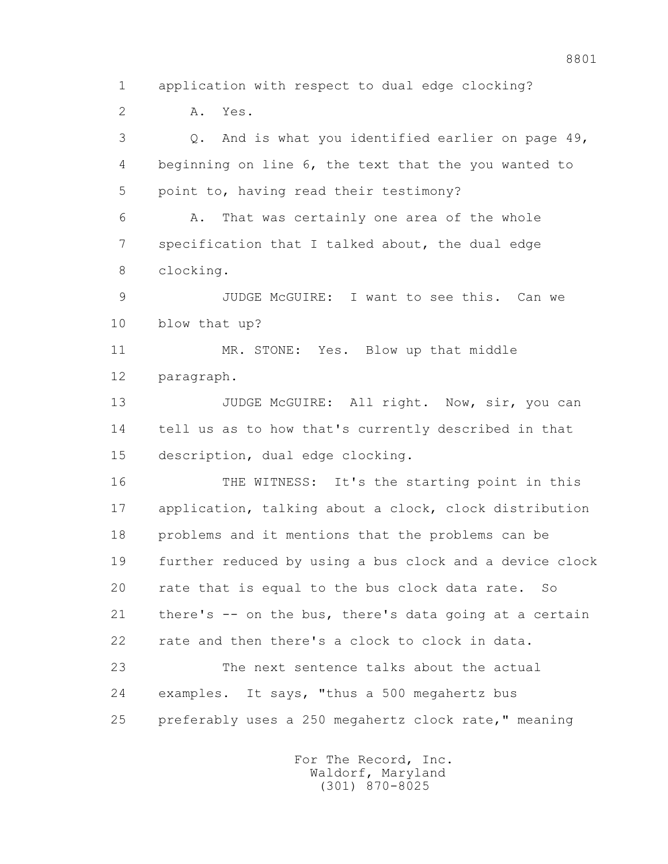1 application with respect to dual edge clocking? 2 A. Yes. 3 Q. And is what you identified earlier on page 49, 4 beginning on line 6, the text that the you wanted to 5 point to, having read their testimony? 6 A. That was certainly one area of the whole 7 specification that I talked about, the dual edge 8 clocking. 9 JUDGE McGUIRE: I want to see this. Can we 10 blow that up? 11 MR. STONE: Yes. Blow up that middle 12 paragraph. 13 JUDGE McGUIRE: All right. Now, sir, you can 14 tell us as to how that's currently described in that 15 description, dual edge clocking. 16 THE WITNESS: It's the starting point in this 17 application, talking about a clock, clock distribution 18 problems and it mentions that the problems can be 19 further reduced by using a bus clock and a device clock 20 rate that is equal to the bus clock data rate. So 21 there's -- on the bus, there's data going at a certain 22 rate and then there's a clock to clock in data. 23 The next sentence talks about the actual 24 examples. It says, "thus a 500 megahertz bus 25 preferably uses a 250 megahertz clock rate," meaning For The Record, Inc. Waldorf, Maryland

(301) 870-8025

8801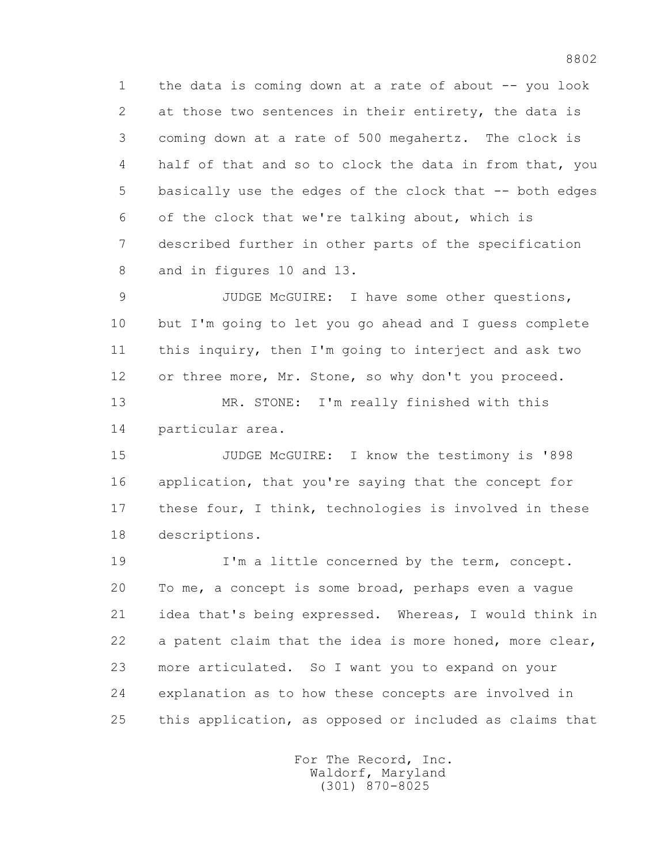1 the data is coming down at a rate of about -- you look 2 at those two sentences in their entirety, the data is 3 coming down at a rate of 500 megahertz. The clock is 4 half of that and so to clock the data in from that, you 5 basically use the edges of the clock that -- both edges 6 of the clock that we're talking about, which is 7 described further in other parts of the specification 8 and in figures 10 and 13.

 9 JUDGE McGUIRE: I have some other questions, 10 but I'm going to let you go ahead and I guess complete 11 this inquiry, then I'm going to interject and ask two 12 or three more, Mr. Stone, so why don't you proceed.

 13 MR. STONE: I'm really finished with this 14 particular area.

 15 JUDGE McGUIRE: I know the testimony is '898 16 application, that you're saying that the concept for 17 these four, I think, technologies is involved in these 18 descriptions.

 19 I'm a little concerned by the term, concept. 20 To me, a concept is some broad, perhaps even a vague 21 idea that's being expressed. Whereas, I would think in 22 a patent claim that the idea is more honed, more clear, 23 more articulated. So I want you to expand on your 24 explanation as to how these concepts are involved in 25 this application, as opposed or included as claims that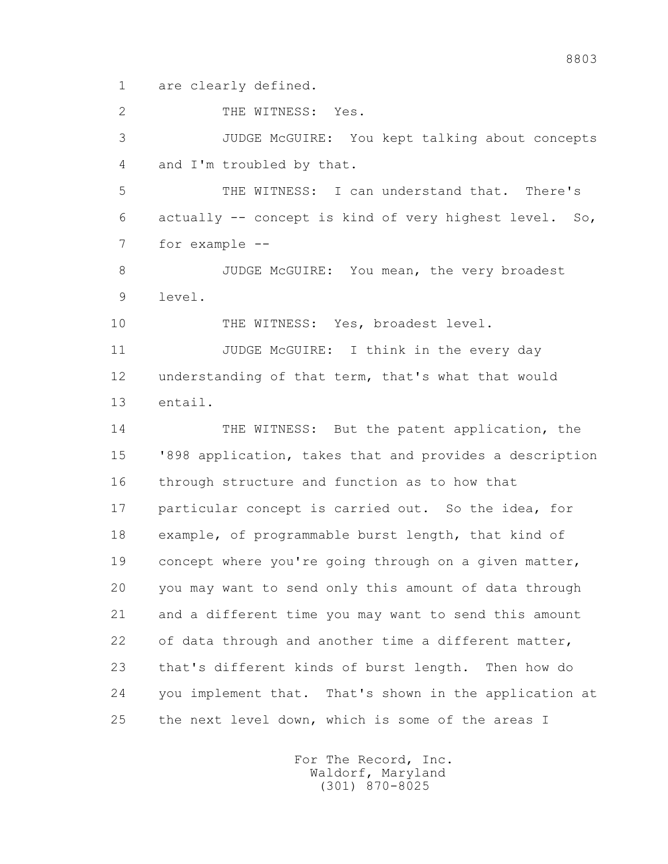1 are clearly defined.

2 THE WITNESS: Yes.

 3 JUDGE McGUIRE: You kept talking about concepts 4 and I'm troubled by that.

 5 THE WITNESS: I can understand that. There's 6 actually -- concept is kind of very highest level. So, 7 for example --

8 JUDGE McGUIRE: You mean, the very broadest 9 level.

10 THE WITNESS: Yes, broadest level.

11 JUDGE McGUIRE: I think in the every day 12 understanding of that term, that's what that would 13 entail.

 14 THE WITNESS: But the patent application, the 15 '898 application, takes that and provides a description 16 through structure and function as to how that 17 particular concept is carried out. So the idea, for 18 example, of programmable burst length, that kind of 19 concept where you're going through on a given matter, 20 you may want to send only this amount of data through 21 and a different time you may want to send this amount 22 of data through and another time a different matter, 23 that's different kinds of burst length. Then how do 24 you implement that. That's shown in the application at 25 the next level down, which is some of the areas I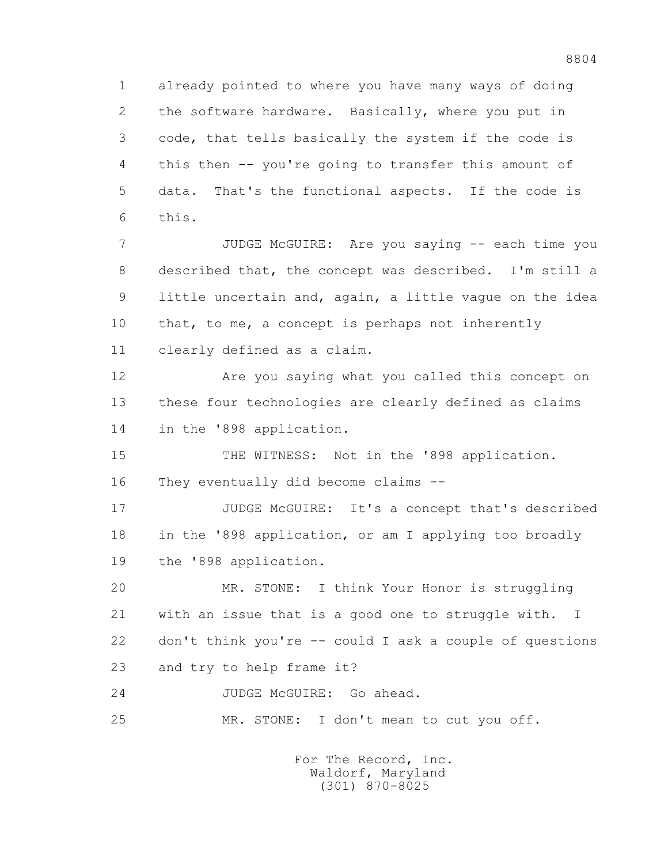1 already pointed to where you have many ways of doing 2 the software hardware. Basically, where you put in 3 code, that tells basically the system if the code is 4 this then -- you're going to transfer this amount of 5 data. That's the functional aspects. If the code is 6 this.

7 JUDGE McGUIRE: Are you saying -- each time you 8 described that, the concept was described. I'm still a 9 little uncertain and, again, a little vague on the idea 10 that, to me, a concept is perhaps not inherently 11 clearly defined as a claim.

 12 Are you saying what you called this concept on 13 these four technologies are clearly defined as claims 14 in the '898 application.

15 THE WITNESS: Not in the '898 application. 16 They eventually did become claims --

 17 JUDGE McGUIRE: It's a concept that's described 18 in the '898 application, or am I applying too broadly 19 the '898 application.

 20 MR. STONE: I think Your Honor is struggling 21 with an issue that is a good one to struggle with. I 22 don't think you're -- could I ask a couple of questions 23 and try to help frame it?

24 JUDGE McGUIRE: Go ahead.

25 MR. STONE: I don't mean to cut you off.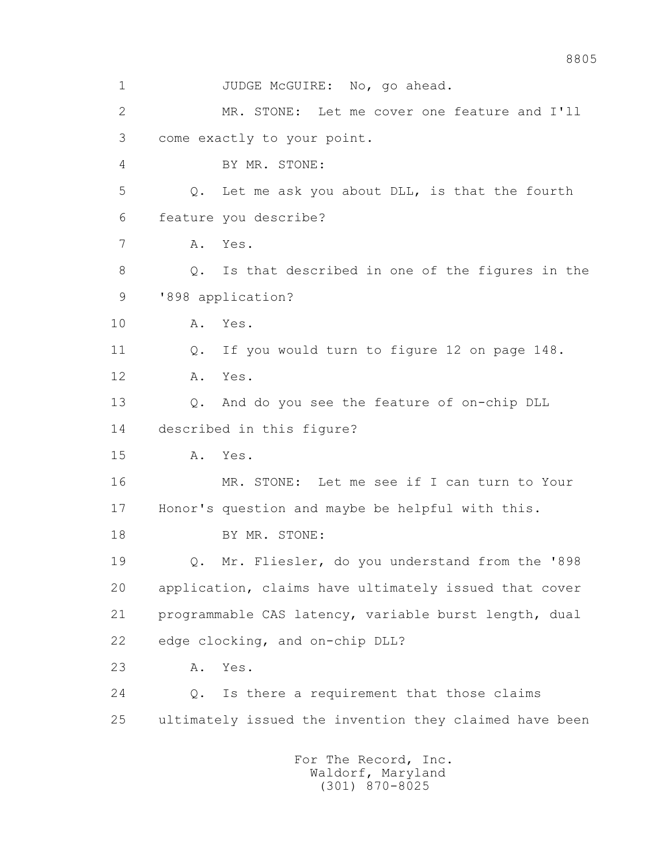1 JUDGE McGUIRE: No, go ahead. 2 MR. STONE: Let me cover one feature and I'll 3 come exactly to your point. 4 BY MR. STONE: 5 Q. Let me ask you about DLL, is that the fourth 6 feature you describe? 7 A. Yes. 8 Q. Is that described in one of the figures in the 9 '898 application? 10 A. Yes. 11 Q. If you would turn to figure 12 on page 148. 12 A. Yes. 13 Q. And do you see the feature of on-chip DLL 14 described in this figure? 15 A. Yes. 16 MR. STONE: Let me see if I can turn to Your 17 Honor's question and maybe be helpful with this. 18 BY MR. STONE: 19 Q. Mr. Fliesler, do you understand from the '898 20 application, claims have ultimately issued that cover 21 programmable CAS latency, variable burst length, dual 22 edge clocking, and on-chip DLL? 23 A. Yes. 24 Q. Is there a requirement that those claims 25 ultimately issued the invention they claimed have been For The Record, Inc. Waldorf, Maryland (301) 870-8025

8805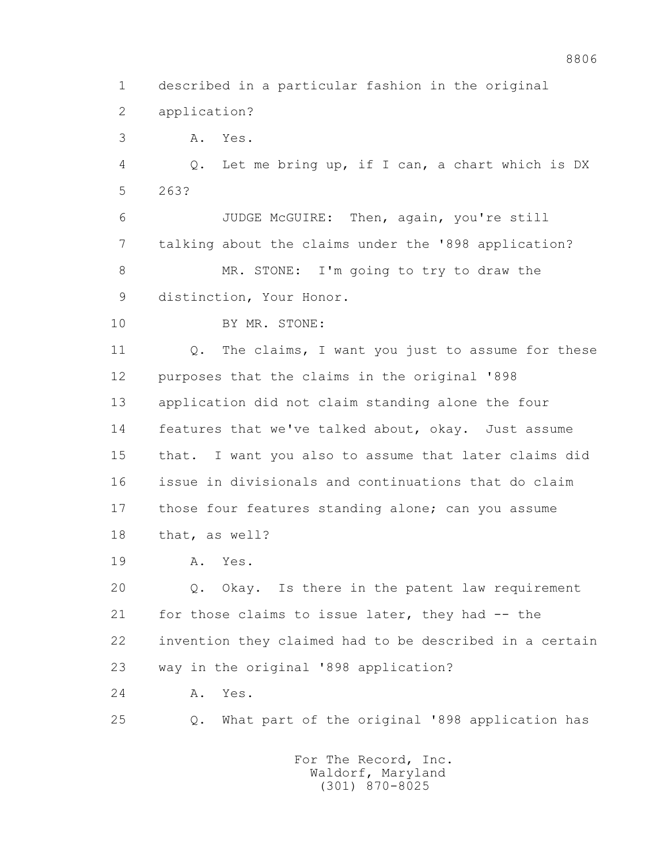1 described in a particular fashion in the original 2 application?

3 A. Yes.

 4 Q. Let me bring up, if I can, a chart which is DX 5 263?

 6 JUDGE McGUIRE: Then, again, you're still 7 talking about the claims under the '898 application? 8 MR. STONE: I'm going to try to draw the 9 distinction, Your Honor.

10 BY MR. STONE:

11 Q. The claims, I want you just to assume for these 12 purposes that the claims in the original '898 13 application did not claim standing alone the four 14 features that we've talked about, okay. Just assume 15 that. I want you also to assume that later claims did 16 issue in divisionals and continuations that do claim 17 those four features standing alone; can you assume 18 that, as well?

19 A. Yes.

 20 Q. Okay. Is there in the patent law requirement 21 for those claims to issue later, they had -- the 22 invention they claimed had to be described in a certain 23 way in the original '898 application?

24 A. Yes.

25 Q. What part of the original '898 application has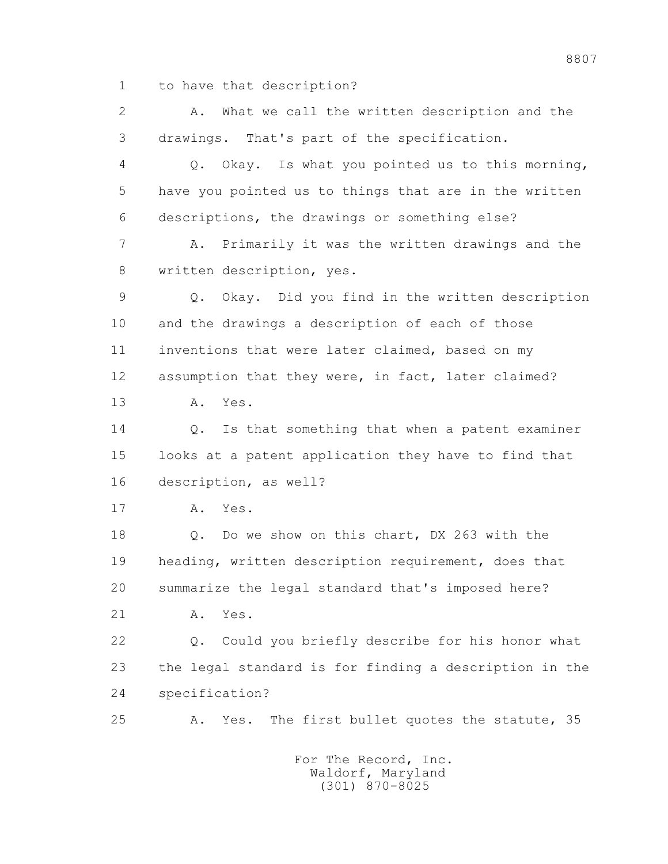1 to have that description?

 2 A. What we call the written description and the 3 drawings. That's part of the specification. 4 Q. Okay. Is what you pointed us to this morning, 5 have you pointed us to things that are in the written 6 descriptions, the drawings or something else? 7 A. Primarily it was the written drawings and the 8 written description, yes. 9 Q. Okay. Did you find in the written description 10 and the drawings a description of each of those 11 inventions that were later claimed, based on my 12 assumption that they were, in fact, later claimed? 13 A. Yes. 14 0. Is that something that when a patent examiner 15 looks at a patent application they have to find that 16 description, as well? 17 A. Yes. 18 Q. Do we show on this chart, DX 263 with the 19 heading, written description requirement, does that 20 summarize the legal standard that's imposed here? 21 A. Yes. 22 Q. Could you briefly describe for his honor what 23 the legal standard is for finding a description in the 24 specification? 25 A. Yes. The first bullet quotes the statute, 35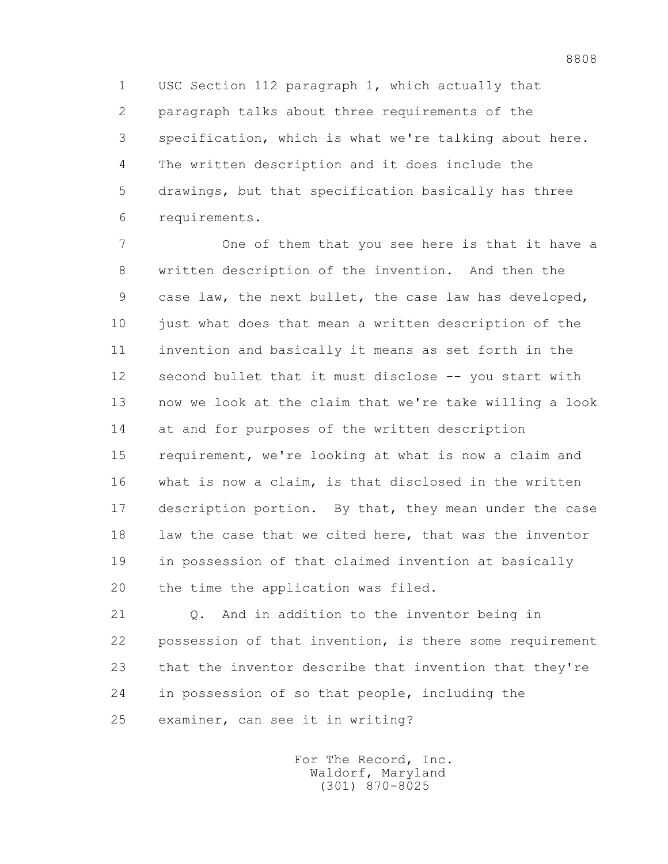1 USC Section 112 paragraph 1, which actually that 2 paragraph talks about three requirements of the 3 specification, which is what we're talking about here. 4 The written description and it does include the 5 drawings, but that specification basically has three 6 requirements.

 7 One of them that you see here is that it have a 8 written description of the invention. And then the 9 case law, the next bullet, the case law has developed, 10 just what does that mean a written description of the 11 invention and basically it means as set forth in the 12 second bullet that it must disclose -- you start with 13 now we look at the claim that we're take willing a look 14 at and for purposes of the written description 15 requirement, we're looking at what is now a claim and 16 what is now a claim, is that disclosed in the written 17 description portion. By that, they mean under the case 18 law the case that we cited here, that was the inventor 19 in possession of that claimed invention at basically 20 the time the application was filed.

 21 Q. And in addition to the inventor being in 22 possession of that invention, is there some requirement 23 that the inventor describe that invention that they're 24 in possession of so that people, including the 25 examiner, can see it in writing?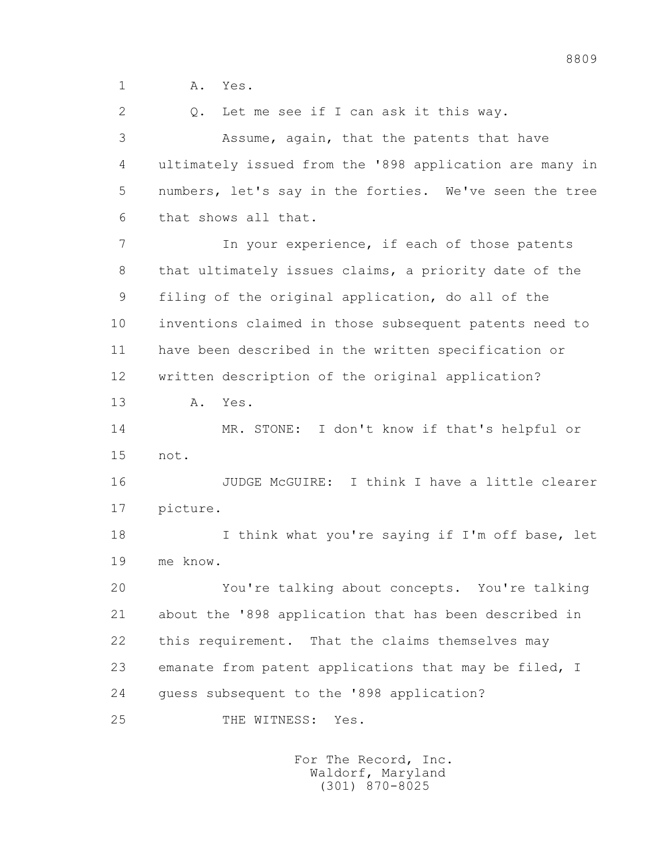1 **A.** Yes.

2 Q. Let me see if I can ask it this way.

 3 Assume, again, that the patents that have 4 ultimately issued from the '898 application are many in 5 numbers, let's say in the forties. We've seen the tree 6 that shows all that.

 7 In your experience, if each of those patents 8 that ultimately issues claims, a priority date of the 9 filing of the original application, do all of the 10 inventions claimed in those subsequent patents need to 11 have been described in the written specification or 12 written description of the original application?

13 A. Yes.

 14 MR. STONE: I don't know if that's helpful or 15 not.

 16 JUDGE McGUIRE: I think I have a little clearer 17 picture.

18 I think what you're saying if I'm off base, let 19 me know.

 20 You're talking about concepts. You're talking 21 about the '898 application that has been described in 22 this requirement. That the claims themselves may 23 emanate from patent applications that may be filed, I 24 guess subsequent to the '898 application?

25 THE WITNESS: Yes.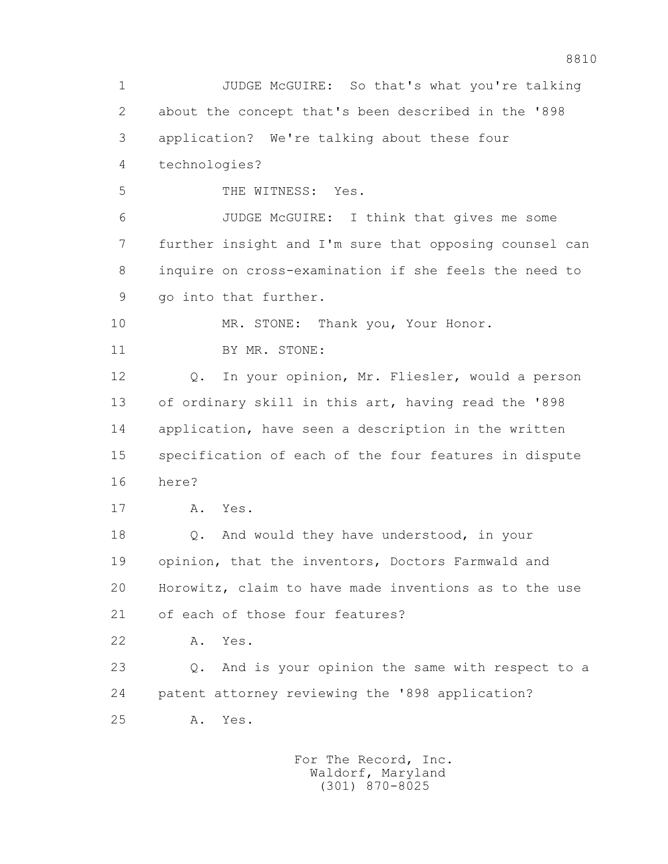1 JUDGE McGUIRE: So that's what you're talking 2 about the concept that's been described in the '898 3 application? We're talking about these four 4 technologies? 5 THE WITNESS: Yes. 6 JUDGE McGUIRE: I think that gives me some 7 further insight and I'm sure that opposing counsel can 8 inquire on cross-examination if she feels the need to 9 go into that further. 10 MR. STONE: Thank you, Your Honor. 11 BY MR. STONE: 12 Q. In your opinion, Mr. Fliesler, would a person 13 of ordinary skill in this art, having read the '898 14 application, have seen a description in the written 15 specification of each of the four features in dispute 16 here? 17 A. Yes. 18 Q. And would they have understood, in your 19 opinion, that the inventors, Doctors Farmwald and 20 Horowitz, claim to have made inventions as to the use 21 of each of those four features? 22 A. Yes. 23 Q. And is your opinion the same with respect to a 24 patent attorney reviewing the '898 application? 25 A. Yes.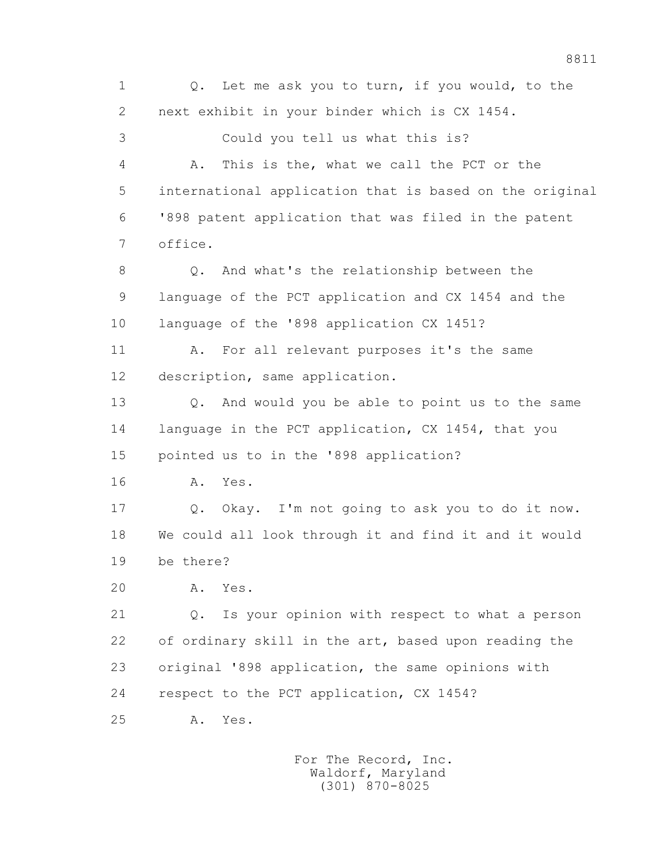1 Q. Let me ask you to turn, if you would, to the 2 next exhibit in your binder which is CX 1454. 3 Could you tell us what this is? 4 A. This is the, what we call the PCT or the 5 international application that is based on the original 6 '898 patent application that was filed in the patent 7 office. 8 Q. And what's the relationship between the 9 language of the PCT application and CX 1454 and the 10 language of the '898 application CX 1451? 11 A. For all relevant purposes it's the same 12 description, same application. 13 Q. And would you be able to point us to the same 14 language in the PCT application, CX 1454, that you 15 pointed us to in the '898 application? 16 A. Yes. 17 Q. Okay. I'm not going to ask you to do it now. 18 We could all look through it and find it and it would 19 be there? 20 A. Yes. 21 Q. Is your opinion with respect to what a person 22 of ordinary skill in the art, based upon reading the 23 original '898 application, the same opinions with 24 respect to the PCT application, CX 1454? 25 A. Yes.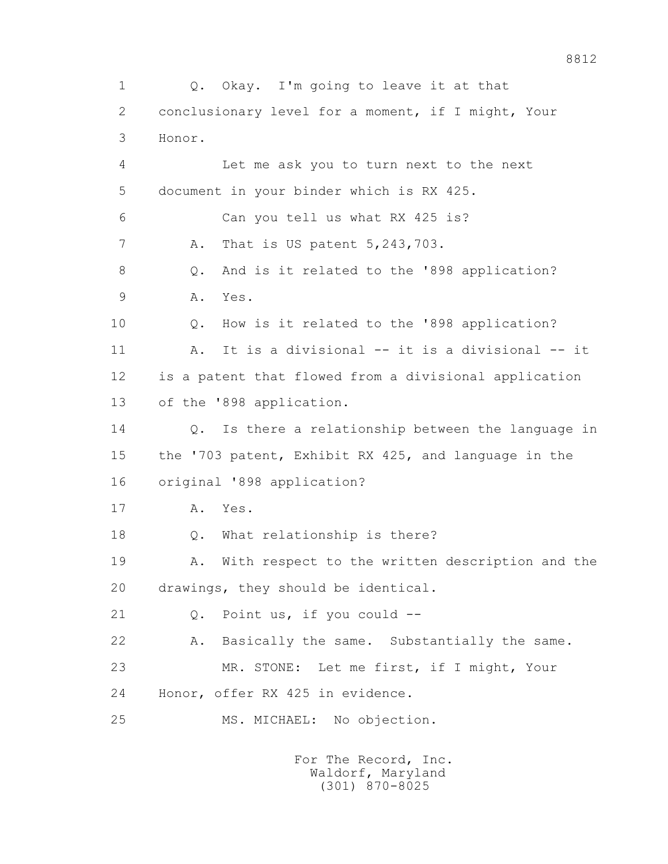1 Q. Okay. I'm going to leave it at that 2 conclusionary level for a moment, if I might, Your 3 Honor. 4 Let me ask you to turn next to the next 5 document in your binder which is RX 425. 6 Can you tell us what RX 425 is? 7 A. That is US patent 5,243,703. 8 Q. And is it related to the '898 application? 9 A. Yes. 10 Q. How is it related to the '898 application? 11 A. It is a divisional -- it is a divisional -- it 12 is a patent that flowed from a divisional application 13 of the '898 application. 14 Q. Is there a relationship between the language in 15 the '703 patent, Exhibit RX 425, and language in the 16 original '898 application? 17 A. Yes. 18 Q. What relationship is there? 19 A. With respect to the written description and the 20 drawings, they should be identical. 21 Q. Point us, if you could -- 22 A. Basically the same. Substantially the same. 23 MR. STONE: Let me first, if I might, Your 24 Honor, offer RX 425 in evidence. 25 MS. MICHAEL: No objection.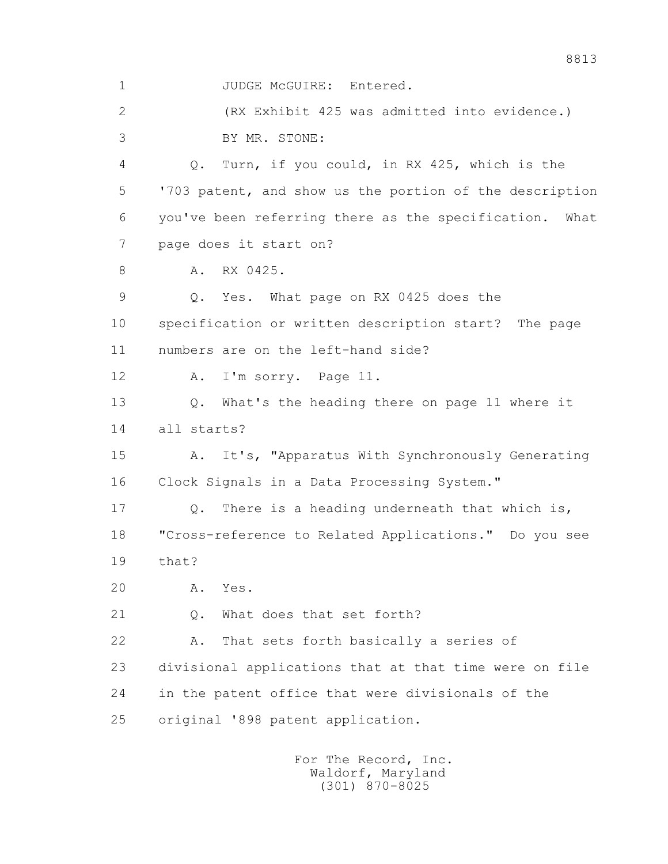1 JUDGE McGUIRE: Entered. 2 (RX Exhibit 425 was admitted into evidence.) 3 BY MR. STONE: 4 Q. Turn, if you could, in RX 425, which is the 5 '703 patent, and show us the portion of the description 6 you've been referring there as the specification. What 7 page does it start on? 8 A. RX 0425. 9 Q. Yes. What page on RX 0425 does the 10 specification or written description start? The page 11 numbers are on the left-hand side? 12 A. I'm sorry. Page 11. 13 Q. What's the heading there on page 11 where it 14 all starts? 15 A. It's, "Apparatus With Synchronously Generating 16 Clock Signals in a Data Processing System." 17 Q. There is a heading underneath that which is, 18 "Cross-reference to Related Applications." Do you see 19 that? 20 A. Yes. 21 Q. What does that set forth? 22 A. That sets forth basically a series of 23 divisional applications that at that time were on file 24 in the patent office that were divisionals of the 25 original '898 patent application.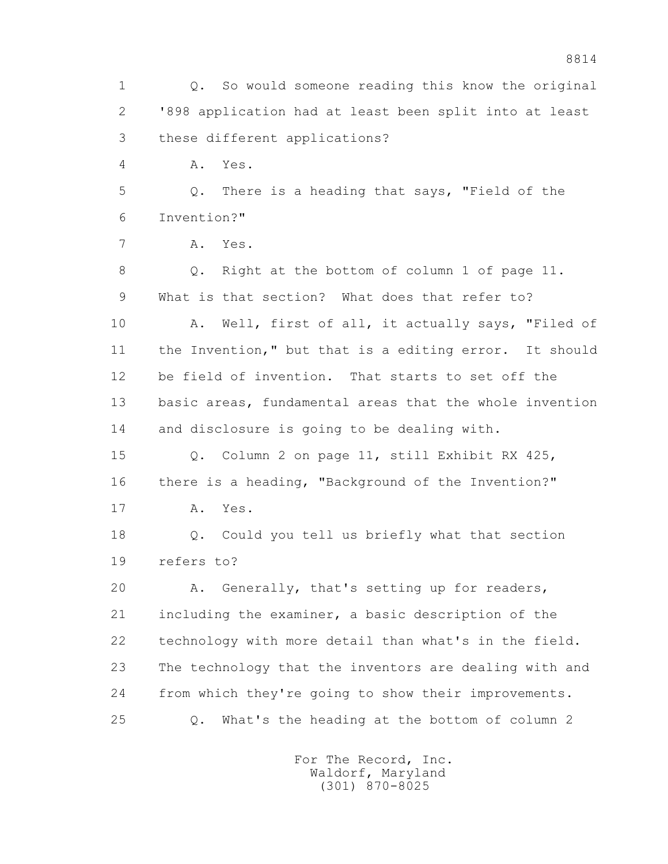1 Q. So would someone reading this know the original 2 '898 application had at least been split into at least 3 these different applications? 4 A. Yes. 5 Q. There is a heading that says, "Field of the 6 Invention?" 7 A. Yes. 8 Q. Right at the bottom of column 1 of page 11. 9 What is that section? What does that refer to? 10 A. Well, first of all, it actually says, "Filed of 11 the Invention," but that is a editing error. It should 12 be field of invention. That starts to set off the 13 basic areas, fundamental areas that the whole invention 14 and disclosure is going to be dealing with. 15 Q. Column 2 on page 11, still Exhibit RX 425, 16 there is a heading, "Background of the Invention?" 17 A. Yes. 18 Q. Could you tell us briefly what that section 19 refers to? 20 A. Generally, that's setting up for readers, 21 including the examiner, a basic description of the 22 technology with more detail than what's in the field. 23 The technology that the inventors are dealing with and 24 from which they're going to show their improvements. 25 Q. What's the heading at the bottom of column 2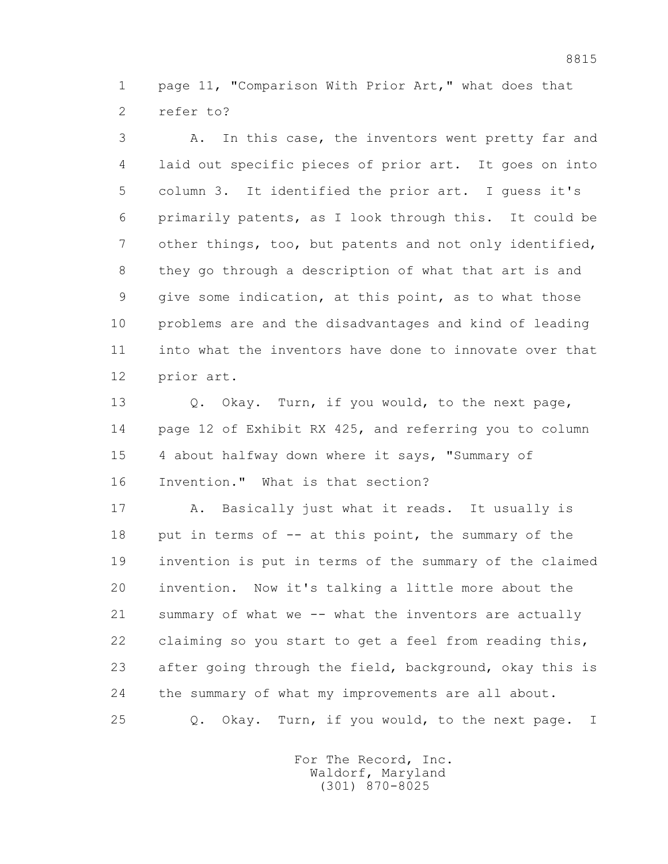1 page 11, "Comparison With Prior Art," what does that 2 refer to?

 3 A. In this case, the inventors went pretty far and 4 laid out specific pieces of prior art. It goes on into 5 column 3. It identified the prior art. I guess it's 6 primarily patents, as I look through this. It could be 7 other things, too, but patents and not only identified, 8 they go through a description of what that art is and 9 give some indication, at this point, as to what those 10 problems are and the disadvantages and kind of leading 11 into what the inventors have done to innovate over that 12 prior art.

13 0. Okay. Turn, if you would, to the next page, 14 page 12 of Exhibit RX 425, and referring you to column 15 4 about halfway down where it says, "Summary of 16 Invention." What is that section?

 17 A. Basically just what it reads. It usually is 18 put in terms of -- at this point, the summary of the 19 invention is put in terms of the summary of the claimed 20 invention. Now it's talking a little more about the 21 summary of what we -- what the inventors are actually 22 claiming so you start to get a feel from reading this, 23 after going through the field, background, okay this is 24 the summary of what my improvements are all about. 25 Q. Okay. Turn, if you would, to the next page. I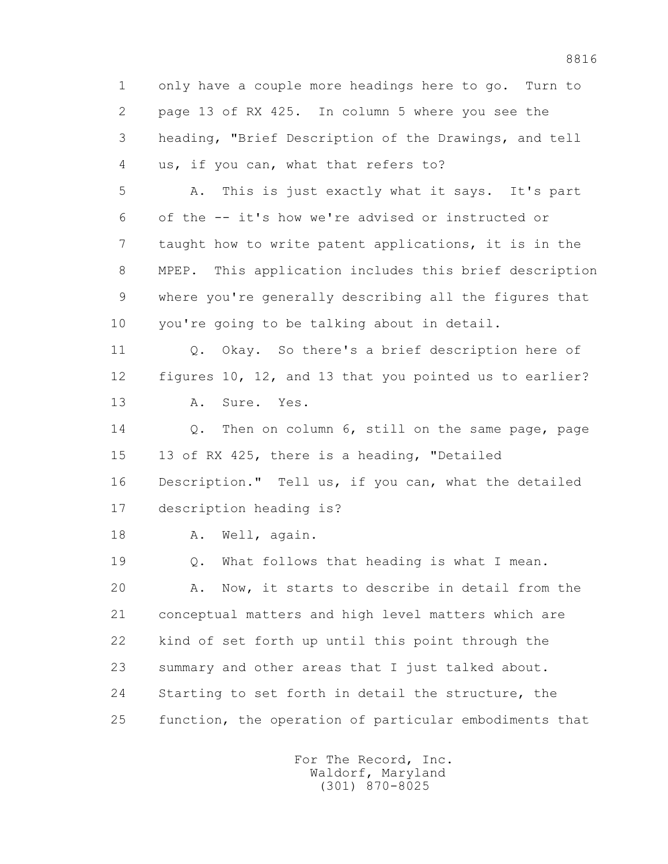1 only have a couple more headings here to go. Turn to 2 page 13 of RX 425. In column 5 where you see the 3 heading, "Brief Description of the Drawings, and tell 4 us, if you can, what that refers to? 5 A. This is just exactly what it says. It's part 6 of the -- it's how we're advised or instructed or 7 taught how to write patent applications, it is in the 8 MPEP. This application includes this brief description 9 where you're generally describing all the figures that 10 you're going to be talking about in detail. 11 Q. Okay. So there's a brief description here of 12 figures 10, 12, and 13 that you pointed us to earlier? 13 A. Sure. Yes. 14 0. Then on column 6, still on the same page, page 15 13 of RX 425, there is a heading, "Detailed 16 Description." Tell us, if you can, what the detailed 17 description heading is? 18 A. Well, again. 19 Q. What follows that heading is what I mean. 20 A. Now, it starts to describe in detail from the 21 conceptual matters and high level matters which are 22 kind of set forth up until this point through the 23 summary and other areas that I just talked about. 24 Starting to set forth in detail the structure, the 25 function, the operation of particular embodiments that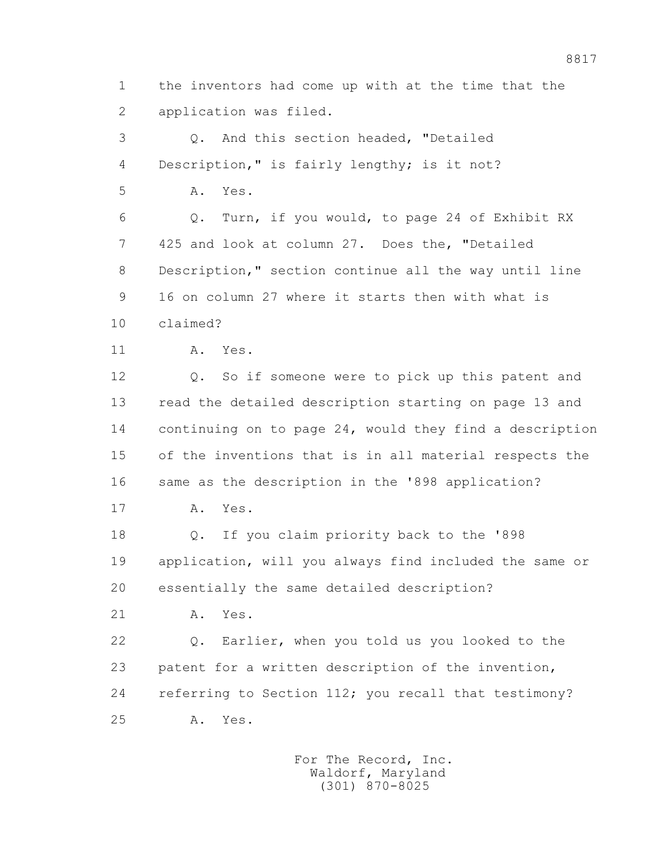1 the inventors had come up with at the time that the 2 application was filed.

 3 Q. And this section headed, "Detailed 4 Description," is fairly lengthy; is it not?

5 A. Yes.

 6 Q. Turn, if you would, to page 24 of Exhibit RX 7 425 and look at column 27. Does the, "Detailed 8 Description," section continue all the way until line 9 16 on column 27 where it starts then with what is 10 claimed?

11 A. Yes.

 12 Q. So if someone were to pick up this patent and 13 read the detailed description starting on page 13 and 14 continuing on to page 24, would they find a description 15 of the inventions that is in all material respects the 16 same as the description in the '898 application?

17 A. Yes.

 18 Q. If you claim priority back to the '898 19 application, will you always find included the same or 20 essentially the same detailed description?

21 A. Yes.

 22 Q. Earlier, when you told us you looked to the 23 patent for a written description of the invention, 24 referring to Section 112; you recall that testimony? 25 A. Yes.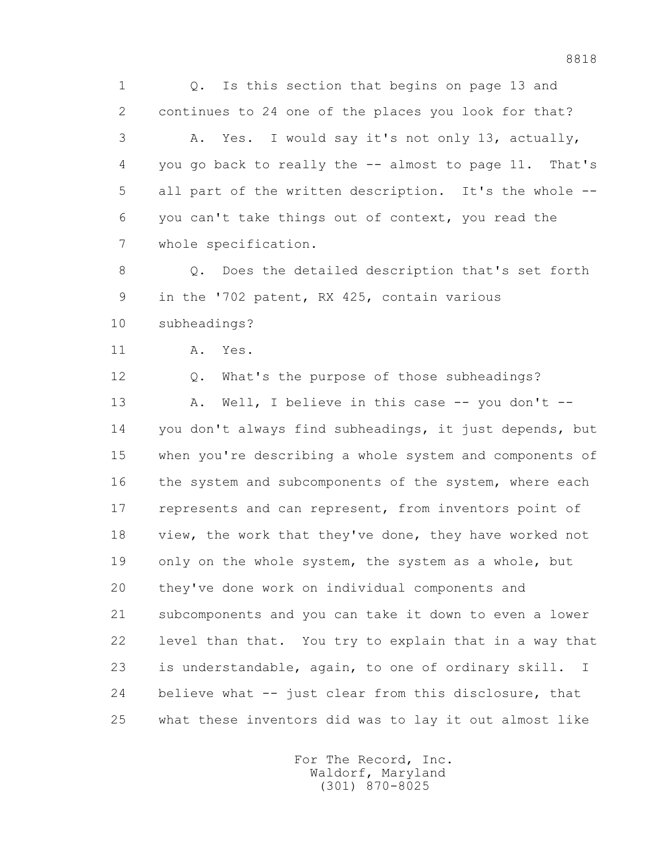1 Q. Is this section that begins on page 13 and 2 continues to 24 one of the places you look for that? 3 A. Yes. I would say it's not only 13, actually,

 4 you go back to really the -- almost to page 11. That's 5 all part of the written description. It's the whole -- 6 you can't take things out of context, you read the 7 whole specification.

8 0. Does the detailed description that's set forth 9 in the '702 patent, RX 425, contain various 10 subheadings?

11 A. Yes.

12 Q. What's the purpose of those subheadings?

13 A. Well, I believe in this case -- you don't -- 14 you don't always find subheadings, it just depends, but 15 when you're describing a whole system and components of 16 the system and subcomponents of the system, where each 17 represents and can represent, from inventors point of 18 view, the work that they've done, they have worked not 19 only on the whole system, the system as a whole, but 20 they've done work on individual components and 21 subcomponents and you can take it down to even a lower 22 level than that. You try to explain that in a way that 23 is understandable, again, to one of ordinary skill. I 24 believe what -- just clear from this disclosure, that 25 what these inventors did was to lay it out almost like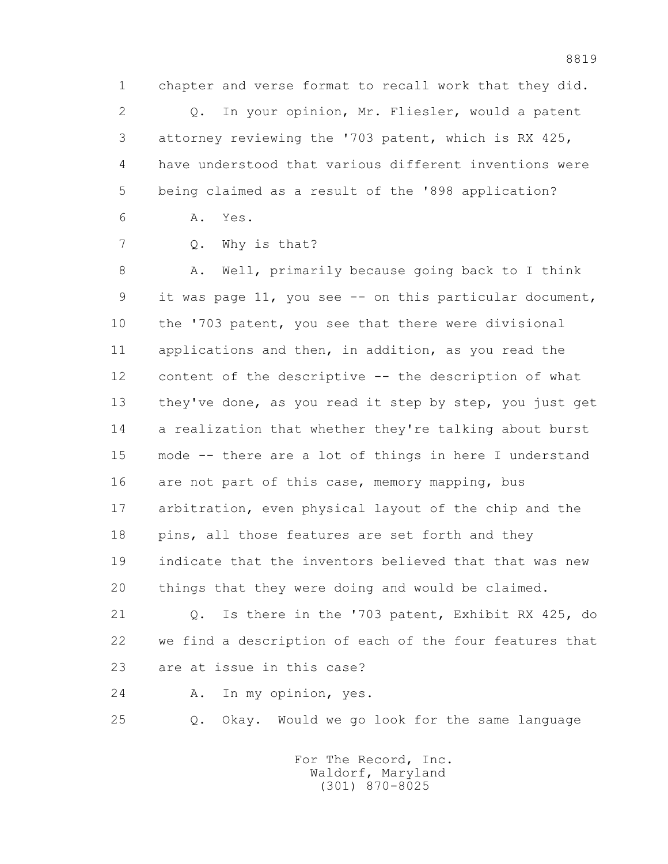1 chapter and verse format to recall work that they did.

 2 Q. In your opinion, Mr. Fliesler, would a patent 3 attorney reviewing the '703 patent, which is RX 425, 4 have understood that various different inventions were 5 being claimed as a result of the '898 application?

6 A. Yes.

7 Q. Why is that?

 8 A. Well, primarily because going back to I think 9 it was page 11, you see -- on this particular document, 10 the '703 patent, you see that there were divisional 11 applications and then, in addition, as you read the 12 content of the descriptive -- the description of what 13 they've done, as you read it step by step, you just get 14 a realization that whether they're talking about burst 15 mode -- there are a lot of things in here I understand 16 are not part of this case, memory mapping, bus 17 arbitration, even physical layout of the chip and the 18 pins, all those features are set forth and they 19 indicate that the inventors believed that that was new 20 things that they were doing and would be claimed.

 21 Q. Is there in the '703 patent, Exhibit RX 425, do 22 we find a description of each of the four features that 23 are at issue in this case?

24 A. In my opinion, yes.

25 Q. Okay. Would we go look for the same language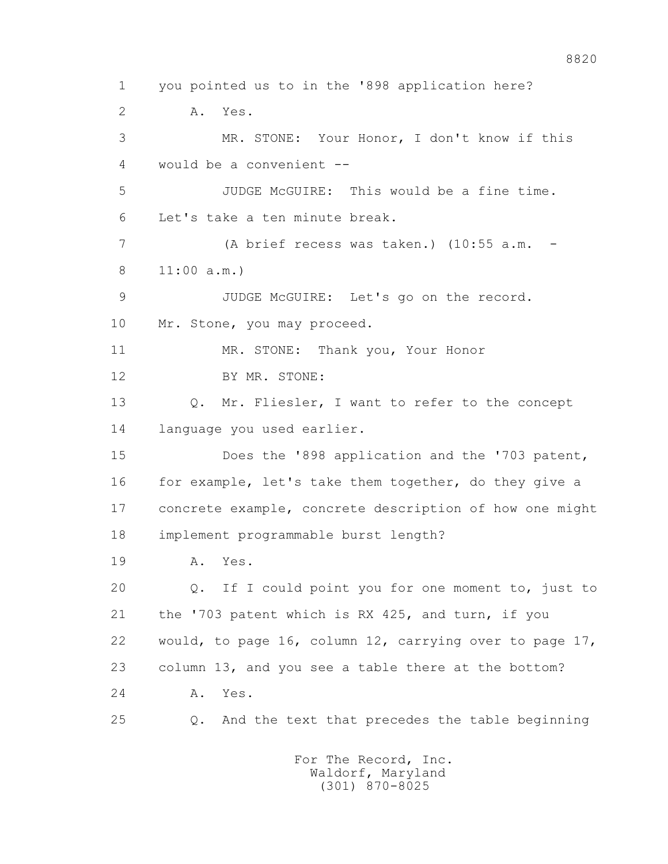1 you pointed us to in the '898 application here? 2 A. Yes. 3 MR. STONE: Your Honor, I don't know if this 4 would be a convenient -- 5 JUDGE McGUIRE: This would be a fine time. 6 Let's take a ten minute break. 7 (A brief recess was taken.) (10:55 a.m. - 8 11:00 a.m.) 9 JUDGE McGUIRE: Let's go on the record. 10 Mr. Stone, you may proceed. 11 MR. STONE: Thank you, Your Honor 12 BY MR. STONE: 13 Q. Mr. Fliesler, I want to refer to the concept 14 language you used earlier. 15 Does the '898 application and the '703 patent, 16 for example, let's take them together, do they give a 17 concrete example, concrete description of how one might 18 implement programmable burst length? 19 A. Yes. 20 Q. If I could point you for one moment to, just to 21 the '703 patent which is RX 425, and turn, if you 22 would, to page 16, column 12, carrying over to page 17, 23 column 13, and you see a table there at the bottom? 24 A. Yes. 25 Q. And the text that precedes the table beginning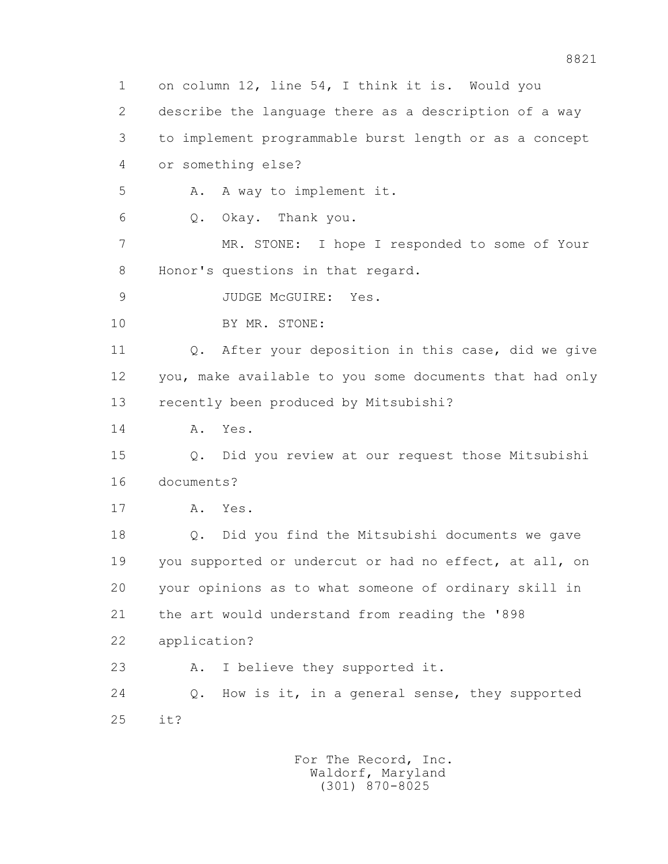1 on column 12, line 54, I think it is. Would you 2 describe the language there as a description of a way 3 to implement programmable burst length or as a concept 4 or something else? 5 A. A way to implement it. 6 Q. Okay. Thank you. 7 MR. STONE: I hope I responded to some of Your 8 Honor's questions in that regard. 9 JUDGE McGUIRE: Yes. 10 BY MR. STONE: 11 Q. After your deposition in this case, did we give 12 you, make available to you some documents that had only 13 recently been produced by Mitsubishi? 14 A. Yes. 15 Q. Did you review at our request those Mitsubishi 16 documents? 17 A. Yes. 18 Q. Did you find the Mitsubishi documents we gave 19 you supported or undercut or had no effect, at all, on 20 your opinions as to what someone of ordinary skill in 21 the art would understand from reading the '898 22 application? 23 A. I believe they supported it. 24 Q. How is it, in a general sense, they supported 25 it?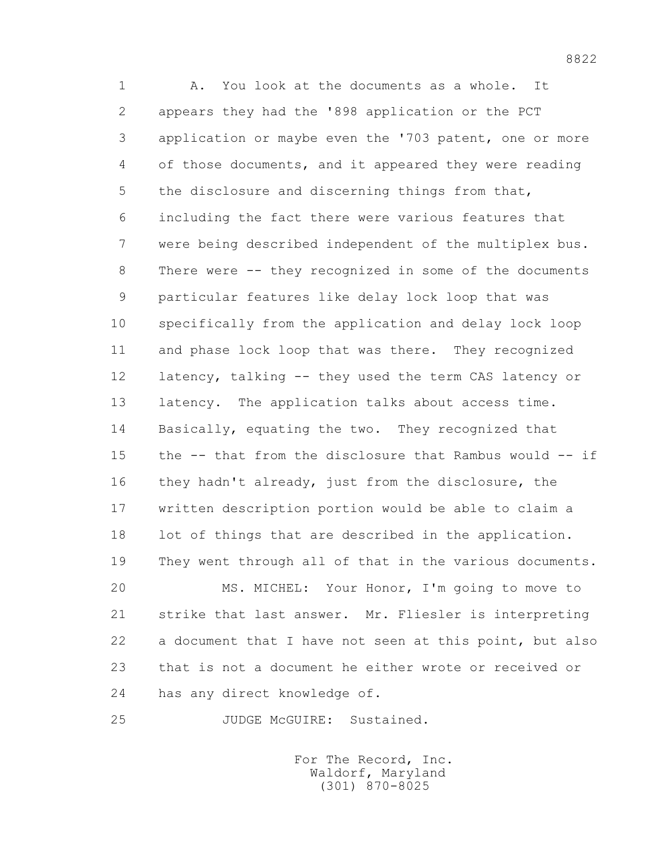1 A. You look at the documents as a whole. It 2 appears they had the '898 application or the PCT 3 application or maybe even the '703 patent, one or more 4 of those documents, and it appeared they were reading 5 the disclosure and discerning things from that, 6 including the fact there were various features that 7 were being described independent of the multiplex bus. 8 There were -- they recognized in some of the documents 9 particular features like delay lock loop that was 10 specifically from the application and delay lock loop 11 and phase lock loop that was there. They recognized 12 latency, talking -- they used the term CAS latency or 13 latency. The application talks about access time. 14 Basically, equating the two. They recognized that 15 the -- that from the disclosure that Rambus would -- if 16 they hadn't already, just from the disclosure, the 17 written description portion would be able to claim a 18 lot of things that are described in the application. 19 They went through all of that in the various documents.

 20 MS. MICHEL: Your Honor, I'm going to move to 21 strike that last answer. Mr. Fliesler is interpreting 22 a document that I have not seen at this point, but also 23 that is not a document he either wrote or received or 24 has any direct knowledge of.

25 JUDGE McGUIRE: Sustained.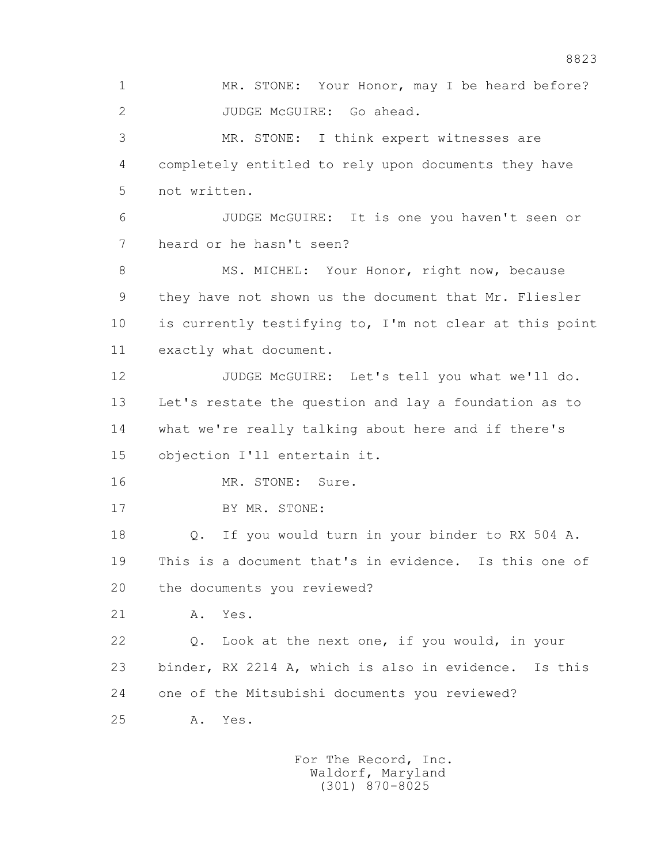1 MR. STONE: Your Honor, may I be heard before? 2 JUDGE McGUIRE: Go ahead. 3 MR. STONE: I think expert witnesses are 4 completely entitled to rely upon documents they have 5 not written. 6 JUDGE McGUIRE: It is one you haven't seen or 7 heard or he hasn't seen? 8 MS. MICHEL: Your Honor, right now, because 9 they have not shown us the document that Mr. Fliesler 10 is currently testifying to, I'm not clear at this point 11 exactly what document. 12 JUDGE McGUIRE: Let's tell you what we'll do. 13 Let's restate the question and lay a foundation as to 14 what we're really talking about here and if there's 15 objection I'll entertain it. 16 MR. STONE: Sure. 17 BY MR. STONE: 18 Q. If you would turn in your binder to RX 504 A. 19 This is a document that's in evidence. Is this one of 20 the documents you reviewed? 21 A. Yes. 22 Q. Look at the next one, if you would, in your 23 binder, RX 2214 A, which is also in evidence. Is this 24 one of the Mitsubishi documents you reviewed? 25 A. Yes.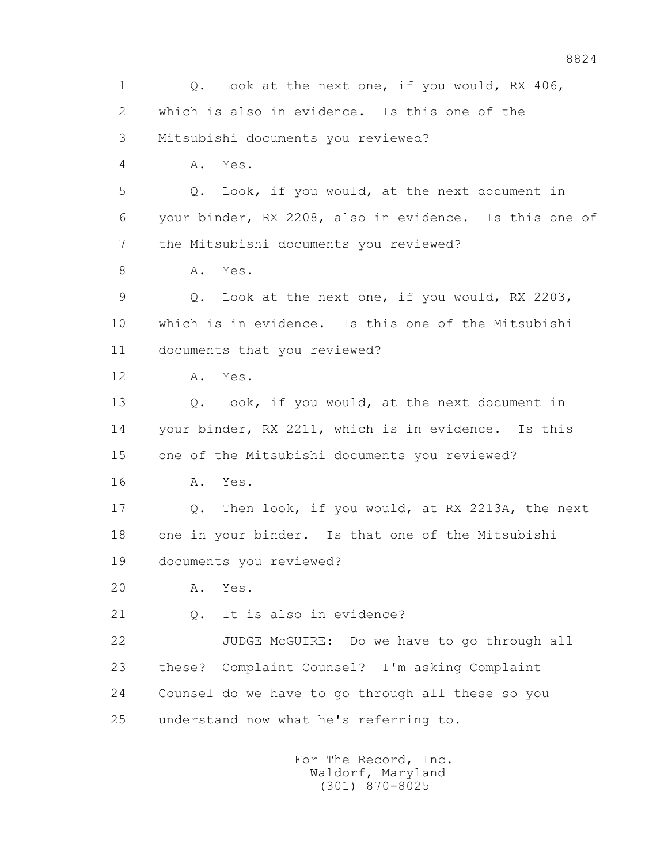1 0. Look at the next one, if you would, RX 406, 2 which is also in evidence. Is this one of the 3 Mitsubishi documents you reviewed? 4 A. Yes. 5 Q. Look, if you would, at the next document in 6 your binder, RX 2208, also in evidence. Is this one of 7 the Mitsubishi documents you reviewed? 8 A. Yes. 9 Q. Look at the next one, if you would, RX 2203, 10 which is in evidence. Is this one of the Mitsubishi 11 documents that you reviewed? 12 A. Yes. 13 Q. Look, if you would, at the next document in 14 your binder, RX 2211, which is in evidence. Is this 15 one of the Mitsubishi documents you reviewed? 16 A. Yes. 17 Q. Then look, if you would, at RX 2213A, the next 18 one in your binder. Is that one of the Mitsubishi 19 documents you reviewed? 20 A. Yes. 21 0. It is also in evidence? 22 JUDGE McGUIRE: Do we have to go through all 23 these? Complaint Counsel? I'm asking Complaint 24 Counsel do we have to go through all these so you 25 understand now what he's referring to.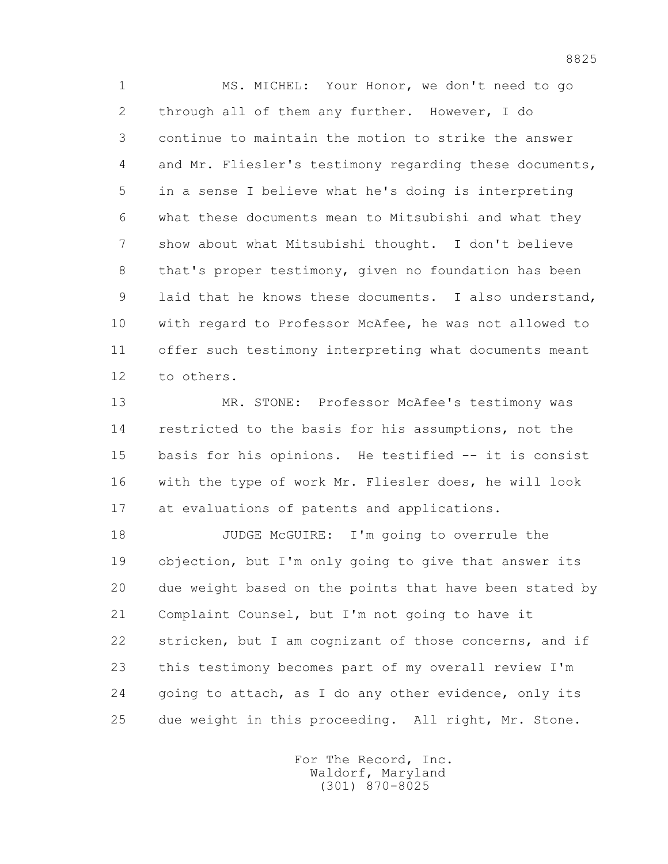1 MS. MICHEL: Your Honor, we don't need to go 2 through all of them any further. However, I do 3 continue to maintain the motion to strike the answer 4 and Mr. Fliesler's testimony regarding these documents, 5 in a sense I believe what he's doing is interpreting 6 what these documents mean to Mitsubishi and what they 7 show about what Mitsubishi thought. I don't believe 8 that's proper testimony, given no foundation has been 9 laid that he knows these documents. I also understand, 10 with regard to Professor McAfee, he was not allowed to 11 offer such testimony interpreting what documents meant 12 to others.

 13 MR. STONE: Professor McAfee's testimony was 14 restricted to the basis for his assumptions, not the 15 basis for his opinions. He testified -- it is consist 16 with the type of work Mr. Fliesler does, he will look 17 at evaluations of patents and applications.

18 JUDGE McGUIRE: I'm going to overrule the 19 objection, but I'm only going to give that answer its 20 due weight based on the points that have been stated by 21 Complaint Counsel, but I'm not going to have it 22 stricken, but I am cognizant of those concerns, and if 23 this testimony becomes part of my overall review I'm 24 going to attach, as I do any other evidence, only its 25 due weight in this proceeding. All right, Mr. Stone.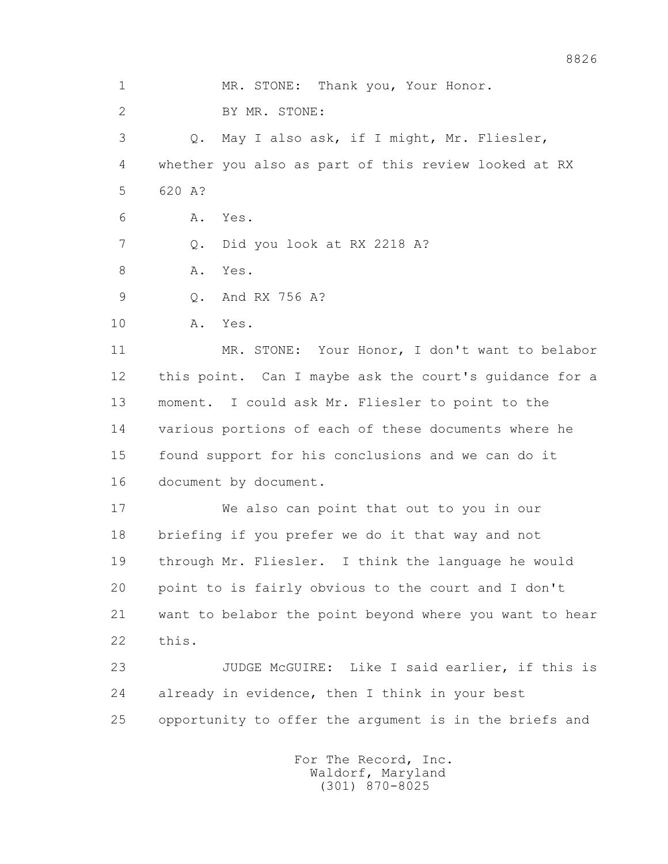1 MR. STONE: Thank you, Your Honor. 2 BY MR. STONE: 3 Q. May I also ask, if I might, Mr. Fliesler, 4 whether you also as part of this review looked at RX 5 620 A? 6 A. Yes. 7 Q. Did you look at RX 2218 A? 8 A. Yes. 9 Q. And RX 756 A? 10 A. Yes. 11 MR. STONE: Your Honor, I don't want to belabor 12 this point. Can I maybe ask the court's guidance for a 13 moment. I could ask Mr. Fliesler to point to the 14 various portions of each of these documents where he 15 found support for his conclusions and we can do it 16 document by document. 17 We also can point that out to you in our 18 briefing if you prefer we do it that way and not 19 through Mr. Fliesler. I think the language he would 20 point to is fairly obvious to the court and I don't 21 want to belabor the point beyond where you want to hear 22 this. 23 JUDGE McGUIRE: Like I said earlier, if this is 24 already in evidence, then I think in your best 25 opportunity to offer the argument is in the briefs and For The Record, Inc.

 Waldorf, Maryland (301) 870-8025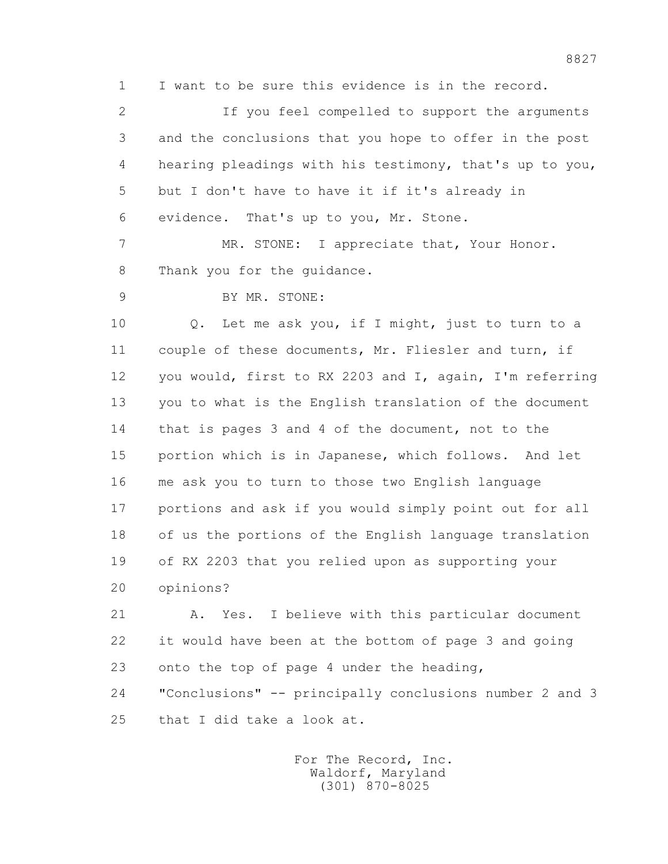1 I want to be sure this evidence is in the record.

 2 If you feel compelled to support the arguments 3 and the conclusions that you hope to offer in the post 4 hearing pleadings with his testimony, that's up to you, 5 but I don't have to have it if it's already in 6 evidence. That's up to you, Mr. Stone. 7 MR. STONE: I appreciate that, Your Honor. 8 Thank you for the quidance. 9 BY MR. STONE: 10 Q. Let me ask you, if I might, just to turn to a 11 couple of these documents, Mr. Fliesler and turn, if 12 you would, first to RX 2203 and I, again, I'm referring 13 you to what is the English translation of the document 14 that is pages 3 and 4 of the document, not to the 15 portion which is in Japanese, which follows. And let 16 me ask you to turn to those two English language 17 portions and ask if you would simply point out for all 18 of us the portions of the English language translation 19 of RX 2203 that you relied upon as supporting your 20 opinions?

 21 A. Yes. I believe with this particular document 22 it would have been at the bottom of page 3 and going 23 onto the top of page 4 under the heading, 24 "Conclusions" -- principally conclusions number 2 and 3

25 that I did take a look at.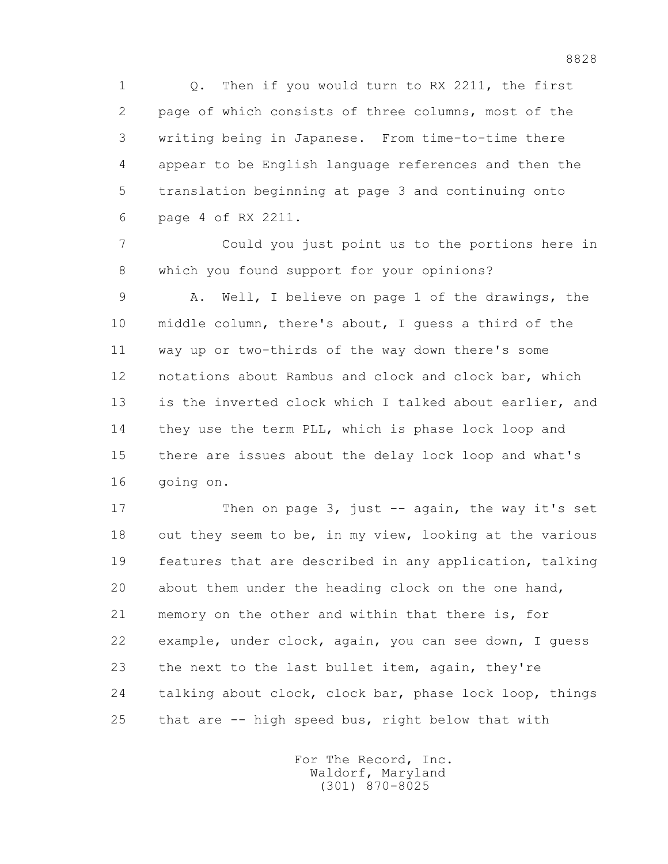1 Q. Then if you would turn to RX 2211, the first 2 page of which consists of three columns, most of the 3 writing being in Japanese. From time-to-time there 4 appear to be English language references and then the 5 translation beginning at page 3 and continuing onto 6 page 4 of RX 2211.

 7 Could you just point us to the portions here in 8 which you found support for your opinions?

 9 A. Well, I believe on page 1 of the drawings, the 10 middle column, there's about, I guess a third of the 11 way up or two-thirds of the way down there's some 12 notations about Rambus and clock and clock bar, which 13 is the inverted clock which I talked about earlier, and 14 they use the term PLL, which is phase lock loop and 15 there are issues about the delay lock loop and what's 16 going on.

17 Then on page 3, just -- again, the way it's set 18 out they seem to be, in my view, looking at the various 19 features that are described in any application, talking 20 about them under the heading clock on the one hand, 21 memory on the other and within that there is, for 22 example, under clock, again, you can see down, I guess 23 the next to the last bullet item, again, they're 24 talking about clock, clock bar, phase lock loop, things 25 that are -- high speed bus, right below that with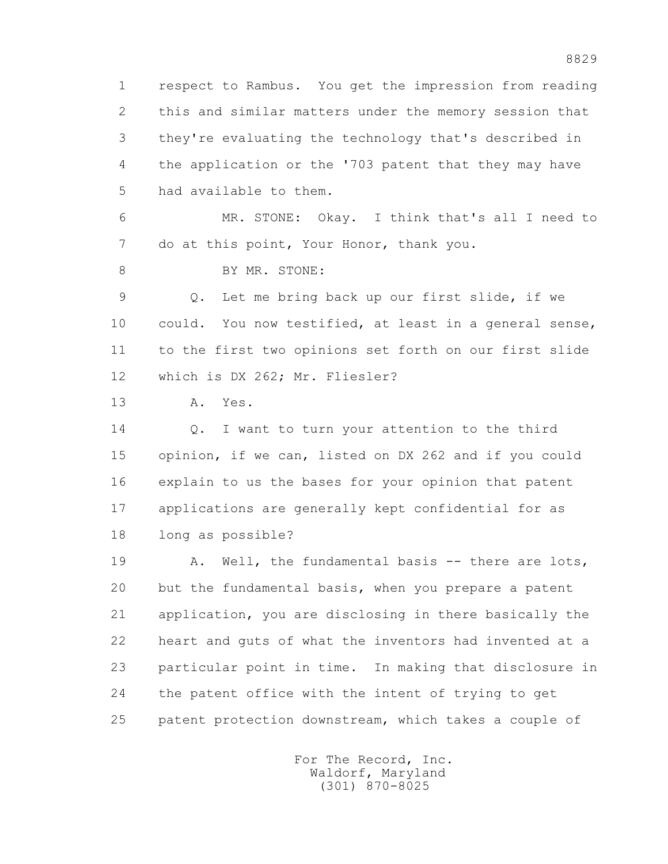1 respect to Rambus. You get the impression from reading 2 this and similar matters under the memory session that 3 they're evaluating the technology that's described in 4 the application or the '703 patent that they may have 5 had available to them.

 6 MR. STONE: Okay. I think that's all I need to 7 do at this point, Your Honor, thank you.

8 BY MR. STONE:

 9 Q. Let me bring back up our first slide, if we 10 could. You now testified, at least in a general sense, 11 to the first two opinions set forth on our first slide 12 which is DX 262; Mr. Fliesler?

13 A. Yes.

14 0. I want to turn your attention to the third 15 opinion, if we can, listed on DX 262 and if you could 16 explain to us the bases for your opinion that patent 17 applications are generally kept confidential for as 18 long as possible?

19 A. Well, the fundamental basis -- there are lots, 20 but the fundamental basis, when you prepare a patent 21 application, you are disclosing in there basically the 22 heart and guts of what the inventors had invented at a 23 particular point in time. In making that disclosure in 24 the patent office with the intent of trying to get 25 patent protection downstream, which takes a couple of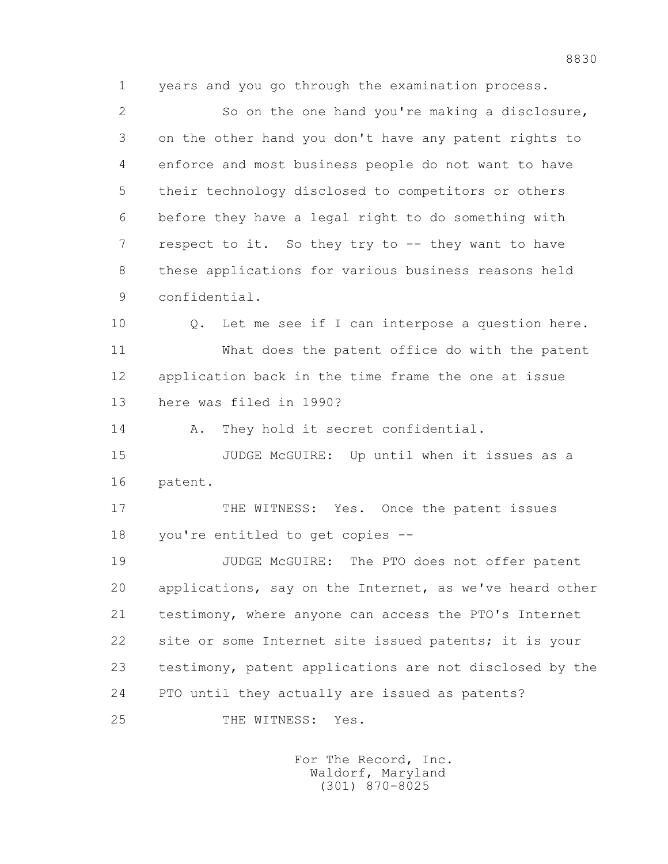1 years and you go through the examination process.

 2 So on the one hand you're making a disclosure, 3 on the other hand you don't have any patent rights to 4 enforce and most business people do not want to have 5 their technology disclosed to competitors or others 6 before they have a legal right to do something with 7 respect to it. So they try to -- they want to have 8 these applications for various business reasons held 9 confidential.

 10 Q. Let me see if I can interpose a question here. 11 What does the patent office do with the patent 12 application back in the time frame the one at issue 13 here was filed in 1990?

14 A. They hold it secret confidential.

 15 JUDGE McGUIRE: Up until when it issues as a 16 patent.

17 THE WITNESS: Yes. Once the patent issues 18 you're entitled to get copies --

 19 JUDGE McGUIRE: The PTO does not offer patent 20 applications, say on the Internet, as we've heard other 21 testimony, where anyone can access the PTO's Internet 22 site or some Internet site issued patents; it is your 23 testimony, patent applications are not disclosed by the 24 PTO until they actually are issued as patents?

25 THE WITNESS: Yes.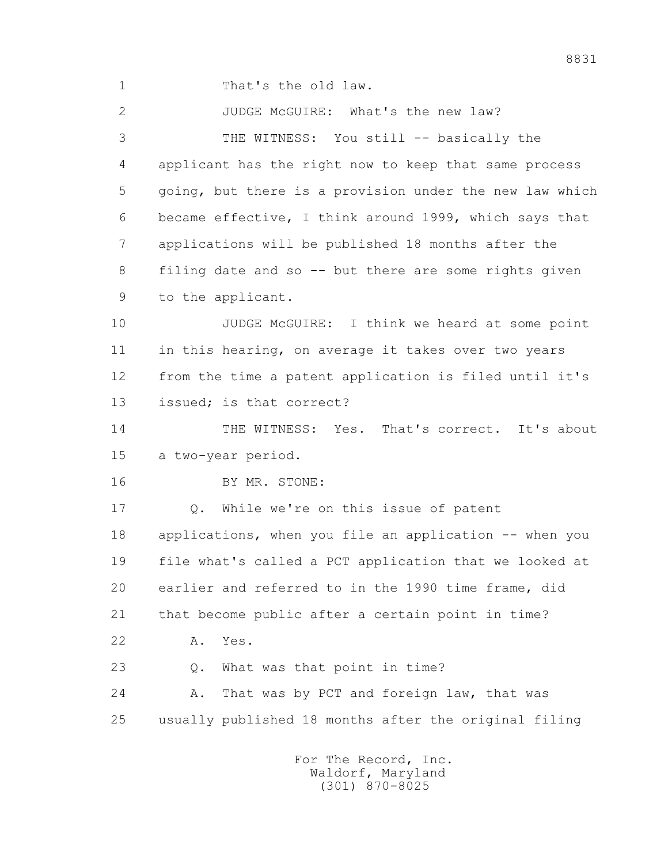1 That's the old law.

 2 JUDGE McGUIRE: What's the new law? 3 THE WITNESS: You still -- basically the 4 applicant has the right now to keep that same process 5 going, but there is a provision under the new law which 6 became effective, I think around 1999, which says that 7 applications will be published 18 months after the 8 filing date and so -- but there are some rights given 9 to the applicant. 10 JUDGE McGUIRE: I think we heard at some point 11 in this hearing, on average it takes over two years 12 from the time a patent application is filed until it's 13 issued; is that correct? 14 THE WITNESS: Yes. That's correct. It's about 15 a two-year period. 16 BY MR. STONE: 17 Q. While we're on this issue of patent 18 applications, when you file an application -- when you 19 file what's called a PCT application that we looked at 20 earlier and referred to in the 1990 time frame, did 21 that become public after a certain point in time?

22 A. Yes.

23 Q. What was that point in time?

 24 A. That was by PCT and foreign law, that was 25 usually published 18 months after the original filing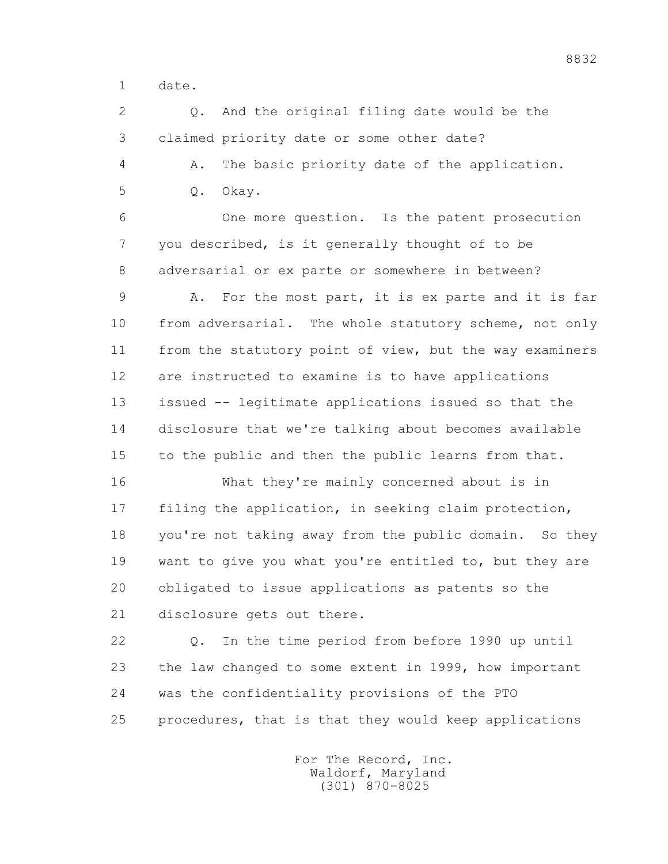1 date.

 2 Q. And the original filing date would be the 3 claimed priority date or some other date?

 4 A. The basic priority date of the application. 5 Q. Okay.

 6 One more question. Is the patent prosecution 7 you described, is it generally thought of to be 8 adversarial or ex parte or somewhere in between?

 9 A. For the most part, it is ex parte and it is far 10 from adversarial. The whole statutory scheme, not only 11 from the statutory point of view, but the way examiners 12 are instructed to examine is to have applications 13 issued -- legitimate applications issued so that the 14 disclosure that we're talking about becomes available 15 to the public and then the public learns from that.

 16 What they're mainly concerned about is in 17 filing the application, in seeking claim protection, 18 you're not taking away from the public domain. So they 19 want to give you what you're entitled to, but they are 20 obligated to issue applications as patents so the 21 disclosure gets out there.

 22 Q. In the time period from before 1990 up until 23 the law changed to some extent in 1999, how important 24 was the confidentiality provisions of the PTO 25 procedures, that is that they would keep applications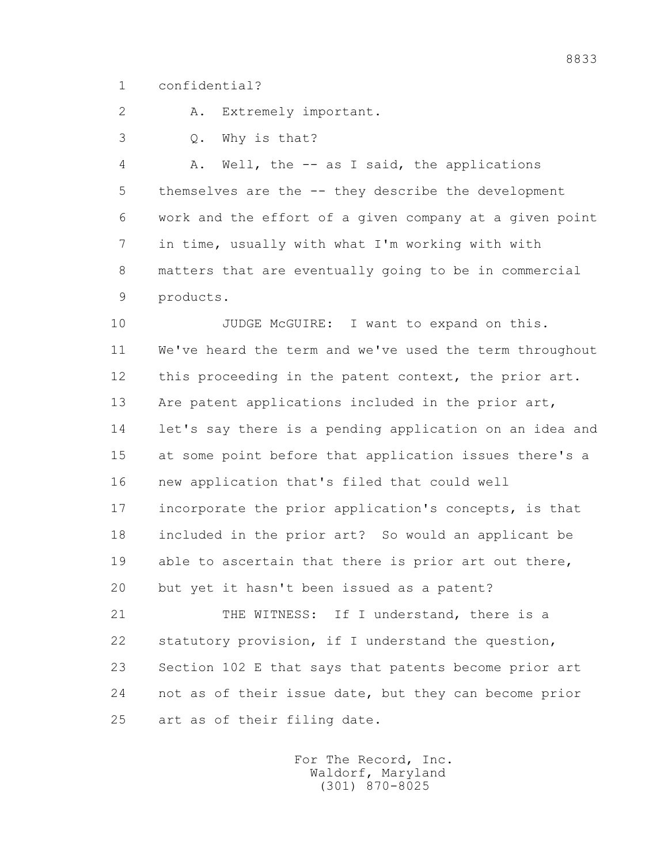1 confidential?

2 A. Extremely important.

3 Q. Why is that?

 4 A. Well, the -- as I said, the applications 5 themselves are the -- they describe the development 6 work and the effort of a given company at a given point 7 in time, usually with what I'm working with with 8 matters that are eventually going to be in commercial 9 products.

10 JUDGE McGUIRE: I want to expand on this. 11 We've heard the term and we've used the term throughout 12 this proceeding in the patent context, the prior art. 13 Are patent applications included in the prior art, 14 let's say there is a pending application on an idea and 15 at some point before that application issues there's a 16 new application that's filed that could well 17 incorporate the prior application's concepts, is that 18 included in the prior art? So would an applicant be 19 able to ascertain that there is prior art out there, 20 but yet it hasn't been issued as a patent?

 21 THE WITNESS: If I understand, there is a 22 statutory provision, if I understand the question, 23 Section 102 E that says that patents become prior art 24 not as of their issue date, but they can become prior 25 art as of their filing date.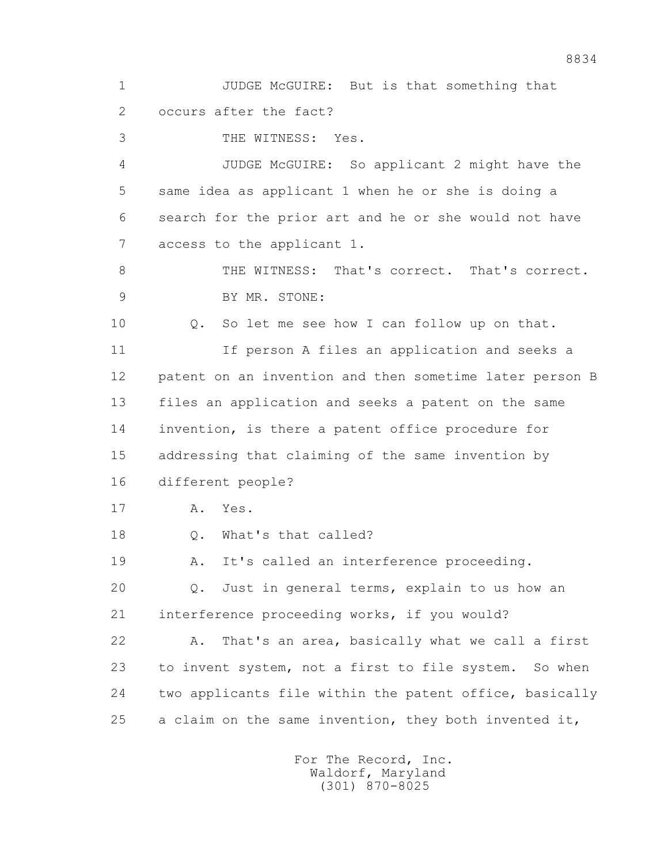1 JUDGE McGUIRE: But is that something that 2 occurs after the fact?

3 THE WITNESS: Yes.

 4 JUDGE McGUIRE: So applicant 2 might have the 5 same idea as applicant 1 when he or she is doing a 6 search for the prior art and he or she would not have 7 access to the applicant 1.

 8 THE WITNESS: That's correct. That's correct. 9 BY MR. STONE:

 10 Q. So let me see how I can follow up on that. 11 11 If person A files an application and seeks a 12 patent on an invention and then sometime later person B 13 files an application and seeks a patent on the same 14 invention, is there a patent office procedure for 15 addressing that claiming of the same invention by 16 different people?

17 A. Yes.

18 Q. What's that called?

19 A. It's called an interference proceeding.

 20 Q. Just in general terms, explain to us how an 21 interference proceeding works, if you would?

 22 A. That's an area, basically what we call a first 23 to invent system, not a first to file system. So when 24 two applicants file within the patent office, basically 25 a claim on the same invention, they both invented it,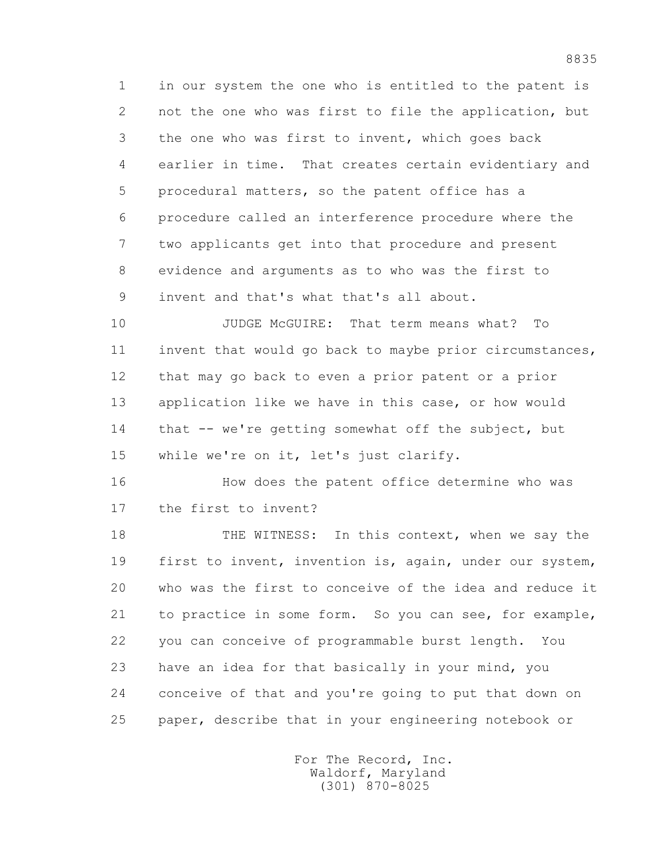1 in our system the one who is entitled to the patent is 2 not the one who was first to file the application, but 3 the one who was first to invent, which goes back 4 earlier in time. That creates certain evidentiary and 5 procedural matters, so the patent office has a 6 procedure called an interference procedure where the 7 two applicants get into that procedure and present 8 evidence and arguments as to who was the first to 9 invent and that's what that's all about.

 10 JUDGE McGUIRE: That term means what? To 11 invent that would go back to maybe prior circumstances, 12 that may go back to even a prior patent or a prior 13 application like we have in this case, or how would 14 that -- we're getting somewhat off the subject, but 15 while we're on it, let's just clarify.

 16 How does the patent office determine who was 17 the first to invent?

18 THE WITNESS: In this context, when we say the 19 first to invent, invention is, again, under our system, 20 who was the first to conceive of the idea and reduce it 21 to practice in some form. So you can see, for example, 22 you can conceive of programmable burst length. You 23 have an idea for that basically in your mind, you 24 conceive of that and you're going to put that down on 25 paper, describe that in your engineering notebook or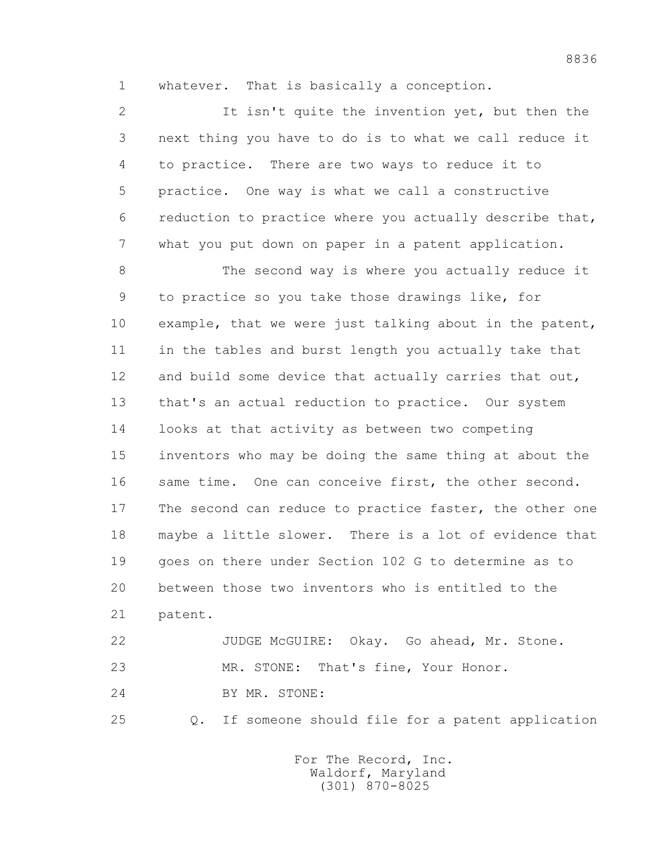1 whatever. That is basically a conception.

 2 It isn't quite the invention yet, but then the 3 next thing you have to do is to what we call reduce it 4 to practice. There are two ways to reduce it to 5 practice. One way is what we call a constructive 6 reduction to practice where you actually describe that, 7 what you put down on paper in a patent application.

 8 The second way is where you actually reduce it 9 to practice so you take those drawings like, for 10 example, that we were just talking about in the patent, 11 in the tables and burst length you actually take that 12 and build some device that actually carries that out, 13 that's an actual reduction to practice. Our system 14 looks at that activity as between two competing 15 inventors who may be doing the same thing at about the 16 same time. One can conceive first, the other second. 17 The second can reduce to practice faster, the other one 18 maybe a little slower. There is a lot of evidence that 19 goes on there under Section 102 G to determine as to 20 between those two inventors who is entitled to the 21 patent.

 22 JUDGE McGUIRE: Okay. Go ahead, Mr. Stone. 23 MR. STONE: That's fine, Your Honor. 24 BY MR. STONE:

25 Q. If someone should file for a patent application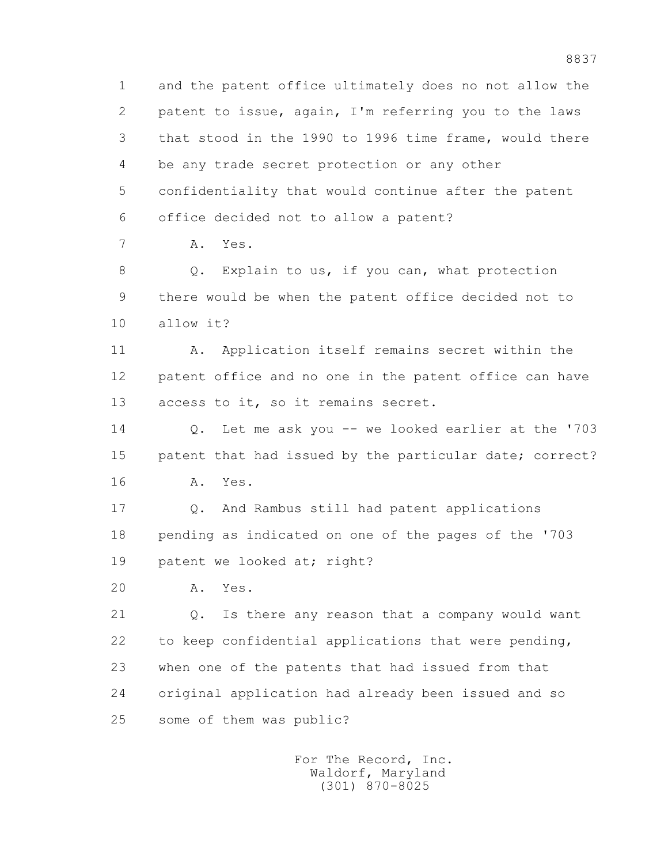1 and the patent office ultimately does no not allow the 2 patent to issue, again, I'm referring you to the laws 3 that stood in the 1990 to 1996 time frame, would there 4 be any trade secret protection or any other 5 confidentiality that would continue after the patent 6 office decided not to allow a patent?

7 A. Yes.

8 Q. Explain to us, if you can, what protection 9 there would be when the patent office decided not to 10 allow it?

11 A. Application itself remains secret within the 12 patent office and no one in the patent office can have 13 access to it, so it remains secret.

 14 Q. Let me ask you -- we looked earlier at the '703 15 patent that had issued by the particular date; correct? 16 A. Yes.

 17 Q. And Rambus still had patent applications 18 pending as indicated on one of the pages of the '703 19 patent we looked at; right?

20 A. Yes.

 21 Q. Is there any reason that a company would want 22 to keep confidential applications that were pending, 23 when one of the patents that had issued from that 24 original application had already been issued and so 25 some of them was public?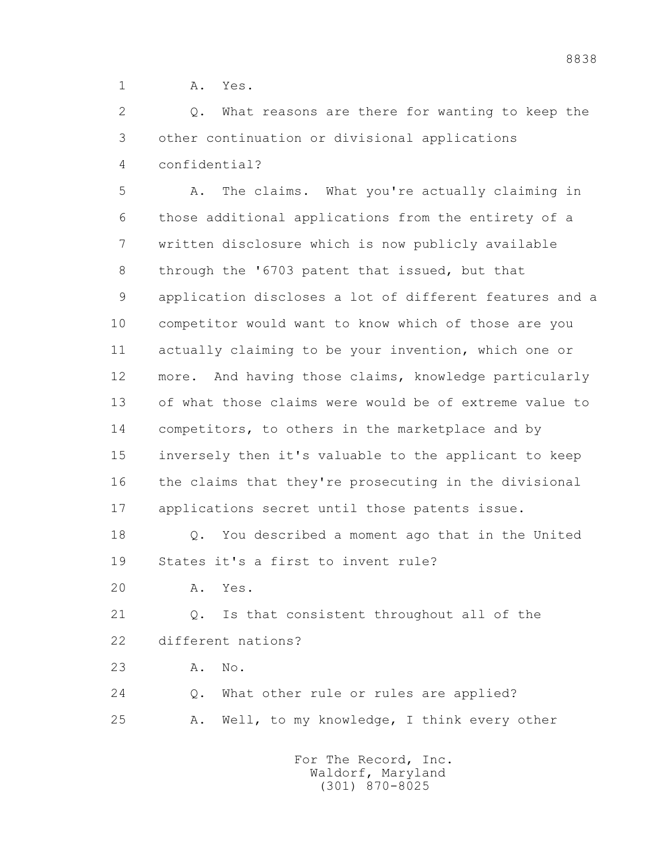1 A. Yes.

 2 Q. What reasons are there for wanting to keep the 3 other continuation or divisional applications 4 confidential?

 5 A. The claims. What you're actually claiming in 6 those additional applications from the entirety of a 7 written disclosure which is now publicly available 8 through the '6703 patent that issued, but that 9 application discloses a lot of different features and a 10 competitor would want to know which of those are you 11 actually claiming to be your invention, which one or 12 more. And having those claims, knowledge particularly 13 of what those claims were would be of extreme value to 14 competitors, to others in the marketplace and by 15 inversely then it's valuable to the applicant to keep 16 the claims that they're prosecuting in the divisional 17 applications secret until those patents issue.

 18 Q. You described a moment ago that in the United 19 States it's a first to invent rule?

20 A. Yes.

 21 Q. Is that consistent throughout all of the 22 different nations?

23 A. No.

 24 Q. What other rule or rules are applied? 25 A. Well, to my knowledge, I think every other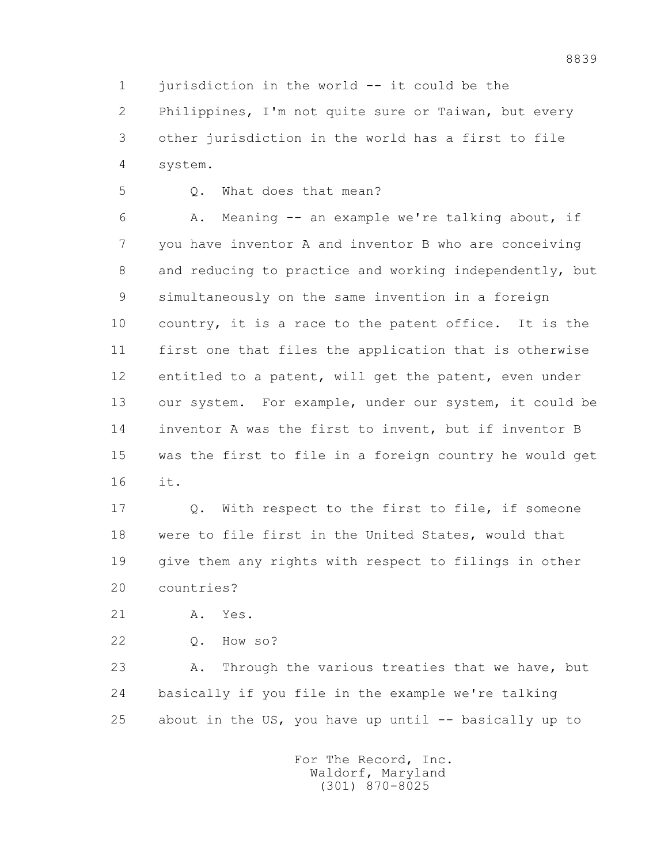1 jurisdiction in the world -- it could be the

 2 Philippines, I'm not quite sure or Taiwan, but every 3 other jurisdiction in the world has a first to file 4 system.

5 Q. What does that mean?

 6 A. Meaning -- an example we're talking about, if 7 you have inventor A and inventor B who are conceiving 8 and reducing to practice and working independently, but 9 simultaneously on the same invention in a foreign 10 country, it is a race to the patent office. It is the 11 first one that files the application that is otherwise 12 entitled to a patent, will get the patent, even under 13 our system. For example, under our system, it could be 14 inventor A was the first to invent, but if inventor B 15 was the first to file in a foreign country he would get 16 it.

 17 Q. With respect to the first to file, if someone 18 were to file first in the United States, would that 19 give them any rights with respect to filings in other 20 countries?

21 A. Yes.

22 Q. How so?

 23 A. Through the various treaties that we have, but 24 basically if you file in the example we're talking 25 about in the US, you have up until -- basically up to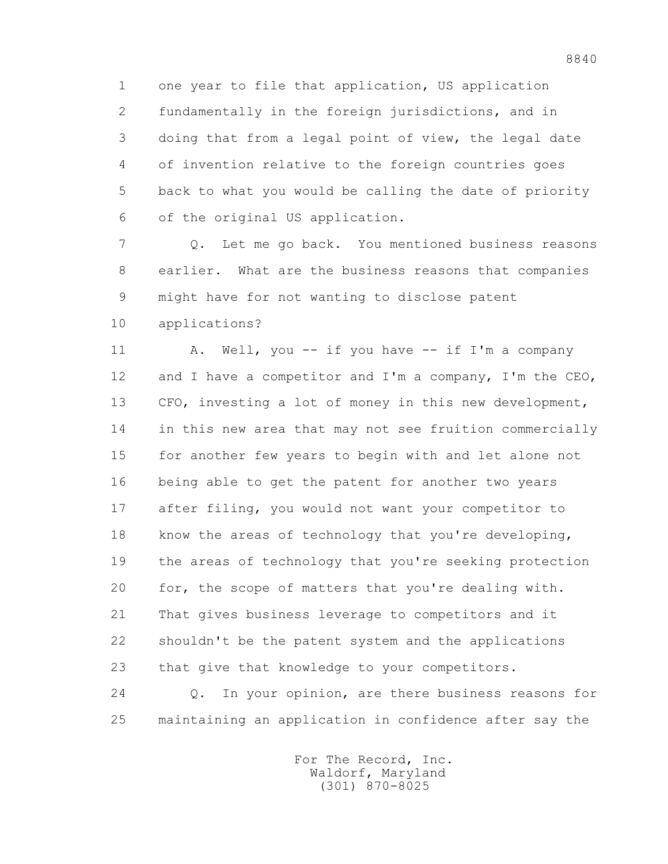1 one year to file that application, US application 2 fundamentally in the foreign jurisdictions, and in 3 doing that from a legal point of view, the legal date 4 of invention relative to the foreign countries goes 5 back to what you would be calling the date of priority 6 of the original US application.

 7 Q. Let me go back. You mentioned business reasons 8 earlier. What are the business reasons that companies 9 might have for not wanting to disclose patent

10 applications?

11 A. Well, you -- if you have -- if I'm a company 12 and I have a competitor and I'm a company, I'm the CEO, 13 CFO, investing a lot of money in this new development, 14 in this new area that may not see fruition commercially 15 for another few years to begin with and let alone not 16 being able to get the patent for another two years 17 after filing, you would not want your competitor to 18 know the areas of technology that you're developing, 19 the areas of technology that you're seeking protection 20 for, the scope of matters that you're dealing with. 21 That gives business leverage to competitors and it 22 shouldn't be the patent system and the applications 23 that give that knowledge to your competitors.

 24 Q. In your opinion, are there business reasons for 25 maintaining an application in confidence after say the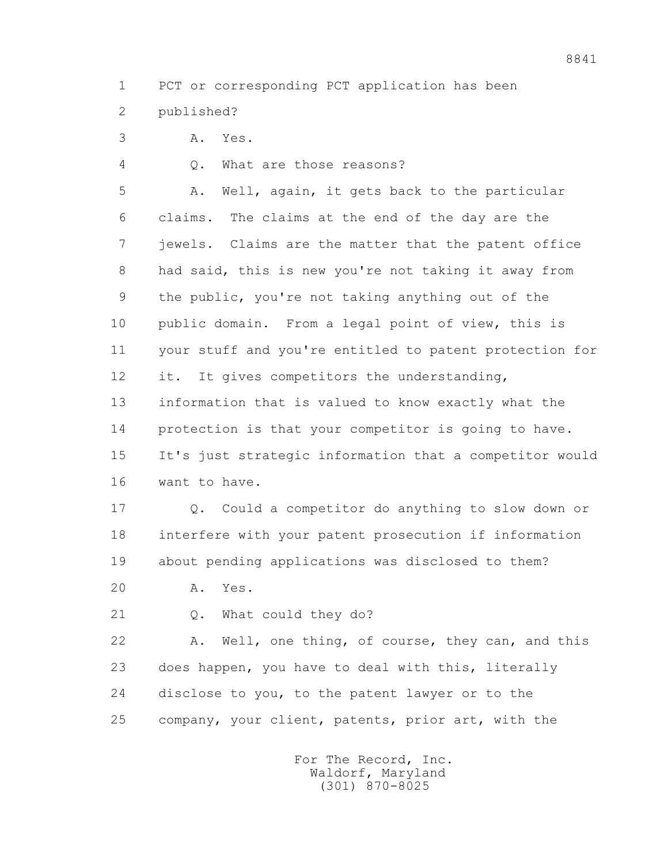1 PCT or corresponding PCT application has been

- 2 published?
- 3 A. Yes.

4 Q. What are those reasons?

 5 A. Well, again, it gets back to the particular 6 claims. The claims at the end of the day are the 7 jewels. Claims are the matter that the patent office 8 had said, this is new you're not taking it away from 9 the public, you're not taking anything out of the 10 public domain. From a legal point of view, this is 11 your stuff and you're entitled to patent protection for 12 it. It gives competitors the understanding, 13 information that is valued to know exactly what the 14 protection is that your competitor is going to have. 15 It's just strategic information that a competitor would 16 want to have.

 17 Q. Could a competitor do anything to slow down or 18 interfere with your patent prosecution if information 19 about pending applications was disclosed to them?

- 20 A. Yes.
- 21 Q. What could they do?

 22 A. Well, one thing, of course, they can, and this 23 does happen, you have to deal with this, literally 24 disclose to you, to the patent lawyer or to the 25 company, your client, patents, prior art, with the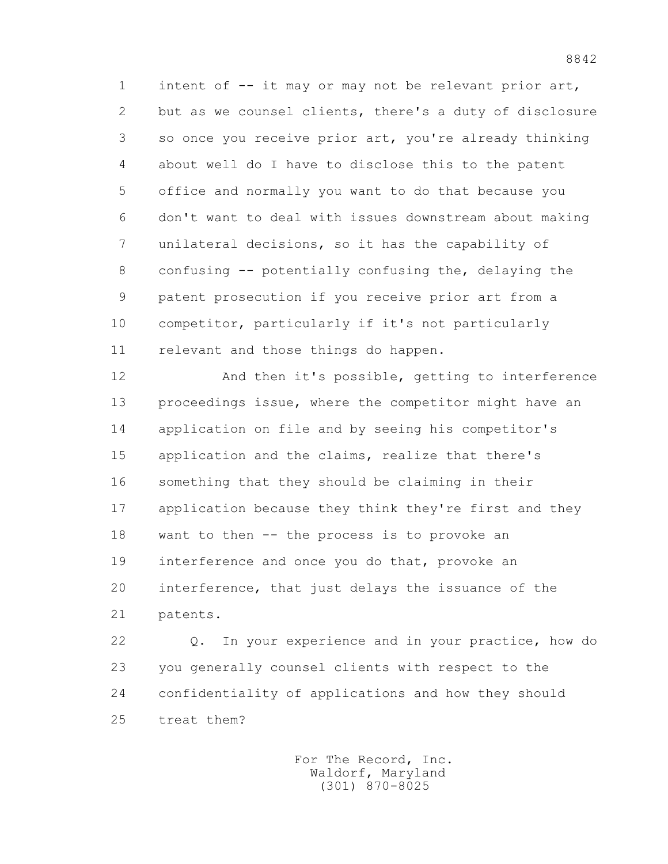1 intent of -- it may or may not be relevant prior art, 2 but as we counsel clients, there's a duty of disclosure 3 so once you receive prior art, you're already thinking 4 about well do I have to disclose this to the patent 5 office and normally you want to do that because you 6 don't want to deal with issues downstream about making 7 unilateral decisions, so it has the capability of 8 confusing -- potentially confusing the, delaying the 9 patent prosecution if you receive prior art from a 10 competitor, particularly if it's not particularly 11 relevant and those things do happen.

 12 And then it's possible, getting to interference 13 proceedings issue, where the competitor might have an 14 application on file and by seeing his competitor's 15 application and the claims, realize that there's 16 something that they should be claiming in their 17 application because they think they're first and they 18 want to then -- the process is to provoke an 19 interference and once you do that, provoke an 20 interference, that just delays the issuance of the 21 patents.

 22 Q. In your experience and in your practice, how do 23 you generally counsel clients with respect to the 24 confidentiality of applications and how they should 25 treat them?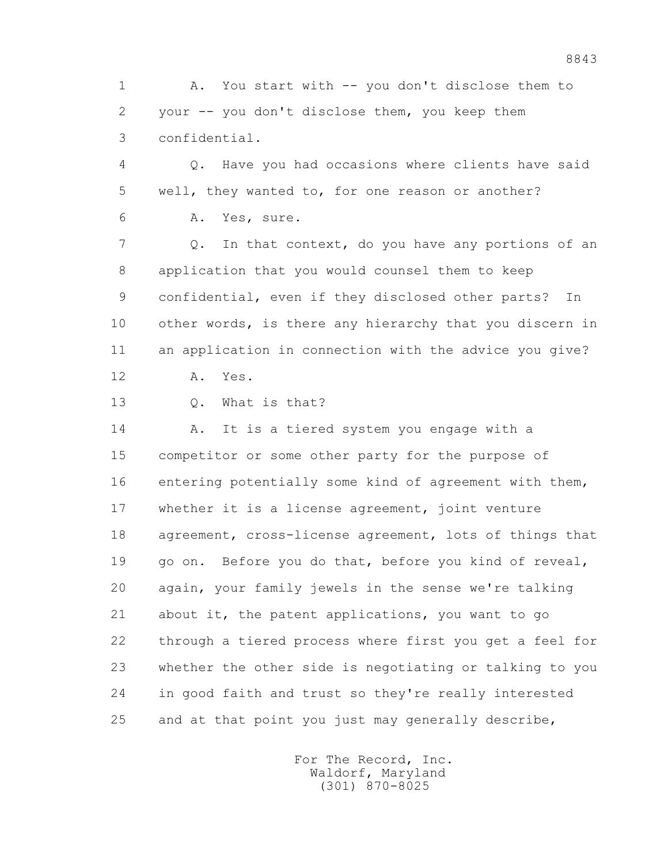1 A. You start with -- you don't disclose them to 2 your -- you don't disclose them, you keep them 3 confidential.

 4 Q. Have you had occasions where clients have said 5 well, they wanted to, for one reason or another? 6 A. Yes, sure.

 7 Q. In that context, do you have any portions of an 8 application that you would counsel them to keep 9 confidential, even if they disclosed other parts? In 10 other words, is there any hierarchy that you discern in 11 an application in connection with the advice you give?

12 A. Yes.

13 Q. What is that?

14 A. It is a tiered system you engage with a 15 competitor or some other party for the purpose of 16 entering potentially some kind of agreement with them, 17 whether it is a license agreement, joint venture 18 agreement, cross-license agreement, lots of things that 19 go on. Before you do that, before you kind of reveal, 20 again, your family jewels in the sense we're talking 21 about it, the patent applications, you want to go 22 through a tiered process where first you get a feel for 23 whether the other side is negotiating or talking to you 24 in good faith and trust so they're really interested 25 and at that point you just may generally describe,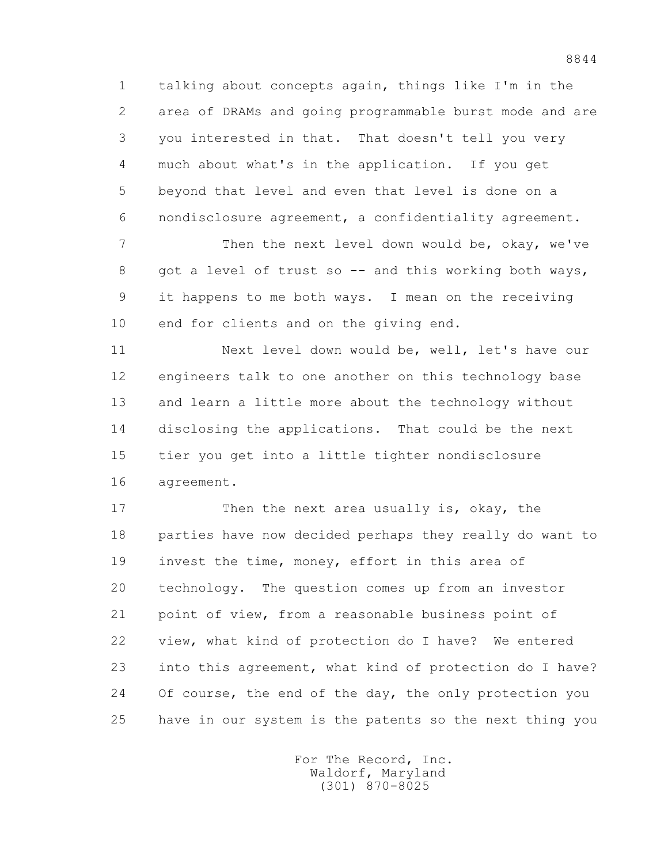1 talking about concepts again, things like I'm in the 2 area of DRAMs and going programmable burst mode and are 3 you interested in that. That doesn't tell you very 4 much about what's in the application. If you get 5 beyond that level and even that level is done on a 6 nondisclosure agreement, a confidentiality agreement.

 7 Then the next level down would be, okay, we've 8 got a level of trust so -- and this working both ways, 9 it happens to me both ways. I mean on the receiving 10 end for clients and on the giving end.

 11 Next level down would be, well, let's have our 12 engineers talk to one another on this technology base 13 and learn a little more about the technology without 14 disclosing the applications. That could be the next 15 tier you get into a little tighter nondisclosure 16 agreement.

17 Then the next area usually is, okay, the 18 parties have now decided perhaps they really do want to 19 invest the time, money, effort in this area of 20 technology. The question comes up from an investor 21 point of view, from a reasonable business point of 22 view, what kind of protection do I have? We entered 23 into this agreement, what kind of protection do I have? 24 Of course, the end of the day, the only protection you 25 have in our system is the patents so the next thing you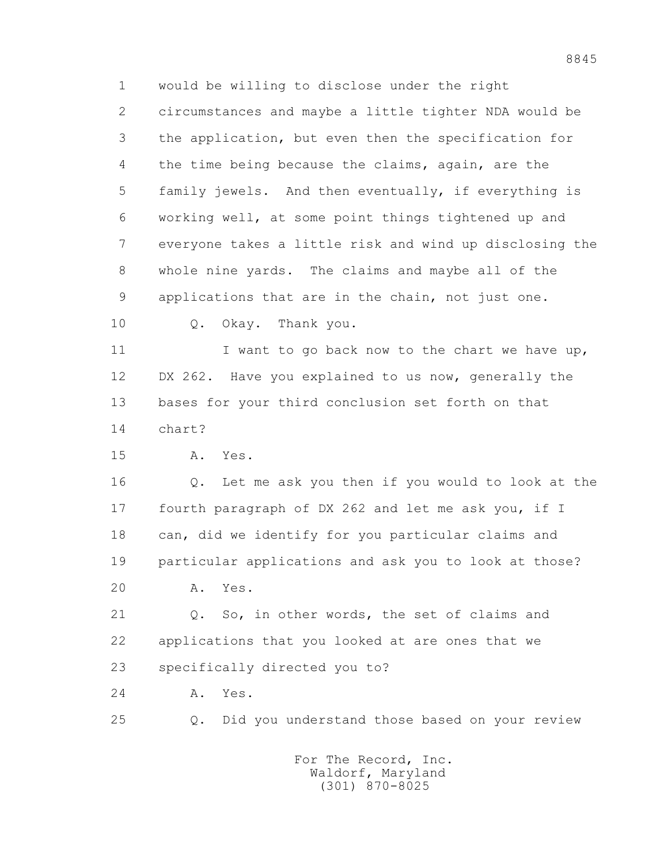1 would be willing to disclose under the right 2 circumstances and maybe a little tighter NDA would be 3 the application, but even then the specification for 4 the time being because the claims, again, are the 5 family jewels. And then eventually, if everything is 6 working well, at some point things tightened up and 7 everyone takes a little risk and wind up disclosing the 8 whole nine yards. The claims and maybe all of the 9 applications that are in the chain, not just one.

10 Q. Okay. Thank you.

11 I want to go back now to the chart we have up, 12 DX 262. Have you explained to us now, generally the 13 bases for your third conclusion set forth on that 14 chart?

15 A. Yes.

 16 Q. Let me ask you then if you would to look at the 17 fourth paragraph of DX 262 and let me ask you, if I 18 can, did we identify for you particular claims and 19 particular applications and ask you to look at those?

20 A. Yes.

 21 Q. So, in other words, the set of claims and 22 applications that you looked at are ones that we 23 specifically directed you to?

24 A. Yes.

25 Q. Did you understand those based on your review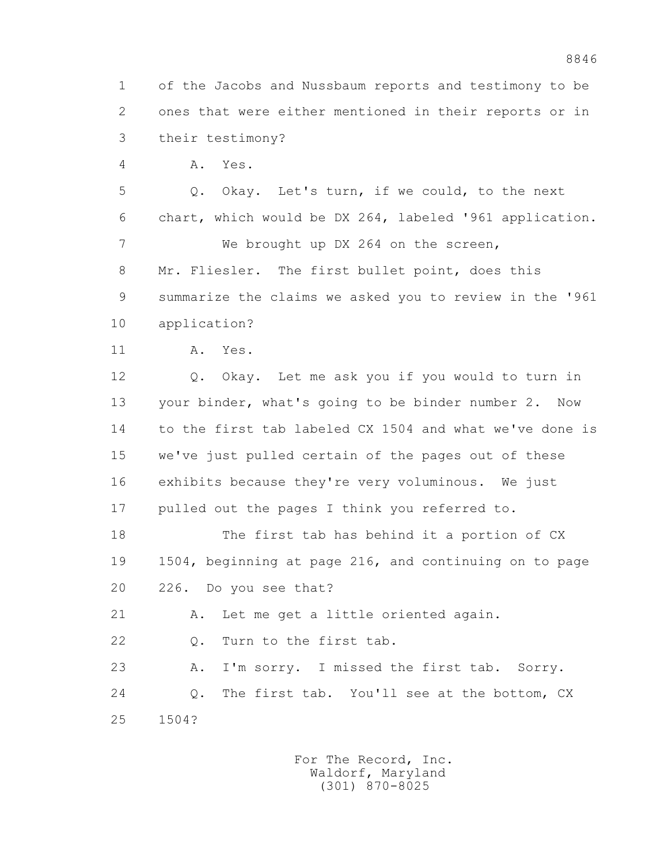1 of the Jacobs and Nussbaum reports and testimony to be 2 ones that were either mentioned in their reports or in 3 their testimony?

4 A. Yes.

 5 Q. Okay. Let's turn, if we could, to the next 6 chart, which would be DX 264, labeled '961 application. 7 We brought up DX 264 on the screen,

 8 Mr. Fliesler. The first bullet point, does this 9 summarize the claims we asked you to review in the '961

- 10 application?
- 11 A. Yes.

 12 Q. Okay. Let me ask you if you would to turn in 13 your binder, what's going to be binder number 2. Now 14 to the first tab labeled CX 1504 and what we've done is 15 we've just pulled certain of the pages out of these 16 exhibits because they're very voluminous. We just 17 pulled out the pages I think you referred to.

 18 The first tab has behind it a portion of CX 19 1504, beginning at page 216, and continuing on to page 20 226. Do you see that?

21 A. Let me get a little oriented again.

22 Q. Turn to the first tab.

 23 A. I'm sorry. I missed the first tab. Sorry. 24 Q. The first tab. You'll see at the bottom, CX 25 1504?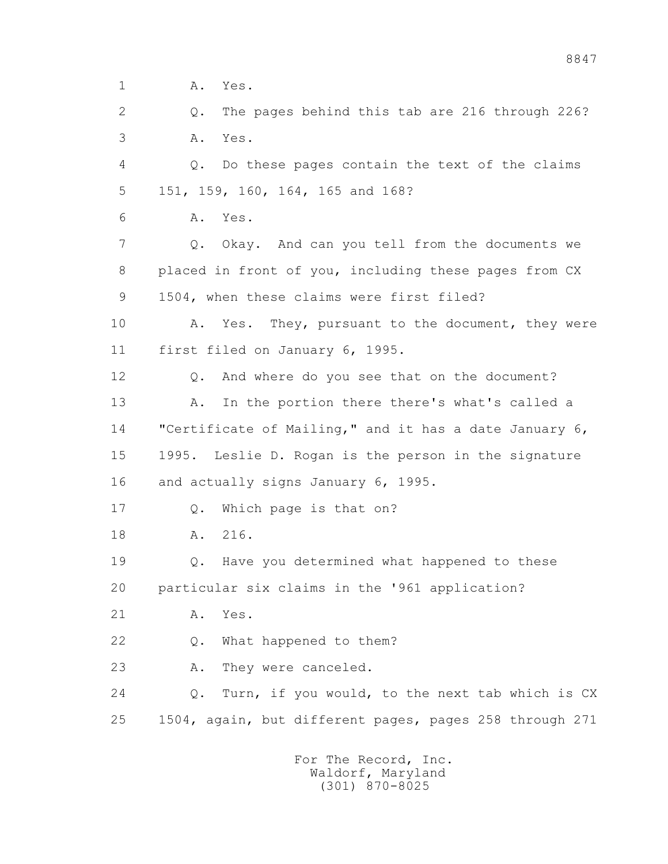1 **A.** Yes.

 2 Q. The pages behind this tab are 216 through 226? 3 A. Yes.

 4 Q. Do these pages contain the text of the claims 5 151, 159, 160, 164, 165 and 168?

6 A. Yes.

 7 Q. Okay. And can you tell from the documents we 8 placed in front of you, including these pages from CX 9 1504, when these claims were first filed?

 10 A. Yes. They, pursuant to the document, they were 11 first filed on January 6, 1995.

 12 Q. And where do you see that on the document? 13 A. In the portion there there's what's called a 14 "Certificate of Mailing," and it has a date January 6, 15 1995. Leslie D. Rogan is the person in the signature

16 and actually signs January 6, 1995.

17 Q. Which page is that on?

18 A. 216.

 19 Q. Have you determined what happened to these 20 particular six claims in the '961 application?

21 A. Yes.

22 Q. What happened to them?

23 A. They were canceled.

 24 Q. Turn, if you would, to the next tab which is CX 25 1504, again, but different pages, pages 258 through 271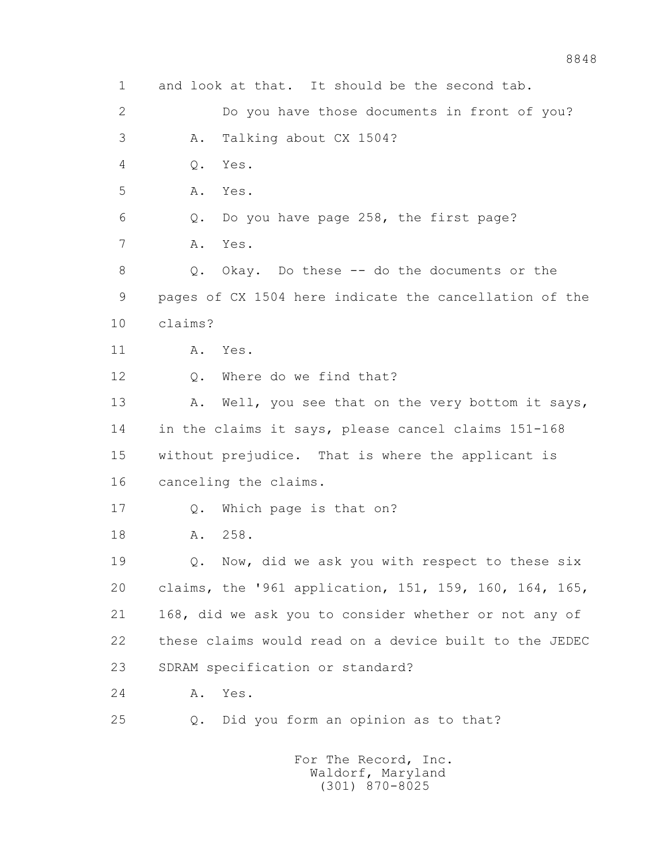1 and look at that. It should be the second tab. 2 Do you have those documents in front of you? 3 A. Talking about CX 1504? 4 Q. Yes. 5 A. Yes. 6 Q. Do you have page 258, the first page? 7 A. Yes. 8 Q. Okay. Do these -- do the documents or the 9 pages of CX 1504 here indicate the cancellation of the 10 claims? 11 A. Yes. 12 0. Where do we find that? 13 A. Well, you see that on the very bottom it says, 14 in the claims it says, please cancel claims 151-168 15 without prejudice. That is where the applicant is 16 canceling the claims. 17 Q. Which page is that on? 18 A. 258. 19 Q. Now, did we ask you with respect to these six 20 claims, the '961 application, 151, 159, 160, 164, 165, 21 168, did we ask you to consider whether or not any of 22 these claims would read on a device built to the JEDEC 23 SDRAM specification or standard? 24 A. Yes. 25 Q. Did you form an opinion as to that? For The Record, Inc. Waldorf, Maryland

(301) 870-8025

8848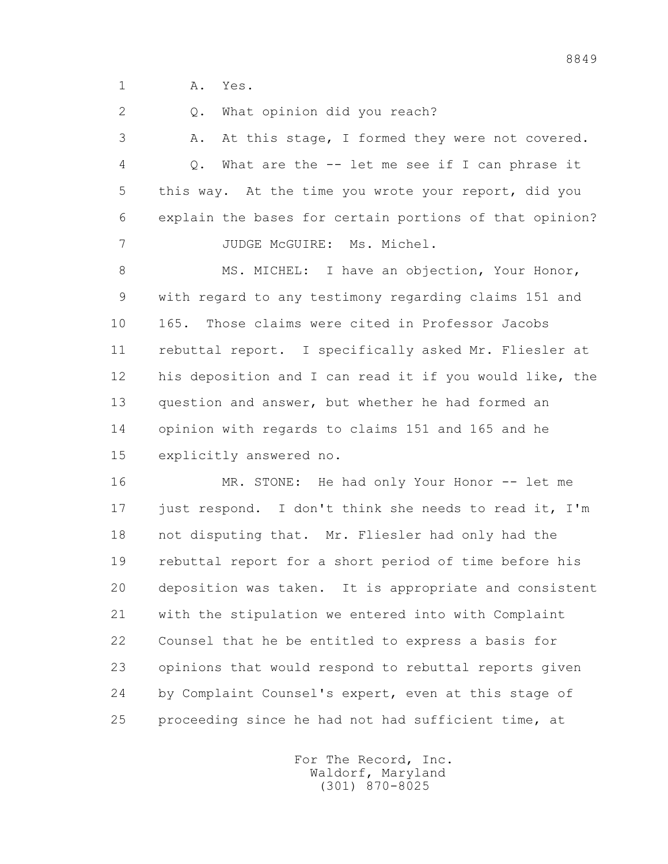1 A. Yes.

2 0. What opinion did you reach?

 3 A. At this stage, I formed they were not covered. 4 Q. What are the -- let me see if I can phrase it 5 this way. At the time you wrote your report, did you 6 explain the bases for certain portions of that opinion? 7 JUDGE McGUIRE: Ms. Michel.

8 MS. MICHEL: I have an objection, Your Honor, 9 with regard to any testimony regarding claims 151 and 10 165. Those claims were cited in Professor Jacobs 11 rebuttal report. I specifically asked Mr. Fliesler at 12 his deposition and I can read it if you would like, the 13 question and answer, but whether he had formed an 14 opinion with regards to claims 151 and 165 and he 15 explicitly answered no.

16 MR. STONE: He had only Your Honor -- let me 17 just respond. I don't think she needs to read it, I'm 18 not disputing that. Mr. Fliesler had only had the 19 rebuttal report for a short period of time before his 20 deposition was taken. It is appropriate and consistent 21 with the stipulation we entered into with Complaint 22 Counsel that he be entitled to express a basis for 23 opinions that would respond to rebuttal reports given 24 by Complaint Counsel's expert, even at this stage of 25 proceeding since he had not had sufficient time, at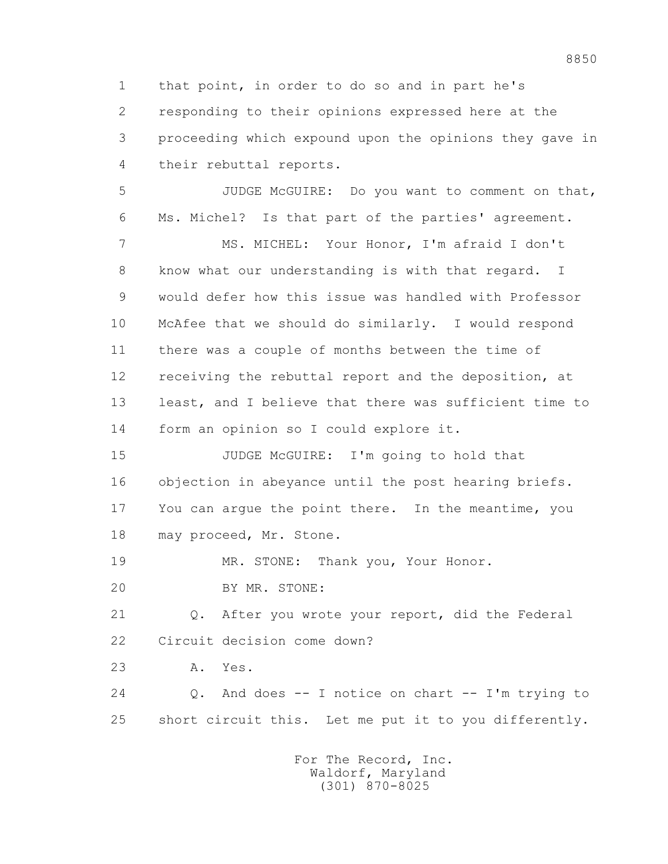1 that point, in order to do so and in part he's 2 responding to their opinions expressed here at the 3 proceeding which expound upon the opinions they gave in 4 their rebuttal reports.

 5 JUDGE McGUIRE: Do you want to comment on that, 6 Ms. Michel? Is that part of the parties' agreement.

 7 MS. MICHEL: Your Honor, I'm afraid I don't 8 know what our understanding is with that regard. I 9 would defer how this issue was handled with Professor 10 McAfee that we should do similarly. I would respond 11 there was a couple of months between the time of 12 receiving the rebuttal report and the deposition, at 13 least, and I believe that there was sufficient time to 14 form an opinion so I could explore it.

 15 JUDGE McGUIRE: I'm going to hold that 16 objection in abeyance until the post hearing briefs. 17 You can argue the point there. In the meantime, you 18 may proceed, Mr. Stone.

19 MR. STONE: Thank you, Your Honor.

20 BY MR. STONE:

 21 Q. After you wrote your report, did the Federal 22 Circuit decision come down?

23 A. Yes.

 24 Q. And does -- I notice on chart -- I'm trying to 25 short circuit this. Let me put it to you differently.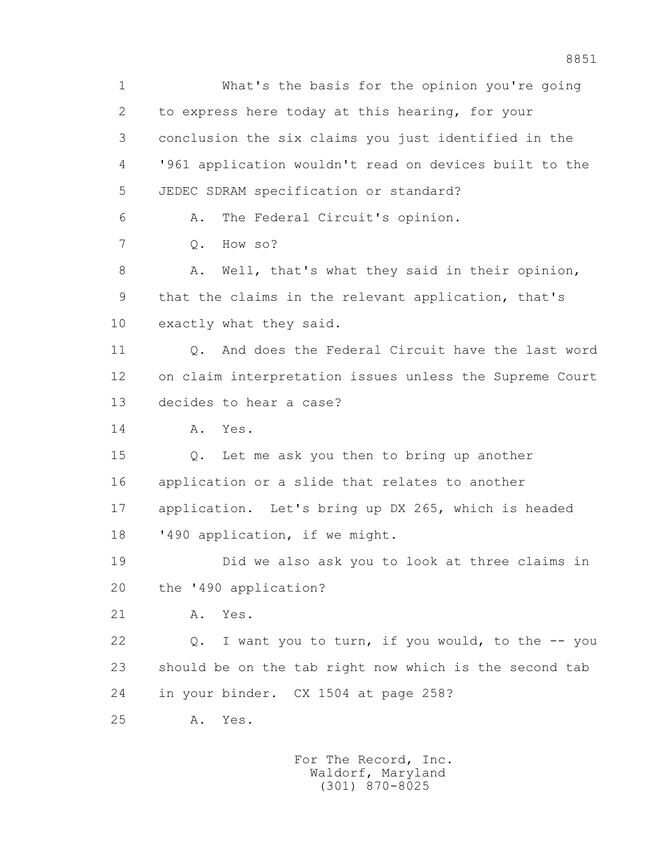1 What's the basis for the opinion you're going 2 to express here today at this hearing, for your 3 conclusion the six claims you just identified in the 4 '961 application wouldn't read on devices built to the 5 JEDEC SDRAM specification or standard? 6 A. The Federal Circuit's opinion. 7 Q. How so? 8 A. Well, that's what they said in their opinion, 9 that the claims in the relevant application, that's 10 exactly what they said. 11 Q. And does the Federal Circuit have the last word 12 on claim interpretation issues unless the Supreme Court 13 decides to hear a case? 14 A. Yes. 15 Q. Let me ask you then to bring up another 16 application or a slide that relates to another 17 application. Let's bring up DX 265, which is headed 18 '490 application, if we might. 19 Did we also ask you to look at three claims in 20 the '490 application? 21 A. Yes. 22 Q. I want you to turn, if you would, to the -- you 23 should be on the tab right now which is the second tab 24 in your binder. CX 1504 at page 258? 25 A. Yes.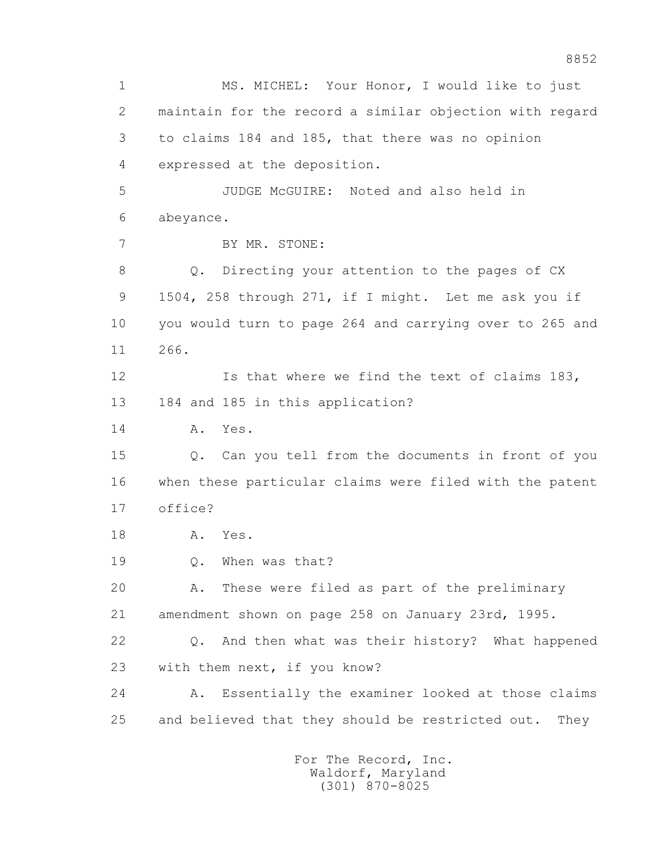1 MS. MICHEL: Your Honor, I would like to just 2 maintain for the record a similar objection with regard 3 to claims 184 and 185, that there was no opinion 4 expressed at the deposition. 5 JUDGE McGUIRE: Noted and also held in 6 abeyance. 7 BY MR. STONE: 8 Q. Directing your attention to the pages of CX 9 1504, 258 through 271, if I might. Let me ask you if 10 you would turn to page 264 and carrying over to 265 and 11 266. 12 Is that where we find the text of claims 183, 13 184 and 185 in this application? 14 A. Yes. 15 Q. Can you tell from the documents in front of you 16 when these particular claims were filed with the patent 17 office? 18 A. Yes. 19 0. When was that? 20 A. These were filed as part of the preliminary 21 amendment shown on page 258 on January 23rd, 1995. 22 Q. And then what was their history? What happened 23 with them next, if you know? 24 A. Essentially the examiner looked at those claims 25 and believed that they should be restricted out. They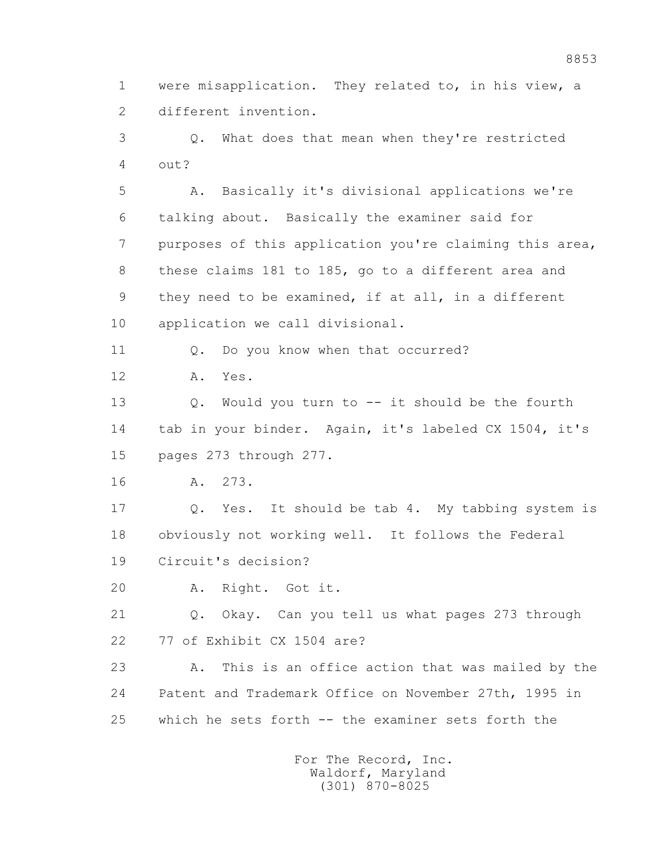1 were misapplication. They related to, in his view, a 2 different invention.

 3 Q. What does that mean when they're restricted 4 out?

 5 A. Basically it's divisional applications we're 6 talking about. Basically the examiner said for 7 purposes of this application you're claiming this area, 8 these claims 181 to 185, go to a different area and 9 they need to be examined, if at all, in a different 10 application we call divisional.

11 0. Do you know when that occurred?

12 A. Yes.

 13 Q. Would you turn to -- it should be the fourth 14 tab in your binder. Again, it's labeled CX 1504, it's 15 pages 273 through 277.

16 A. 273.

 17 Q. Yes. It should be tab 4. My tabbing system is 18 obviously not working well. It follows the Federal 19 Circuit's decision?

20 A. Right. Got it.

 21 Q. Okay. Can you tell us what pages 273 through 22 77 of Exhibit CX 1504 are?

 23 A. This is an office action that was mailed by the 24 Patent and Trademark Office on November 27th, 1995 in 25 which he sets forth -- the examiner sets forth the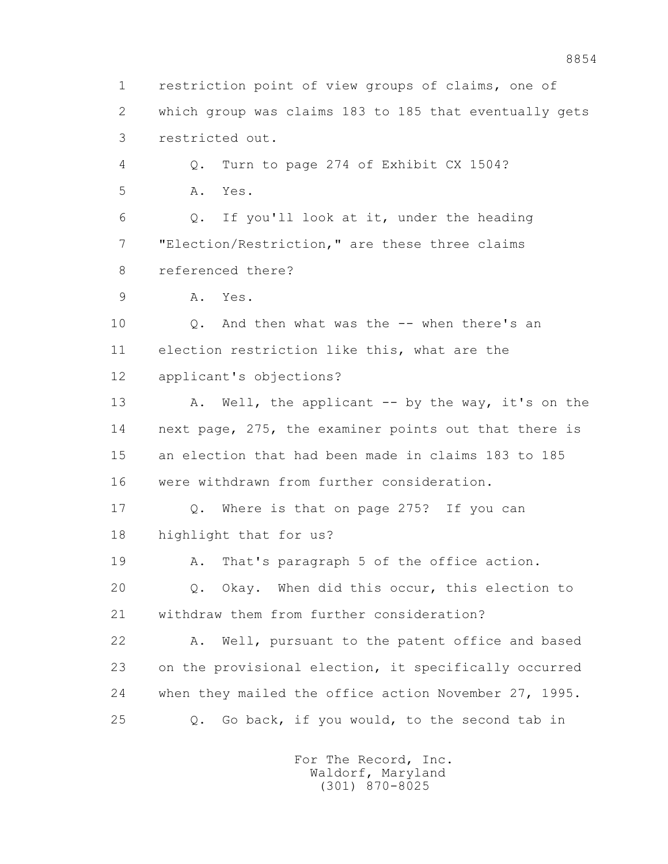1 restriction point of view groups of claims, one of 2 which group was claims 183 to 185 that eventually gets 3 restricted out. 4 Q. Turn to page 274 of Exhibit CX 1504? 5 A. Yes. 6 Q. If you'll look at it, under the heading 7 "Election/Restriction," are these three claims 8 referenced there? 9 A. Yes. 10 Q. And then what was the -- when there's an 11 election restriction like this, what are the 12 applicant's objections? 13 A. Well, the applicant -- by the way, it's on the 14 next page, 275, the examiner points out that there is 15 an election that had been made in claims 183 to 185 16 were withdrawn from further consideration. 17 Q. Where is that on page 275? If you can 18 highlight that for us? 19 A. That's paragraph 5 of the office action. 20 Q. Okay. When did this occur, this election to 21 withdraw them from further consideration? 22 A. Well, pursuant to the patent office and based 23 on the provisional election, it specifically occurred 24 when they mailed the office action November 27, 1995. 25 Q. Go back, if you would, to the second tab in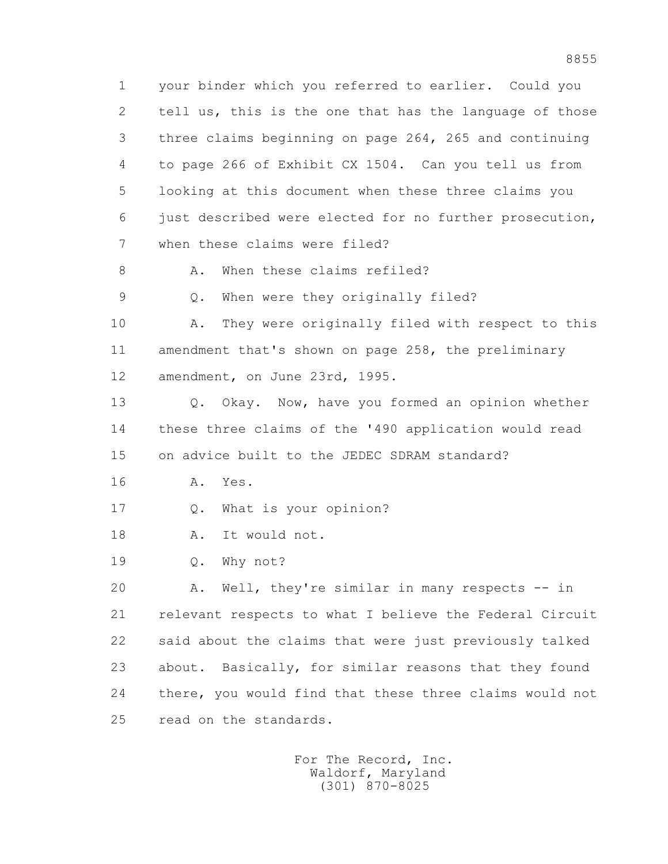1 your binder which you referred to earlier. Could you 2 tell us, this is the one that has the language of those 3 three claims beginning on page 264, 265 and continuing 4 to page 266 of Exhibit CX 1504. Can you tell us from 5 looking at this document when these three claims you 6 just described were elected for no further prosecution, 7 when these claims were filed? 8 A. When these claims refiled?

9 Q. When were they originally filed?

 10 A. They were originally filed with respect to this 11 amendment that's shown on page 258, the preliminary 12 amendment, on June 23rd, 1995.

 13 Q. Okay. Now, have you formed an opinion whether 14 these three claims of the '490 application would read 15 on advice built to the JEDEC SDRAM standard?

16 A. Yes.

17 Q. What is your opinion?

18 A. It would not.

19 Q. Why not?

 20 A. Well, they're similar in many respects -- in 21 relevant respects to what I believe the Federal Circuit 22 said about the claims that were just previously talked 23 about. Basically, for similar reasons that they found 24 there, you would find that these three claims would not 25 read on the standards.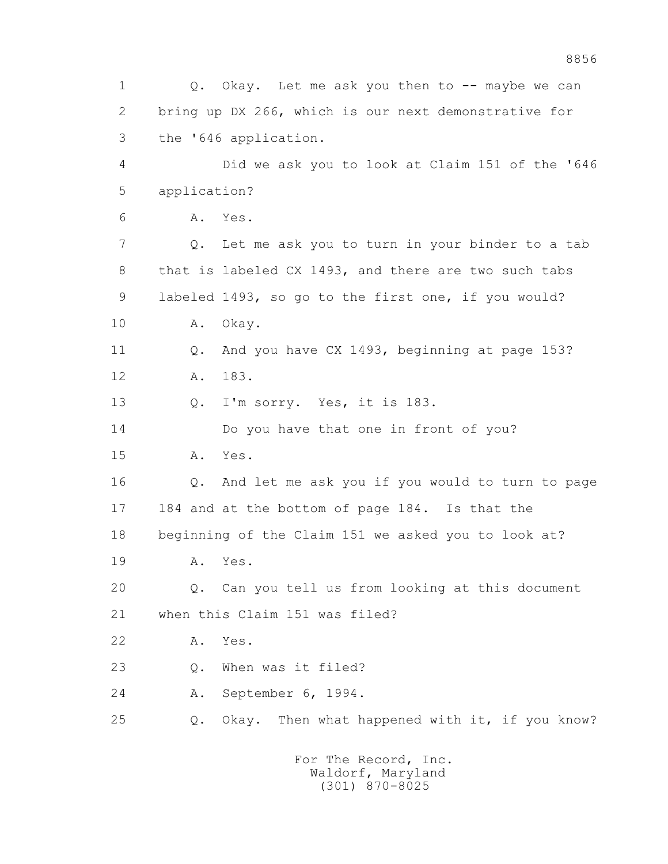1 Q. Okay. Let me ask you then to -- maybe we can 2 bring up DX 266, which is our next demonstrative for 3 the '646 application. 4 Did we ask you to look at Claim 151 of the '646 5 application? 6 A. Yes. 7 Q. Let me ask you to turn in your binder to a tab 8 that is labeled CX 1493, and there are two such tabs 9 labeled 1493, so go to the first one, if you would? 10 A. Okay. 11 Q. And you have CX 1493, beginning at page 153? 12 A. 183. 13 Q. I'm sorry. Yes, it is 183. 14 Do you have that one in front of you? 15 A. Yes. 16 Q. And let me ask you if you would to turn to page 17 184 and at the bottom of page 184. Is that the 18 beginning of the Claim 151 we asked you to look at? 19 A. Yes. 20 Q. Can you tell us from looking at this document 21 when this Claim 151 was filed? 22 A. Yes. 23 Q. When was it filed? 24 A. September 6, 1994. 25 Q. Okay. Then what happened with it, if you know?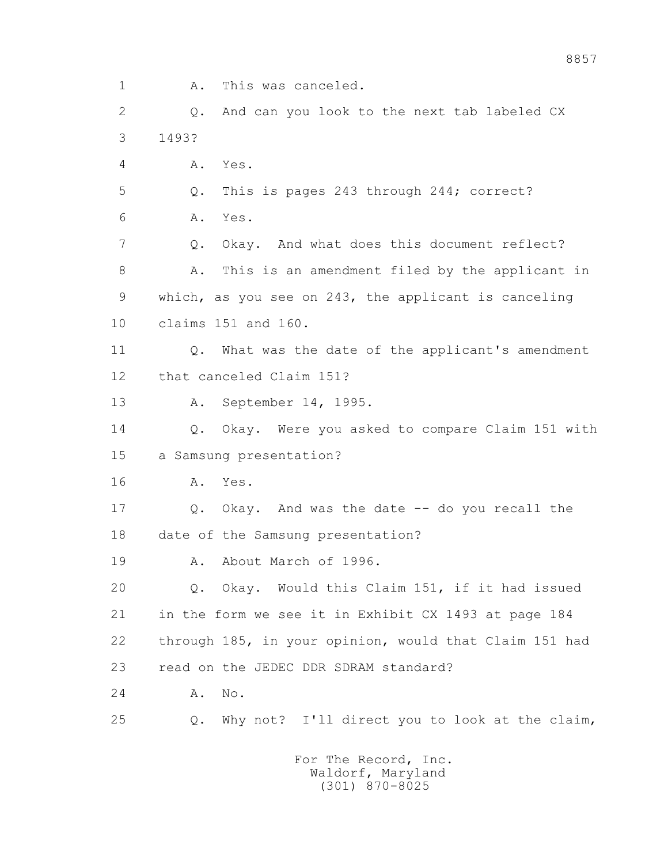1 A. This was canceled. 2 Q. And can you look to the next tab labeled CX

 3 1493? 4 A. Yes. 5 Q. This is pages 243 through 244; correct? 6 A. Yes. 7 Q. Okay. And what does this document reflect? 8 A. This is an amendment filed by the applicant in 9 which, as you see on 243, the applicant is canceling 10 claims 151 and 160. 11 Q. What was the date of the applicant's amendment 12 that canceled Claim 151? 13 A. September 14, 1995. 14 Q. Okay. Were you asked to compare Claim 151 with 15 a Samsung presentation? 16 A. Yes. 17 Q. Okay. And was the date -- do you recall the

18 date of the Samsung presentation?

19 A. About March of 1996.

 20 Q. Okay. Would this Claim 151, if it had issued 21 in the form we see it in Exhibit CX 1493 at page 184 22 through 185, in your opinion, would that Claim 151 had 23 read on the JEDEC DDR SDRAM standard?

24 A. No.

25 Q. Why not? I'll direct you to look at the claim,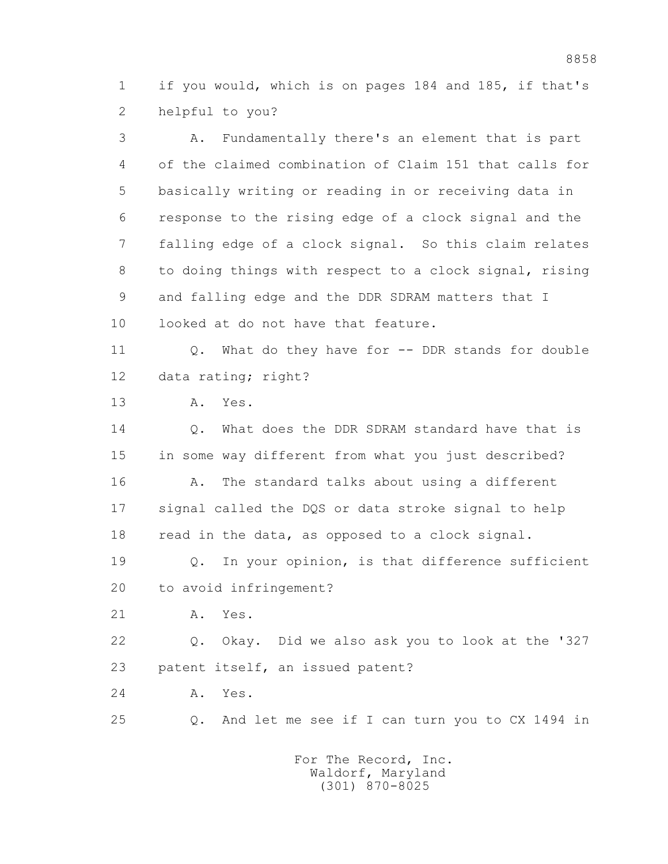1 if you would, which is on pages 184 and 185, if that's 2 helpful to you?

 3 A. Fundamentally there's an element that is part 4 of the claimed combination of Claim 151 that calls for 5 basically writing or reading in or receiving data in 6 response to the rising edge of a clock signal and the 7 falling edge of a clock signal. So this claim relates 8 to doing things with respect to a clock signal, rising 9 and falling edge and the DDR SDRAM matters that I 10 looked at do not have that feature. 11 0. What do they have for -- DDR stands for double 12 data rating; right? 13 A. Yes. 14 Q. What does the DDR SDRAM standard have that is 15 in some way different from what you just described? 16 A. The standard talks about using a different 17 signal called the DQS or data stroke signal to help 18 read in the data, as opposed to a clock signal. 19 Q. In your opinion, is that difference sufficient

20 to avoid infringement?

21 A. Yes.

 22 Q. Okay. Did we also ask you to look at the '327 23 patent itself, an issued patent?

24 A. Yes.

25 Q. And let me see if I can turn you to CX 1494 in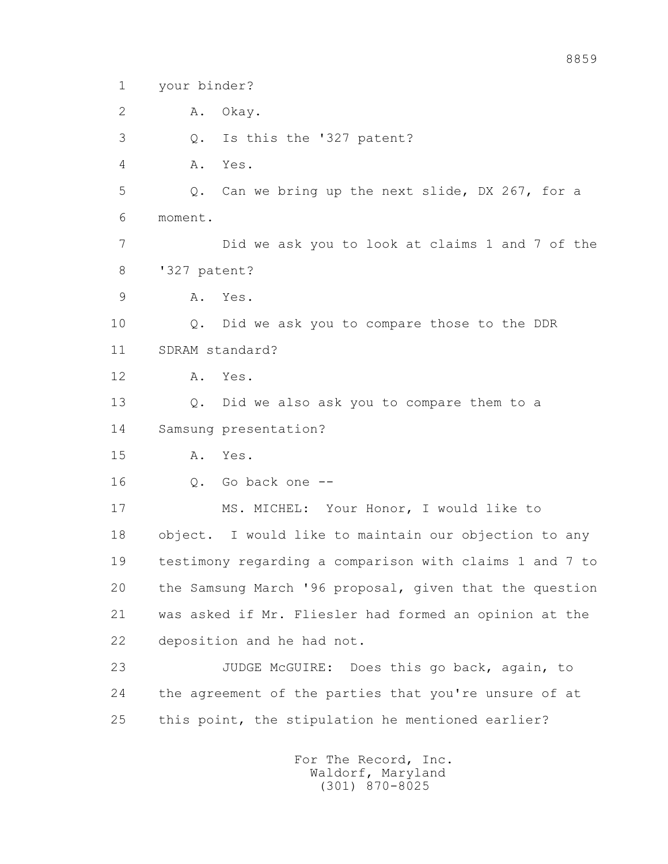- 1 your binder?
- 2 A. Okay.
- 3 Q. Is this the '327 patent?

4 A. Yes.

 5 Q. Can we bring up the next slide, DX 267, for a 6 moment.

 7 Did we ask you to look at claims 1 and 7 of the 8 '327 patent?

9 A. Yes.

 10 Q. Did we ask you to compare those to the DDR 11 SDRAM standard?

12 A. Yes.

 13 Q. Did we also ask you to compare them to a 14 Samsung presentation?

15 A. Yes.

16 Q. Go back one --

 17 MS. MICHEL: Your Honor, I would like to 18 object. I would like to maintain our objection to any 19 testimony regarding a comparison with claims 1 and 7 to 20 the Samsung March '96 proposal, given that the question 21 was asked if Mr. Fliesler had formed an opinion at the 22 deposition and he had not.

 23 JUDGE McGUIRE: Does this go back, again, to 24 the agreement of the parties that you're unsure of at 25 this point, the stipulation he mentioned earlier?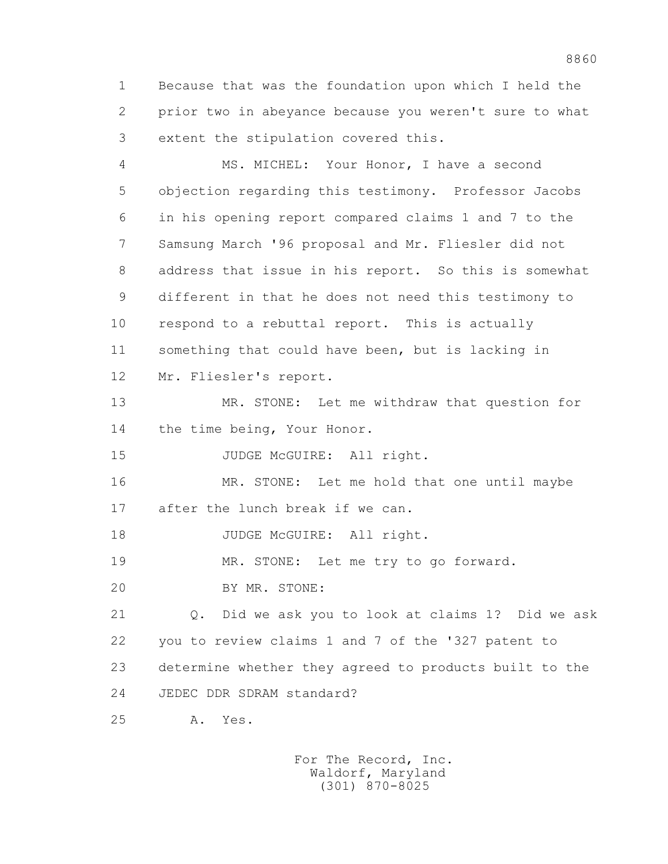1 Because that was the foundation upon which I held the 2 prior two in abeyance because you weren't sure to what 3 extent the stipulation covered this.

 4 MS. MICHEL: Your Honor, I have a second 5 objection regarding this testimony. Professor Jacobs 6 in his opening report compared claims 1 and 7 to the 7 Samsung March '96 proposal and Mr. Fliesler did not 8 address that issue in his report. So this is somewhat 9 different in that he does not need this testimony to 10 respond to a rebuttal report. This is actually 11 something that could have been, but is lacking in 12 Mr. Fliesler's report.

 13 MR. STONE: Let me withdraw that question for 14 the time being, Your Honor.

15 JUDGE McGUIRE: All right.

 16 MR. STONE: Let me hold that one until maybe 17 after the lunch break if we can.

18 JUDGE McGUIRE: All right.

19 MR. STONE: Let me try to go forward.

20 BY MR. STONE:

 21 Q. Did we ask you to look at claims 1? Did we ask 22 you to review claims 1 and 7 of the '327 patent to 23 determine whether they agreed to products built to the 24 JEDEC DDR SDRAM standard?

25 A. Yes.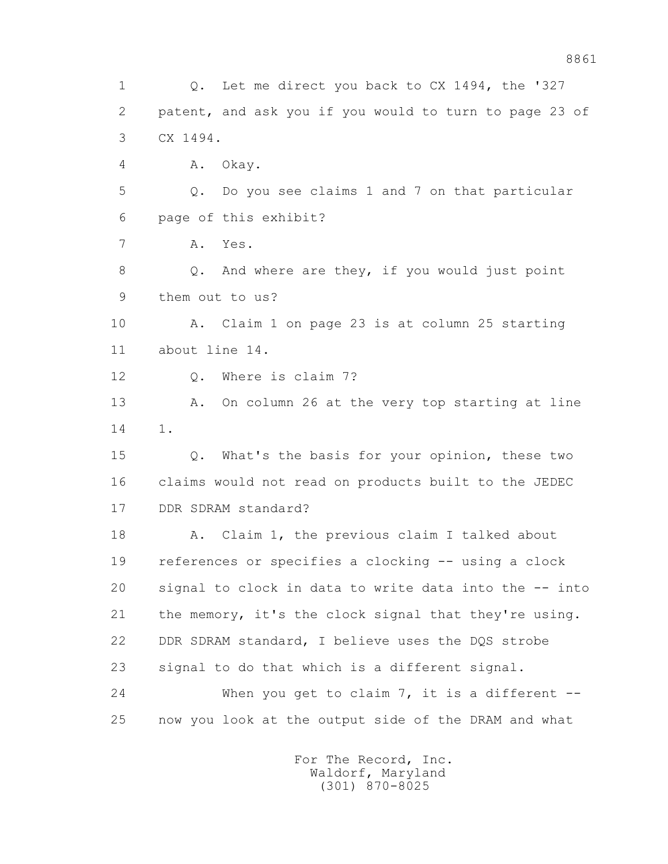1 Q. Let me direct you back to CX 1494, the '327 2 patent, and ask you if you would to turn to page 23 of 3 CX 1494. 4 A. Okay. 5 Q. Do you see claims 1 and 7 on that particular 6 page of this exhibit? 7 A. Yes. 8 Q. And where are they, if you would just point 9 them out to us? 10 A. Claim 1 on page 23 is at column 25 starting 11 about line 14. 12 O. Where is claim 7? 13 A. On column 26 at the very top starting at line 14 1. 15 Q. What's the basis for your opinion, these two 16 claims would not read on products built to the JEDEC 17 DDR SDRAM standard? 18 A. Claim 1, the previous claim I talked about 19 references or specifies a clocking -- using a clock 20 signal to clock in data to write data into the -- into 21 the memory, it's the clock signal that they're using. 22 DDR SDRAM standard, I believe uses the DQS strobe 23 signal to do that which is a different signal. 24 When you get to claim 7, it is a different -- 25 now you look at the output side of the DRAM and what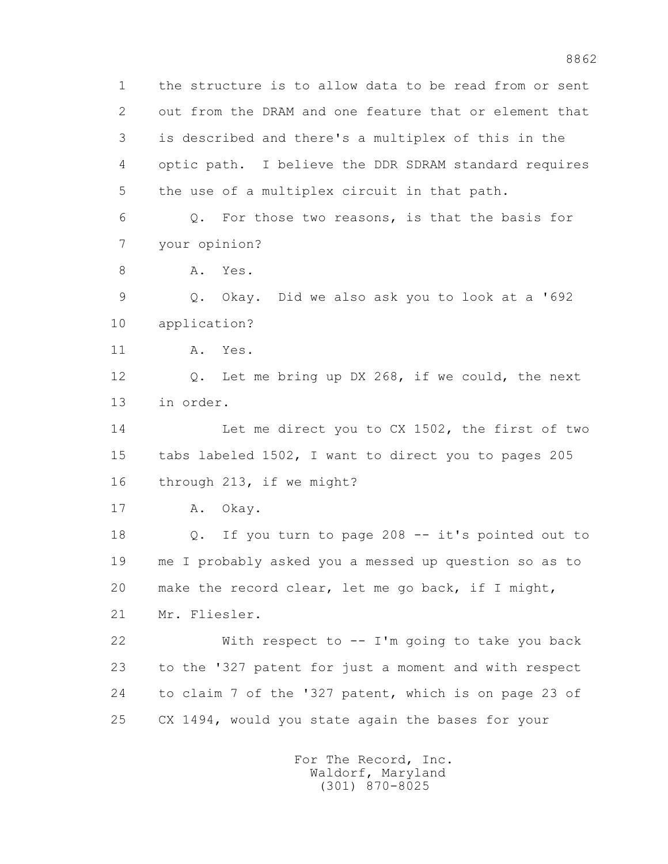1 the structure is to allow data to be read from or sent 2 out from the DRAM and one feature that or element that 3 is described and there's a multiplex of this in the 4 optic path. I believe the DDR SDRAM standard requires 5 the use of a multiplex circuit in that path. 6 Q. For those two reasons, is that the basis for 7 your opinion? 8 A. Yes. 9 Q. Okay. Did we also ask you to look at a '692 10 application? 11 A. Yes. 12 Q. Let me bring up DX 268, if we could, the next 13 in order. 14 Let me direct you to CX 1502, the first of two 15 tabs labeled 1502, I want to direct you to pages 205 16 through 213, if we might? 17 A. Okay. 18 Q. If you turn to page 208 -- it's pointed out to 19 me I probably asked you a messed up question so as to 20 make the record clear, let me go back, if I might, 21 Mr. Fliesler. 22 With respect to -- I'm going to take you back 23 to the '327 patent for just a moment and with respect 24 to claim 7 of the '327 patent, which is on page 23 of 25 CX 1494, would you state again the bases for your For The Record, Inc.

 Waldorf, Maryland (301) 870-8025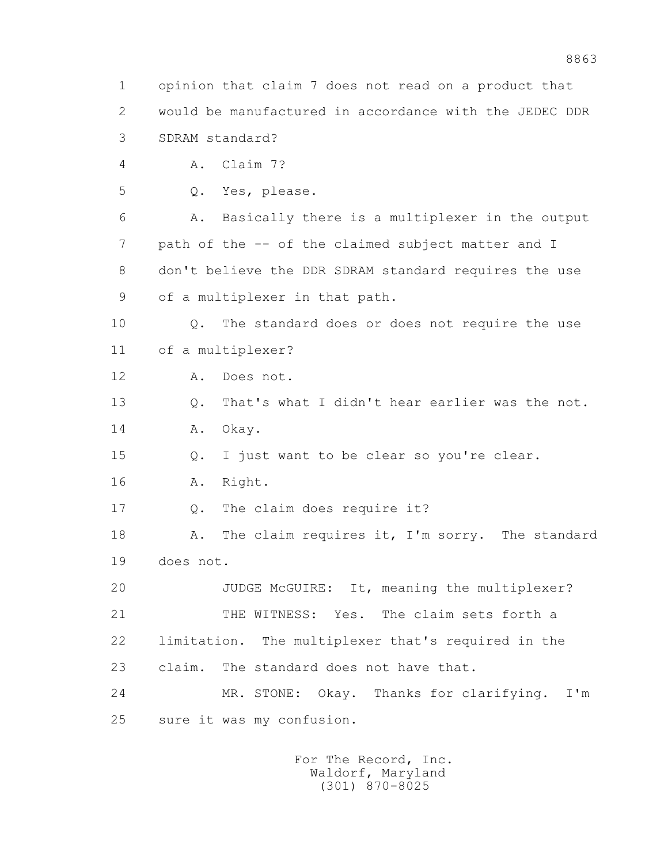1 opinion that claim 7 does not read on a product that 2 would be manufactured in accordance with the JEDEC DDR 3 SDRAM standard? 4 A. Claim 7? 5 Q. Yes, please. 6 A. Basically there is a multiplexer in the output 7 path of the -- of the claimed subject matter and I 8 don't believe the DDR SDRAM standard requires the use 9 of a multiplexer in that path. 10 Q. The standard does or does not require the use 11 of a multiplexer? 12 A. Does not. 13 Q. That's what I didn't hear earlier was the not. 14 A. Okay. 15 Q. I just want to be clear so you're clear. 16 A. Right. 17 Q. The claim does require it? 18 A. The claim requires it, I'm sorry. The standard 19 does not. 20 JUDGE McGUIRE: It, meaning the multiplexer? 21 THE WITNESS: Yes. The claim sets forth a 22 limitation. The multiplexer that's required in the 23 claim. The standard does not have that. 24 MR. STONE: Okay. Thanks for clarifying. I'm 25 sure it was my confusion. For The Record, Inc.

 Waldorf, Maryland (301) 870-8025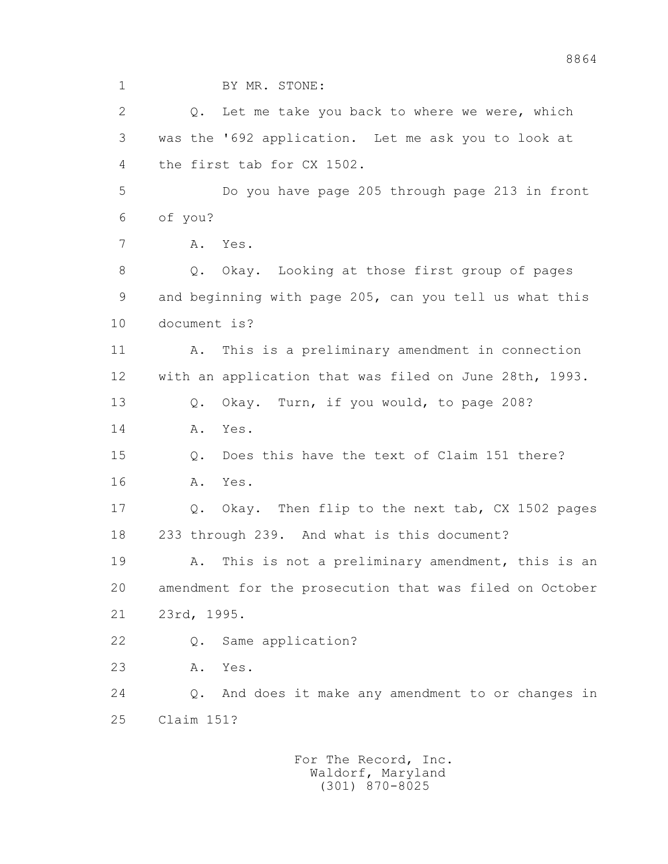1 BY MR. STONE:

2 0. Let me take you back to where we were, which 3 was the '692 application. Let me ask you to look at 4 the first tab for CX 1502.

 5 Do you have page 205 through page 213 in front 6 of you?

7 A. Yes.

 8 Q. Okay. Looking at those first group of pages 9 and beginning with page 205, can you tell us what this 10 document is?

 11 A. This is a preliminary amendment in connection 12 with an application that was filed on June 28th, 1993.

13 Q. Okay. Turn, if you would, to page 208?

14 A. Yes.

 15 Q. Does this have the text of Claim 151 there? 16 A. Yes.

 17 Q. Okay. Then flip to the next tab, CX 1502 pages 18 233 through 239. And what is this document?

 19 A. This is not a preliminary amendment, this is an 20 amendment for the prosecution that was filed on October 21 23rd, 1995.

22 Q. Same application?

23 A. Yes.

 24 Q. And does it make any amendment to or changes in 25 Claim 151?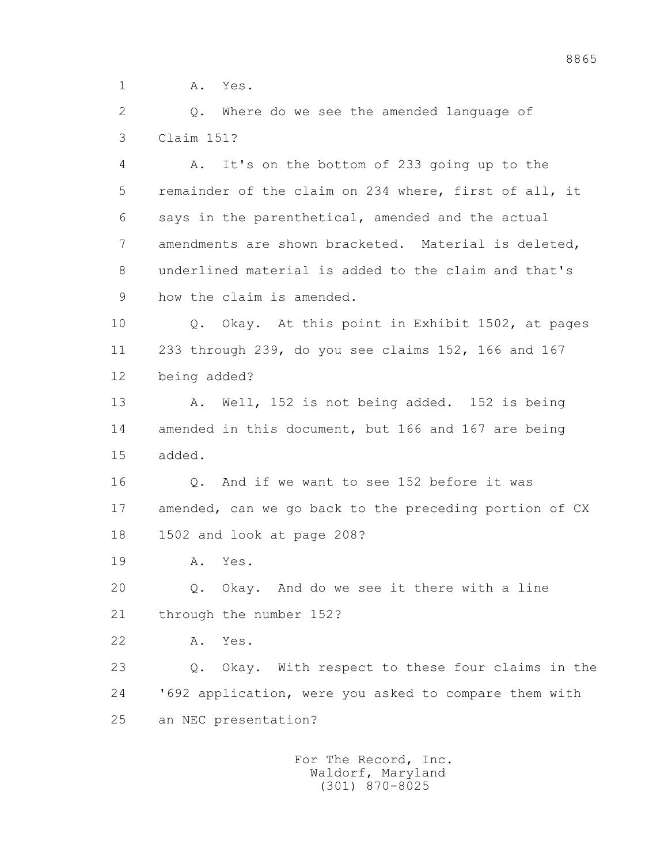1 **A.** Yes.

 2 Q. Where do we see the amended language of 3 Claim 151?

 4 A. It's on the bottom of 233 going up to the 5 remainder of the claim on 234 where, first of all, it 6 says in the parenthetical, amended and the actual 7 amendments are shown bracketed. Material is deleted, 8 underlined material is added to the claim and that's 9 how the claim is amended.

 10 Q. Okay. At this point in Exhibit 1502, at pages 11 233 through 239, do you see claims 152, 166 and 167 12 being added?

 13 A. Well, 152 is not being added. 152 is being 14 amended in this document, but 166 and 167 are being 15 added.

16 0. And if we want to see 152 before it was 17 amended, can we go back to the preceding portion of CX 18 1502 and look at page 208?

19 A. Yes.

 20 Q. Okay. And do we see it there with a line 21 through the number 152?

22 A. Yes.

 23 Q. Okay. With respect to these four claims in the 24 '692 application, were you asked to compare them with 25 an NEC presentation?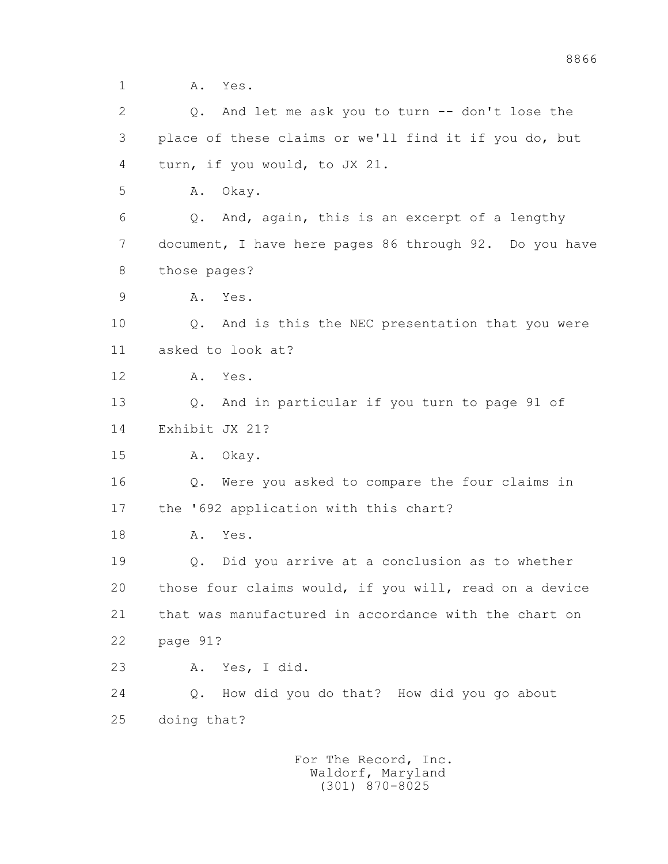1 **A.** Yes.

 2 Q. And let me ask you to turn -- don't lose the 3 place of these claims or we'll find it if you do, but 4 turn, if you would, to JX 21.

5 A. Okay.

 6 Q. And, again, this is an excerpt of a lengthy 7 document, I have here pages 86 through 92. Do you have 8 those pages?

9 A. Yes.

 10 Q. And is this the NEC presentation that you were 11 asked to look at?

12 A. Yes.

 13 Q. And in particular if you turn to page 91 of 14 Exhibit JX 21?

15 A. Okay.

 16 Q. Were you asked to compare the four claims in 17 the '692 application with this chart?

18 A. Yes.

 19 Q. Did you arrive at a conclusion as to whether 20 those four claims would, if you will, read on a device 21 that was manufactured in accordance with the chart on 22 page 91?

23 A. Yes, I did.

 24 Q. How did you do that? How did you go about 25 doing that?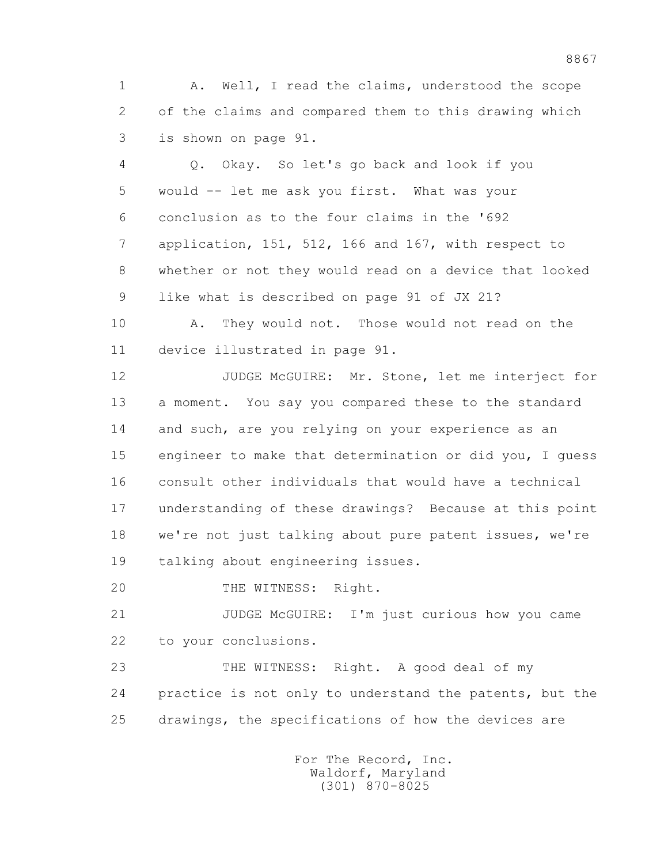1 A. Well, I read the claims, understood the scope 2 of the claims and compared them to this drawing which 3 is shown on page 91.

 4 Q. Okay. So let's go back and look if you 5 would -- let me ask you first. What was your 6 conclusion as to the four claims in the '692 7 application, 151, 512, 166 and 167, with respect to 8 whether or not they would read on a device that looked 9 like what is described on page 91 of JX 21?

 10 A. They would not. Those would not read on the 11 device illustrated in page 91.

 12 JUDGE McGUIRE: Mr. Stone, let me interject for 13 a moment. You say you compared these to the standard 14 and such, are you relying on your experience as an 15 engineer to make that determination or did you, I guess 16 consult other individuals that would have a technical 17 understanding of these drawings? Because at this point 18 we're not just talking about pure patent issues, we're 19 talking about engineering issues.

20 THE WITNESS: Right.

 21 JUDGE McGUIRE: I'm just curious how you came 22 to your conclusions.

 23 THE WITNESS: Right. A good deal of my 24 practice is not only to understand the patents, but the 25 drawings, the specifications of how the devices are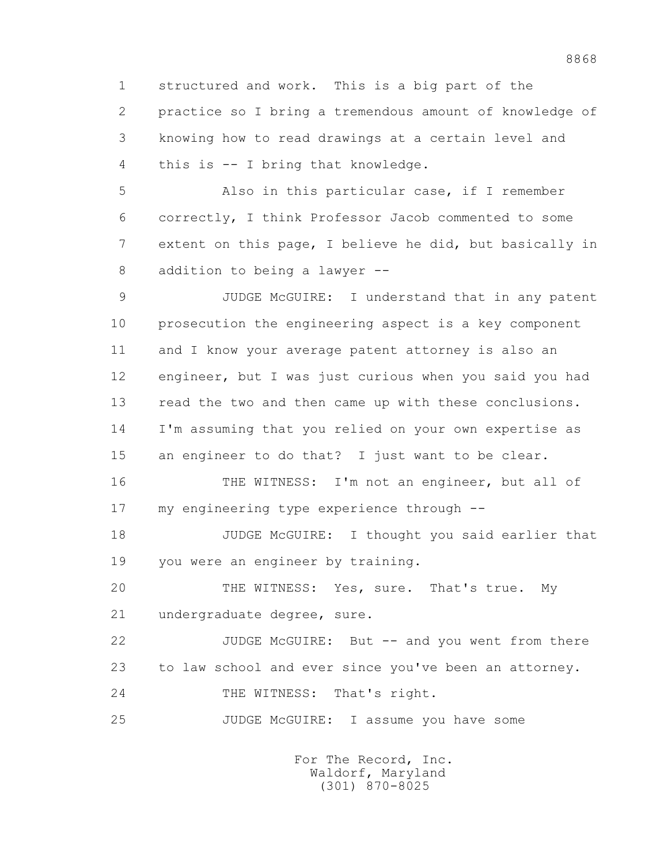1 structured and work. This is a big part of the 2 practice so I bring a tremendous amount of knowledge of 3 knowing how to read drawings at a certain level and 4 this is -- I bring that knowledge.

 5 Also in this particular case, if I remember 6 correctly, I think Professor Jacob commented to some 7 extent on this page, I believe he did, but basically in 8 addition to being a lawyer --

 9 JUDGE McGUIRE: I understand that in any patent 10 prosecution the engineering aspect is a key component 11 and I know your average patent attorney is also an 12 engineer, but I was just curious when you said you had 13 read the two and then came up with these conclusions. 14 I'm assuming that you relied on your own expertise as 15 an engineer to do that? I just want to be clear.

 16 THE WITNESS: I'm not an engineer, but all of 17 my engineering type experience through --

 18 JUDGE McGUIRE: I thought you said earlier that 19 you were an engineer by training.

 20 THE WITNESS: Yes, sure. That's true. My 21 undergraduate degree, sure.

 22 JUDGE McGUIRE: But -- and you went from there 23 to law school and ever since you've been an attorney. 24 THE WITNESS: That's right.

25 JUDGE McGUIRE: I assume you have some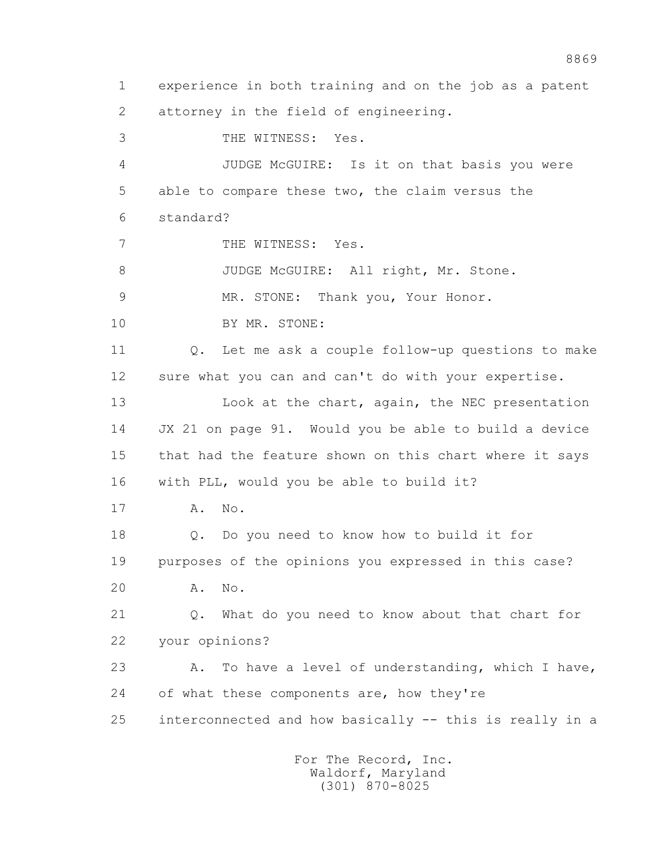1 experience in both training and on the job as a patent 2 attorney in the field of engineering. 3 THE WITNESS: Yes. 4 JUDGE McGUIRE: Is it on that basis you were 5 able to compare these two, the claim versus the 6 standard? 7 THE WITNESS: Yes. 8 JUDGE McGUIRE: All right, Mr. Stone. 9 MR. STONE: Thank you, Your Honor. 10 BY MR. STONE: 11 Q. Let me ask a couple follow-up questions to make 12 sure what you can and can't do with your expertise. 13 Look at the chart, again, the NEC presentation 14 JX 21 on page 91. Would you be able to build a device 15 that had the feature shown on this chart where it says 16 with PLL, would you be able to build it? 17 A. No. 18 Q. Do you need to know how to build it for 19 purposes of the opinions you expressed in this case? 20 A. No. 21 Q. What do you need to know about that chart for 22 your opinions? 23 A. To have a level of understanding, which I have, 24 of what these components are, how they're 25 interconnected and how basically -- this is really in a For The Record, Inc.

> Waldorf, Maryland (301) 870-8025

8869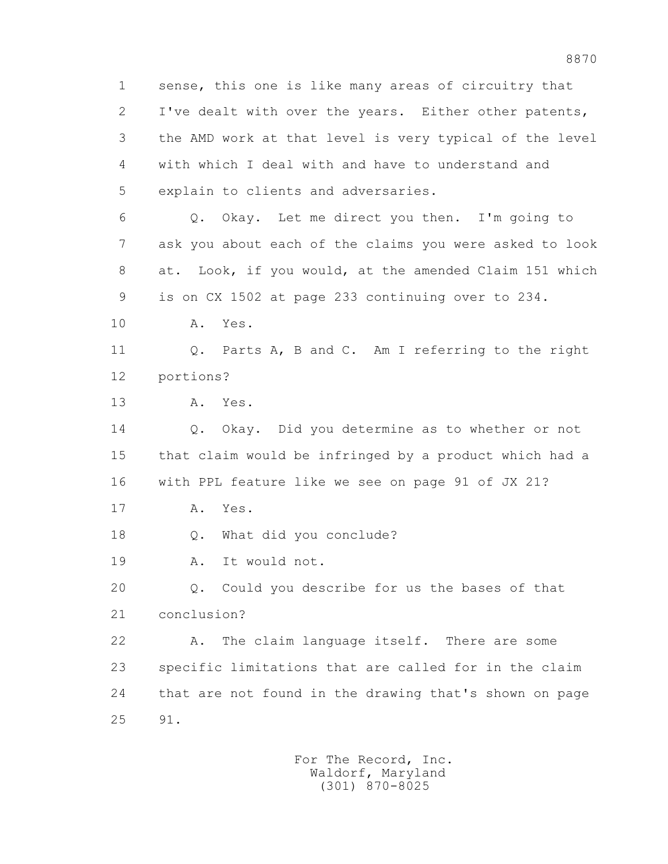1 sense, this one is like many areas of circuitry that 2 I've dealt with over the years. Either other patents, 3 the AMD work at that level is very typical of the level 4 with which I deal with and have to understand and 5 explain to clients and adversaries. 6 Q. Okay. Let me direct you then. I'm going to 7 ask you about each of the claims you were asked to look 8 at. Look, if you would, at the amended Claim 151 which 9 is on CX 1502 at page 233 continuing over to 234. 10 A. Yes. 11 0. Parts A, B and C. Am I referring to the right 12 portions? 13 A. Yes. 14 Q. Okay. Did you determine as to whether or not 15 that claim would be infringed by a product which had a 16 with PPL feature like we see on page 91 of JX 21? 17 A. Yes. 18 Q. What did you conclude? 19 A. It would not. 20 Q. Could you describe for us the bases of that 21 conclusion? 22 A. The claim language itself. There are some 23 specific limitations that are called for in the claim 24 that are not found in the drawing that's shown on page 25 91.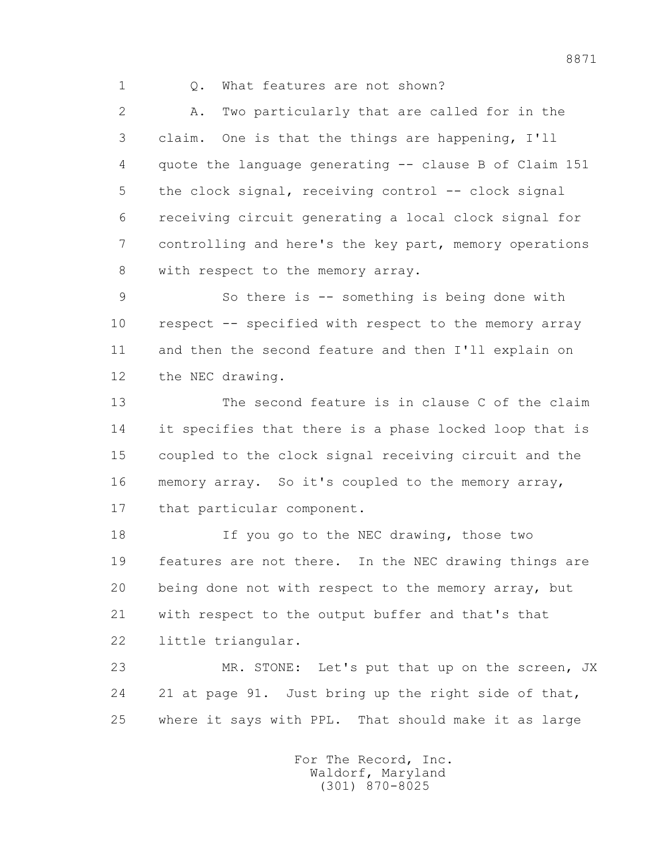1 Q. What features are not shown?

 2 A. Two particularly that are called for in the 3 claim. One is that the things are happening, I'll 4 quote the language generating -- clause B of Claim 151 5 the clock signal, receiving control -- clock signal 6 receiving circuit generating a local clock signal for 7 controlling and here's the key part, memory operations 8 with respect to the memory array.

 9 So there is -- something is being done with 10 respect -- specified with respect to the memory array 11 and then the second feature and then I'll explain on 12 the NEC drawing.

 13 The second feature is in clause C of the claim 14 it specifies that there is a phase locked loop that is 15 coupled to the clock signal receiving circuit and the 16 memory array. So it's coupled to the memory array, 17 that particular component.

18 If you go to the NEC drawing, those two 19 features are not there. In the NEC drawing things are 20 being done not with respect to the memory array, but 21 with respect to the output buffer and that's that 22 little triangular.

 23 MR. STONE: Let's put that up on the screen, JX 24 21 at page 91. Just bring up the right side of that, 25 where it says with PPL. That should make it as large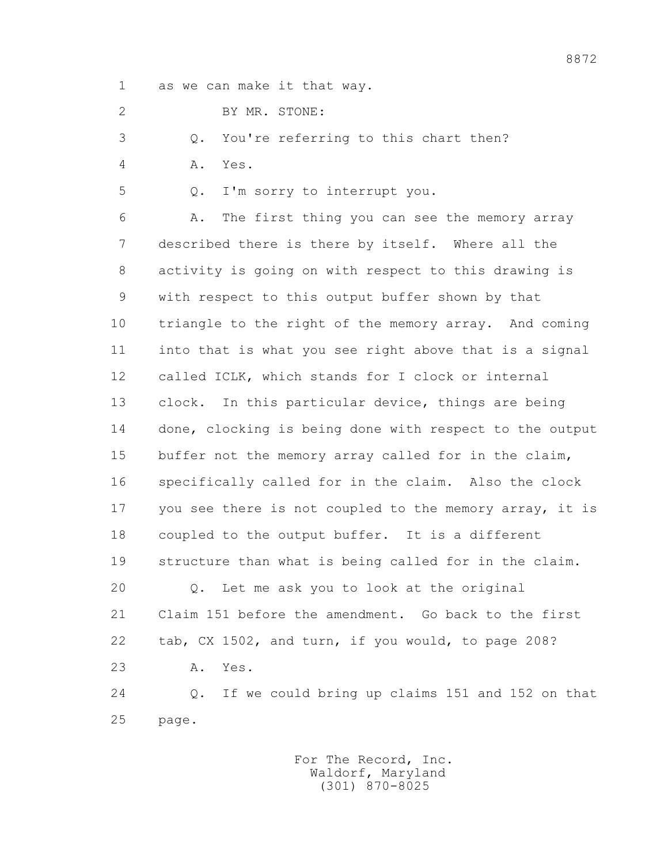1 as we can make it that way.

2 BY MR. STONE:

3 Q. You're referring to this chart then?

4 A. Yes.

5 Q. I'm sorry to interrupt you.

 6 A. The first thing you can see the memory array 7 described there is there by itself. Where all the 8 activity is going on with respect to this drawing is 9 with respect to this output buffer shown by that 10 triangle to the right of the memory array. And coming 11 into that is what you see right above that is a signal 12 called ICLK, which stands for I clock or internal 13 clock. In this particular device, things are being 14 done, clocking is being done with respect to the output 15 buffer not the memory array called for in the claim, 16 specifically called for in the claim. Also the clock 17 you see there is not coupled to the memory array, it is 18 coupled to the output buffer. It is a different 19 structure than what is being called for in the claim. 20 Q. Let me ask you to look at the original 21 Claim 151 before the amendment. Go back to the first

22 tab, CX 1502, and turn, if you would, to page 208?

23 A. Yes.

 24 Q. If we could bring up claims 151 and 152 on that 25 page.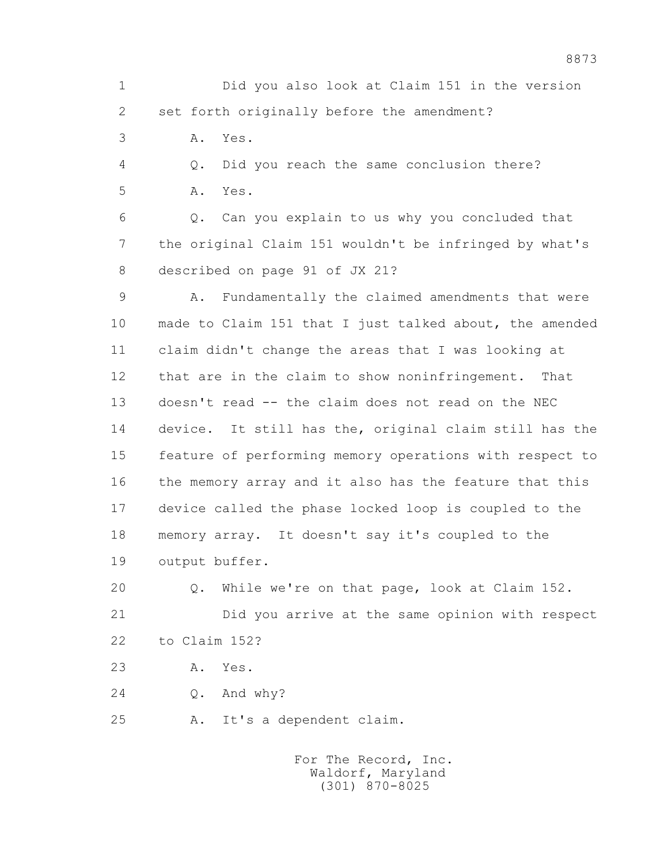1 Did you also look at Claim 151 in the version 2 set forth originally before the amendment?

3 A. Yes.

 4 Q. Did you reach the same conclusion there? 5 A. Yes.

 6 Q. Can you explain to us why you concluded that 7 the original Claim 151 wouldn't be infringed by what's 8 described on page 91 of JX 21?

 9 A. Fundamentally the claimed amendments that were 10 made to Claim 151 that I just talked about, the amended 11 claim didn't change the areas that I was looking at 12 that are in the claim to show noninfringement. That 13 doesn't read -- the claim does not read on the NEC 14 device. It still has the, original claim still has the 15 feature of performing memory operations with respect to 16 the memory array and it also has the feature that this 17 device called the phase locked loop is coupled to the 18 memory array. It doesn't say it's coupled to the 19 output buffer.

 20 Q. While we're on that page, look at Claim 152. 21 Did you arrive at the same opinion with respect 22 to Claim 152?

23 A. Yes.

24 Q. And why?

25 A. It's a dependent claim.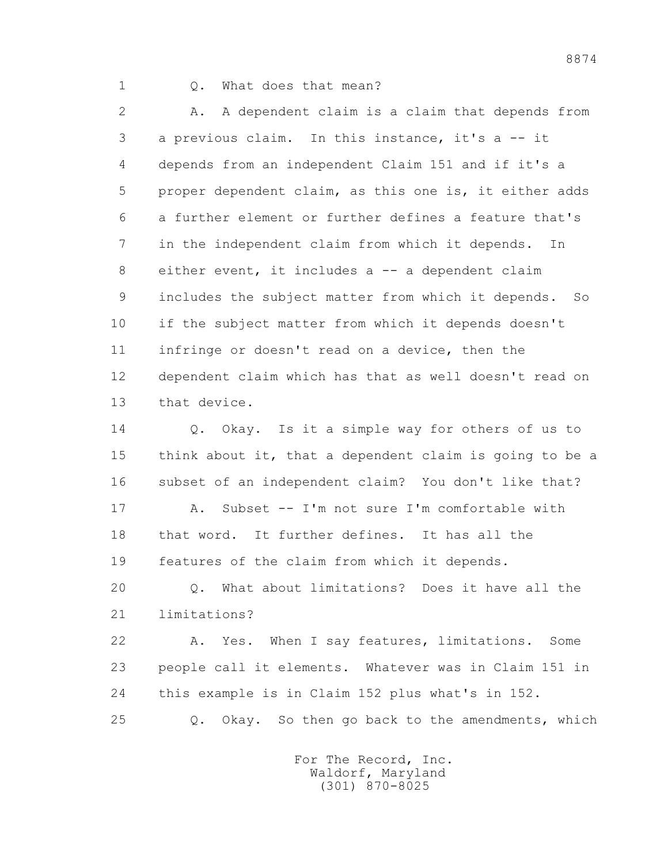## 1 Q. What does that mean?

 2 A. A dependent claim is a claim that depends from 3 a previous claim. In this instance, it's a -- it 4 depends from an independent Claim 151 and if it's a 5 proper dependent claim, as this one is, it either adds 6 a further element or further defines a feature that's 7 in the independent claim from which it depends. In 8 either event, it includes a -- a dependent claim 9 includes the subject matter from which it depends. So 10 if the subject matter from which it depends doesn't 11 infringe or doesn't read on a device, then the 12 dependent claim which has that as well doesn't read on 13 that device.

 14 Q. Okay. Is it a simple way for others of us to 15 think about it, that a dependent claim is going to be a 16 subset of an independent claim? You don't like that?

 17 A. Subset -- I'm not sure I'm comfortable with 18 that word. It further defines. It has all the 19 features of the claim from which it depends.

 20 Q. What about limitations? Does it have all the 21 limitations?

 22 A. Yes. When I say features, limitations. Some 23 people call it elements. Whatever was in Claim 151 in 24 this example is in Claim 152 plus what's in 152.

25 Q. Okay. So then go back to the amendments, which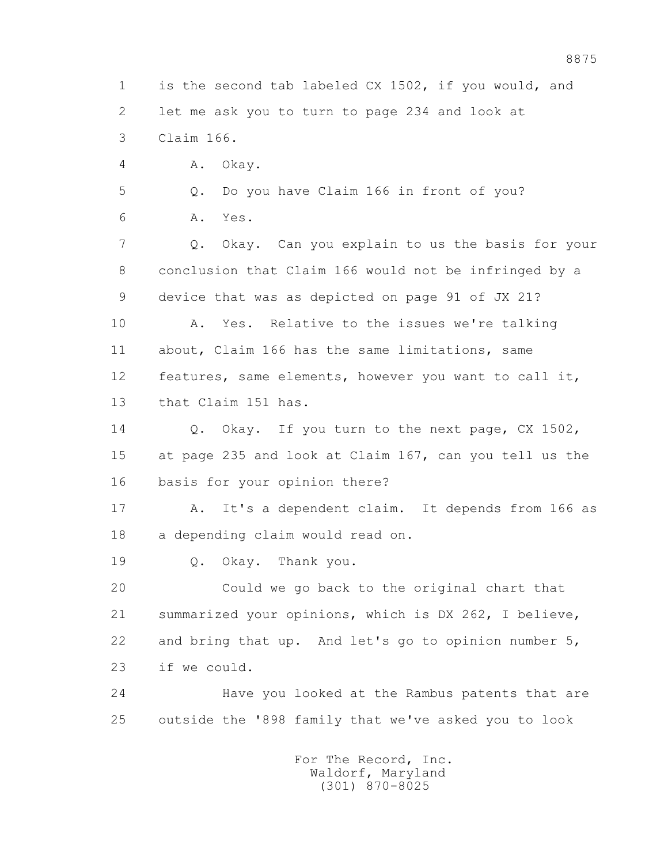1 is the second tab labeled CX 1502, if you would, and 2 let me ask you to turn to page 234 and look at 3 Claim 166.

4 A. Okay.

5 Q. Do you have Claim 166 in front of you?

6 A. Yes.

 7 Q. Okay. Can you explain to us the basis for your 8 conclusion that Claim 166 would not be infringed by a 9 device that was as depicted on page 91 of JX 21?

 10 A. Yes. Relative to the issues we're talking 11 about, Claim 166 has the same limitations, same 12 features, same elements, however you want to call it, 13 that Claim 151 has.

 14 Q. Okay. If you turn to the next page, CX 1502, 15 at page 235 and look at Claim 167, can you tell us the 16 basis for your opinion there?

 17 A. It's a dependent claim. It depends from 166 as 18 a depending claim would read on.

19 Q. Okay. Thank you.

 20 Could we go back to the original chart that 21 summarized your opinions, which is DX 262, I believe, 22 and bring that up. And let's go to opinion number 5, 23 if we could.

 24 Have you looked at the Rambus patents that are 25 outside the '898 family that we've asked you to look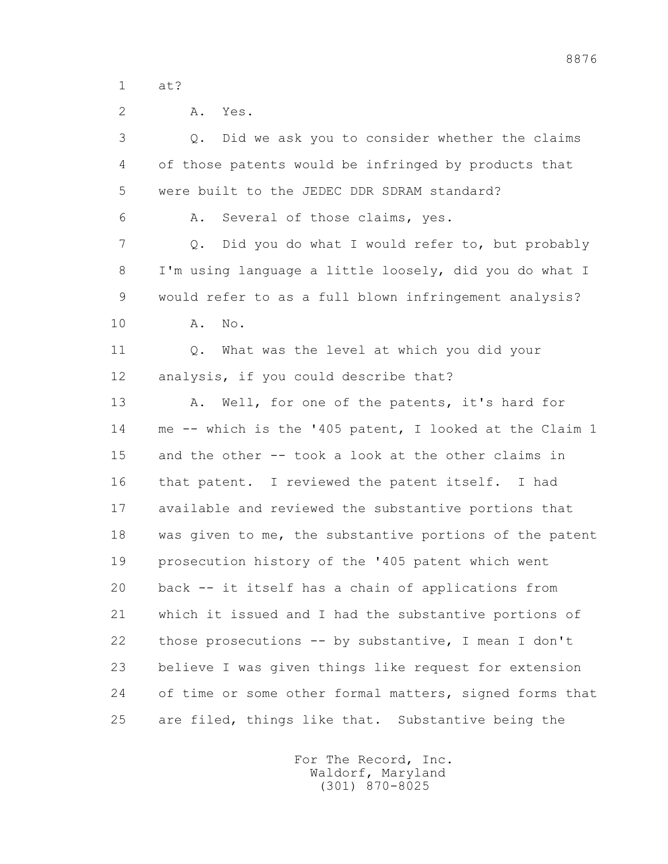1 at?

| $\overline{2}$ | Yes.<br>Α.                                              |
|----------------|---------------------------------------------------------|
| 3              | Did we ask you to consider whether the claims<br>Q.     |
| 4              | of those patents would be infringed by products that    |
| 5              | were built to the JEDEC DDR SDRAM standard?             |
| 6              | Several of those claims, yes.<br>Α.                     |
| 7              | Did you do what I would refer to, but probably<br>Q.    |
| 8              | I'm using language a little loosely, did you do what I  |
| 9              | would refer to as a full blown infringement analysis?   |
| 10             | Α.<br>No.                                               |
| 11             | What was the level at which you did your<br>Q.          |
| 12             | analysis, if you could describe that?                   |
| 13             | Well, for one of the patents, it's hard for<br>Α.       |
| 14             | me -- which is the '405 patent, I looked at the Claim 1 |
| 15             | and the other -- took a look at the other claims in     |
| 16             | that patent. I reviewed the patent itself. I had        |
| 17             | available and reviewed the substantive portions that    |
| 18             | was given to me, the substantive portions of the patent |
| 19             | prosecution history of the '405 patent which went       |
| 20             | back -- it itself has a chain of applications from      |
| 21             | which it issued and I had the substantive portions of   |
| 22             | those prosecutions -- by substantive, I mean I don't    |
| 23             | believe I was given things like request for extension   |
| 24             | of time or some other formal matters, signed forms that |
| 25             | are filed, things like that. Substantive being the      |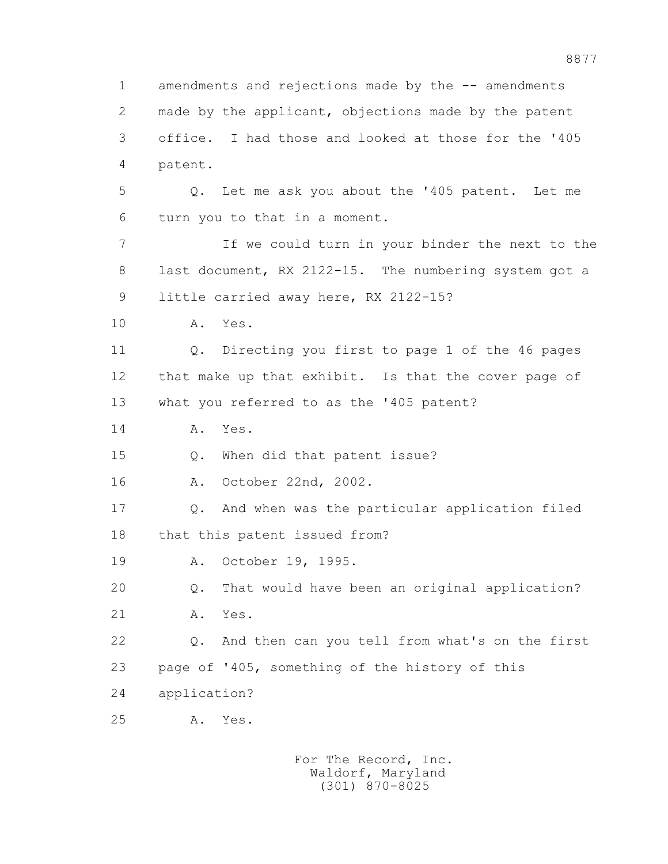1 amendments and rejections made by the -- amendments 2 made by the applicant, objections made by the patent 3 office. I had those and looked at those for the '405 4 patent. 5 Q. Let me ask you about the '405 patent. Let me 6 turn you to that in a moment. 7 If we could turn in your binder the next to the 8 last document, RX 2122-15. The numbering system got a 9 little carried away here, RX 2122-15? 10 A. Yes. 11 Q. Directing you first to page 1 of the 46 pages 12 that make up that exhibit. Is that the cover page of 13 what you referred to as the '405 patent? 14 A. Yes. 15 Q. When did that patent issue? 16 A. October 22nd, 2002. 17 Q. And when was the particular application filed 18 that this patent issued from? 19 A. October 19, 1995. 20 Q. That would have been an original application? 21 A. Yes. 22 Q. And then can you tell from what's on the first 23 page of '405, something of the history of this 24 application? 25 A. Yes.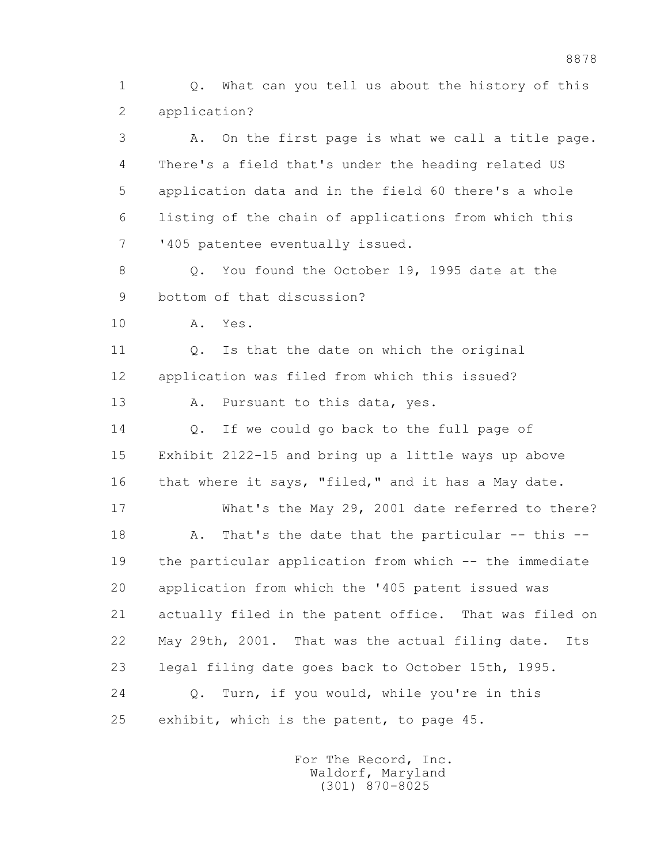1 Q. What can you tell us about the history of this 2 application?

 3 A. On the first page is what we call a title page. 4 There's a field that's under the heading related US 5 application data and in the field 60 there's a whole 6 listing of the chain of applications from which this 7 '405 patentee eventually issued.

 8 Q. You found the October 19, 1995 date at the 9 bottom of that discussion?

10 A. Yes.

 11 Q. Is that the date on which the original 12 application was filed from which this issued?

13 A. Pursuant to this data, yes.

14 O. If we could go back to the full page of 15 Exhibit 2122-15 and bring up a little ways up above 16 that where it says, "filed," and it has a May date.

 17 What's the May 29, 2001 date referred to there? 18 A. That's the date that the particular -- this -- 19 the particular application from which -- the immediate 20 application from which the '405 patent issued was 21 actually filed in the patent office. That was filed on 22 May 29th, 2001. That was the actual filing date. Its 23 legal filing date goes back to October 15th, 1995. 24 Q. Turn, if you would, while you're in this

25 exhibit, which is the patent, to page 45.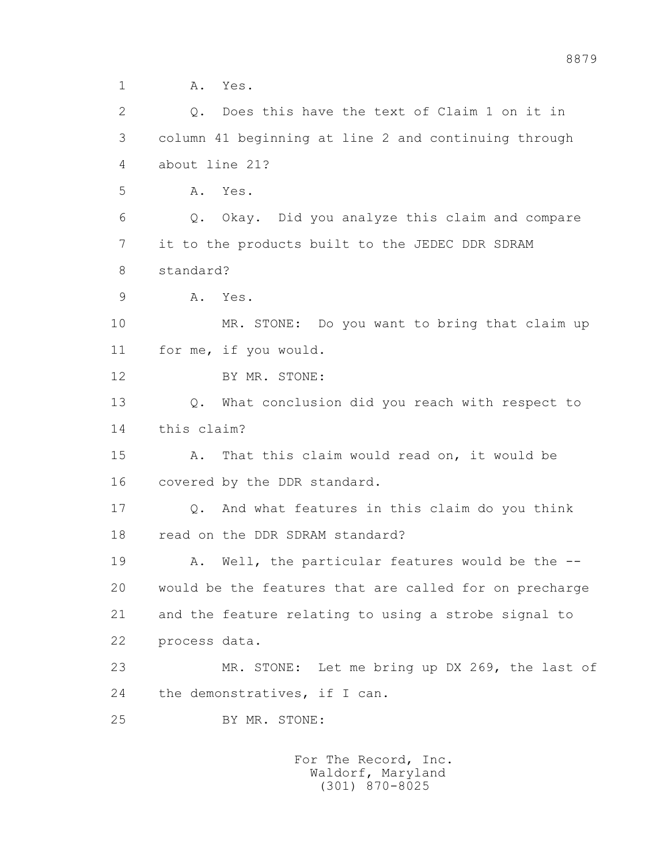1 A. Yes.

 2 Q. Does this have the text of Claim 1 on it in 3 column 41 beginning at line 2 and continuing through 4 about line 21? 5 A. Yes. 6 Q. Okay. Did you analyze this claim and compare 7 it to the products built to the JEDEC DDR SDRAM 8 standard? 9 A. Yes. 10 MR. STONE: Do you want to bring that claim up 11 for me, if you would. 12 BY MR. STONE: 13 Q. What conclusion did you reach with respect to 14 this claim? 15 A. That this claim would read on, it would be 16 covered by the DDR standard. 17 Q. And what features in this claim do you think 18 read on the DDR SDRAM standard? 19 A. Well, the particular features would be the -- 20 would be the features that are called for on precharge 21 and the feature relating to using a strobe signal to 22 process data. 23 MR. STONE: Let me bring up DX 269, the last of 24 the demonstratives, if I can. 25 BY MR. STONE: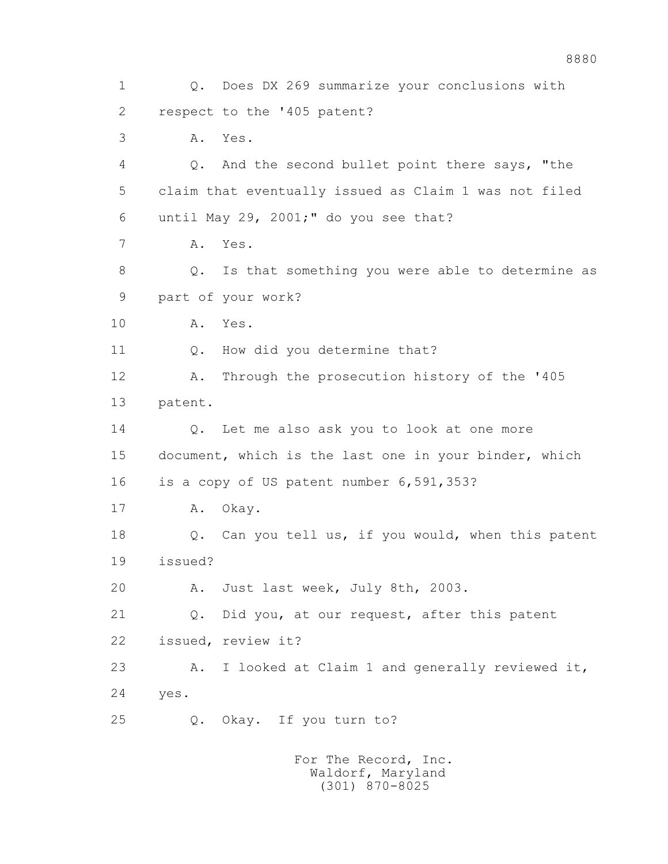1 Q. Does DX 269 summarize your conclusions with 2 respect to the '405 patent? 3 A. Yes. 4 Q. And the second bullet point there says, "the 5 claim that eventually issued as Claim 1 was not filed 6 until May 29, 2001;" do you see that? 7 A. Yes. 8 Q. Is that something you were able to determine as 9 part of your work? 10 A. Yes. 11 Q. How did you determine that? 12 A. Through the prosecution history of the '405 13 patent. 14 0. Let me also ask you to look at one more 15 document, which is the last one in your binder, which 16 is a copy of US patent number 6,591,353? 17 A. Okay. 18 Q. Can you tell us, if you would, when this patent 19 issued? 20 A. Just last week, July 8th, 2003. 21 Q. Did you, at our request, after this patent 22 issued, review it? 23 A. I looked at Claim 1 and generally reviewed it, 24 yes. 25 Q. Okay. If you turn to?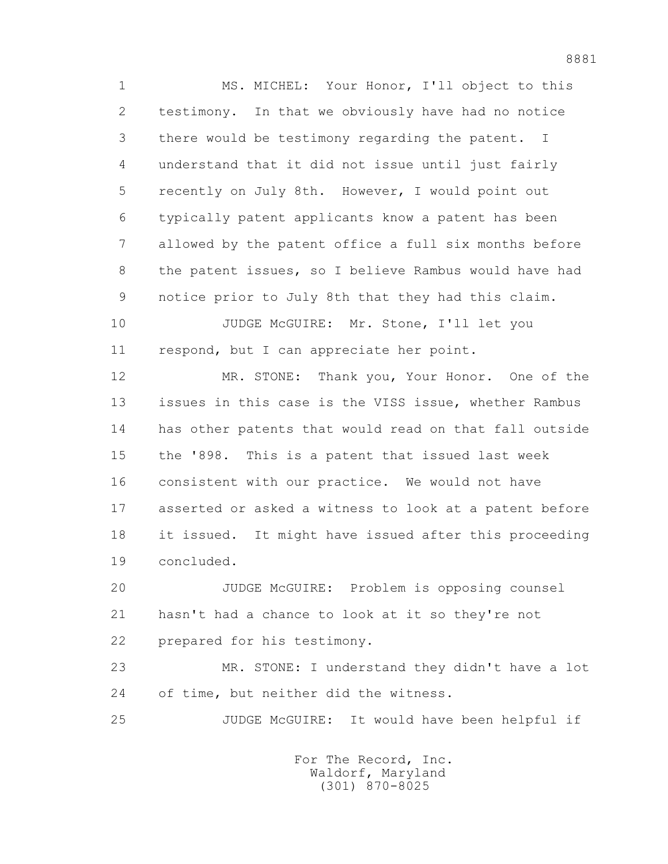1 MS. MICHEL: Your Honor, I'll object to this 2 testimony. In that we obviously have had no notice 3 there would be testimony regarding the patent. I 4 understand that it did not issue until just fairly 5 recently on July 8th. However, I would point out 6 typically patent applicants know a patent has been 7 allowed by the patent office a full six months before 8 the patent issues, so I believe Rambus would have had 9 notice prior to July 8th that they had this claim.

10 JUDGE McGUIRE: Mr. Stone, I'll let you 11 respond, but I can appreciate her point.

 12 MR. STONE: Thank you, Your Honor. One of the 13 issues in this case is the VISS issue, whether Rambus 14 has other patents that would read on that fall outside 15 the '898. This is a patent that issued last week 16 consistent with our practice. We would not have 17 asserted or asked a witness to look at a patent before 18 it issued. It might have issued after this proceeding 19 concluded.

 20 JUDGE McGUIRE: Problem is opposing counsel 21 hasn't had a chance to look at it so they're not 22 prepared for his testimony.

 23 MR. STONE: I understand they didn't have a lot 24 of time, but neither did the witness.

25 JUDGE McGUIRE: It would have been helpful if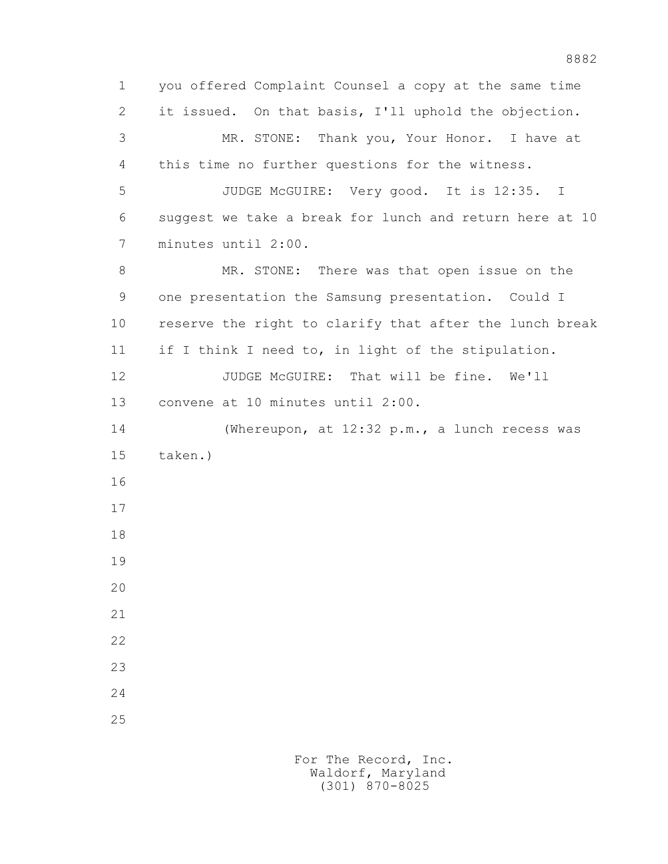1 you offered Complaint Counsel a copy at the same time 2 it issued. On that basis, I'll uphold the objection. 3 MR. STONE: Thank you, Your Honor. I have at 4 this time no further questions for the witness. 5 JUDGE McGUIRE: Very good. It is 12:35. I 6 suggest we take a break for lunch and return here at 10 7 minutes until 2:00. 8 MR. STONE: There was that open issue on the 9 one presentation the Samsung presentation. Could I 10 reserve the right to clarify that after the lunch break 11 if I think I need to, in light of the stipulation. 12 JUDGE McGUIRE: That will be fine. We'll 13 convene at 10 minutes until 2:00. 14 (Whereupon, at 12:32 p.m., a lunch recess was 15 taken.) 16 17 18 19 20 21 22 23 24 25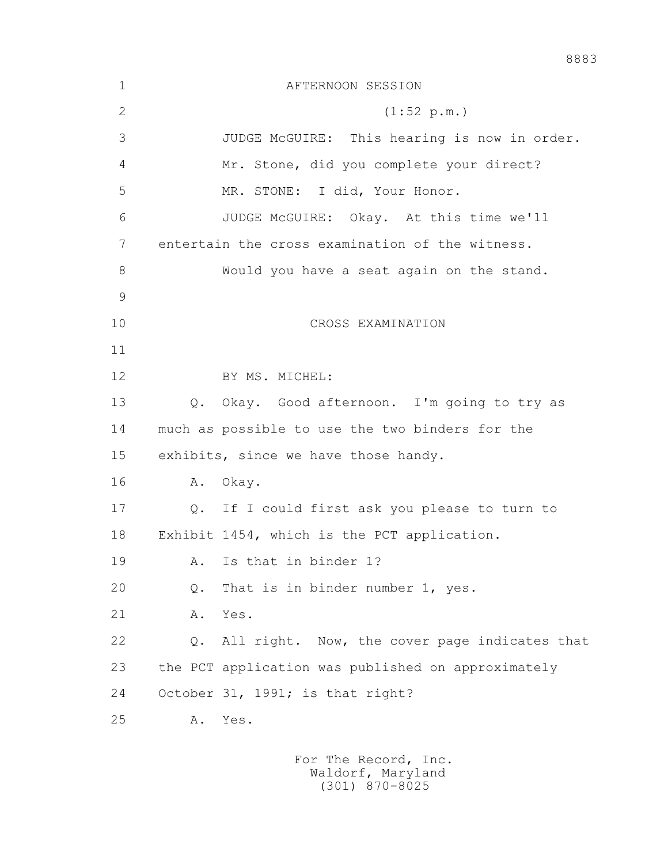| $\mathbf 1$   |               | AFTERNOON SESSION                                  |
|---------------|---------------|----------------------------------------------------|
| $\mathbf{2}$  |               | (1:52 p.m.)                                        |
| 3             |               | JUDGE McGUIRE: This hearing is now in order.       |
| 4             |               | Mr. Stone, did you complete your direct?           |
| 5             |               | MR. STONE: I did, Your Honor.                      |
| 6             |               | JUDGE McGUIRE: Okay. At this time we'll            |
| 7             |               | entertain the cross examination of the witness.    |
| 8             |               | Would you have a seat again on the stand.          |
| $\mathcal{G}$ |               |                                                    |
| 10            |               | CROSS EXAMINATION                                  |
| 11            |               |                                                    |
| 12            |               | BY MS. MICHEL:                                     |
| 13            |               | Q. Okay. Good afternoon. I'm going to try as       |
| 14            |               | much as possible to use the two binders for the    |
| 15            |               | exhibits, since we have those handy.               |
| 16            | Α.            | Okay.                                              |
| 17            |               | Q. If I could first ask you please to turn to      |
| 18            |               | Exhibit 1454, which is the PCT application.        |
| 19            | Α.            | Is that in binder 1?                               |
| 20            | $Q_{\bullet}$ | That is in binder number 1, yes.                   |
| 21            | Α.            | Yes.                                               |
| 22            | $Q$ .         | All right. Now, the cover page indicates that      |
| 23            |               | the PCT application was published on approximately |
| 24            |               | October 31, 1991; is that right?                   |
| 25            | Α.            | Yes.                                               |
|               |               |                                                    |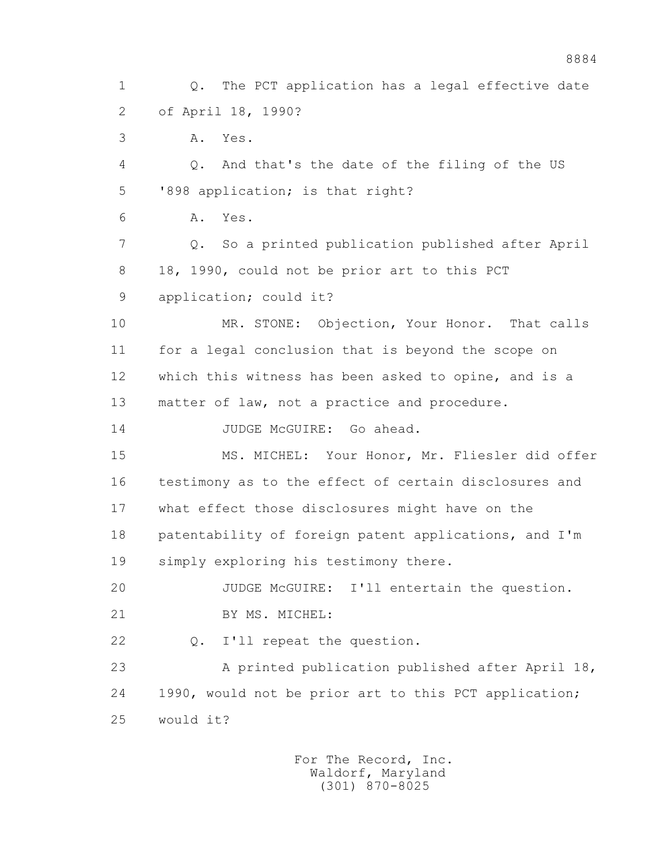1 Q. The PCT application has a legal effective date 2 of April 18, 1990? 3 A. Yes. 4 Q. And that's the date of the filing of the US 5 '898 application; is that right? 6 A. Yes. 7 Q. So a printed publication published after April 8 18, 1990, could not be prior art to this PCT 9 application; could it? 10 MR. STONE: Objection, Your Honor. That calls 11 for a legal conclusion that is beyond the scope on 12 which this witness has been asked to opine, and is a 13 matter of law, not a practice and procedure. 14 JUDGE McGUIRE: Go ahead. 15 MS. MICHEL: Your Honor, Mr. Fliesler did offer 16 testimony as to the effect of certain disclosures and 17 what effect those disclosures might have on the 18 patentability of foreign patent applications, and I'm 19 simply exploring his testimony there. 20 JUDGE McGUIRE: I'll entertain the question. 21 BY MS. MICHEL: 22 Q. I'll repeat the question. 23 A printed publication published after April 18, 24 1990, would not be prior art to this PCT application; 25 would it?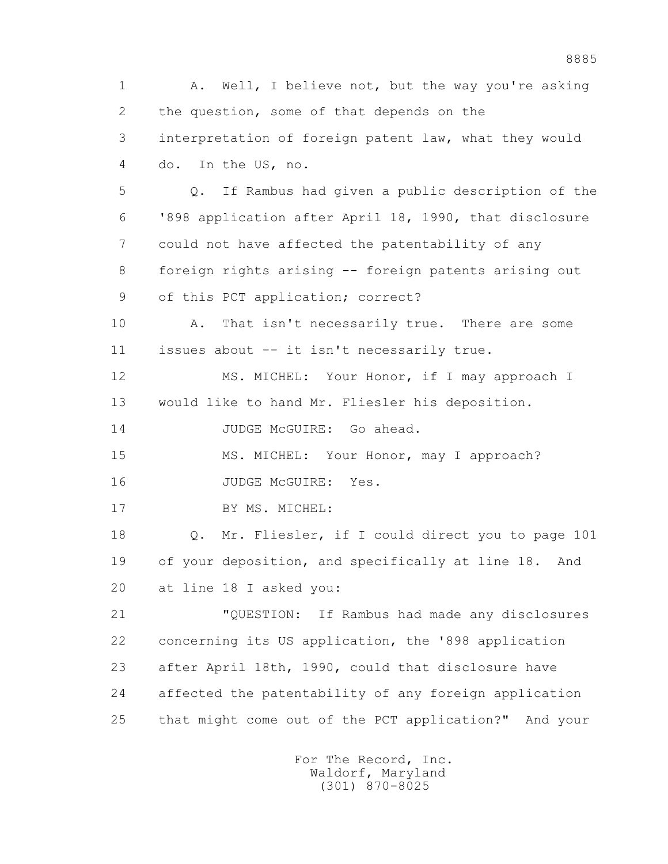1 A. Well, I believe not, but the way you're asking 2 the question, some of that depends on the 3 interpretation of foreign patent law, what they would 4 do. In the US, no. 5 Q. If Rambus had given a public description of the 6 '898 application after April 18, 1990, that disclosure 7 could not have affected the patentability of any 8 foreign rights arising -- foreign patents arising out 9 of this PCT application; correct? 10 A. That isn't necessarily true. There are some 11 issues about -- it isn't necessarily true. 12 MS. MICHEL: Your Honor, if I may approach I 13 would like to hand Mr. Fliesler his deposition. 14 JUDGE McGUIRE: Go ahead. 15 MS. MICHEL: Your Honor, may I approach? 16 JUDGE McGUIRE: Yes. 17 BY MS. MICHEL: 18 Q. Mr. Fliesler, if I could direct you to page 101 19 of your deposition, and specifically at line 18. And 20 at line 18 I asked you: 21 "QUESTION: If Rambus had made any disclosures 22 concerning its US application, the '898 application 23 after April 18th, 1990, could that disclosure have 24 affected the patentability of any foreign application 25 that might come out of the PCT application?" And your For The Record, Inc. Waldorf, Maryland

(301) 870-8025

8885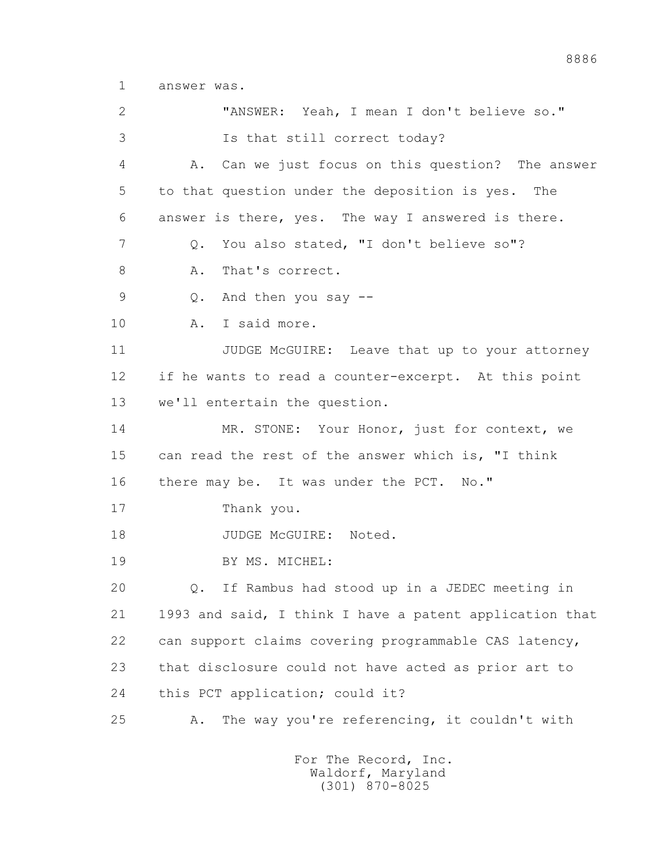1 answer was.

 2 "ANSWER: Yeah, I mean I don't believe so." 3 Is that still correct today? 4 A. Can we just focus on this question? The answer 5 to that question under the deposition is yes. The 6 answer is there, yes. The way I answered is there. 7 Q. You also stated, "I don't believe so"? 8 A. That's correct. 9 Q. And then you say -- 10 A. I said more. 11 JUDGE McGUIRE: Leave that up to your attorney 12 if he wants to read a counter-excerpt. At this point 13 we'll entertain the question. 14 MR. STONE: Your Honor, just for context, we 15 can read the rest of the answer which is, "I think 16 there may be. It was under the PCT. No." 17 Thank you. 18 JUDGE McGUIRE: Noted. 19 BY MS. MICHEL: 20 Q. If Rambus had stood up in a JEDEC meeting in 21 1993 and said, I think I have a patent application that 22 can support claims covering programmable CAS latency, 23 that disclosure could not have acted as prior art to 24 this PCT application; could it? 25 A. The way you're referencing, it couldn't with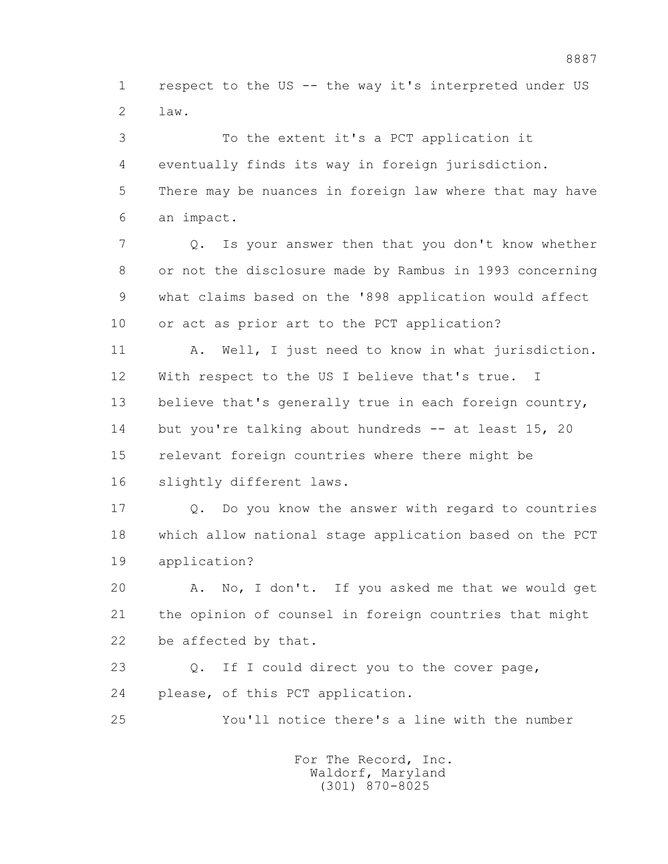1 respect to the US -- the way it's interpreted under US  $2 \t 3aw.$ 

 3 To the extent it's a PCT application it 4 eventually finds its way in foreign jurisdiction. 5 There may be nuances in foreign law where that may have 6 an impact. 7 Q. Is your answer then that you don't know whether 8 or not the disclosure made by Rambus in 1993 concerning 9 what claims based on the '898 application would affect 10 or act as prior art to the PCT application? 11 A. Well, I just need to know in what jurisdiction. 12 With respect to the US I believe that's true. I 13 believe that's generally true in each foreign country, 14 but you're talking about hundreds -- at least 15, 20 15 relevant foreign countries where there might be 16 slightly different laws. 17 Q. Do you know the answer with regard to countries 18 which allow national stage application based on the PCT 19 application? 20 A. No, I don't. If you asked me that we would get 21 the opinion of counsel in foreign countries that might 22 be affected by that. 23 Q. If I could direct you to the cover page, 24 please, of this PCT application. 25 You'll notice there's a line with the number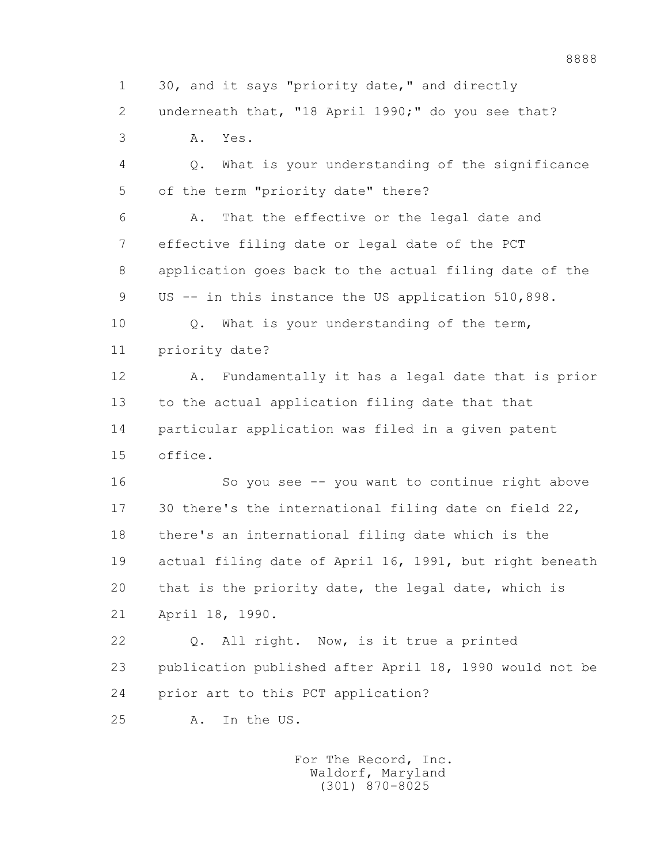1 30, and it says "priority date," and directly 2 underneath that, "18 April 1990;" do you see that? 3 A. Yes. 4 Q. What is your understanding of the significance 5 of the term "priority date" there? 6 A. That the effective or the legal date and 7 effective filing date or legal date of the PCT 8 application goes back to the actual filing date of the 9 US -- in this instance the US application 510,898. 10 Q. What is your understanding of the term, 11 priority date?

 12 A. Fundamentally it has a legal date that is prior 13 to the actual application filing date that that 14 particular application was filed in a given patent 15 office.

 16 So you see -- you want to continue right above 17 30 there's the international filing date on field 22, 18 there's an international filing date which is the 19 actual filing date of April 16, 1991, but right beneath 20 that is the priority date, the legal date, which is 21 April 18, 1990.

 22 Q. All right. Now, is it true a printed 23 publication published after April 18, 1990 would not be 24 prior art to this PCT application?

25 A. In the US.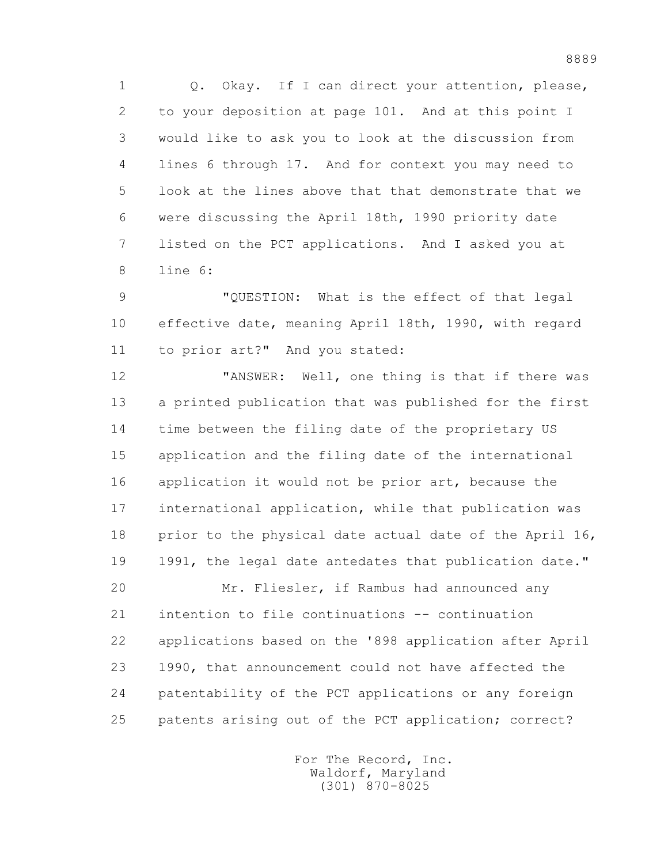1 Q. Okay. If I can direct your attention, please, 2 to your deposition at page 101. And at this point I 3 would like to ask you to look at the discussion from 4 lines 6 through 17. And for context you may need to 5 look at the lines above that that demonstrate that we 6 were discussing the April 18th, 1990 priority date 7 listed on the PCT applications. And I asked you at 8 line 6:

 9 "QUESTION: What is the effect of that legal 10 effective date, meaning April 18th, 1990, with regard 11 to prior art?" And you stated:

 12 "ANSWER: Well, one thing is that if there was 13 a printed publication that was published for the first 14 time between the filing date of the proprietary US 15 application and the filing date of the international 16 application it would not be prior art, because the 17 international application, while that publication was 18 prior to the physical date actual date of the April 16, 19 1991, the legal date antedates that publication date."

 20 Mr. Fliesler, if Rambus had announced any 21 intention to file continuations -- continuation 22 applications based on the '898 application after April 23 1990, that announcement could not have affected the 24 patentability of the PCT applications or any foreign 25 patents arising out of the PCT application; correct?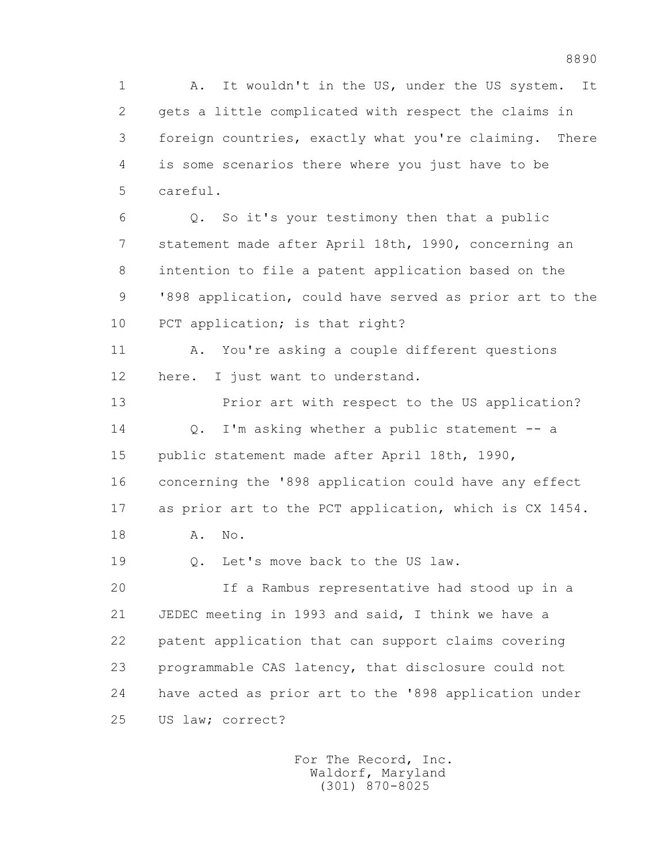1 A. It wouldn't in the US, under the US system. It 2 gets a little complicated with respect the claims in 3 foreign countries, exactly what you're claiming. There 4 is some scenarios there where you just have to be 5 careful.

 6 Q. So it's your testimony then that a public 7 statement made after April 18th, 1990, concerning an 8 intention to file a patent application based on the 9 '898 application, could have served as prior art to the 10 PCT application; is that right?

 11 A. You're asking a couple different questions 12 here. I just want to understand.

 13 Prior art with respect to the US application? 14 Q. I'm asking whether a public statement -- a 15 public statement made after April 18th, 1990, 16 concerning the '898 application could have any effect 17 as prior art to the PCT application, which is CX 1454. 18 A. No.

19 0. Let's move back to the US law.

 20 If a Rambus representative had stood up in a 21 JEDEC meeting in 1993 and said, I think we have a 22 patent application that can support claims covering 23 programmable CAS latency, that disclosure could not 24 have acted as prior art to the '898 application under 25 US law; correct?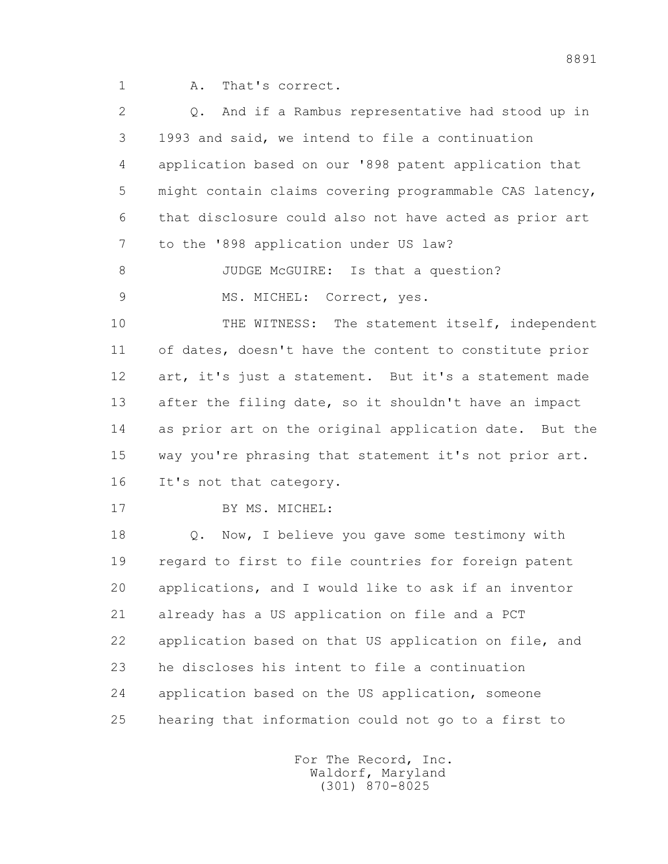1 A. That's correct.

| $\overline{2}$ | And if a Rambus representative had stood up in<br>$\circ$ . |
|----------------|-------------------------------------------------------------|
| 3              | 1993 and said, we intend to file a continuation             |
| 4              | application based on our '898 patent application that       |
| 5              | might contain claims covering programmable CAS latency,     |
| 6              | that disclosure could also not have acted as prior art      |
| 7              | to the '898 application under US law?                       |
| 8              | JUDGE McGUIRE: Is that a question?                          |
| $\mathcal{G}$  | MS. MICHEL:<br>Correct, yes.                                |
| 10             | THE WITNESS: The statement itself, independent              |
| 11             | of dates, doesn't have the content to constitute prior      |
| 12             | art, it's just a statement. But it's a statement made       |
| 13             | after the filing date, so it shouldn't have an impact       |
| 14             | as prior art on the original application date. But the      |
| 15             | way you're phrasing that statement it's not prior art.      |
| 16             | It's not that category.                                     |
| 17             | BY MS. MICHEL:                                              |
| 18             | Now, I believe you gave some testimony with<br>$Q$ .        |
| 19             | regard to first to file countries for foreign patent        |
| 20             | applications, and I would like to ask if an inventor        |
| 21             | already has a US application on file and a PCT              |
| 22             | application based on that US application on file, and       |
| 23             | he discloses his intent to file a continuation              |
| 24             | application based on the US application, someone            |
| 25             | hearing that information could not go to a first to         |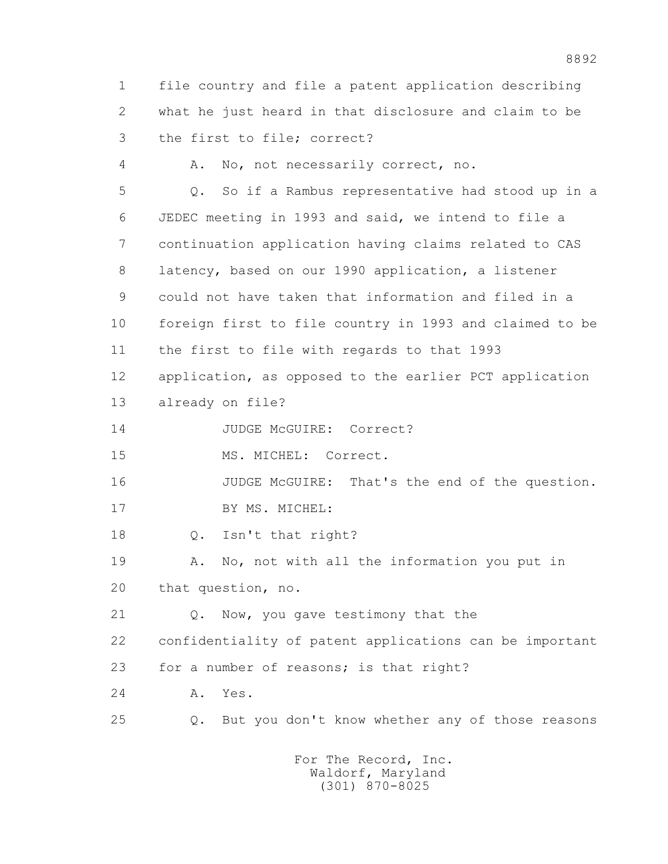1 file country and file a patent application describing 2 what he just heard in that disclosure and claim to be 3 the first to file; correct?

 4 A. No, not necessarily correct, no. 5 Q. So if a Rambus representative had stood up in a 6 JEDEC meeting in 1993 and said, we intend to file a 7 continuation application having claims related to CAS 8 latency, based on our 1990 application, a listener 9 could not have taken that information and filed in a 10 foreign first to file country in 1993 and claimed to be 11 the first to file with regards to that 1993 12 application, as opposed to the earlier PCT application 13 already on file?

14 JUDGE McGUIRE: Correct?

15 MS. MICHEL: Correct.

 16 JUDGE McGUIRE: That's the end of the question. 17 BY MS. MICHEL:

18 Q. Isn't that right?

 19 A. No, not with all the information you put in 20 that question, no.

 21 Q. Now, you gave testimony that the 22 confidentiality of patent applications can be important 23 for a number of reasons; is that right?

24 A. Yes.

25 Q. But you don't know whether any of those reasons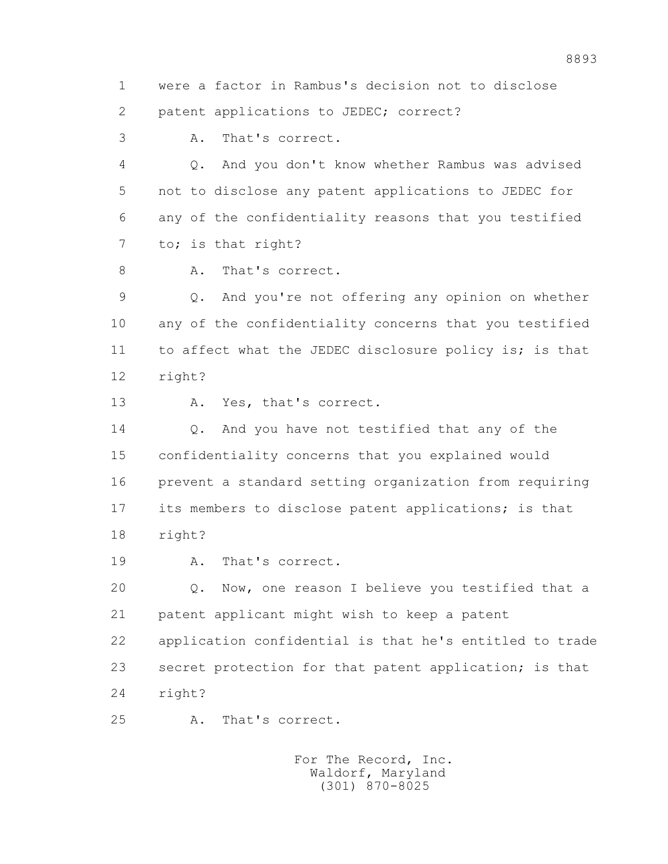1 were a factor in Rambus's decision not to disclose 2 patent applications to JEDEC; correct?

3 A. That's correct.

 4 Q. And you don't know whether Rambus was advised 5 not to disclose any patent applications to JEDEC for 6 any of the confidentiality reasons that you testified 7 to; is that right?

8 A. That's correct.

 9 Q. And you're not offering any opinion on whether 10 any of the confidentiality concerns that you testified 11 to affect what the JEDEC disclosure policy is; is that 12 right?

13 A. Yes, that's correct.

14 0. And you have not testified that any of the 15 confidentiality concerns that you explained would 16 prevent a standard setting organization from requiring 17 its members to disclose patent applications; is that 18 right?

19 A. That's correct.

 20 Q. Now, one reason I believe you testified that a 21 patent applicant might wish to keep a patent 22 application confidential is that he's entitled to trade 23 secret protection for that patent application; is that 24 right?

25 A. That's correct.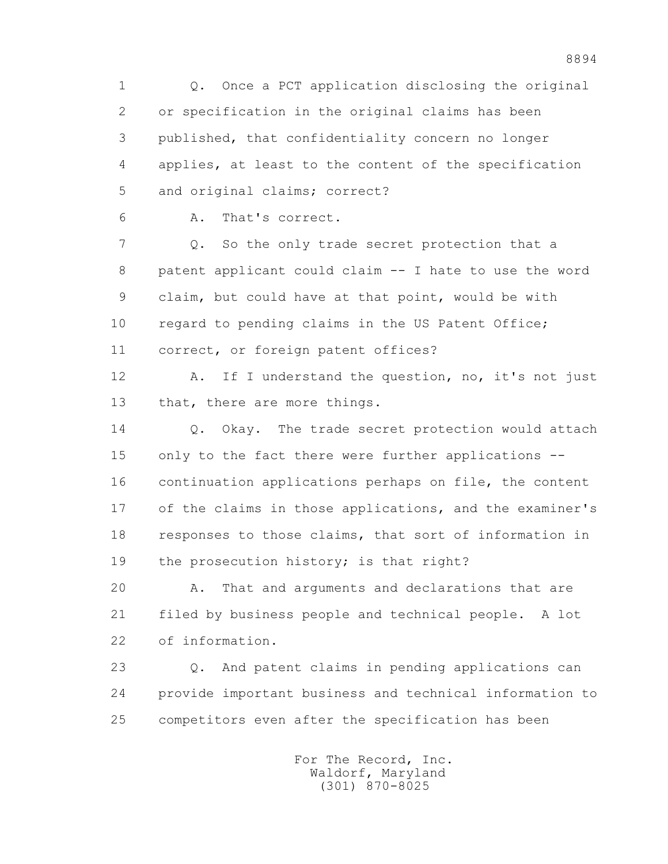1 Q. Once a PCT application disclosing the original 2 or specification in the original claims has been 3 published, that confidentiality concern no longer 4 applies, at least to the content of the specification 5 and original claims; correct? 6 A. That's correct. 7 Q. So the only trade secret protection that a 8 patent applicant could claim -- I hate to use the word 9 claim, but could have at that point, would be with 10 regard to pending claims in the US Patent Office; 11 correct, or foreign patent offices? 12 A. If I understand the question, no, it's not just 13 that, there are more things. 14 0. Okay. The trade secret protection would attach 15 only to the fact there were further applications -- 16 continuation applications perhaps on file, the content 17 of the claims in those applications, and the examiner's 18 responses to those claims, that sort of information in 19 the prosecution history; is that right? 20 A. That and arguments and declarations that are 21 filed by business people and technical people. A lot 22 of information. 23 Q. And patent claims in pending applications can 24 provide important business and technical information to 25 competitors even after the specification has been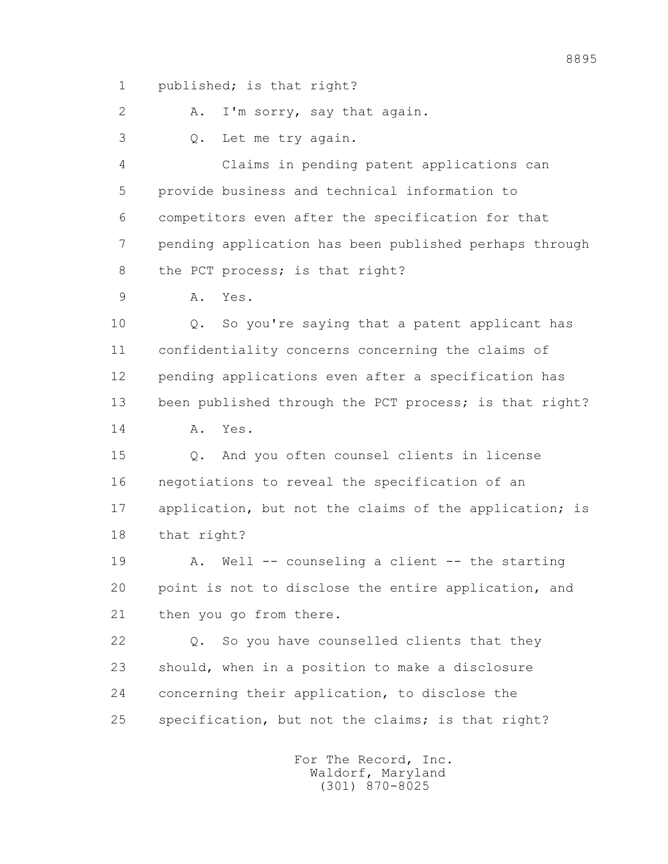1 published; is that right?

2 A. I'm sorry, say that again.

3 Q. Let me try again.

 4 Claims in pending patent applications can 5 provide business and technical information to 6 competitors even after the specification for that 7 pending application has been published perhaps through 8 the PCT process; is that right?

9 A. Yes.

 10 Q. So you're saying that a patent applicant has 11 confidentiality concerns concerning the claims of 12 pending applications even after a specification has 13 been published through the PCT process; is that right? 14 A. Yes.

 15 Q. And you often counsel clients in license 16 negotiations to reveal the specification of an 17 application, but not the claims of the application; is 18 that right?

 19 A. Well -- counseling a client -- the starting 20 point is not to disclose the entire application, and 21 then you go from there.

 22 Q. So you have counselled clients that they 23 should, when in a position to make a disclosure 24 concerning their application, to disclose the 25 specification, but not the claims; is that right?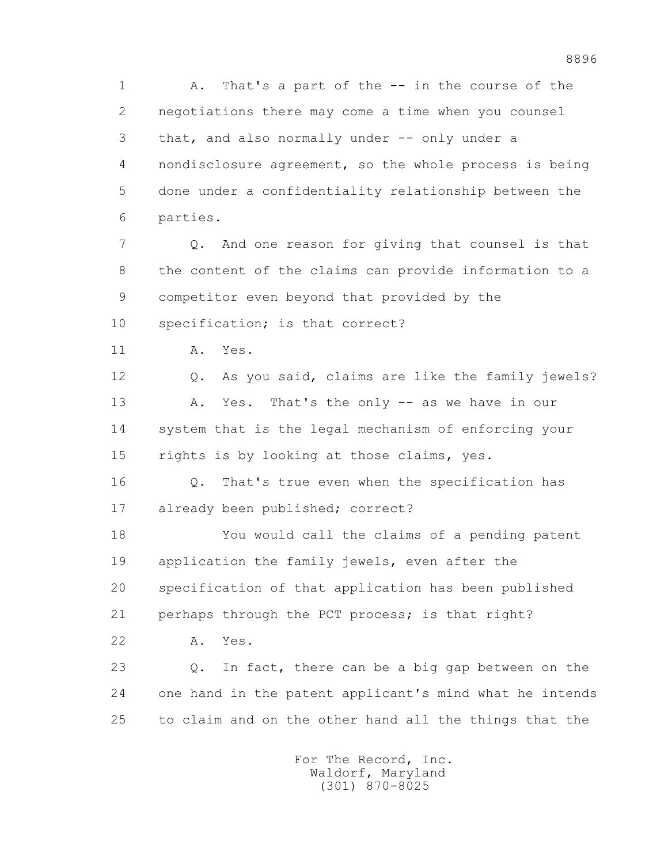1 A. That's a part of the -- in the course of the 2 negotiations there may come a time when you counsel 3 that, and also normally under -- only under a 4 nondisclosure agreement, so the whole process is being 5 done under a confidentiality relationship between the 6 parties. 7 Q. And one reason for giving that counsel is that

 8 the content of the claims can provide information to a 9 competitor even beyond that provided by the 10 specification; is that correct?

11 A. Yes.

 12 Q. As you said, claims are like the family jewels? 13 A. Yes. That's the only -- as we have in our 14 system that is the legal mechanism of enforcing your 15 rights is by looking at those claims, yes.

 16 Q. That's true even when the specification has 17 already been published; correct?

 18 You would call the claims of a pending patent 19 application the family jewels, even after the 20 specification of that application has been published 21 perhaps through the PCT process; is that right?

22 A. Yes.

 23 Q. In fact, there can be a big gap between on the 24 one hand in the patent applicant's mind what he intends 25 to claim and on the other hand all the things that the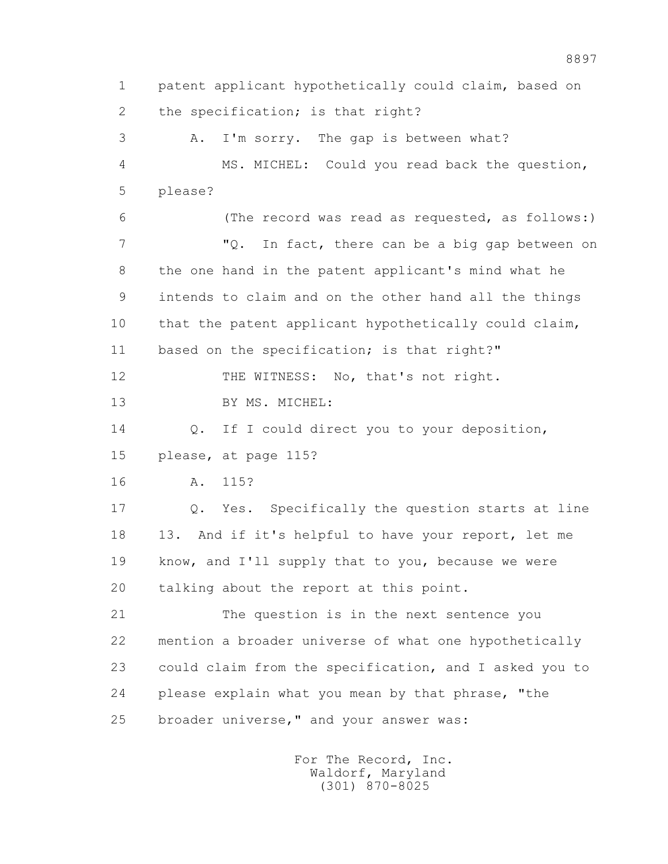1 patent applicant hypothetically could claim, based on 2 the specification; is that right? 3 A. I'm sorry. The gap is between what? 4 MS. MICHEL: Could you read back the question, 5 please? 6 (The record was read as requested, as follows:) 7 "Q. In fact, there can be a big gap between on 8 the one hand in the patent applicant's mind what he 9 intends to claim and on the other hand all the things 10 that the patent applicant hypothetically could claim, 11 based on the specification; is that right?" 12 THE WITNESS: No, that's not right. 13 BY MS. MICHEL: 14 Q. If I could direct you to your deposition, 15 please, at page 115? 16 A. 115? 17 Q. Yes. Specifically the question starts at line 18 13. And if it's helpful to have your report, let me 19 know, and I'll supply that to you, because we were 20 talking about the report at this point. 21 The question is in the next sentence you 22 mention a broader universe of what one hypothetically 23 could claim from the specification, and I asked you to 24 please explain what you mean by that phrase, "the 25 broader universe," and your answer was: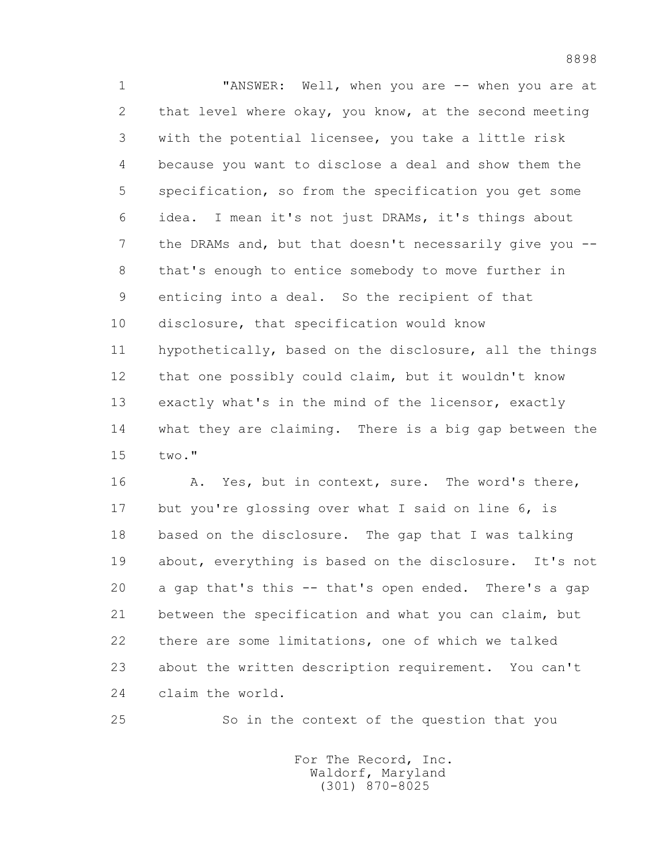1 "ANSWER: Well, when you are -- when you are at 2 that level where okay, you know, at the second meeting 3 with the potential licensee, you take a little risk 4 because you want to disclose a deal and show them the 5 specification, so from the specification you get some 6 idea. I mean it's not just DRAMs, it's things about 7 the DRAMs and, but that doesn't necessarily give you -- 8 that's enough to entice somebody to move further in 9 enticing into a deal. So the recipient of that 10 disclosure, that specification would know 11 hypothetically, based on the disclosure, all the things 12 that one possibly could claim, but it wouldn't know 13 exactly what's in the mind of the licensor, exactly 14 what they are claiming. There is a big gap between the 15 two."

16 A. Yes, but in context, sure. The word's there, 17 but you're glossing over what I said on line 6, is 18 based on the disclosure. The gap that I was talking 19 about, everything is based on the disclosure. It's not 20 a gap that's this -- that's open ended. There's a gap 21 between the specification and what you can claim, but 22 there are some limitations, one of which we talked 23 about the written description requirement. You can't 24 claim the world.

25 So in the context of the question that you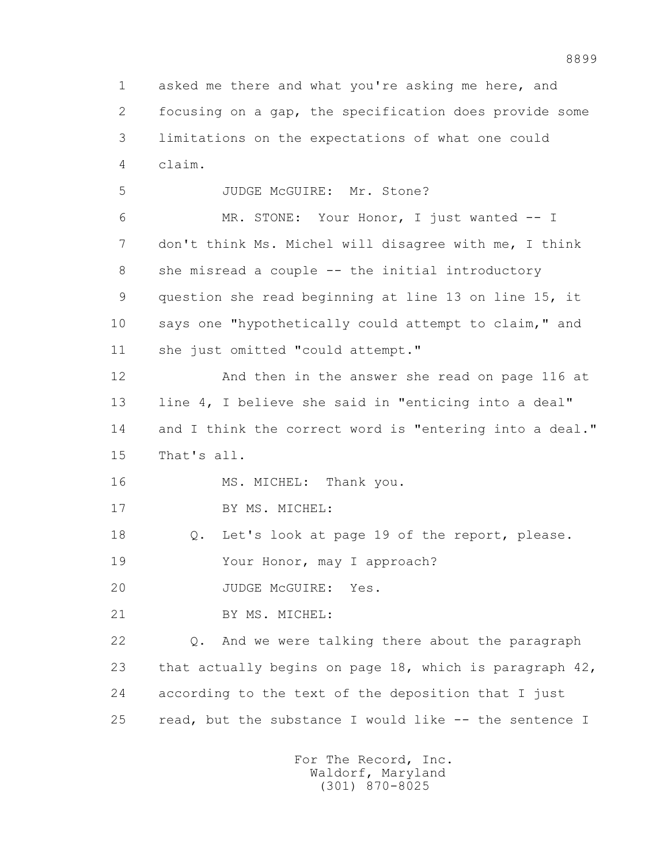1 asked me there and what you're asking me here, and 2 focusing on a gap, the specification does provide some 3 limitations on the expectations of what one could 4 claim. 5 JUDGE McGUIRE: Mr. Stone? 6 MR. STONE: Your Honor, I just wanted -- I 7 don't think Ms. Michel will disagree with me, I think 8 she misread a couple -- the initial introductory 9 question she read beginning at line 13 on line 15, it 10 says one "hypothetically could attempt to claim," and 11 she just omitted "could attempt." 12 And then in the answer she read on page 116 at 13 line 4, I believe she said in "enticing into a deal" 14 and I think the correct word is "entering into a deal." 15 That's all. 16 MS. MICHEL: Thank you. 17 BY MS. MICHEL: 18 Q. Let's look at page 19 of the report, please. 19 Your Honor, may I approach? 20 JUDGE McGUIRE: Yes. 21 BY MS. MICHEL: 22 Q. And we were talking there about the paragraph 23 that actually begins on page 18, which is paragraph 42, 24 according to the text of the deposition that I just 25 read, but the substance I would like -- the sentence I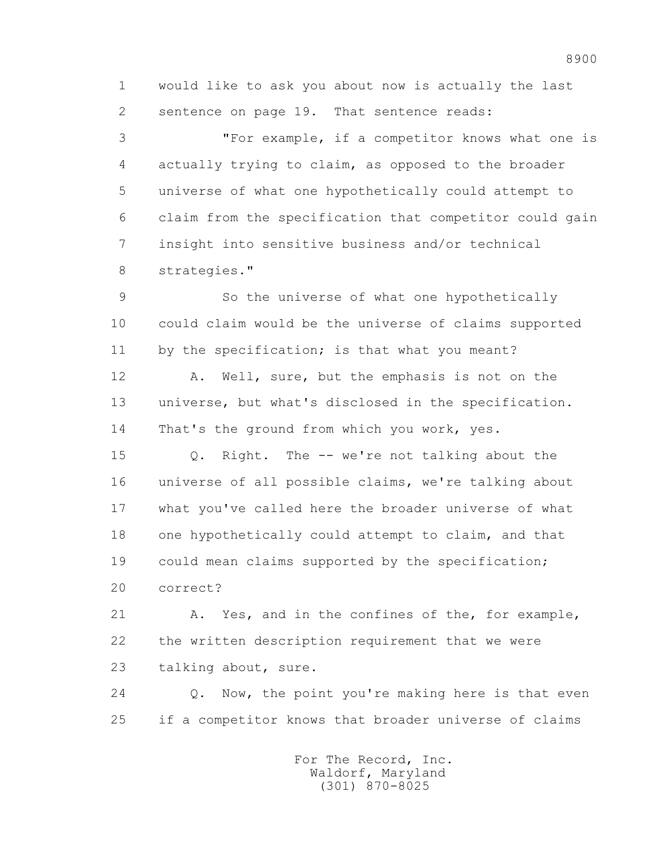1 would like to ask you about now is actually the last 2 sentence on page 19. That sentence reads:

 3 "For example, if a competitor knows what one is 4 actually trying to claim, as opposed to the broader 5 universe of what one hypothetically could attempt to 6 claim from the specification that competitor could gain 7 insight into sensitive business and/or technical 8 strategies."

 9 So the universe of what one hypothetically 10 could claim would be the universe of claims supported 11 by the specification; is that what you meant?

 12 A. Well, sure, but the emphasis is not on the 13 universe, but what's disclosed in the specification. 14 That's the ground from which you work, yes.

 15 Q. Right. The -- we're not talking about the 16 universe of all possible claims, we're talking about 17 what you've called here the broader universe of what 18 one hypothetically could attempt to claim, and that 19 could mean claims supported by the specification; 20 correct?

 21 A. Yes, and in the confines of the, for example, 22 the written description requirement that we were 23 talking about, sure.

 24 Q. Now, the point you're making here is that even 25 if a competitor knows that broader universe of claims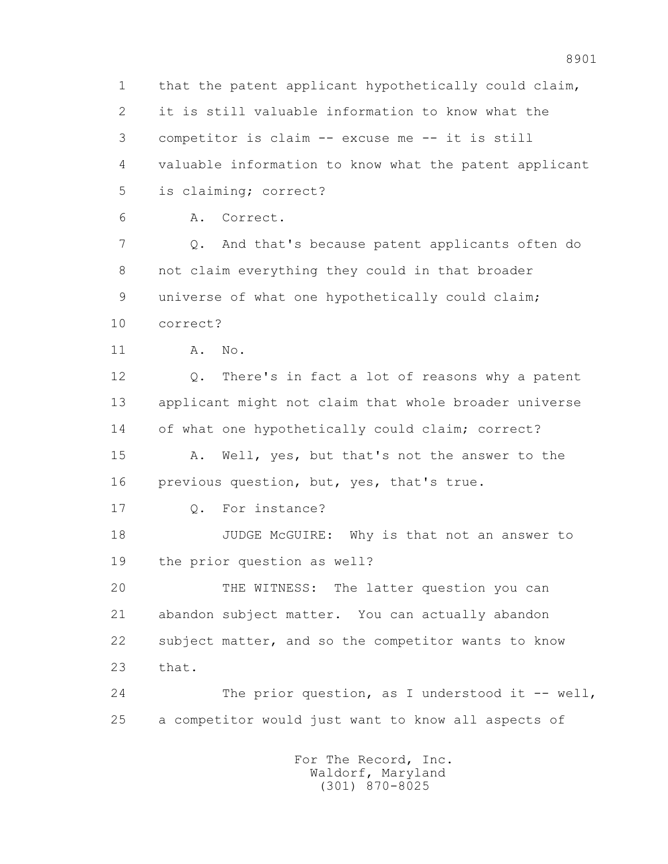1 that the patent applicant hypothetically could claim, 2 it is still valuable information to know what the 3 competitor is claim -- excuse me -- it is still 4 valuable information to know what the patent applicant 5 is claiming; correct?

6 A. Correct.

 7 Q. And that's because patent applicants often do 8 not claim everything they could in that broader 9 universe of what one hypothetically could claim; 10 correct?

11 A. No.

 12 Q. There's in fact a lot of reasons why a patent 13 applicant might not claim that whole broader universe 14 of what one hypothetically could claim; correct?

 15 A. Well, yes, but that's not the answer to the 16 previous question, but, yes, that's true.

17 Q. For instance?

 18 JUDGE McGUIRE: Why is that not an answer to 19 the prior question as well?

 20 THE WITNESS: The latter question you can 21 abandon subject matter. You can actually abandon 22 subject matter, and so the competitor wants to know 23 that.

 24 The prior question, as I understood it -- well, 25 a competitor would just want to know all aspects of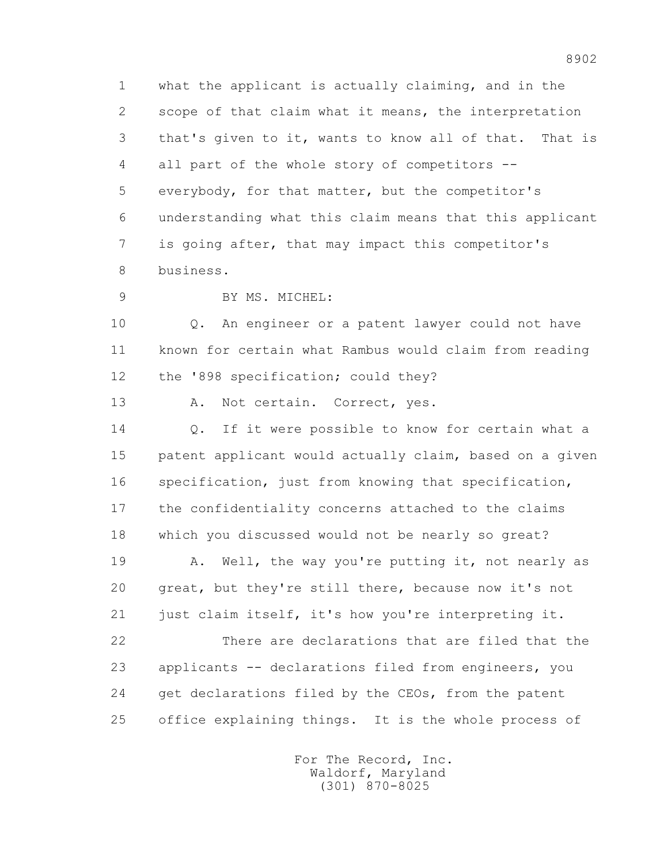1 what the applicant is actually claiming, and in the 2 scope of that claim what it means, the interpretation 3 that's given to it, wants to know all of that. That is 4 all part of the whole story of competitors -- 5 everybody, for that matter, but the competitor's 6 understanding what this claim means that this applicant 7 is going after, that may impact this competitor's 8 business.

9 BY MS. MICHEL:

 10 Q. An engineer or a patent lawyer could not have 11 known for certain what Rambus would claim from reading 12 the '898 specification; could they?

13 A. Not certain. Correct, yes.

14 0. If it were possible to know for certain what a 15 patent applicant would actually claim, based on a given 16 specification, just from knowing that specification, 17 the confidentiality concerns attached to the claims 18 which you discussed would not be nearly so great?

19 A. Well, the way you're putting it, not nearly as 20 great, but they're still there, because now it's not 21 just claim itself, it's how you're interpreting it.

 22 There are declarations that are filed that the 23 applicants -- declarations filed from engineers, you 24 get declarations filed by the CEOs, from the patent 25 office explaining things. It is the whole process of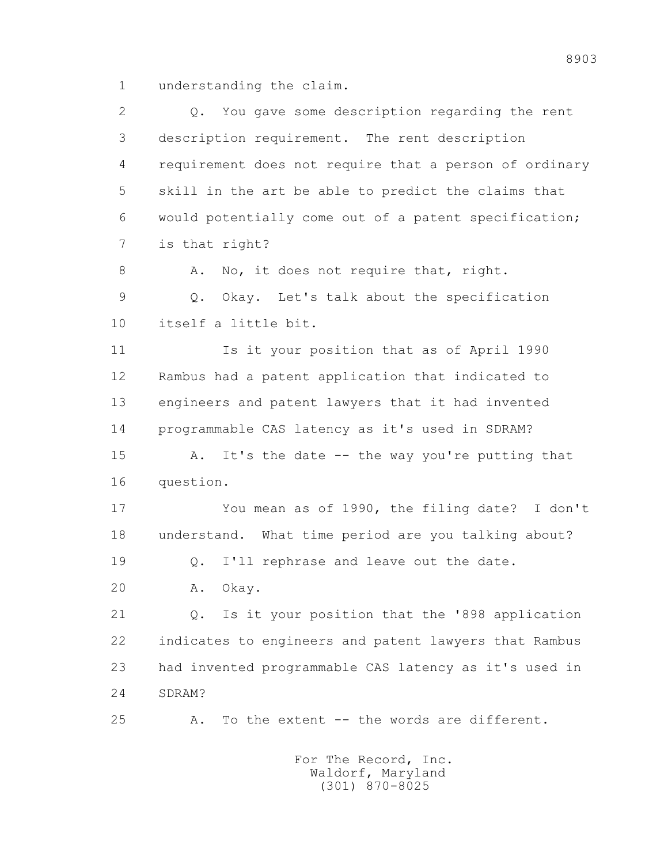1 understanding the claim.

 2 Q. You gave some description regarding the rent 3 description requirement. The rent description 4 requirement does not require that a person of ordinary 5 skill in the art be able to predict the claims that 6 would potentially come out of a patent specification; 7 is that right? 8 A. No, it does not require that, right. 9 Q. Okay. Let's talk about the specification 10 itself a little bit. 11 Is it your position that as of April 1990 12 Rambus had a patent application that indicated to 13 engineers and patent lawyers that it had invented 14 programmable CAS latency as it's used in SDRAM? 15 A. It's the date -- the way you're putting that 16 question. 17 You mean as of 1990, the filing date? I don't 18 understand. What time period are you talking about? 19 0. I'll rephrase and leave out the date. 20 A. Okay. 21 Q. Is it your position that the '898 application 22 indicates to engineers and patent lawyers that Rambus 23 had invented programmable CAS latency as it's used in 24 SDRAM? 25 A. To the extent -- the words are different.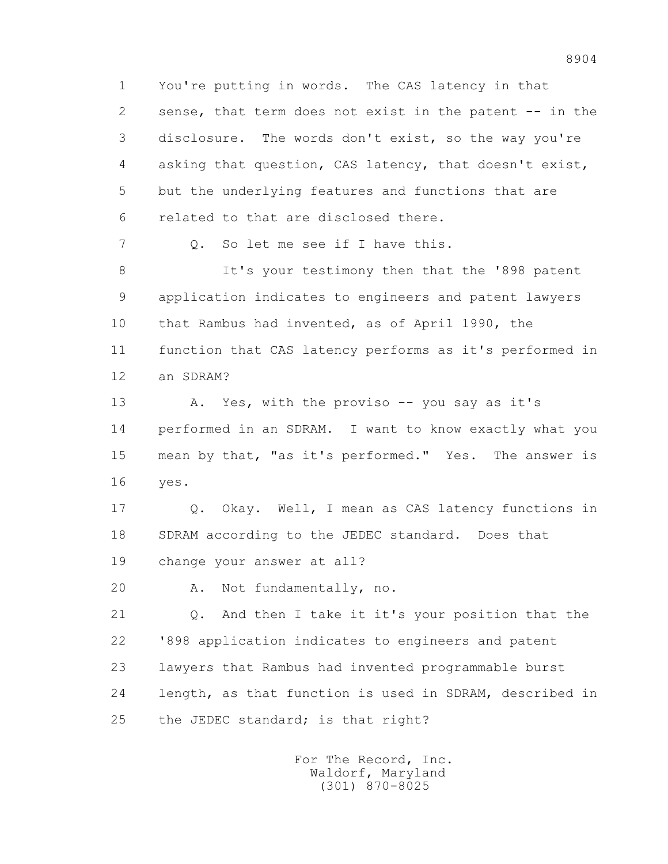1 You're putting in words. The CAS latency in that 2 sense, that term does not exist in the patent -- in the 3 disclosure. The words don't exist, so the way you're 4 asking that question, CAS latency, that doesn't exist, 5 but the underlying features and functions that are 6 related to that are disclosed there.

7 Q. So let me see if I have this.

8 It's your testimony then that the '898 patent 9 application indicates to engineers and patent lawyers 10 that Rambus had invented, as of April 1990, the 11 function that CAS latency performs as it's performed in 12 an SDRAM?

13 A. Yes, with the proviso -- you say as it's 14 performed in an SDRAM. I want to know exactly what you 15 mean by that, "as it's performed." Yes. The answer is 16 yes.

 17 Q. Okay. Well, I mean as CAS latency functions in 18 SDRAM according to the JEDEC standard. Does that 19 change your answer at all?

20 A. Not fundamentally, no.

 21 Q. And then I take it it's your position that the 22 '898 application indicates to engineers and patent 23 lawyers that Rambus had invented programmable burst 24 length, as that function is used in SDRAM, described in 25 the JEDEC standard; is that right?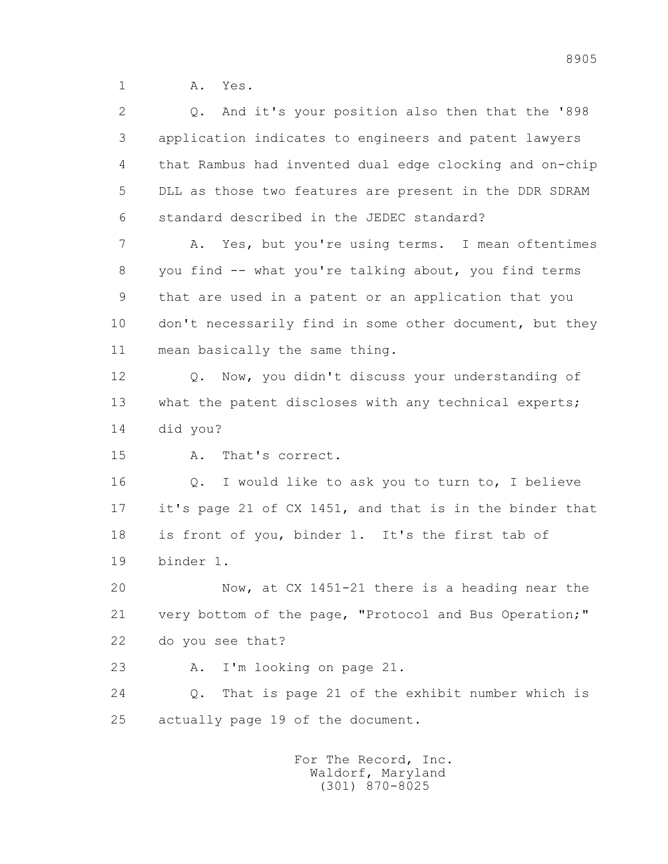1 **A.** Yes.

 2 Q. And it's your position also then that the '898 3 application indicates to engineers and patent lawyers 4 that Rambus had invented dual edge clocking and on-chip 5 DLL as those two features are present in the DDR SDRAM 6 standard described in the JEDEC standard? 7 A. Yes, but you're using terms. I mean oftentimes 8 you find -- what you're talking about, you find terms 9 that are used in a patent or an application that you 10 don't necessarily find in some other document, but they 11 mean basically the same thing. 12 Q. Now, you didn't discuss your understanding of 13 what the patent discloses with any technical experts; 14 did you? 15 A. That's correct. 16 Q. I would like to ask you to turn to, I believe 17 it's page 21 of CX 1451, and that is in the binder that 18 is front of you, binder 1. It's the first tab of 19 binder 1. 20 Now, at CX 1451-21 there is a heading near the 21 very bottom of the page, "Protocol and Bus Operation;" 22 do you see that? 23 A. I'm looking on page 21. 24 Q. That is page 21 of the exhibit number which is 25 actually page 19 of the document.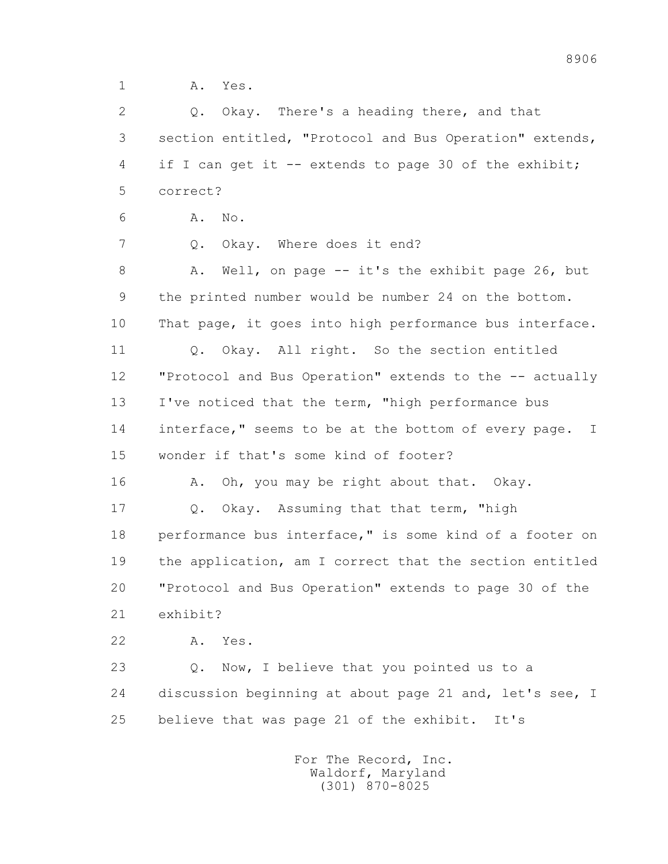1 A. Yes.

 2 Q. Okay. There's a heading there, and that 3 section entitled, "Protocol and Bus Operation" extends, 4 if I can get it -- extends to page 30 of the exhibit; 5 correct?

6 A. No.

7 Q. Okay. Where does it end?

8 A. Well, on page -- it's the exhibit page 26, but 9 the printed number would be number 24 on the bottom. 10 That page, it goes into high performance bus interface. 11 Q. Okay. All right. So the section entitled 12 "Protocol and Bus Operation" extends to the -- actually 13 I've noticed that the term, "high performance bus 14 interface," seems to be at the bottom of every page. I 15 wonder if that's some kind of footer?

16 A. Oh, you may be right about that. Okay.

 17 Q. Okay. Assuming that that term, "high 18 performance bus interface," is some kind of a footer on 19 the application, am I correct that the section entitled 20 "Protocol and Bus Operation" extends to page 30 of the 21 exhibit?

22 A. Yes.

 23 Q. Now, I believe that you pointed us to a 24 discussion beginning at about page 21 and, let's see, I 25 believe that was page 21 of the exhibit. It's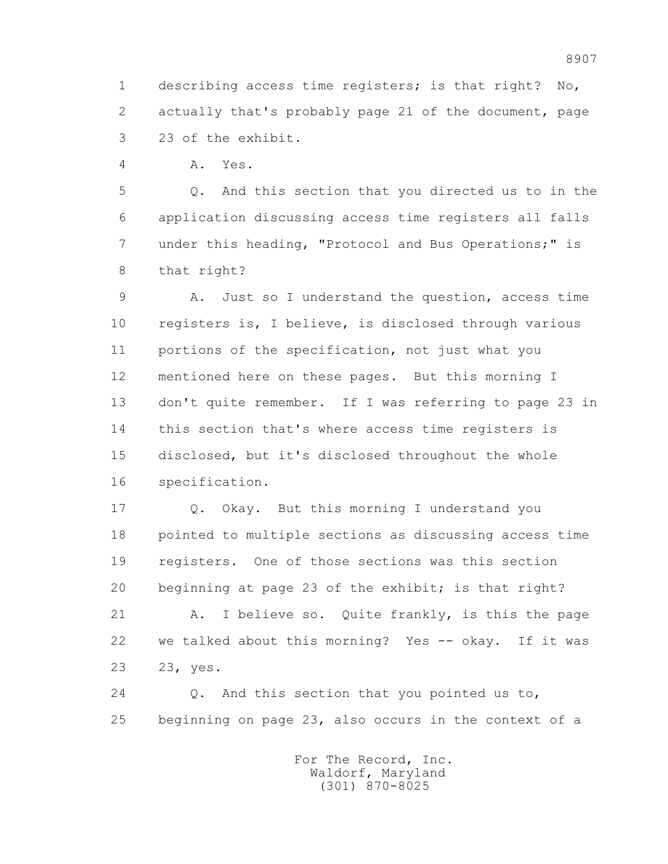1 describing access time registers; is that right? No, 2 actually that's probably page 21 of the document, page 3 23 of the exhibit.

4 A. Yes.

 5 Q. And this section that you directed us to in the 6 application discussing access time registers all falls 7 under this heading, "Protocol and Bus Operations;" is 8 that right?

 9 A. Just so I understand the question, access time 10 registers is, I believe, is disclosed through various 11 portions of the specification, not just what you 12 mentioned here on these pages. But this morning I 13 don't quite remember. If I was referring to page 23 in 14 this section that's where access time registers is 15 disclosed, but it's disclosed throughout the whole 16 specification.

 17 Q. Okay. But this morning I understand you 18 pointed to multiple sections as discussing access time 19 registers. One of those sections was this section 20 beginning at page 23 of the exhibit; is that right?

 21 A. I believe so. Quite frankly, is this the page 22 we talked about this morning? Yes -- okay. If it was 23 23, yes.

 24 Q. And this section that you pointed us to, 25 beginning on page 23, also occurs in the context of a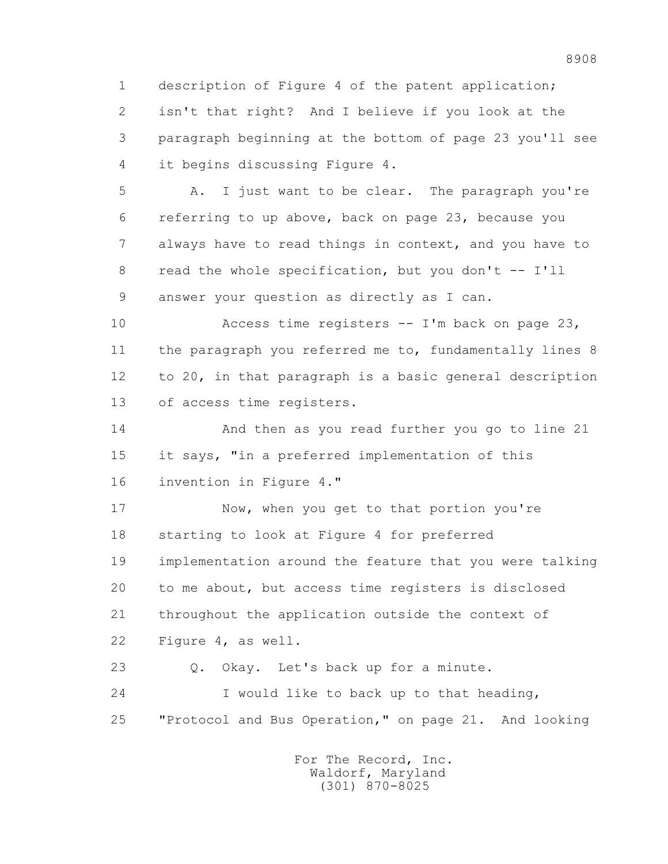1 description of Figure 4 of the patent application; 2 isn't that right? And I believe if you look at the 3 paragraph beginning at the bottom of page 23 you'll see 4 it begins discussing Figure 4.

 5 A. I just want to be clear. The paragraph you're 6 referring to up above, back on page 23, because you 7 always have to read things in context, and you have to 8 read the whole specification, but you don't -- I'll 9 answer your question as directly as I can.

 10 Access time registers -- I'm back on page 23, 11 the paragraph you referred me to, fundamentally lines 8 12 to 20, in that paragraph is a basic general description 13 of access time registers.

 14 And then as you read further you go to line 21 15 it says, "in a preferred implementation of this 16 invention in Figure 4."

17 Now, when you get to that portion you're 18 starting to look at Figure 4 for preferred 19 implementation around the feature that you were talking 20 to me about, but access time registers is disclosed 21 throughout the application outside the context of 22 Figure 4, as well.

 23 Q. Okay. Let's back up for a minute. 24 I would like to back up to that heading, 25 "Protocol and Bus Operation," on page 21. And looking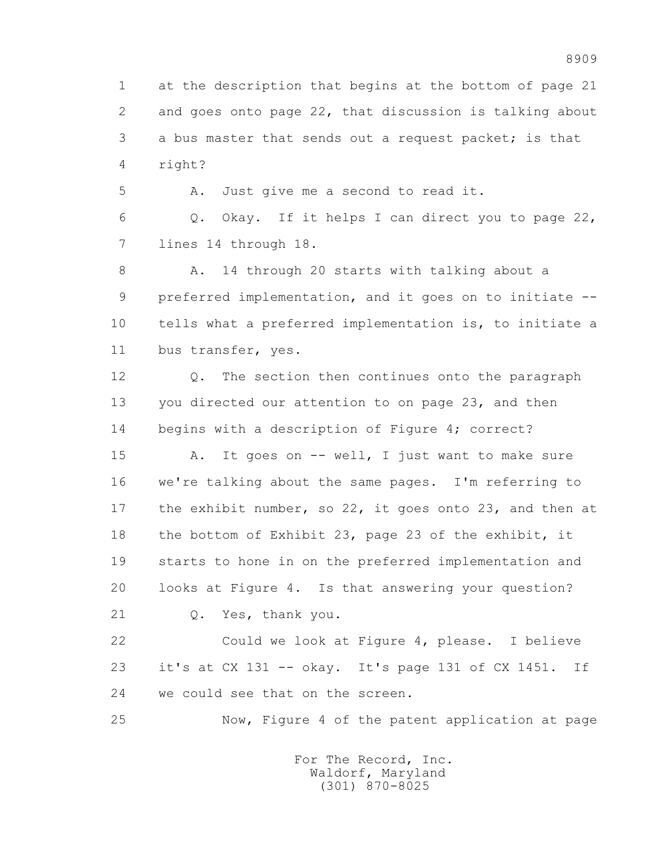1 at the description that begins at the bottom of page 21 2 and goes onto page 22, that discussion is talking about 3 a bus master that sends out a request packet; is that 4 right?

5 A. Just give me a second to read it.

 6 Q. Okay. If it helps I can direct you to page 22, 7 lines 14 through 18.

8 A. 14 through 20 starts with talking about a 9 preferred implementation, and it goes on to initiate -- 10 tells what a preferred implementation is, to initiate a 11 bus transfer, yes.

 12 Q. The section then continues onto the paragraph 13 you directed our attention to on page 23, and then 14 begins with a description of Figure 4; correct?

 15 A. It goes on -- well, I just want to make sure 16 we're talking about the same pages. I'm referring to 17 the exhibit number, so 22, it goes onto 23, and then at 18 the bottom of Exhibit 23, page 23 of the exhibit, it 19 starts to hone in on the preferred implementation and 20 looks at Figure 4. Is that answering your question?

21 Q. Yes, thank you.

 22 Could we look at Figure 4, please. I believe 23 it's at CX 131 -- okay. It's page 131 of CX 1451. If 24 we could see that on the screen.

25 Now, Figure 4 of the patent application at page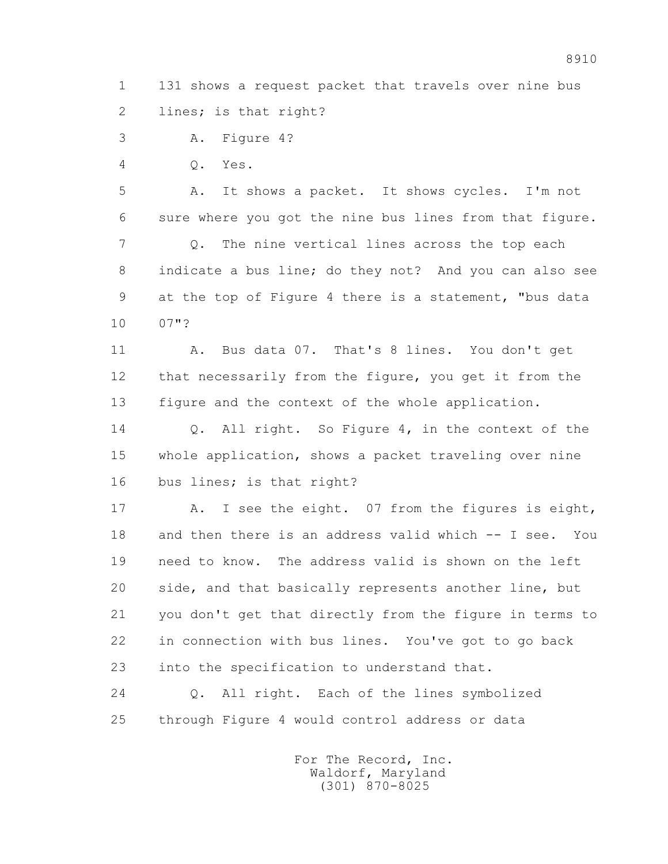1 131 shows a request packet that travels over nine bus 2 lines; is that right?

3 A. Figure 4?

4 Q. Yes.

 5 A. It shows a packet. It shows cycles. I'm not 6 sure where you got the nine bus lines from that figure. 7 Q. The nine vertical lines across the top each 8 indicate a bus line; do they not? And you can also see 9 at the top of Figure 4 there is a statement, "bus data 10 07"?

 11 A. Bus data 07. That's 8 lines. You don't get 12 that necessarily from the figure, you get it from the 13 figure and the context of the whole application.

 14 Q. All right. So Figure 4, in the context of the 15 whole application, shows a packet traveling over nine 16 bus lines; is that right?

 17 A. I see the eight. 07 from the figures is eight, 18 and then there is an address valid which -- I see. You 19 need to know. The address valid is shown on the left 20 side, and that basically represents another line, but 21 you don't get that directly from the figure in terms to 22 in connection with bus lines. You've got to go back 23 into the specification to understand that.

 24 Q. All right. Each of the lines symbolized 25 through Figure 4 would control address or data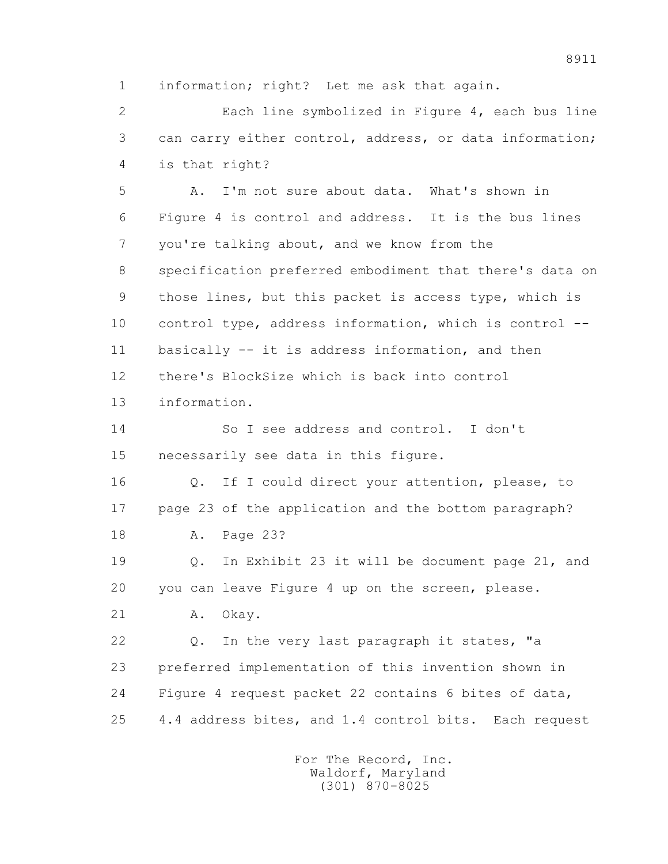1 information; right? Let me ask that again.

 2 Each line symbolized in Figure 4, each bus line 3 can carry either control, address, or data information; 4 is that right?

 5 A. I'm not sure about data. What's shown in 6 Figure 4 is control and address. It is the bus lines 7 you're talking about, and we know from the 8 specification preferred embodiment that there's data on 9 those lines, but this packet is access type, which is 10 control type, address information, which is control -- 11 basically -- it is address information, and then 12 there's BlockSize which is back into control 13 information.

 14 So I see address and control. I don't 15 necessarily see data in this figure.

 16 Q. If I could direct your attention, please, to 17 page 23 of the application and the bottom paragraph? 18 A. Page 23?

 19 Q. In Exhibit 23 it will be document page 21, and 20 you can leave Figure 4 up on the screen, please.

21 A. Okay.

 22 Q. In the very last paragraph it states, "a 23 preferred implementation of this invention shown in 24 Figure 4 request packet 22 contains 6 bites of data, 25 4.4 address bites, and 1.4 control bits. Each request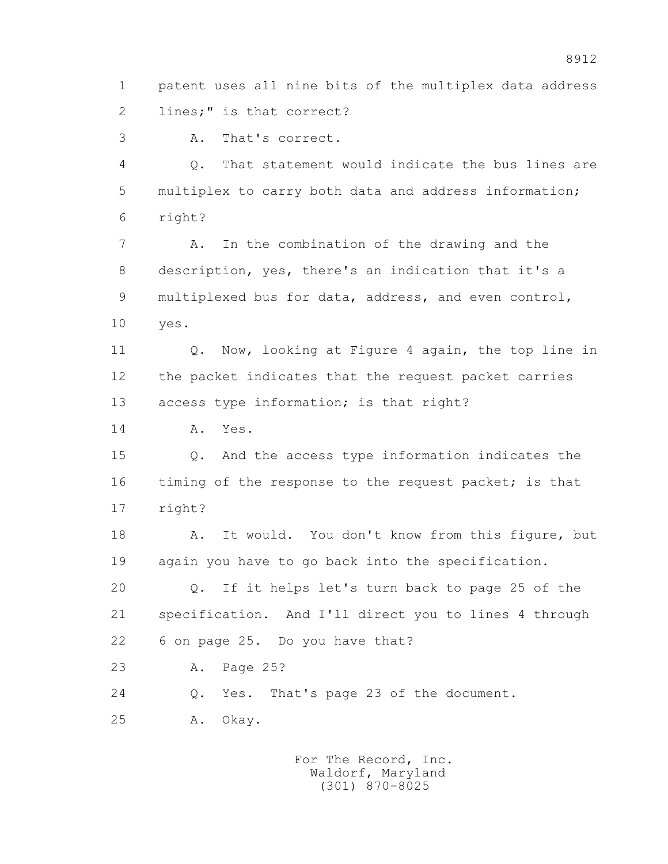1 patent uses all nine bits of the multiplex data address 2 lines;" is that correct?

3 A. That's correct.

 4 Q. That statement would indicate the bus lines are 5 multiplex to carry both data and address information; 6 right?

 7 A. In the combination of the drawing and the 8 description, yes, there's an indication that it's a 9 multiplexed bus for data, address, and even control, 10 yes.

 11 Q. Now, looking at Figure 4 again, the top line in 12 the packet indicates that the request packet carries 13 access type information; is that right?

14 A. Yes.

 15 Q. And the access type information indicates the 16 timing of the response to the request packet; is that 17 right?

 18 A. It would. You don't know from this figure, but 19 again you have to go back into the specification.

 20 Q. If it helps let's turn back to page 25 of the 21 specification. And I'll direct you to lines 4 through 22 6 on page 25. Do you have that?

23 A. Page 25?

24 Q. Yes. That's page 23 of the document.

25 A. Okay.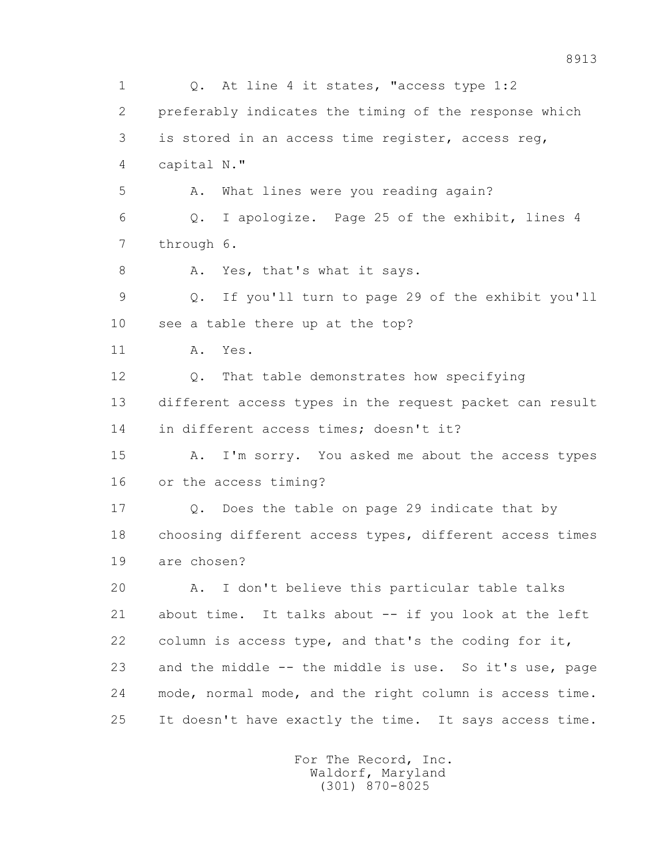1 Q. At line 4 it states, "access type 1:2 2 preferably indicates the timing of the response which 3 is stored in an access time register, access reg, 4 capital N." 5 A. What lines were you reading again? 6 Q. I apologize. Page 25 of the exhibit, lines 4 7 through 6. 8 A. Yes, that's what it says. 9 Q. If you'll turn to page 29 of the exhibit you'll 10 see a table there up at the top? 11 A. Yes. 12 Q. That table demonstrates how specifying 13 different access types in the request packet can result 14 in different access times; doesn't it? 15 A. I'm sorry. You asked me about the access types 16 or the access timing? 17 Q. Does the table on page 29 indicate that by 18 choosing different access types, different access times 19 are chosen? 20 A. I don't believe this particular table talks 21 about time. It talks about -- if you look at the left 22 column is access type, and that's the coding for it, 23 and the middle -- the middle is use. So it's use, page 24 mode, normal mode, and the right column is access time. 25 It doesn't have exactly the time. It says access time.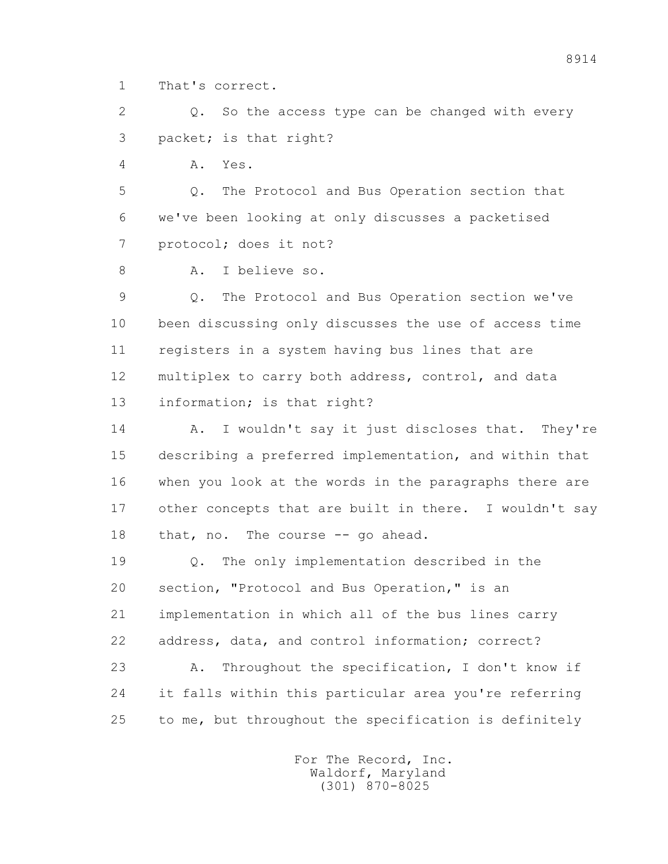1 That's correct.

 2 Q. So the access type can be changed with every 3 packet; is that right?

4 A. Yes.

 5 Q. The Protocol and Bus Operation section that 6 we've been looking at only discusses a packetised 7 protocol; does it not?

8 A. I believe so.

 9 Q. The Protocol and Bus Operation section we've 10 been discussing only discusses the use of access time 11 registers in a system having bus lines that are 12 multiplex to carry both address, control, and data 13 information; is that right?

14 A. I wouldn't say it just discloses that. They're 15 describing a preferred implementation, and within that 16 when you look at the words in the paragraphs there are 17 other concepts that are built in there. I wouldn't say 18 that, no. The course -- go ahead.

 19 Q. The only implementation described in the 20 section, "Protocol and Bus Operation," is an 21 implementation in which all of the bus lines carry 22 address, data, and control information; correct?

 23 A. Throughout the specification, I don't know if 24 it falls within this particular area you're referring 25 to me, but throughout the specification is definitely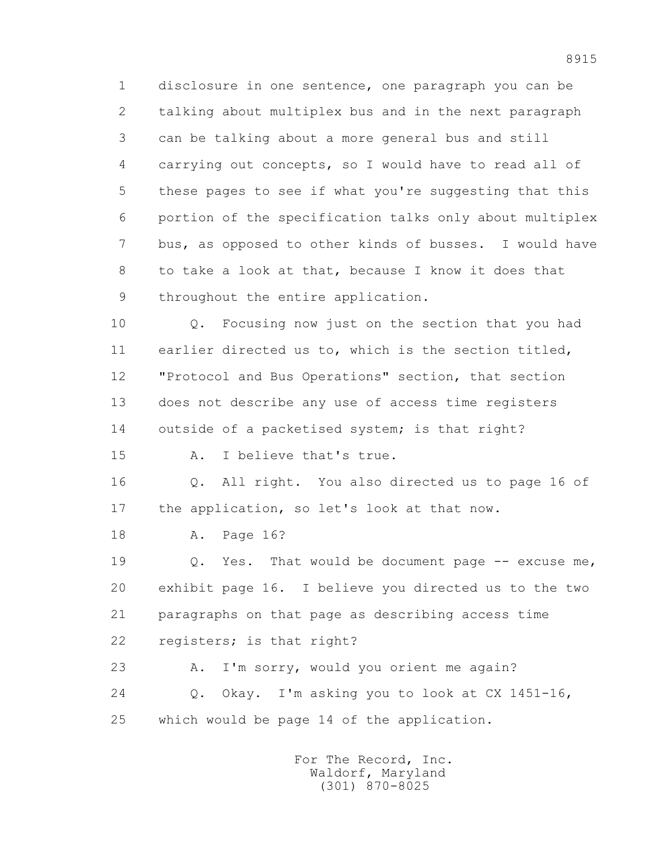1 disclosure in one sentence, one paragraph you can be 2 talking about multiplex bus and in the next paragraph 3 can be talking about a more general bus and still 4 carrying out concepts, so I would have to read all of 5 these pages to see if what you're suggesting that this 6 portion of the specification talks only about multiplex 7 bus, as opposed to other kinds of busses. I would have 8 to take a look at that, because I know it does that 9 throughout the entire application.

 10 Q. Focusing now just on the section that you had 11 earlier directed us to, which is the section titled, 12 "Protocol and Bus Operations" section, that section 13 does not describe any use of access time registers 14 outside of a packetised system; is that right?

15 A. I believe that's true.

 16 Q. All right. You also directed us to page 16 of 17 the application, so let's look at that now.

18 A. Page 16?

 19 Q. Yes. That would be document page -- excuse me, 20 exhibit page 16. I believe you directed us to the two 21 paragraphs on that page as describing access time 22 registers; is that right?

 23 A. I'm sorry, would you orient me again? 24 Q. Okay. I'm asking you to look at CX 1451-16, 25 which would be page 14 of the application.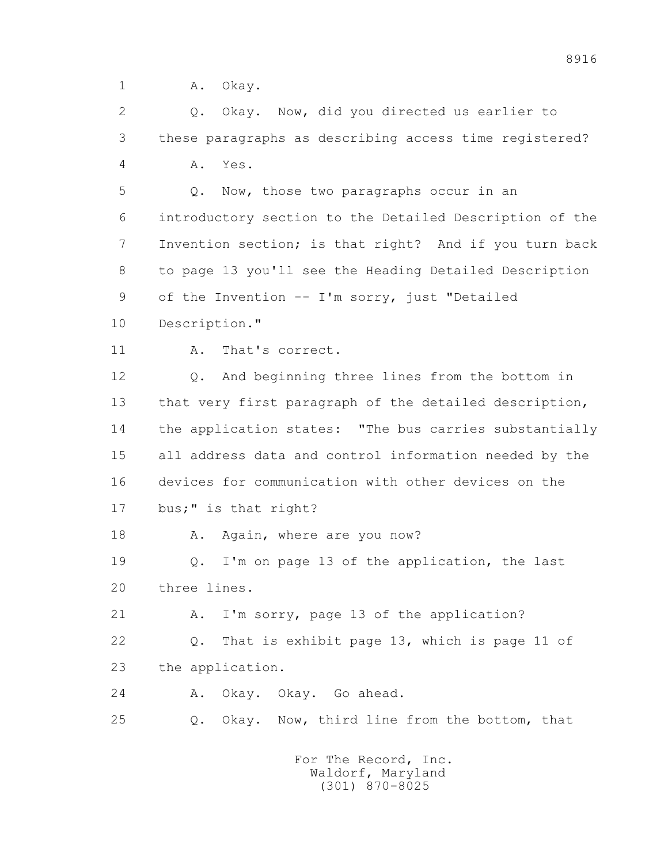1 A. Okay.

2 0. Okay. Now, did you directed us earlier to 3 these paragraphs as describing access time registered? 4 A. Yes. 5 Q. Now, those two paragraphs occur in an 6 introductory section to the Detailed Description of the 7 Invention section; is that right? And if you turn back 8 to page 13 you'll see the Heading Detailed Description 9 of the Invention -- I'm sorry, just "Detailed 10 Description." 11 A. That's correct. 12 Q. And beginning three lines from the bottom in 13 that very first paragraph of the detailed description, 14 the application states: "The bus carries substantially 15 all address data and control information needed by the 16 devices for communication with other devices on the 17 bus;" is that right? 18 A. Again, where are you now? 19 Q. I'm on page 13 of the application, the last 20 three lines. 21 A. I'm sorry, page 13 of the application? 22 Q. That is exhibit page 13, which is page 11 of 23 the application. 24 A. Okay. Okay. Go ahead. 25 Q. Okay. Now, third line from the bottom, that For The Record, Inc.

 Waldorf, Maryland (301) 870-8025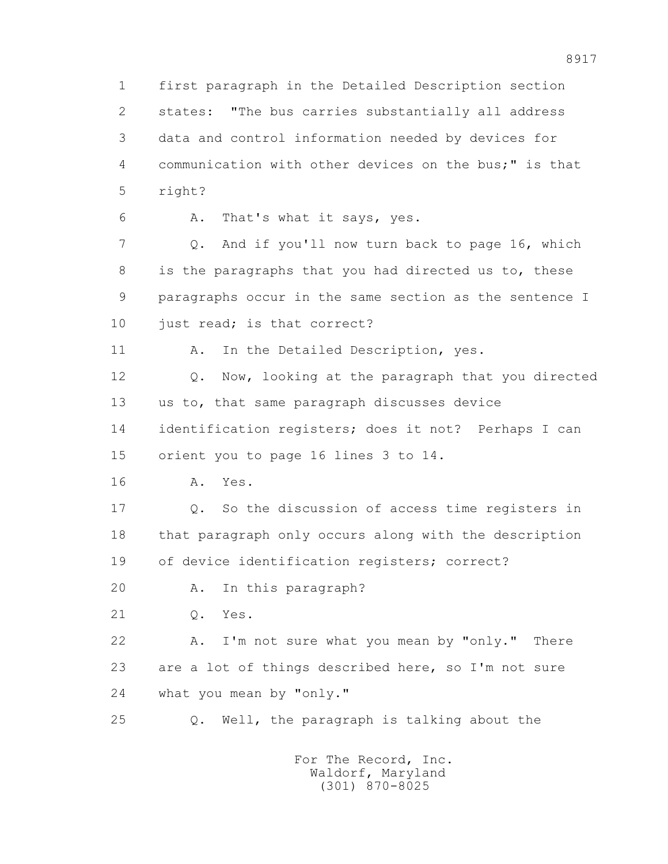1 first paragraph in the Detailed Description section 2 states: "The bus carries substantially all address 3 data and control information needed by devices for 4 communication with other devices on the bus;" is that 5 right? 6 A. That's what it says, yes. 7 Q. And if you'll now turn back to page 16, which 8 is the paragraphs that you had directed us to, these 9 paragraphs occur in the same section as the sentence I 10 just read; is that correct? 11 A. In the Detailed Description, yes. 12 Q. Now, looking at the paragraph that you directed 13 us to, that same paragraph discusses device 14 identification registers; does it not? Perhaps I can 15 orient you to page 16 lines 3 to 14. 16 A. Yes. 17 Q. So the discussion of access time registers in 18 that paragraph only occurs along with the description 19 of device identification registers; correct? 20 A. In this paragraph? 21 Q. Yes. 22 A. I'm not sure what you mean by "only." There 23 are a lot of things described here, so I'm not sure 24 what you mean by "only." 25 Q. Well, the paragraph is talking about the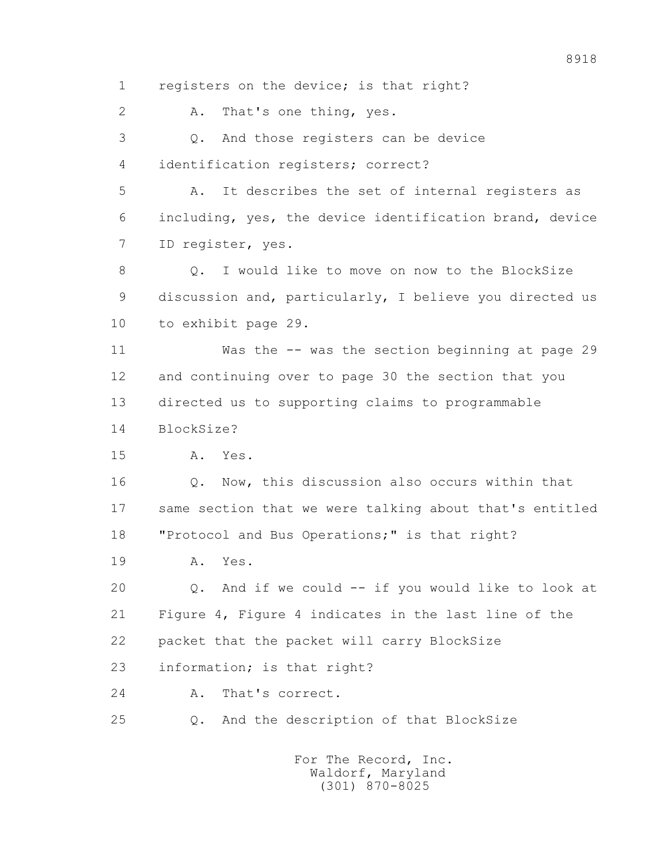1 registers on the device; is that right? 2 A. That's one thing, yes. 3 Q. And those registers can be device 4 identification registers; correct? 5 A. It describes the set of internal registers as 6 including, yes, the device identification brand, device 7 ID register, yes. 8 0. I would like to move on now to the BlockSize 9 discussion and, particularly, I believe you directed us 10 to exhibit page 29. 11 Was the -- was the section beginning at page 29 12 and continuing over to page 30 the section that you 13 directed us to supporting claims to programmable 14 BlockSize? 15 A. Yes. 16 Q. Now, this discussion also occurs within that 17 same section that we were talking about that's entitled 18 "Protocol and Bus Operations;" is that right? 19 A. Yes. 20 Q. And if we could -- if you would like to look at 21 Figure 4, Figure 4 indicates in the last line of the 22 packet that the packet will carry BlockSize 23 information; is that right? 24 A. That's correct. 25 Q. And the description of that BlockSize For The Record, Inc. Waldorf, Maryland

(301) 870-8025

8918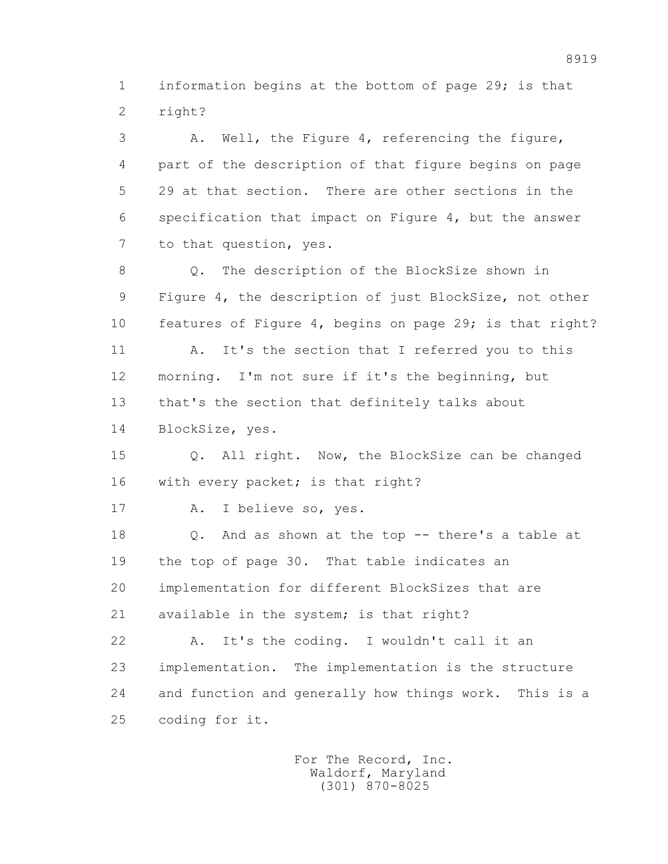1 information begins at the bottom of page 29; is that 2 right?

 3 A. Well, the Figure 4, referencing the figure, 4 part of the description of that figure begins on page 5 29 at that section. There are other sections in the 6 specification that impact on Figure 4, but the answer 7 to that question, yes. 8 Q. The description of the BlockSize shown in 9 Figure 4, the description of just BlockSize, not other 10 features of Figure 4, begins on page 29; is that right? 11 A. It's the section that I referred you to this 12 morning. I'm not sure if it's the beginning, but 13 that's the section that definitely talks about 14 BlockSize, yes. 15 Q. All right. Now, the BlockSize can be changed 16 with every packet; is that right? 17 A. I believe so, yes. 18 Q. And as shown at the top -- there's a table at 19 the top of page 30. That table indicates an 20 implementation for different BlockSizes that are

21 available in the system; is that right?

 22 A. It's the coding. I wouldn't call it an 23 implementation. The implementation is the structure 24 and function and generally how things work. This is a 25 coding for it.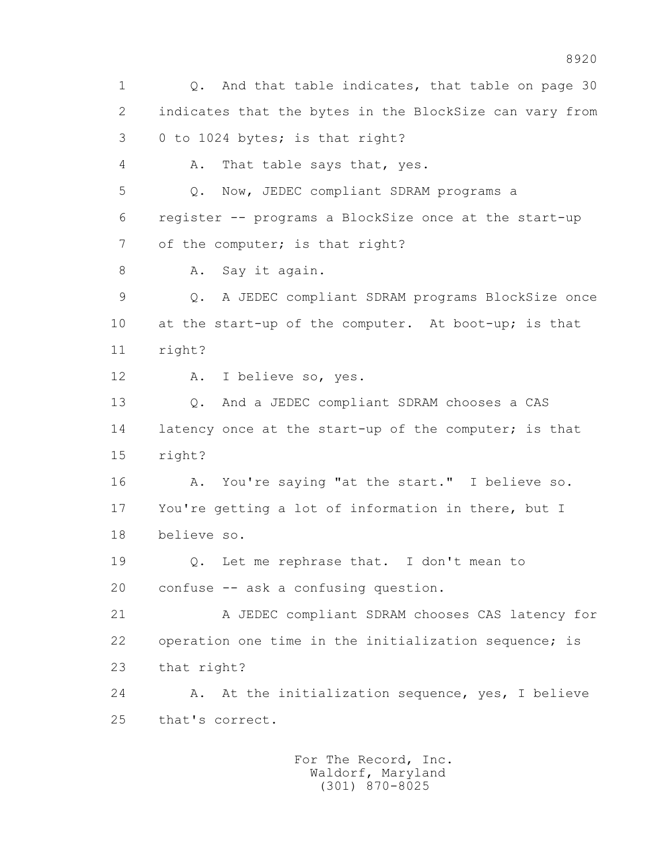1 Q. And that table indicates, that table on page 30 2 indicates that the bytes in the BlockSize can vary from 3 0 to 1024 bytes; is that right? 4 A. That table says that, yes. 5 Q. Now, JEDEC compliant SDRAM programs a 6 register -- programs a BlockSize once at the start-up 7 of the computer; is that right? 8 A. Say it again. 9 Q. A JEDEC compliant SDRAM programs BlockSize once 10 at the start-up of the computer. At boot-up; is that 11 right? 12 A. I believe so, yes. 13 Q. And a JEDEC compliant SDRAM chooses a CAS 14 latency once at the start-up of the computer; is that 15 right? 16 A. You're saying "at the start." I believe so. 17 You're getting a lot of information in there, but I 18 believe so. 19 0. Let me rephrase that. I don't mean to 20 confuse -- ask a confusing question. 21 A JEDEC compliant SDRAM chooses CAS latency for 22 operation one time in the initialization sequence; is 23 that right? 24 A. At the initialization sequence, yes, I believe 25 that's correct.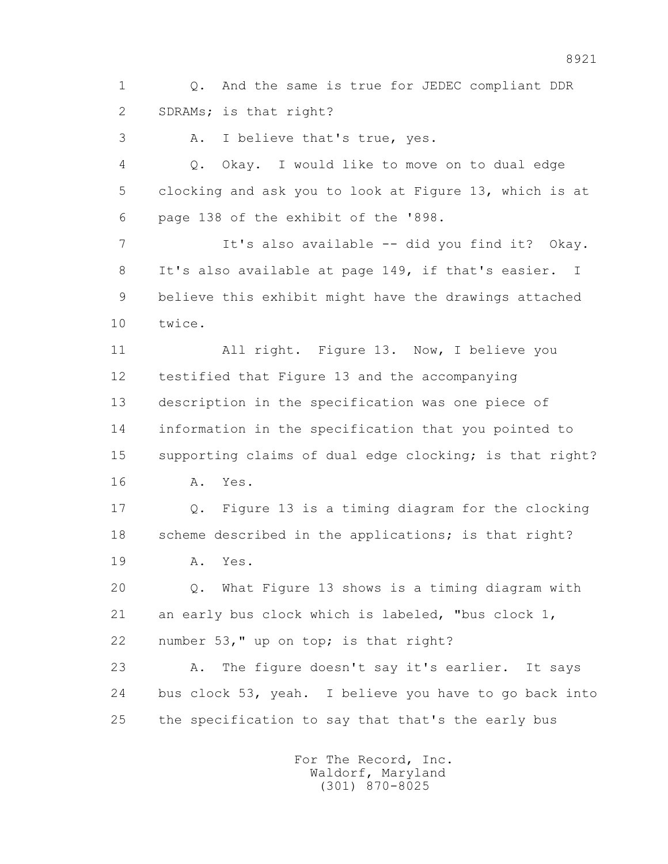1 Q. And the same is true for JEDEC compliant DDR 2 SDRAMs; is that right?

3 A. I believe that's true, yes.

 4 Q. Okay. I would like to move on to dual edge 5 clocking and ask you to look at Figure 13, which is at 6 page 138 of the exhibit of the '898.

 7 It's also available -- did you find it? Okay. 8 It's also available at page 149, if that's easier. I 9 believe this exhibit might have the drawings attached 10 twice.

 11 All right. Figure 13. Now, I believe you 12 testified that Figure 13 and the accompanying 13 description in the specification was one piece of 14 information in the specification that you pointed to 15 supporting claims of dual edge clocking; is that right? 16 A. Yes.

 17 Q. Figure 13 is a timing diagram for the clocking 18 scheme described in the applications; is that right?

19 A. Yes.

 20 Q. What Figure 13 shows is a timing diagram with 21 an early bus clock which is labeled, "bus clock 1, 22 number 53," up on top; is that right?

 23 A. The figure doesn't say it's earlier. It says 24 bus clock 53, yeah. I believe you have to go back into 25 the specification to say that that's the early bus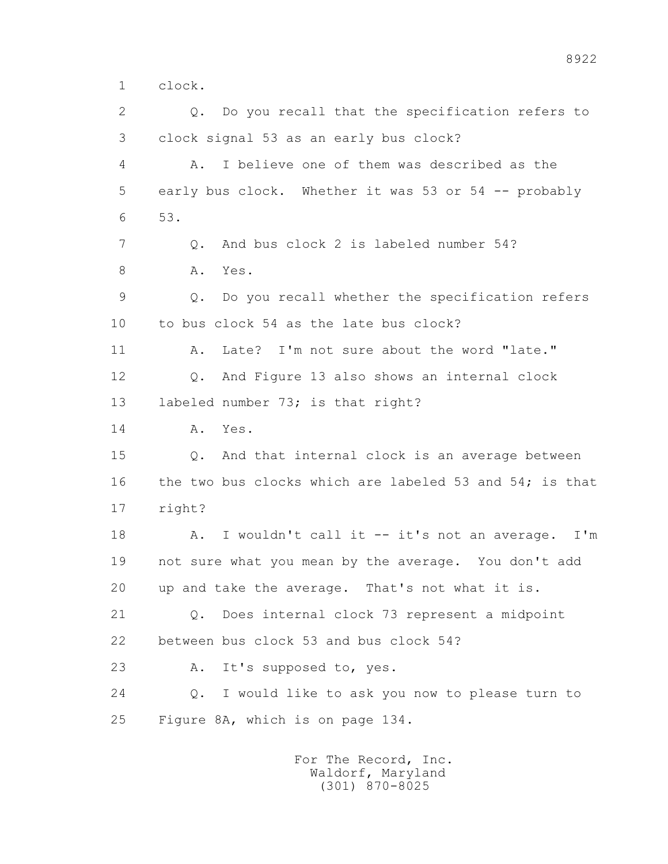1 clock.

 2 Q. Do you recall that the specification refers to 3 clock signal 53 as an early bus clock? 4 A. I believe one of them was described as the 5 early bus clock. Whether it was 53 or 54 -- probably 6 53. 7 0. And bus clock 2 is labeled number 54? 8 A. Yes. 9 Q. Do you recall whether the specification refers 10 to bus clock 54 as the late bus clock? 11 A. Late? I'm not sure about the word "late." 12 Q. And Figure 13 also shows an internal clock 13 labeled number 73; is that right? 14 A. Yes. 15 Q. And that internal clock is an average between 16 the two bus clocks which are labeled 53 and 54; is that 17 right? 18 A. I wouldn't call it -- it's not an average. I'm 19 not sure what you mean by the average. You don't add 20 up and take the average. That's not what it is. 21 Q. Does internal clock 73 represent a midpoint 22 between bus clock 53 and bus clock 54? 23 A. It's supposed to, yes. 24 Q. I would like to ask you now to please turn to 25 Figure 8A, which is on page 134.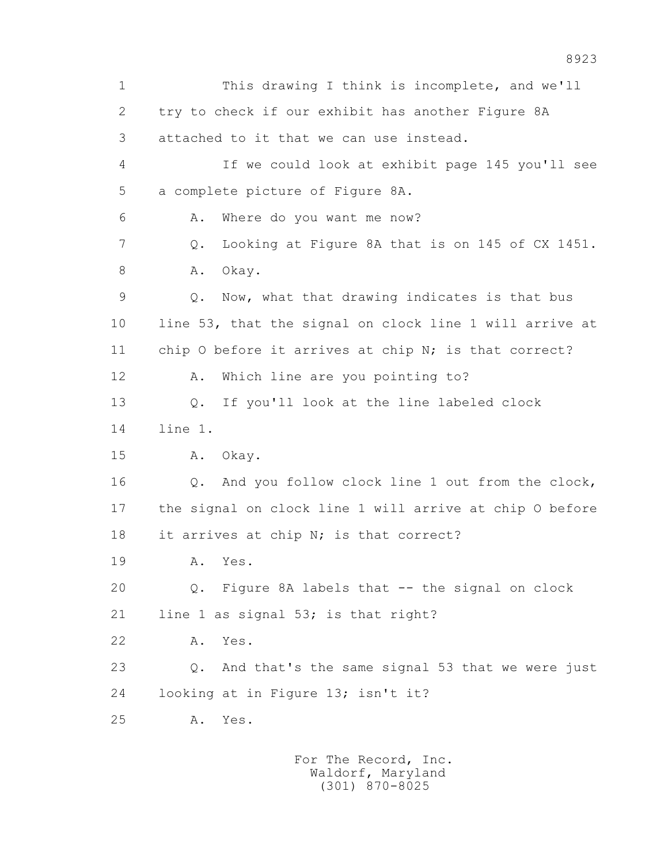1 This drawing I think is incomplete, and we'll 2 try to check if our exhibit has another Figure 8A 3 attached to it that we can use instead. 4 If we could look at exhibit page 145 you'll see 5 a complete picture of Figure 8A. 6 A. Where do you want me now? 7 Q. Looking at Figure 8A that is on 145 of CX 1451. 8 A. Okay. 9 Q. Now, what that drawing indicates is that bus 10 line 53, that the signal on clock line 1 will arrive at 11 chip 0 before it arrives at chip N; is that correct? 12 A. Which line are you pointing to? 13 Q. If you'll look at the line labeled clock 14 line 1. 15 A. Okay. 16 Q. And you follow clock line 1 out from the clock, 17 the signal on clock line 1 will arrive at chip O before 18 it arrives at chip N; is that correct? 19 A. Yes. 20 Q. Figure 8A labels that -- the signal on clock 21 line 1 as signal 53; is that right? 22 A. Yes. 23 Q. And that's the same signal 53 that we were just 24 looking at in Figure 13; isn't it? 25 A. Yes.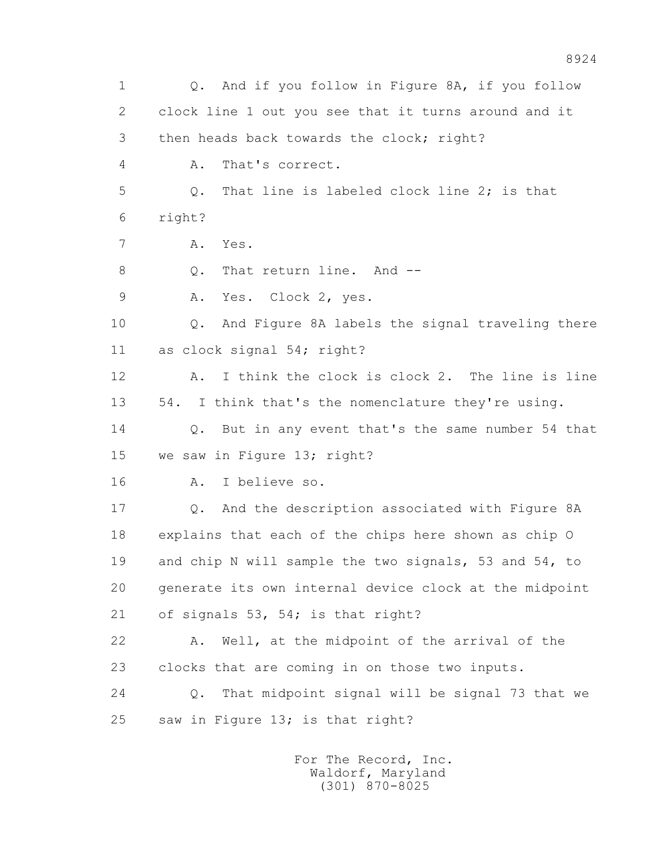1 Q. And if you follow in Figure 8A, if you follow 2 clock line 1 out you see that it turns around and it 3 then heads back towards the clock; right? 4 A. That's correct. 5 Q. That line is labeled clock line 2; is that 6 right? 7 A. Yes. 8 0. That return line. And -- 9 A. Yes. Clock 2, yes. 10 Q. And Figure 8A labels the signal traveling there 11 as clock signal 54; right? 12 A. I think the clock is clock 2. The line is line 13 54. I think that's the nomenclature they're using. 14 0. But in any event that's the same number 54 that 15 we saw in Figure 13; right? 16 A. I believe so. 17 Q. And the description associated with Figure 8A 18 explains that each of the chips here shown as chip O 19 and chip N will sample the two signals, 53 and 54, to 20 generate its own internal device clock at the midpoint 21 of signals 53, 54; is that right? 22 A. Well, at the midpoint of the arrival of the 23 clocks that are coming in on those two inputs. 24 Q. That midpoint signal will be signal 73 that we 25 saw in Figure 13; is that right?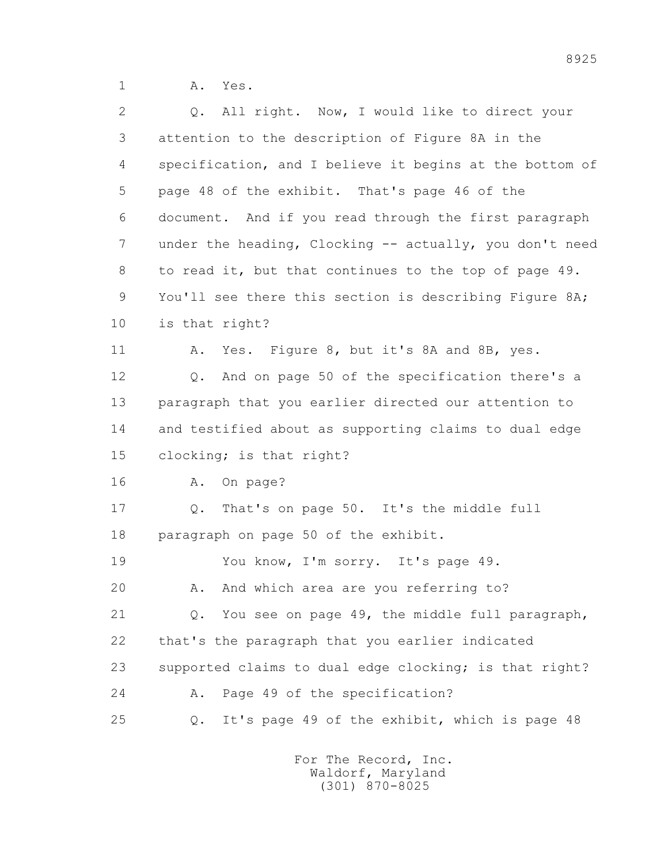1 A. Yes.

| $\overline{2}$ | Q. All right. Now, I would like to direct your          |
|----------------|---------------------------------------------------------|
| 3              | attention to the description of Figure 8A in the        |
| 4              | specification, and I believe it begins at the bottom of |
| 5              | page 48 of the exhibit. That's page 46 of the           |
| 6              | document. And if you read through the first paragraph   |
| 7              | under the heading, Clocking -- actually, you don't need |
| 8              | to read it, but that continues to the top of page 49.   |
| 9              | You'll see there this section is describing Figure 8A;  |
| 10             | is that right?                                          |
| 11             | Yes. Figure 8, but it's 8A and 8B, yes.<br>Α.           |
| 12             | Q. And on page 50 of the specification there's a        |
| 13             | paragraph that you earlier directed our attention to    |
| 14             | and testified about as supporting claims to dual edge   |
| 15             | clocking; is that right?                                |
| 16             | A. On page?                                             |
| 17             | Q. That's on page 50. It's the middle full              |
| 18             | paragraph on page 50 of the exhibit.                    |
| 19             | You know, I'm sorry. It's page 49.                      |
| 20             | And which area are you referring to?<br>Α.              |
| 21             | You see on page 49, the middle full paragraph,<br>Q.    |
| 22             | that's the paragraph that you earlier indicated         |
| 23             | supported claims to dual edge clocking; is that right?  |
| 24             | Page 49 of the specification?<br>Α.                     |
| 25             | It's page 49 of the exhibit, which is page 48<br>Q.     |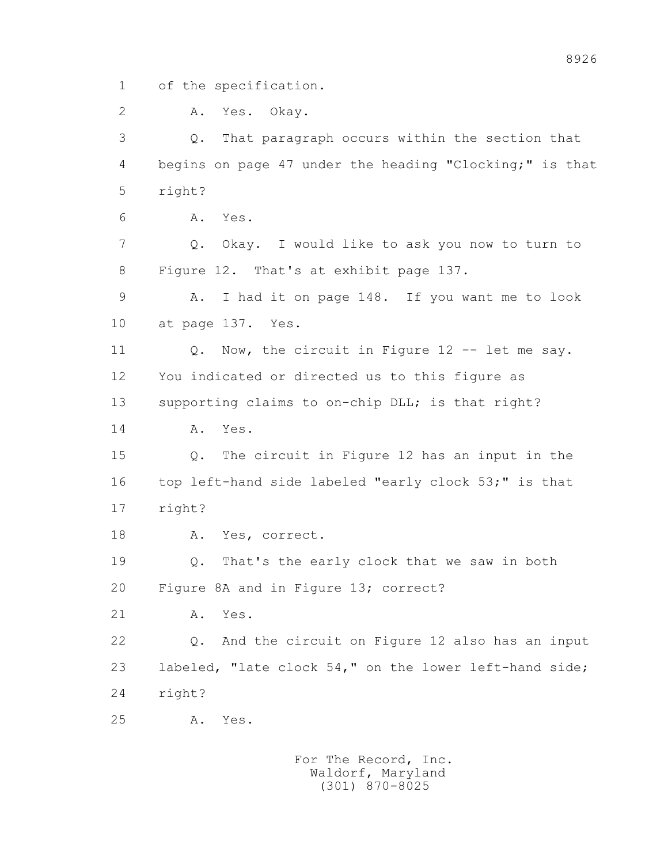1 of the specification.

2 A. Yes. Okay.

 3 Q. That paragraph occurs within the section that 4 begins on page 47 under the heading "Clocking;" is that 5 right?

6 A. Yes.

 7 Q. Okay. I would like to ask you now to turn to 8 Figure 12. That's at exhibit page 137.

 9 A. I had it on page 148. If you want me to look 10 at page 137. Yes.

 11 Q. Now, the circuit in Figure 12 -- let me say. 12 You indicated or directed us to this figure as 13 supporting claims to on-chip DLL; is that right?

14 A. Yes.

 15 Q. The circuit in Figure 12 has an input in the 16 top left-hand side labeled "early clock 53;" is that 17 right?

18 A. Yes, correct.

 19 Q. That's the early clock that we saw in both 20 Figure 8A and in Figure 13; correct?

21 A. Yes.

 22 Q. And the circuit on Figure 12 also has an input 23 labeled, "late clock 54," on the lower left-hand side; 24 right?

25 A. Yes.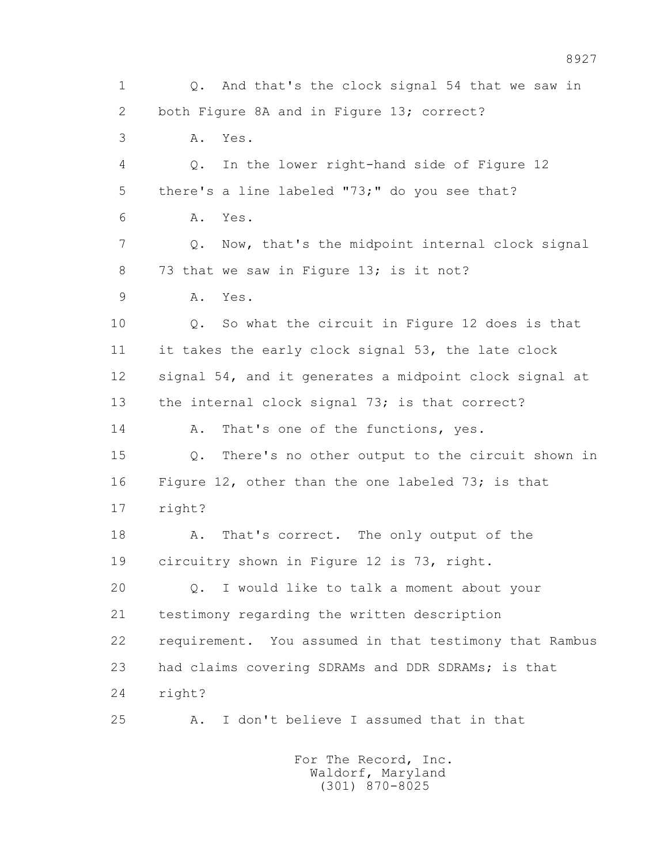1 Q. And that's the clock signal 54 that we saw in 2 both Figure 8A and in Figure 13; correct? 3 A. Yes. 4 Q. In the lower right-hand side of Figure 12 5 there's a line labeled "73;" do you see that? 6 A. Yes. 7 Q. Now, that's the midpoint internal clock signal 8 73 that we saw in Figure 13; is it not? 9 A. Yes. 10 Q. So what the circuit in Figure 12 does is that 11 it takes the early clock signal 53, the late clock 12 signal 54, and it generates a midpoint clock signal at 13 the internal clock signal 73; is that correct? 14 A. That's one of the functions, yes. 15 Q. There's no other output to the circuit shown in 16 Figure 12, other than the one labeled 73; is that 17 right? 18 A. That's correct. The only output of the 19 circuitry shown in Figure 12 is 73, right. 20 Q. I would like to talk a moment about your 21 testimony regarding the written description 22 requirement. You assumed in that testimony that Rambus 23 had claims covering SDRAMs and DDR SDRAMs; is that 24 right? 25 A. I don't believe I assumed that in that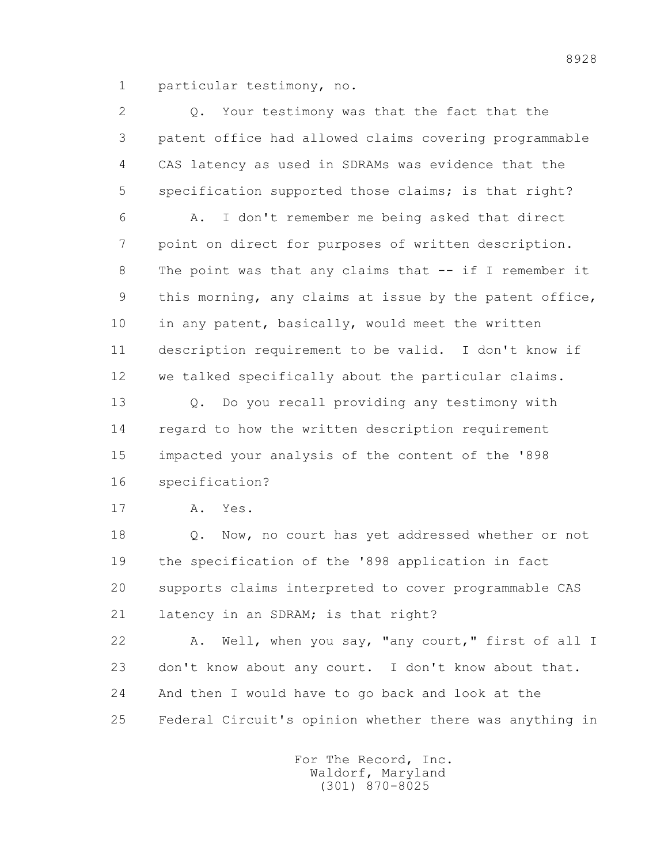1 particular testimony, no.

| $\overline{2}$ | Your testimony was that the fact that the<br>Q.         |
|----------------|---------------------------------------------------------|
| 3              | patent office had allowed claims covering programmable  |
| 4              | CAS latency as used in SDRAMs was evidence that the     |
| 5              | specification supported those claims; is that right?    |
| 6              | I don't remember me being asked that direct<br>Α.       |
| 7              | point on direct for purposes of written description.    |
| 8              | The point was that any claims that -- if I remember it  |
| 9              | this morning, any claims at issue by the patent office, |
| 10             | in any patent, basically, would meet the written        |
| 11             | description requirement to be valid. I don't know if    |
| 12             | we talked specifically about the particular claims.     |
| 13             | Do you recall providing any testimony with<br>Q.        |
| 14             | regard to how the written description requirement       |
| 15             | impacted your analysis of the content of the '898       |
| 16             | specification?                                          |
| 17             | Yes.<br>Α.                                              |
| 18             | Now, no court has yet addressed whether or not<br>$Q$ . |
| 19             | the specification of the '898 application in fact       |
| 20             | supports claims interpreted to cover programmable CAS   |
| 21             | latency in an SDRAM; is that right?                     |
| 22             | Well, when you say, "any court," first of all I<br>Α.   |
| 23             | don't know about any court. I don't know about that.    |
| 24             | And then I would have to go back and look at the        |
| 25             | Federal Circuit's opinion whether there was anything in |
|                |                                                         |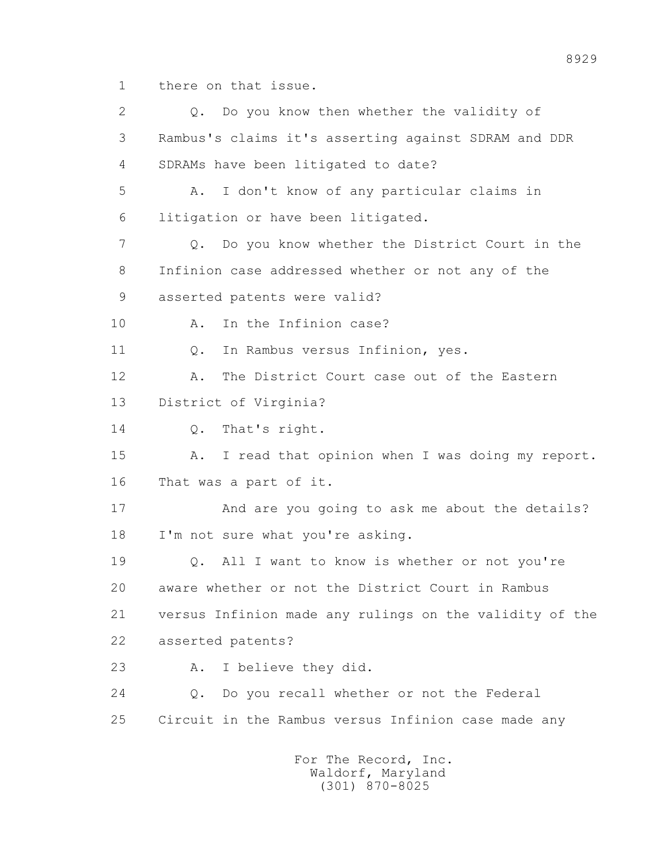1 there on that issue.

 2 Q. Do you know then whether the validity of 3 Rambus's claims it's asserting against SDRAM and DDR 4 SDRAMs have been litigated to date? 5 A. I don't know of any particular claims in 6 litigation or have been litigated. 7 Q. Do you know whether the District Court in the 8 Infinion case addressed whether or not any of the 9 asserted patents were valid? 10 A. In the Infinion case? 11 Q. In Rambus versus Infinion, yes. 12 A. The District Court case out of the Eastern 13 District of Virginia? 14 0. That's right. 15 A. I read that opinion when I was doing my report. 16 That was a part of it. 17 And are you going to ask me about the details? 18 I'm not sure what you're asking. 19 Q. All I want to know is whether or not you're 20 aware whether or not the District Court in Rambus 21 versus Infinion made any rulings on the validity of the 22 asserted patents? 23 A. I believe they did. 24 Q. Do you recall whether or not the Federal 25 Circuit in the Rambus versus Infinion case made any For The Record, Inc.

 Waldorf, Maryland (301) 870-8025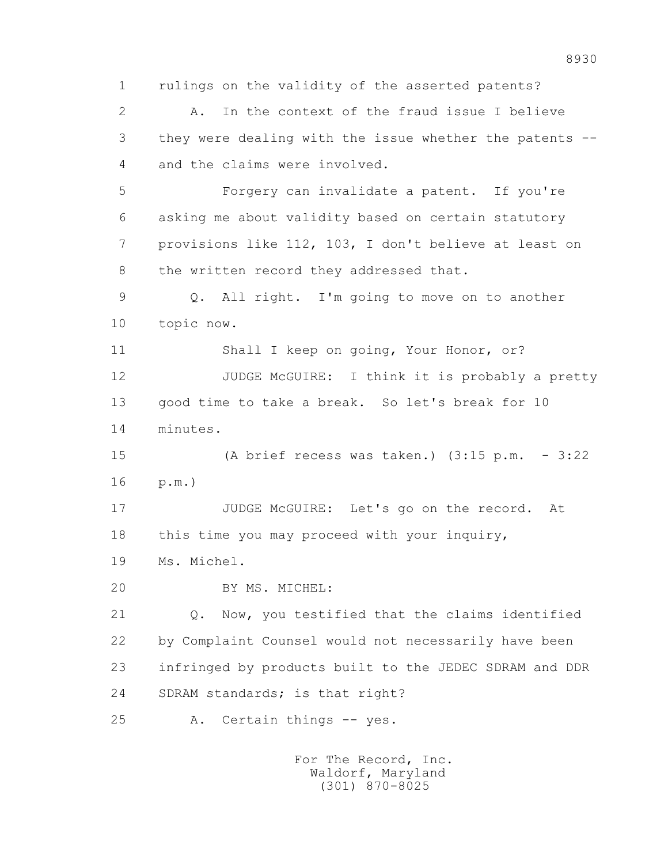1 rulings on the validity of the asserted patents?

 2 A. In the context of the fraud issue I believe 3 they were dealing with the issue whether the patents -- 4 and the claims were involved.

 5 Forgery can invalidate a patent. If you're 6 asking me about validity based on certain statutory 7 provisions like 112, 103, I don't believe at least on 8 the written record they addressed that.

 9 Q. All right. I'm going to move on to another 10 topic now.

 11 Shall I keep on going, Your Honor, or? 12 JUDGE McGUIRE: I think it is probably a pretty 13 good time to take a break. So let's break for 10 14 minutes.

 15 (A brief recess was taken.) (3:15 p.m. - 3:22 16 p.m.)

 17 JUDGE McGUIRE: Let's go on the record. At 18 this time you may proceed with your inquiry,

19 Ms. Michel.

20 BY MS. MICHEL:

 21 Q. Now, you testified that the claims identified 22 by Complaint Counsel would not necessarily have been 23 infringed by products built to the JEDEC SDRAM and DDR 24 SDRAM standards; is that right?

25 A. Certain things -- yes.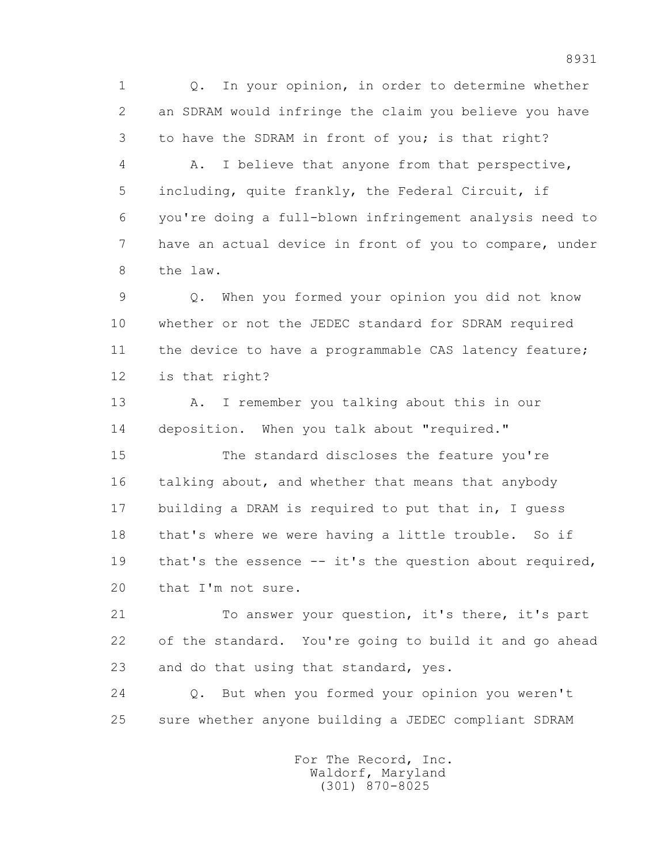1 Q. In your opinion, in order to determine whether 2 an SDRAM would infringe the claim you believe you have 3 to have the SDRAM in front of you; is that right?

 4 A. I believe that anyone from that perspective, 5 including, quite frankly, the Federal Circuit, if 6 you're doing a full-blown infringement analysis need to 7 have an actual device in front of you to compare, under 8 the law.

 9 Q. When you formed your opinion you did not know 10 whether or not the JEDEC standard for SDRAM required 11 the device to have a programmable CAS latency feature; 12 is that right?

 13 A. I remember you talking about this in our 14 deposition. When you talk about "required."

 15 The standard discloses the feature you're 16 talking about, and whether that means that anybody 17 building a DRAM is required to put that in, I guess 18 that's where we were having a little trouble. So if 19 that's the essence -- it's the question about required, 20 that I'm not sure.

 21 To answer your question, it's there, it's part 22 of the standard. You're going to build it and go ahead 23 and do that using that standard, yes.

 24 Q. But when you formed your opinion you weren't 25 sure whether anyone building a JEDEC compliant SDRAM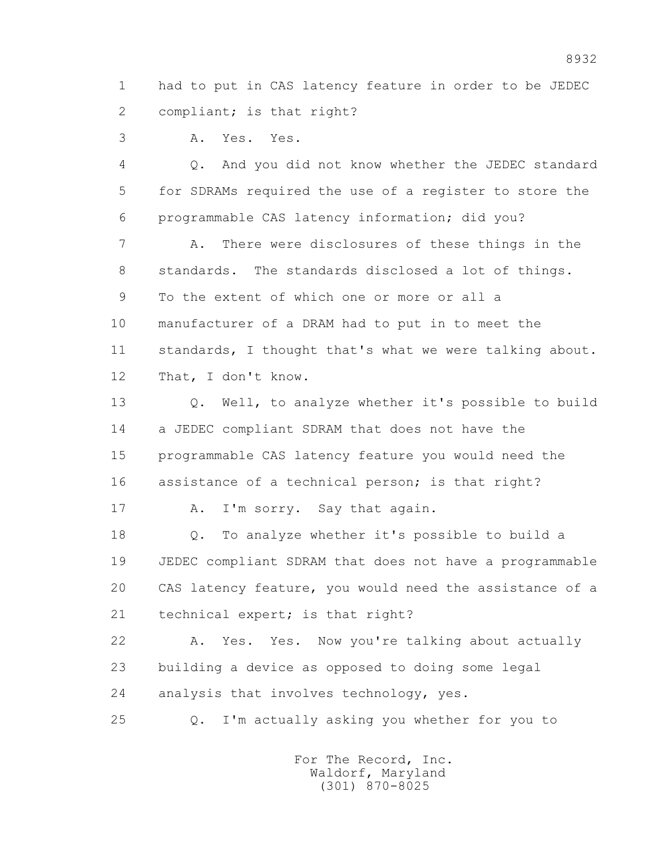1 had to put in CAS latency feature in order to be JEDEC 2 compliant; is that right?

3 A. Yes. Yes.

 4 Q. And you did not know whether the JEDEC standard 5 for SDRAMs required the use of a register to store the 6 programmable CAS latency information; did you?

 7 A. There were disclosures of these things in the 8 standards. The standards disclosed a lot of things. 9 To the extent of which one or more or all a 10 manufacturer of a DRAM had to put in to meet the 11 standards, I thought that's what we were talking about. 12 That, I don't know.

 13 Q. Well, to analyze whether it's possible to build 14 a JEDEC compliant SDRAM that does not have the 15 programmable CAS latency feature you would need the 16 assistance of a technical person; is that right?

17 A. I'm sorry. Say that again.

 18 Q. To analyze whether it's possible to build a 19 JEDEC compliant SDRAM that does not have a programmable 20 CAS latency feature, you would need the assistance of a 21 technical expert; is that right?

 22 A. Yes. Yes. Now you're talking about actually 23 building a device as opposed to doing some legal 24 analysis that involves technology, yes.

25 Q. I'm actually asking you whether for you to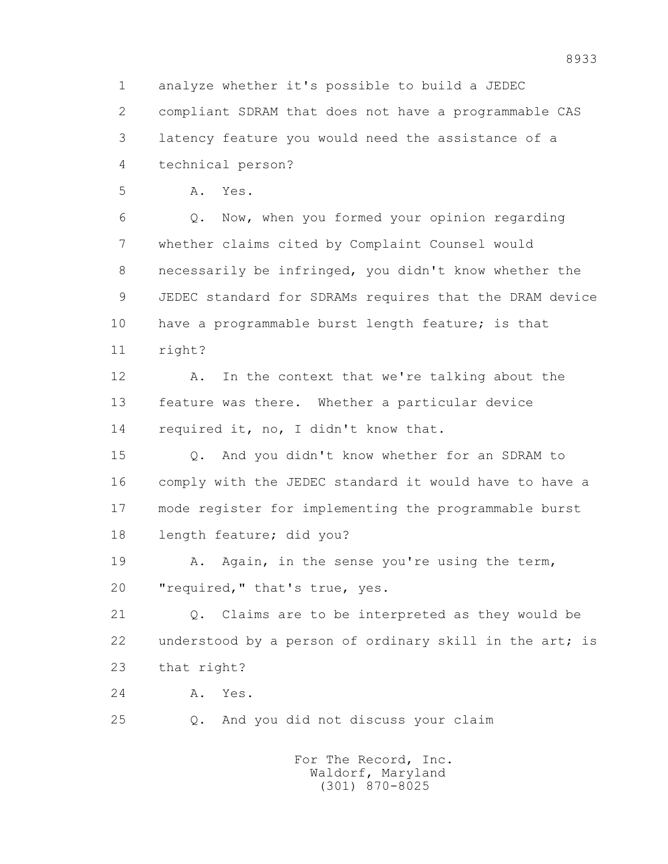1 analyze whether it's possible to build a JEDEC 2 compliant SDRAM that does not have a programmable CAS 3 latency feature you would need the assistance of a 4 technical person? 5 A. Yes. 6 Q. Now, when you formed your opinion regarding 7 whether claims cited by Complaint Counsel would 8 necessarily be infringed, you didn't know whether the 9 JEDEC standard for SDRAMs requires that the DRAM device 10 have a programmable burst length feature; is that 11 right? 12 A. In the context that we're talking about the 13 feature was there. Whether a particular device 14 required it, no, I didn't know that. 15 Q. And you didn't know whether for an SDRAM to 16 comply with the JEDEC standard it would have to have a

 17 mode register for implementing the programmable burst 18 length feature; did you?

 19 A. Again, in the sense you're using the term, 20 "required," that's true, yes.

 21 Q. Claims are to be interpreted as they would be 22 understood by a person of ordinary skill in the art; is 23 that right?

24 A. Yes.

25 Q. And you did not discuss your claim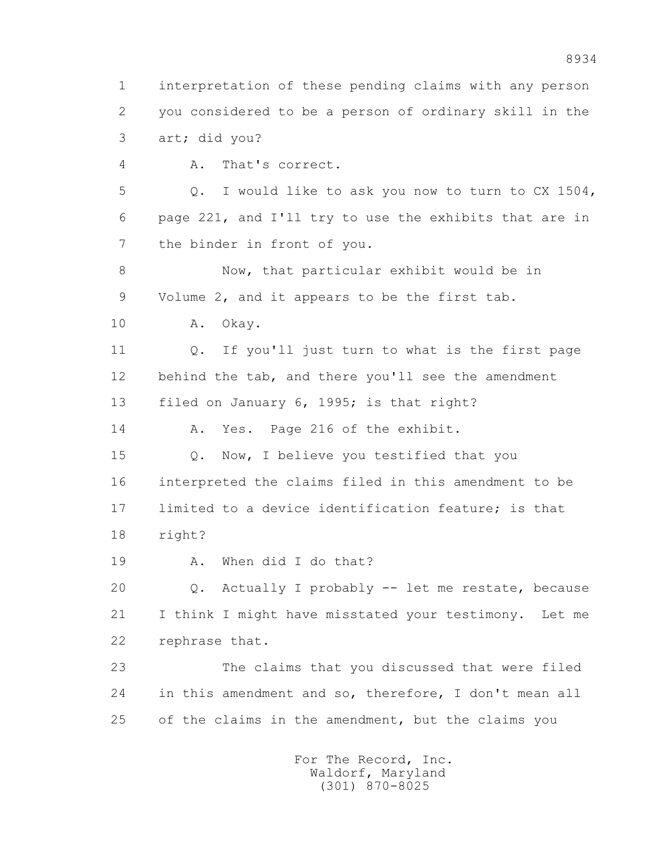1 interpretation of these pending claims with any person 2 you considered to be a person of ordinary skill in the 3 art; did you? 4 A. That's correct.

 5 Q. I would like to ask you now to turn to CX 1504, 6 page 221, and I'll try to use the exhibits that are in 7 the binder in front of you.

 8 Now, that particular exhibit would be in 9 Volume 2, and it appears to be the first tab.

10 A. Okay.

 11 Q. If you'll just turn to what is the first page 12 behind the tab, and there you'll see the amendment 13 filed on January 6, 1995; is that right?

14 A. Yes. Page 216 of the exhibit.

15 Q. Now, I believe you testified that you 16 interpreted the claims filed in this amendment to be 17 limited to a device identification feature; is that 18 right?

19 A. When did I do that?

 20 Q. Actually I probably -- let me restate, because 21 I think I might have misstated your testimony. Let me 22 rephrase that.

 23 The claims that you discussed that were filed 24 in this amendment and so, therefore, I don't mean all 25 of the claims in the amendment, but the claims you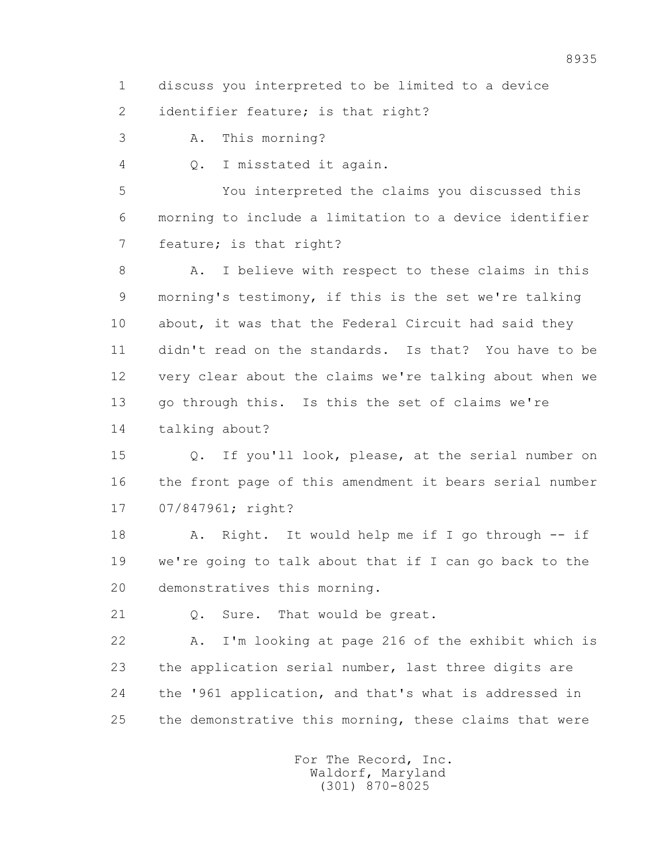1 discuss you interpreted to be limited to a device

2 identifier feature; is that right?

3 A. This morning?

4 Q. I misstated it again.

 5 You interpreted the claims you discussed this 6 morning to include a limitation to a device identifier 7 feature; is that right?

 8 A. I believe with respect to these claims in this 9 morning's testimony, if this is the set we're talking 10 about, it was that the Federal Circuit had said they 11 didn't read on the standards. Is that? You have to be 12 very clear about the claims we're talking about when we 13 go through this. Is this the set of claims we're 14 talking about?

 15 Q. If you'll look, please, at the serial number on 16 the front page of this amendment it bears serial number 17 07/847961; right?

 18 A. Right. It would help me if I go through -- if 19 we're going to talk about that if I can go back to the 20 demonstratives this morning.

21 Q. Sure. That would be great.

 22 A. I'm looking at page 216 of the exhibit which is 23 the application serial number, last three digits are 24 the '961 application, and that's what is addressed in 25 the demonstrative this morning, these claims that were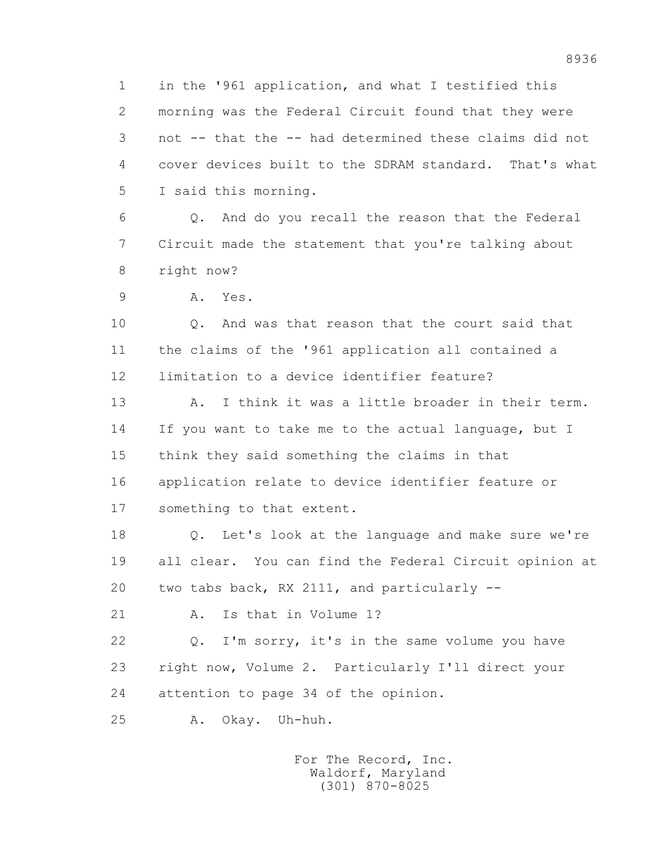1 in the '961 application, and what I testified this 2 morning was the Federal Circuit found that they were 3 not -- that the -- had determined these claims did not 4 cover devices built to the SDRAM standard. That's what 5 I said this morning.

 6 Q. And do you recall the reason that the Federal 7 Circuit made the statement that you're talking about 8 right now?

9 A. Yes.

10 0. And was that reason that the court said that 11 the claims of the '961 application all contained a 12 limitation to a device identifier feature?

 13 A. I think it was a little broader in their term. 14 If you want to take me to the actual language, but I 15 think they said something the claims in that 16 application relate to device identifier feature or 17 something to that extent.

 18 Q. Let's look at the language and make sure we're 19 all clear. You can find the Federal Circuit opinion at 20 two tabs back, RX 2111, and particularly --

21 A. Is that in Volume 1?

 22 Q. I'm sorry, it's in the same volume you have 23 right now, Volume 2. Particularly I'll direct your 24 attention to page 34 of the opinion.

25 A. Okay. Uh-huh.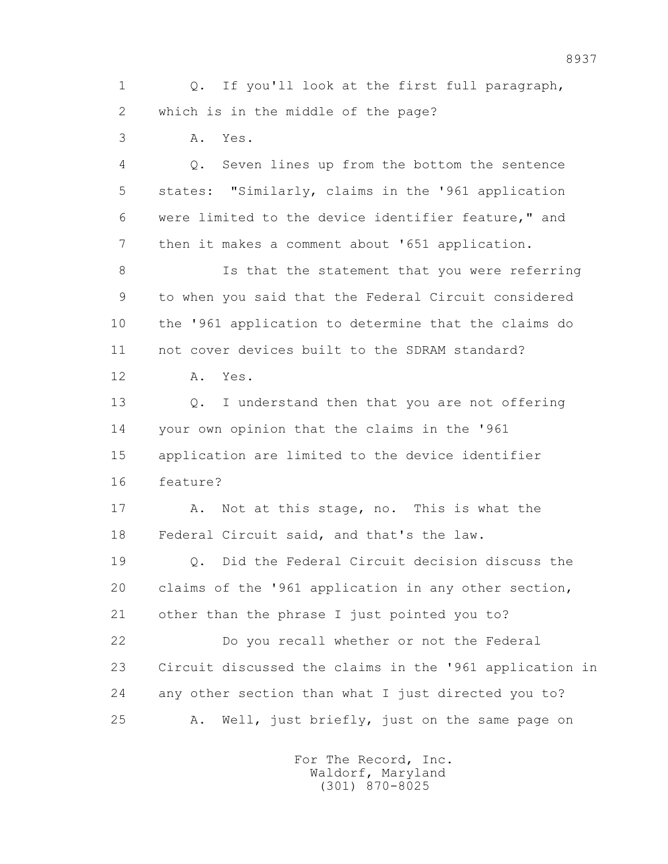1 Q. If you'll look at the first full paragraph, 2 which is in the middle of the page?

3 A. Yes.

 4 Q. Seven lines up from the bottom the sentence 5 states: "Similarly, claims in the '961 application 6 were limited to the device identifier feature," and 7 then it makes a comment about '651 application.

8 Is that the statement that you were referring 9 to when you said that the Federal Circuit considered 10 the '961 application to determine that the claims do 11 not cover devices built to the SDRAM standard?

12 A. Yes.

 13 Q. I understand then that you are not offering 14 your own opinion that the claims in the '961 15 application are limited to the device identifier 16 feature?

17 A. Not at this stage, no. This is what the 18 Federal Circuit said, and that's the law.

 19 Q. Did the Federal Circuit decision discuss the 20 claims of the '961 application in any other section, 21 other than the phrase I just pointed you to?

 22 Do you recall whether or not the Federal 23 Circuit discussed the claims in the '961 application in 24 any other section than what I just directed you to? 25 A. Well, just briefly, just on the same page on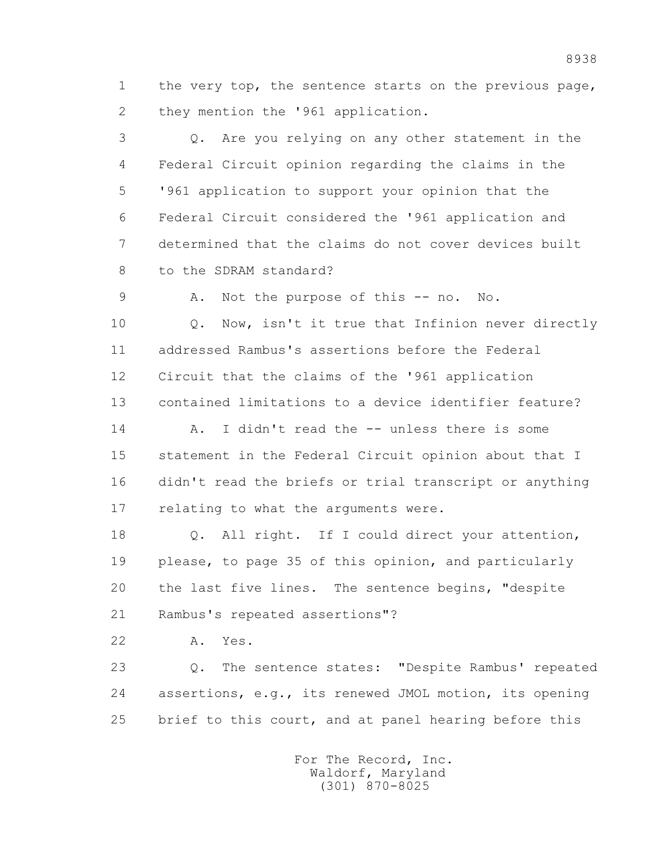1 the very top, the sentence starts on the previous page, 2 they mention the '961 application.

 3 Q. Are you relying on any other statement in the 4 Federal Circuit opinion regarding the claims in the 5 '961 application to support your opinion that the 6 Federal Circuit considered the '961 application and 7 determined that the claims do not cover devices built 8 to the SDRAM standard?

9 A. Not the purpose of this -- no. No.

 10 Q. Now, isn't it true that Infinion never directly 11 addressed Rambus's assertions before the Federal 12 Circuit that the claims of the '961 application 13 contained limitations to a device identifier feature?

 14 A. I didn't read the -- unless there is some 15 statement in the Federal Circuit opinion about that I 16 didn't read the briefs or trial transcript or anything 17 relating to what the arguments were.

 18 Q. All right. If I could direct your attention, 19 please, to page 35 of this opinion, and particularly 20 the last five lines. The sentence begins, "despite 21 Rambus's repeated assertions"?

22 A. Yes.

 23 Q. The sentence states: "Despite Rambus' repeated 24 assertions, e.g., its renewed JMOL motion, its opening 25 brief to this court, and at panel hearing before this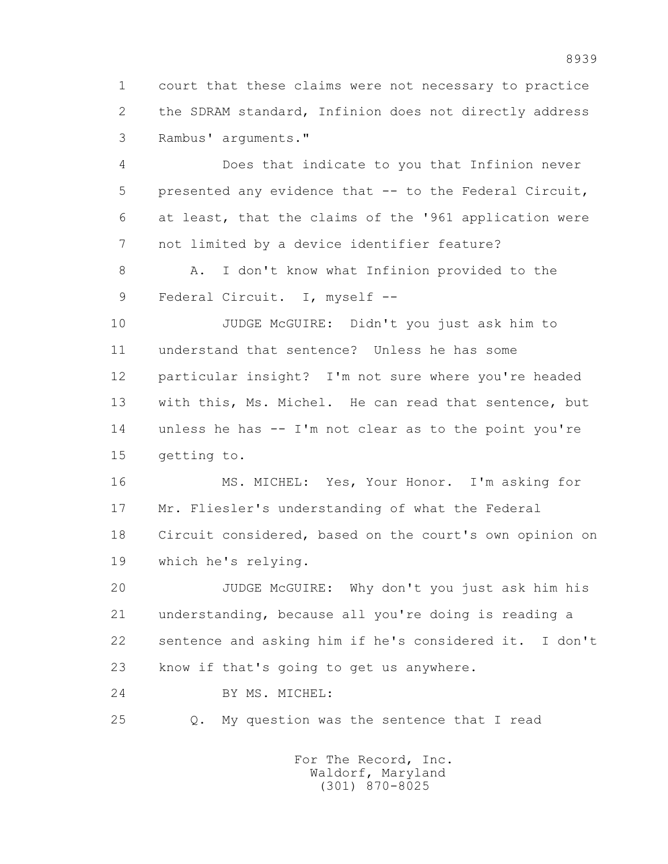1 court that these claims were not necessary to practice 2 the SDRAM standard, Infinion does not directly address 3 Rambus' arguments."

 4 Does that indicate to you that Infinion never 5 presented any evidence that -- to the Federal Circuit, 6 at least, that the claims of the '961 application were 7 not limited by a device identifier feature?

 8 A. I don't know what Infinion provided to the 9 Federal Circuit. I, myself --

 10 JUDGE McGUIRE: Didn't you just ask him to 11 understand that sentence? Unless he has some 12 particular insight? I'm not sure where you're headed 13 with this, Ms. Michel. He can read that sentence, but 14 unless he has -- I'm not clear as to the point you're 15 getting to.

 16 MS. MICHEL: Yes, Your Honor. I'm asking for 17 Mr. Fliesler's understanding of what the Federal 18 Circuit considered, based on the court's own opinion on 19 which he's relying.

 20 JUDGE McGUIRE: Why don't you just ask him his 21 understanding, because all you're doing is reading a 22 sentence and asking him if he's considered it. I don't 23 know if that's going to get us anywhere.

24 BY MS. MICHEL:

25 Q. My question was the sentence that I read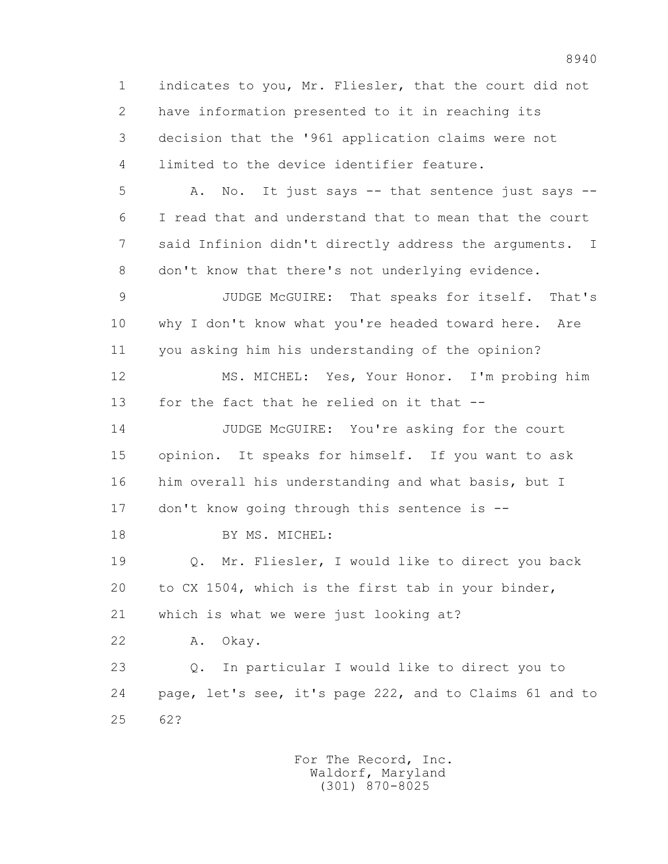1 indicates to you, Mr. Fliesler, that the court did not 2 have information presented to it in reaching its 3 decision that the '961 application claims were not 4 limited to the device identifier feature. 5 A. No. It just says -- that sentence just says -- 6 I read that and understand that to mean that the court 7 said Infinion didn't directly address the arguments. I 8 don't know that there's not underlying evidence. 9 JUDGE McGUIRE: That speaks for itself. That's 10 why I don't know what you're headed toward here. Are 11 you asking him his understanding of the opinion? 12 MS. MICHEL: Yes, Your Honor. I'm probing him 13 for the fact that he relied on it that -- 14 JUDGE McGUIRE: You're asking for the court 15 opinion. It speaks for himself. If you want to ask 16 him overall his understanding and what basis, but I 17 don't know going through this sentence is -- 18 BY MS. MICHEL: 19 Q. Mr. Fliesler, I would like to direct you back 20 to CX 1504, which is the first tab in your binder, 21 which is what we were just looking at? 22 A. Okay. 23 Q. In particular I would like to direct you to 24 page, let's see, it's page 222, and to Claims 61 and to 25 62?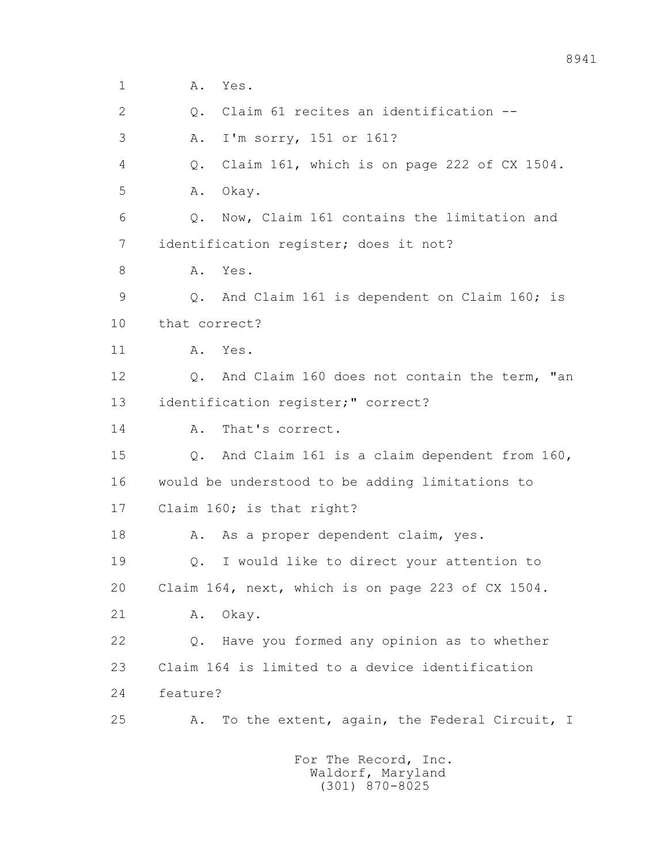1 **A.** Yes. 2 Q. Claim 61 recites an identification -- 3 A. I'm sorry, 151 or 161? 4 Q. Claim 161, which is on page 222 of CX 1504. 5 A. Okay. 6 Q. Now, Claim 161 contains the limitation and 7 identification register; does it not? 8 A. Yes. 9 Q. And Claim 161 is dependent on Claim 160; is 10 that correct? 11 A. Yes. 12 Q. And Claim 160 does not contain the term, "an 13 identification register;" correct? 14 A. That's correct. 15 Q. And Claim 161 is a claim dependent from 160, 16 would be understood to be adding limitations to 17 Claim 160; is that right? 18 A. As a proper dependent claim, yes. 19 Q. I would like to direct your attention to 20 Claim 164, next, which is on page 223 of CX 1504. 21 A. Okay. 22 Q. Have you formed any opinion as to whether 23 Claim 164 is limited to a device identification 24 feature? 25 A. To the extent, again, the Federal Circuit, I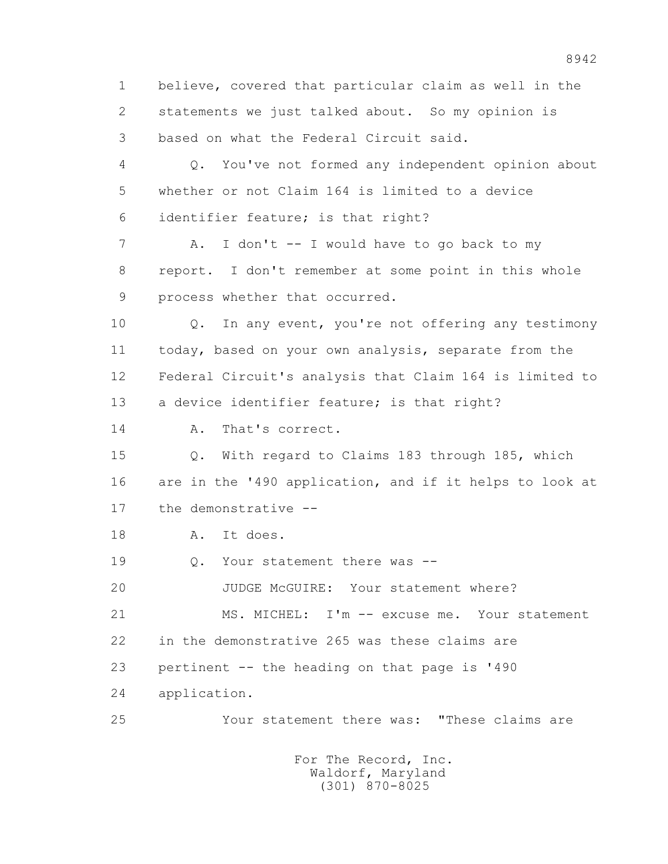1 believe, covered that particular claim as well in the 2 statements we just talked about. So my opinion is 3 based on what the Federal Circuit said. 4 Q. You've not formed any independent opinion about 5 whether or not Claim 164 is limited to a device 6 identifier feature; is that right? 7 A. I don't -- I would have to go back to my 8 report. I don't remember at some point in this whole 9 process whether that occurred. 10 Q. In any event, you're not offering any testimony 11 today, based on your own analysis, separate from the 12 Federal Circuit's analysis that Claim 164 is limited to 13 a device identifier feature; is that right? 14 A. That's correct. 15 Q. With regard to Claims 183 through 185, which 16 are in the '490 application, and if it helps to look at 17 the demonstrative -- 18 A. It does. 19 0. Your statement there was -- 20 JUDGE McGUIRE: Your statement where? 21 MS. MICHEL: I'm -- excuse me. Your statement 22 in the demonstrative 265 was these claims are 23 pertinent -- the heading on that page is '490 24 application. 25 Your statement there was: "These claims are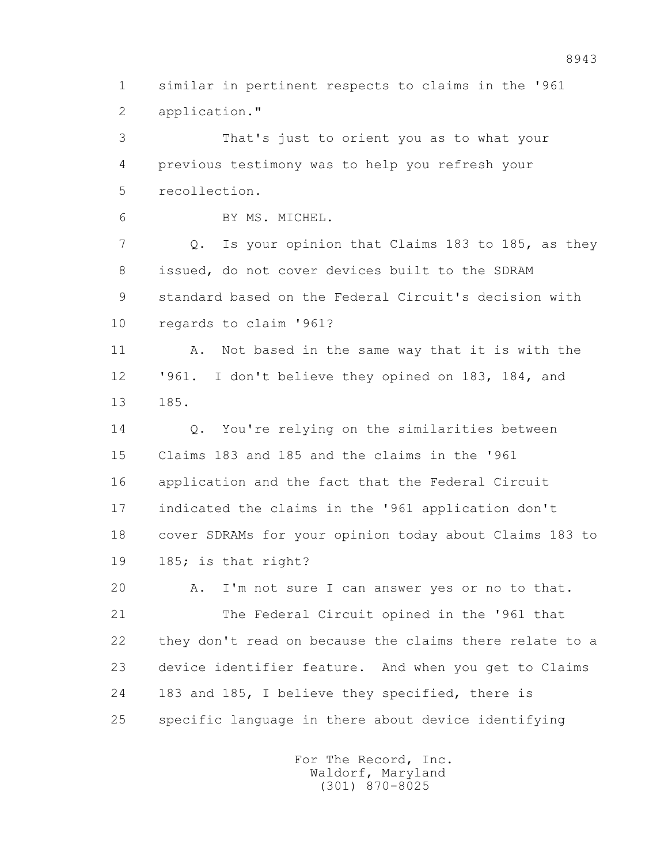1 similar in pertinent respects to claims in the '961 2 application."

 3 That's just to orient you as to what your 4 previous testimony was to help you refresh your 5 recollection.

6 BY MS. MICHEL.

 7 Q. Is your opinion that Claims 183 to 185, as they 8 issued, do not cover devices built to the SDRAM 9 standard based on the Federal Circuit's decision with 10 regards to claim '961?

11 A. Not based in the same way that it is with the 12 '961. I don't believe they opined on 183, 184, and 13 185.

14 O. You're relying on the similarities between 15 Claims 183 and 185 and the claims in the '961 16 application and the fact that the Federal Circuit 17 indicated the claims in the '961 application don't 18 cover SDRAMs for your opinion today about Claims 183 to 19 185; is that right?

 20 A. I'm not sure I can answer yes or no to that. 21 The Federal Circuit opined in the '961 that 22 they don't read on because the claims there relate to a 23 device identifier feature. And when you get to Claims 24 183 and 185, I believe they specified, there is 25 specific language in there about device identifying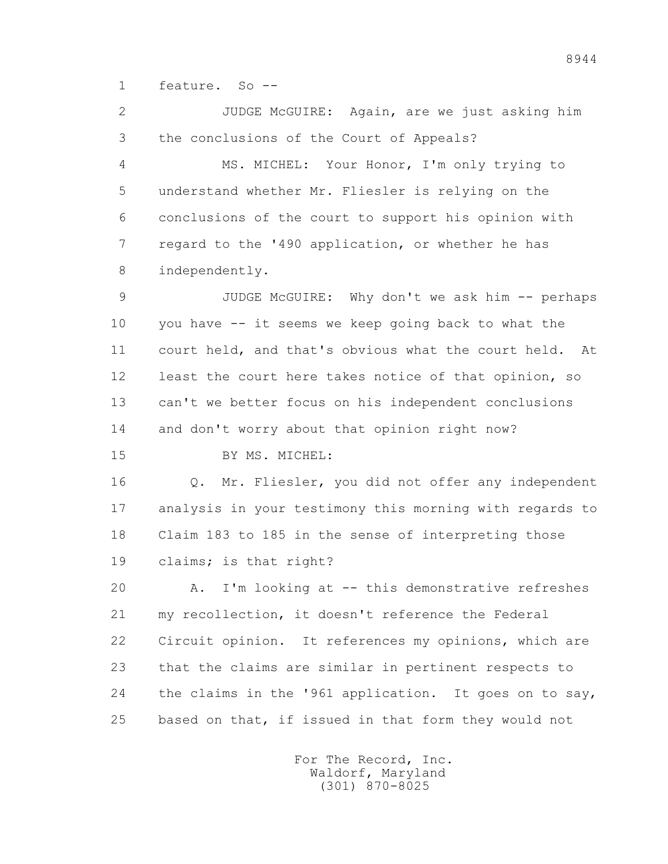1 feature. So --

 2 JUDGE McGUIRE: Again, are we just asking him 3 the conclusions of the Court of Appeals?

 4 MS. MICHEL: Your Honor, I'm only trying to 5 understand whether Mr. Fliesler is relying on the 6 conclusions of the court to support his opinion with 7 regard to the '490 application, or whether he has 8 independently.

 9 JUDGE McGUIRE: Why don't we ask him -- perhaps 10 you have -- it seems we keep going back to what the 11 court held, and that's obvious what the court held. At 12 least the court here takes notice of that opinion, so 13 can't we better focus on his independent conclusions 14 and don't worry about that opinion right now?

15 BY MS. MICHEL:

 16 Q. Mr. Fliesler, you did not offer any independent 17 analysis in your testimony this morning with regards to 18 Claim 183 to 185 in the sense of interpreting those 19 claims; is that right?

 20 A. I'm looking at -- this demonstrative refreshes 21 my recollection, it doesn't reference the Federal 22 Circuit opinion. It references my opinions, which are 23 that the claims are similar in pertinent respects to 24 the claims in the '961 application. It goes on to say, 25 based on that, if issued in that form they would not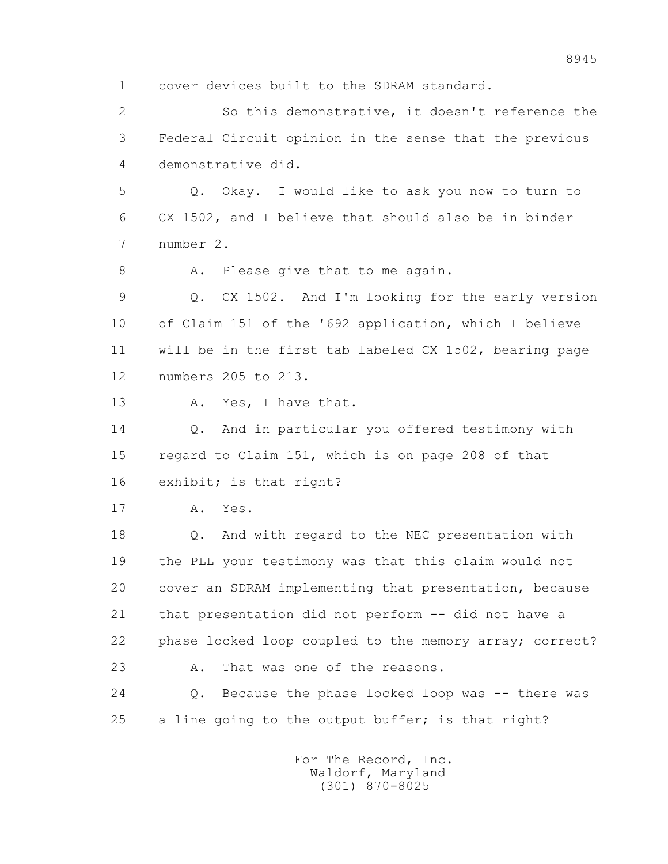1 cover devices built to the SDRAM standard.

 2 So this demonstrative, it doesn't reference the 3 Federal Circuit opinion in the sense that the previous 4 demonstrative did.

 5 Q. Okay. I would like to ask you now to turn to 6 CX 1502, and I believe that should also be in binder 7 number 2.

8 A. Please give that to me again.

 9 Q. CX 1502. And I'm looking for the early version 10 of Claim 151 of the '692 application, which I believe 11 will be in the first tab labeled CX 1502, bearing page 12 numbers 205 to 213.

13 A. Yes, I have that.

 14 Q. And in particular you offered testimony with 15 regard to Claim 151, which is on page 208 of that 16 exhibit; is that right?

17 A. Yes.

 18 Q. And with regard to the NEC presentation with 19 the PLL your testimony was that this claim would not 20 cover an SDRAM implementing that presentation, because 21 that presentation did not perform -- did not have a 22 phase locked loop coupled to the memory array; correct? 23 A. That was one of the reasons.

 24 Q. Because the phase locked loop was -- there was 25 a line going to the output buffer; is that right?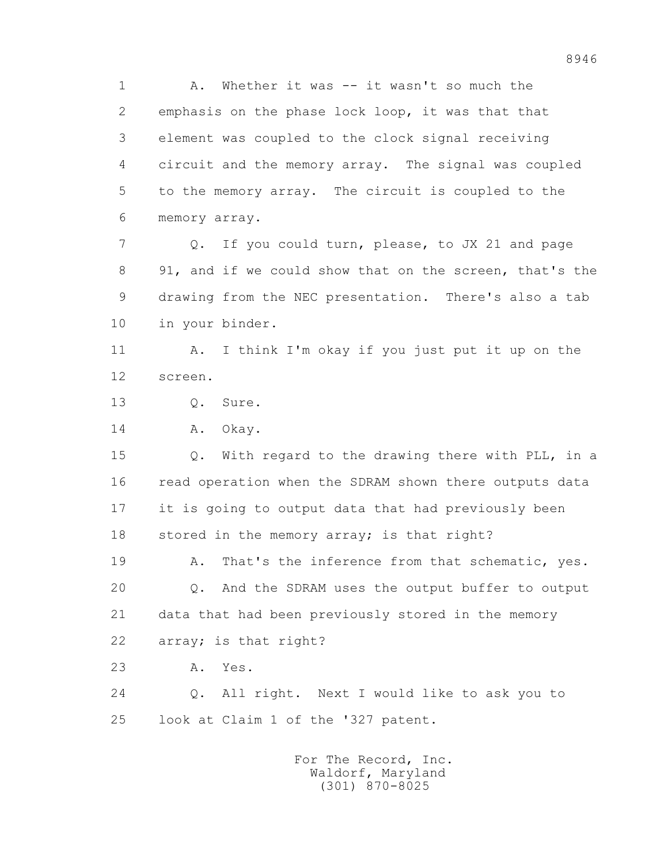1 A. Whether it was -- it wasn't so much the 2 emphasis on the phase lock loop, it was that that 3 element was coupled to the clock signal receiving 4 circuit and the memory array. The signal was coupled 5 to the memory array. The circuit is coupled to the 6 memory array.

 7 Q. If you could turn, please, to JX 21 and page 8 91, and if we could show that on the screen, that's the 9 drawing from the NEC presentation. There's also a tab 10 in your binder.

 11 A. I think I'm okay if you just put it up on the 12 screen.

13 Q. Sure.

14 A. Okay.

 15 Q. With regard to the drawing there with PLL, in a 16 read operation when the SDRAM shown there outputs data 17 it is going to output data that had previously been 18 stored in the memory array; is that right?

19 A. That's the inference from that schematic, yes. 20 Q. And the SDRAM uses the output buffer to output 21 data that had been previously stored in the memory 22 array; is that right?

23 A. Yes.

 24 Q. All right. Next I would like to ask you to 25 look at Claim 1 of the '327 patent.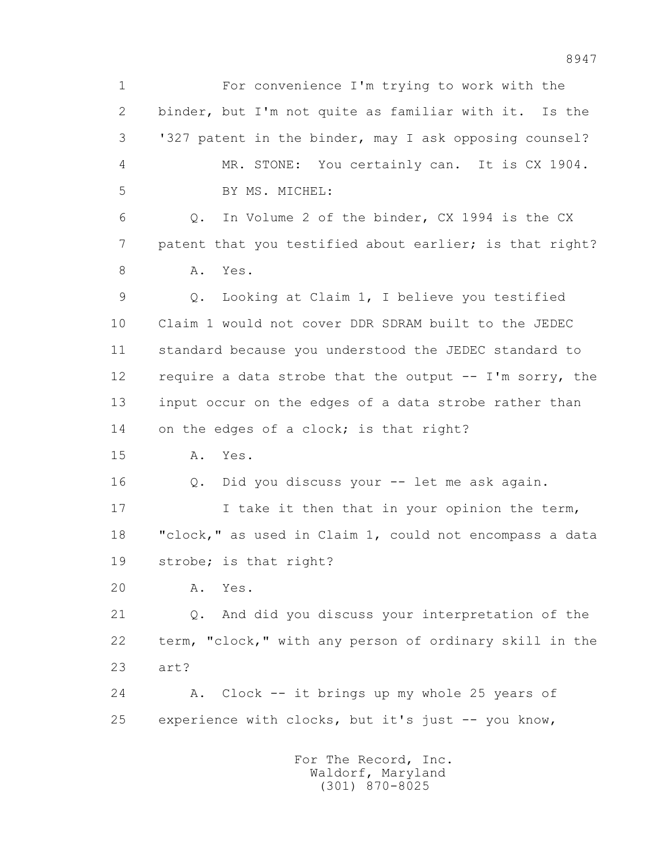1 For convenience I'm trying to work with the 2 binder, but I'm not quite as familiar with it. Is the 3 '327 patent in the binder, may I ask opposing counsel? 4 MR. STONE: You certainly can. It is CX 1904. 5 BY MS. MICHEL: 6 Q. In Volume 2 of the binder, CX 1994 is the CX 7 patent that you testified about earlier; is that right? 8 A. Yes. 9 Q. Looking at Claim 1, I believe you testified 10 Claim 1 would not cover DDR SDRAM built to the JEDEC 11 standard because you understood the JEDEC standard to 12 require a data strobe that the output -- I'm sorry, the 13 input occur on the edges of a data strobe rather than 14 on the edges of a clock; is that right? 15 A. Yes. 16 Q. Did you discuss your -- let me ask again. 17 17 I take it then that in your opinion the term, 18 "clock," as used in Claim 1, could not encompass a data 19 strobe; is that right? 20 A. Yes. 21 Q. And did you discuss your interpretation of the 22 term, "clock," with any person of ordinary skill in the 23 art? 24 A. Clock -- it brings up my whole 25 years of 25 experience with clocks, but it's just -- you know, For The Record, Inc. Waldorf, Maryland

(301) 870-8025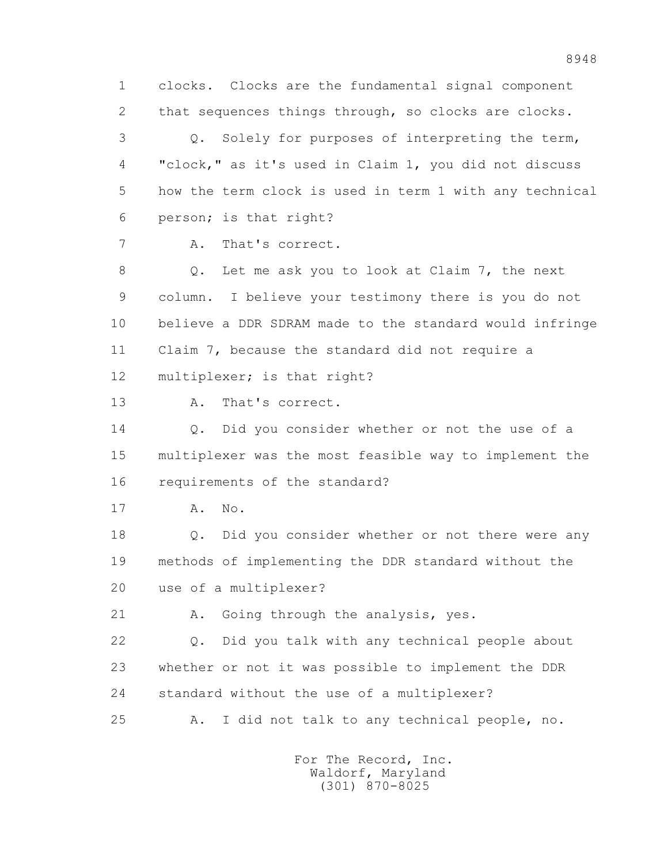1 clocks. Clocks are the fundamental signal component 2 that sequences things through, so clocks are clocks. 3 Q. Solely for purposes of interpreting the term, 4 "clock," as it's used in Claim 1, you did not discuss 5 how the term clock is used in term 1 with any technical 6 person; is that right? 7 A. That's correct. 8 Q. Let me ask you to look at Claim 7, the next 9 column. I believe your testimony there is you do not 10 believe a DDR SDRAM made to the standard would infringe 11 Claim 7, because the standard did not require a 12 multiplexer; is that right? 13 A. That's correct. 14 O. Did you consider whether or not the use of a 15 multiplexer was the most feasible way to implement the 16 requirements of the standard? 17 A. No. 18 Q. Did you consider whether or not there were any 19 methods of implementing the DDR standard without the 20 use of a multiplexer? 21 A. Going through the analysis, yes. 22 Q. Did you talk with any technical people about 23 whether or not it was possible to implement the DDR 24 standard without the use of a multiplexer? 25 A. I did not talk to any technical people, no.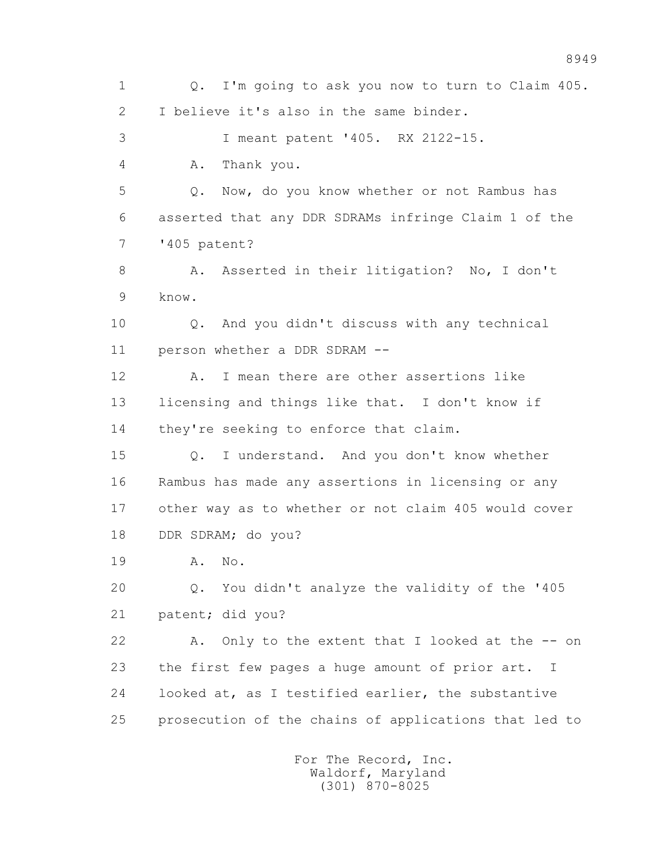1 Q. I'm going to ask you now to turn to Claim 405. 2 I believe it's also in the same binder. 3 I meant patent '405. RX 2122-15. 4 A. Thank you. 5 Q. Now, do you know whether or not Rambus has 6 asserted that any DDR SDRAMs infringe Claim 1 of the 7 '405 patent? 8 A. Asserted in their litigation? No, I don't 9 know. 10 Q. And you didn't discuss with any technical 11 person whether a DDR SDRAM -- 12 A. I mean there are other assertions like 13 licensing and things like that. I don't know if 14 they're seeking to enforce that claim. 15 Q. I understand. And you don't know whether 16 Rambus has made any assertions in licensing or any 17 other way as to whether or not claim 405 would cover 18 DDR SDRAM; do you? 19 A. No. 20 Q. You didn't analyze the validity of the '405 21 patent; did you? 22 A. Only to the extent that I looked at the -- on 23 the first few pages a huge amount of prior art. I 24 looked at, as I testified earlier, the substantive 25 prosecution of the chains of applications that led to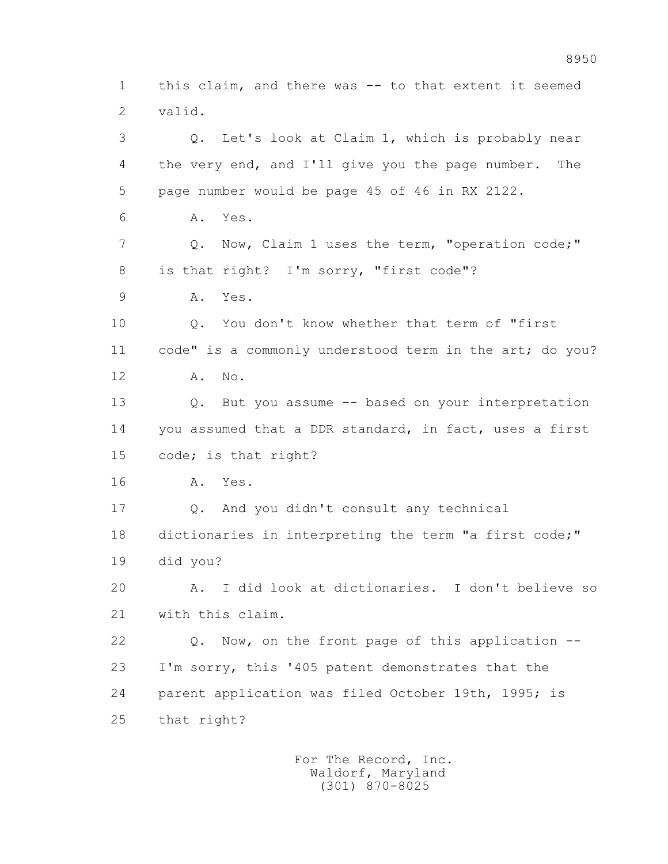1 this claim, and there was -- to that extent it seemed 2 valid. 3 Q. Let's look at Claim 1, which is probably near 4 the very end, and I'll give you the page number. The 5 page number would be page 45 of 46 in RX 2122. 6 A. Yes. 7 Q. Now, Claim 1 uses the term, "operation code;" 8 is that right? I'm sorry, "first code"? 9 A. Yes. 10 Q. You don't know whether that term of "first 11 code" is a commonly understood term in the art; do you? 12 A. No. 13 Q. But you assume -- based on your interpretation 14 you assumed that a DDR standard, in fact, uses a first 15 code; is that right? 16 A. Yes. 17 Q. And you didn't consult any technical 18 dictionaries in interpreting the term "a first code;" 19 did you? 20 A. I did look at dictionaries. I don't believe so 21 with this claim. 22 Q. Now, on the front page of this application -- 23 I'm sorry, this '405 patent demonstrates that the 24 parent application was filed October 19th, 1995; is 25 that right?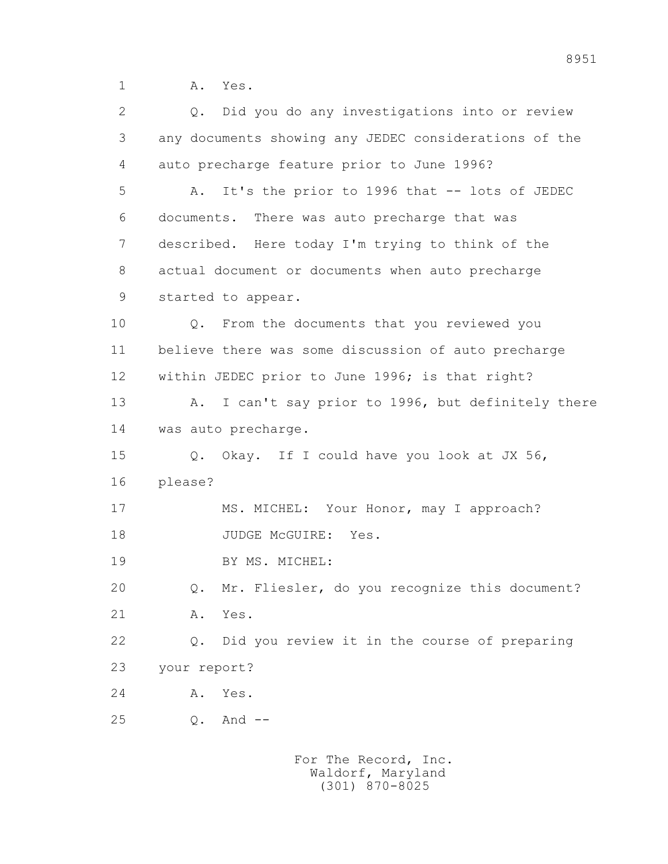1 A. Yes.

| $\overline{2}$ | Q. Did you do any investigations into or review                |
|----------------|----------------------------------------------------------------|
| 3              | any documents showing any JEDEC considerations of the          |
| 4              | auto precharge feature prior to June 1996?                     |
| 5              | It's the prior to 1996 that -- lots of JEDEC<br>Α.             |
| 6              | documents. There was auto precharge that was                   |
| 7              | described. Here today I'm trying to think of the               |
| 8              | actual document or documents when auto precharge               |
| 9              | started to appear.                                             |
| 10             | From the documents that you reviewed you<br>Q.                 |
| 11             | believe there was some discussion of auto precharge            |
| 12             | within JEDEC prior to June 1996; is that right?                |
| 13             | I can't say prior to 1996, but definitely there<br>A.          |
| 14             | was auto precharge.                                            |
| 15             | Q. Okay. If I could have you look at JX 56,                    |
| 16             | please?                                                        |
| 17             | MS. MICHEL: Your Honor, may I approach?                        |
| 18             | JUDGE MCGUIRE:<br>Yes.                                         |
| 19             | BY MS. MICHEL:                                                 |
| 20             | Mr. Fliesler, do you recognize this document?<br>$\mathbb Q$ . |
| 21             | Yes.<br>Α.                                                     |
| 22             | Did you review it in the course of preparing<br>$Q$ .          |
| 23             | your report?                                                   |
| 24             | Yes.<br>A.                                                     |
| 25             | And $--$<br>$\mathbb Q$ .                                      |
|                |                                                                |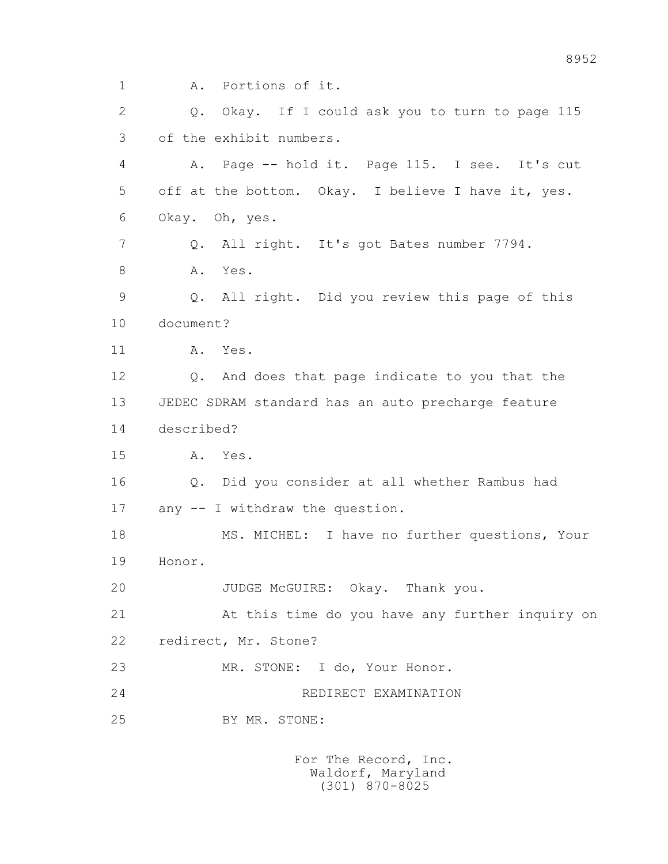1 A. Portions of it. 2 Q. Okay. If I could ask you to turn to page 115 3 of the exhibit numbers. 4 A. Page -- hold it. Page 115. I see. It's cut 5 off at the bottom. Okay. I believe I have it, yes. 6 Okay. Oh, yes. 7 Q. All right. It's got Bates number 7794. 8 A. Yes. 9 Q. All right. Did you review this page of this 10 document? 11 A. Yes. 12 Q. And does that page indicate to you that the 13 JEDEC SDRAM standard has an auto precharge feature 14 described? 15 A. Yes. 16 Q. Did you consider at all whether Rambus had 17 any -- I withdraw the question. 18 MS. MICHEL: I have no further questions, Your 19 Honor. 20 JUDGE McGUIRE: Okay. Thank you. 21 At this time do you have any further inquiry on 22 redirect, Mr. Stone? 23 MR. STONE: I do, Your Honor. 24 REDIRECT EXAMINATION 25 BY MR. STONE: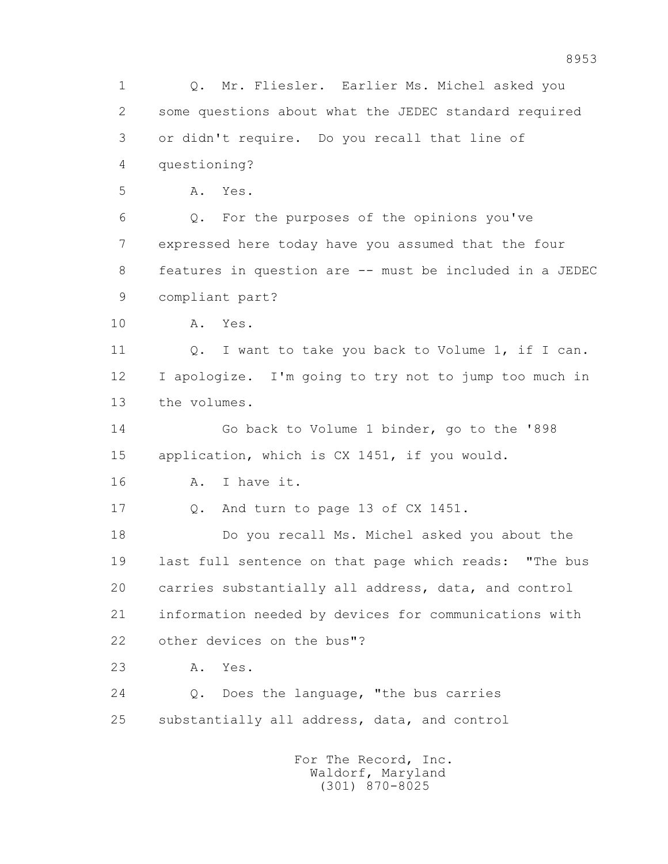1 Q. Mr. Fliesler. Earlier Ms. Michel asked you 2 some questions about what the JEDEC standard required 3 or didn't require. Do you recall that line of 4 questioning? 5 A. Yes. 6 Q. For the purposes of the opinions you've 7 expressed here today have you assumed that the four 8 features in question are -- must be included in a JEDEC 9 compliant part? 10 A. Yes. 11 Q. I want to take you back to Volume 1, if I can. 12 I apologize. I'm going to try not to jump too much in 13 the volumes. 14 Go back to Volume 1 binder, go to the '898 15 application, which is CX 1451, if you would. 16 A. I have it. 17 Q. And turn to page 13 of CX 1451. 18 Do you recall Ms. Michel asked you about the 19 last full sentence on that page which reads: "The bus 20 carries substantially all address, data, and control 21 information needed by devices for communications with 22 other devices on the bus"? 23 A. Yes. 24 Q. Does the language, "the bus carries 25 substantially all address, data, and control For The Record, Inc. Waldorf, Maryland

8953

(301) 870-8025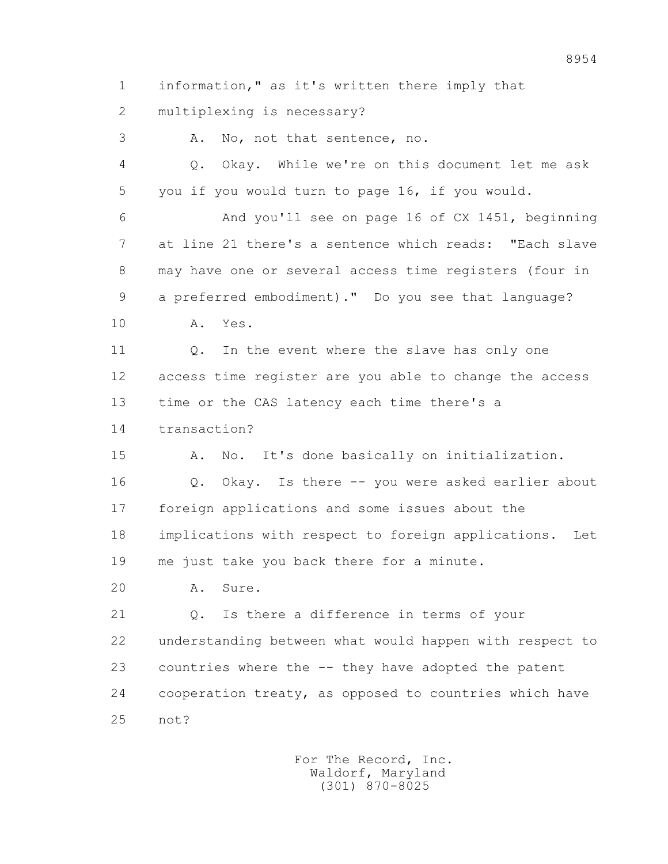1 information," as it's written there imply that

2 multiplexing is necessary?

3 A. No, not that sentence, no.

 4 Q. Okay. While we're on this document let me ask 5 you if you would turn to page 16, if you would.

 6 And you'll see on page 16 of CX 1451, beginning 7 at line 21 there's a sentence which reads: "Each slave 8 may have one or several access time registers (four in 9 a preferred embodiment)." Do you see that language?

10 A. Yes.

11 0. In the event where the slave has only one 12 access time register are you able to change the access 13 time or the CAS latency each time there's a

14 transaction?

 15 A. No. It's done basically on initialization. 16 Q. Okay. Is there -- you were asked earlier about 17 foreign applications and some issues about the 18 implications with respect to foreign applications. Let 19 me just take you back there for a minute.

20 A. Sure.

 21 Q. Is there a difference in terms of your 22 understanding between what would happen with respect to 23 countries where the -- they have adopted the patent 24 cooperation treaty, as opposed to countries which have 25 not?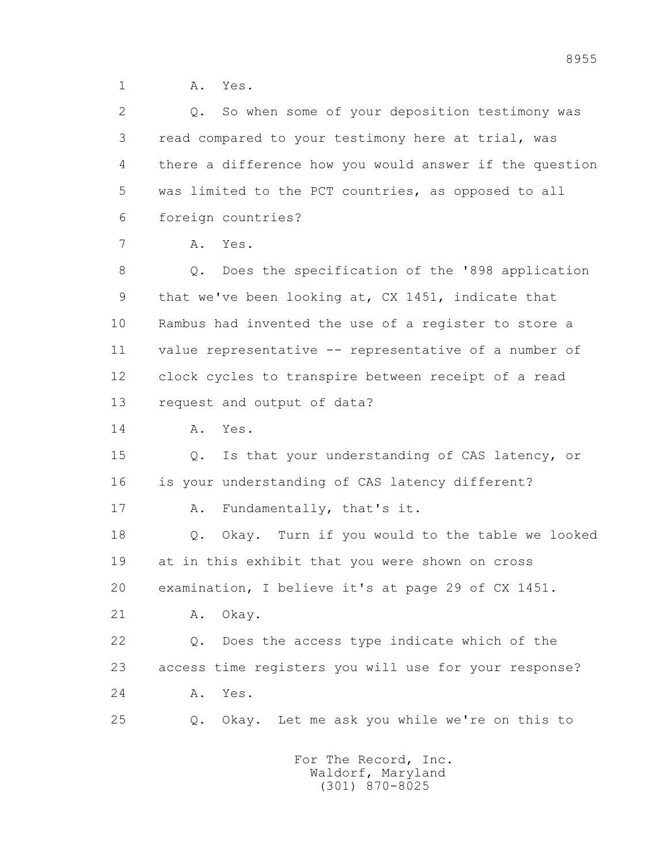1 A. Yes.

 2 Q. So when some of your deposition testimony was 3 read compared to your testimony here at trial, was 4 there a difference how you would answer if the question 5 was limited to the PCT countries, as opposed to all 6 foreign countries? 7 A. Yes. 8 Q. Does the specification of the '898 application 9 that we've been looking at, CX 1451, indicate that 10 Rambus had invented the use of a register to store a 11 value representative -- representative of a number of 12 clock cycles to transpire between receipt of a read 13 request and output of data? 14 A. Yes. 15 Q. Is that your understanding of CAS latency, or 16 is your understanding of CAS latency different? 17 A. Fundamentally, that's it. 18 Q. Okay. Turn if you would to the table we looked 19 at in this exhibit that you were shown on cross 20 examination, I believe it's at page 29 of CX 1451. 21 A. Okay. 22 Q. Does the access type indicate which of the 23 access time registers you will use for your response? 24 A. Yes. 25 Q. Okay. Let me ask you while we're on this to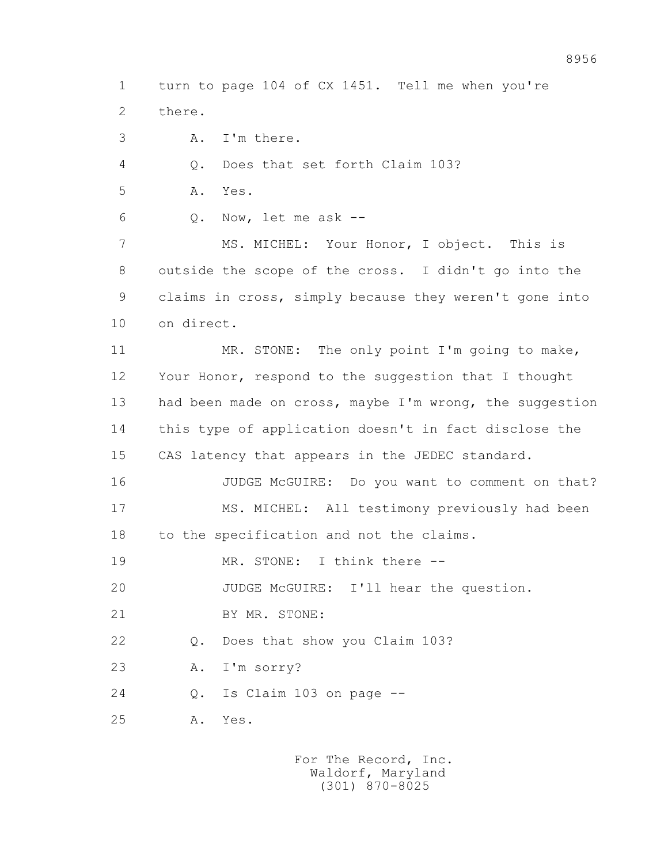1 turn to page 104 of CX 1451. Tell me when you're 2 there.

3 A. I'm there.

4 Q. Does that set forth Claim 103?

5 A. Yes.

6 Q. Now, let me ask --

 7 MS. MICHEL: Your Honor, I object. This is 8 outside the scope of the cross. I didn't go into the 9 claims in cross, simply because they weren't gone into 10 on direct.

11 MR. STONE: The only point I'm going to make, 12 Your Honor, respond to the suggestion that I thought 13 had been made on cross, maybe I'm wrong, the suggestion 14 this type of application doesn't in fact disclose the 15 CAS latency that appears in the JEDEC standard.

 16 JUDGE McGUIRE: Do you want to comment on that? 17 MS. MICHEL: All testimony previously had been 18 to the specification and not the claims.

19 MR. STONE: I think there --

20 JUDGE McGUIRE: I'll hear the question.

21 BY MR. STONE:

22 Q. Does that show you Claim 103?

23 A. I'm sorry?

24 Q. Is Claim 103 on page --

25 A. Yes.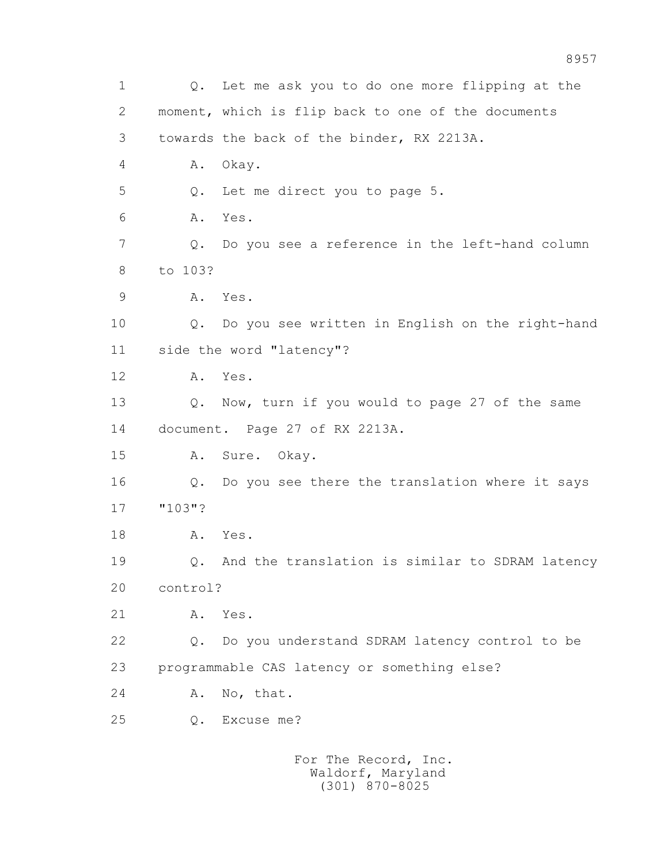1 Q. Let me ask you to do one more flipping at the 2 moment, which is flip back to one of the documents 3 towards the back of the binder, RX 2213A. 4 A. Okay. 5 Q. Let me direct you to page 5. 6 A. Yes. 7 Q. Do you see a reference in the left-hand column 8 to 103? 9 A. Yes. 10 Q. Do you see written in English on the right-hand 11 side the word "latency"? 12 A. Yes. 13 Q. Now, turn if you would to page 27 of the same 14 document. Page 27 of RX 2213A. 15 A. Sure. Okay. 16 Q. Do you see there the translation where it says 17 "103"? 18 A. Yes. 19 Q. And the translation is similar to SDRAM latency 20 control? 21 A. Yes. 22 Q. Do you understand SDRAM latency control to be 23 programmable CAS latency or something else? 24 A. No, that. 25 Q. Excuse me? For The Record, Inc. Waldorf, Maryland

(301) 870-8025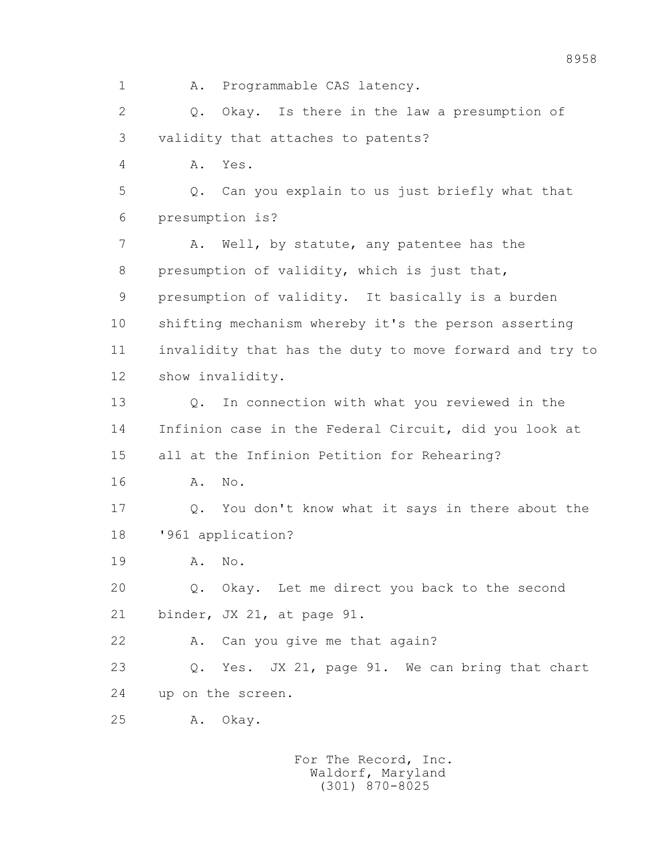1 A. Programmable CAS latency. 2 Q. Okay. Is there in the law a presumption of 3 validity that attaches to patents? 4 A. Yes. 5 Q. Can you explain to us just briefly what that 6 presumption is? 7 A. Well, by statute, any patentee has the 8 presumption of validity, which is just that, 9 presumption of validity. It basically is a burden 10 shifting mechanism whereby it's the person asserting 11 invalidity that has the duty to move forward and try to 12 show invalidity. 13 Q. In connection with what you reviewed in the 14 Infinion case in the Federal Circuit, did you look at 15 all at the Infinion Petition for Rehearing? 16 A. No. 17 Q. You don't know what it says in there about the 18 '961 application? 19 A. No. 20 Q. Okay. Let me direct you back to the second 21 binder, JX 21, at page 91. 22 A. Can you give me that again? 23 Q. Yes. JX 21, page 91. We can bring that chart 24 up on the screen.

25 A. Okay.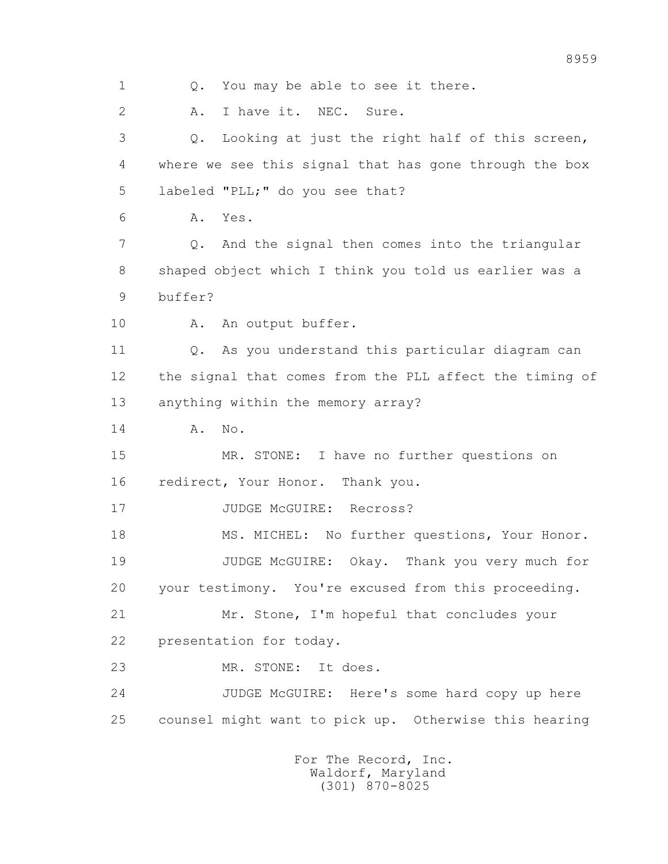1 Q. You may be able to see it there. 2 A. I have it. NEC. Sure. 3 Q. Looking at just the right half of this screen, 4 where we see this signal that has gone through the box 5 labeled "PLL;" do you see that? 6 A. Yes. 7 Q. And the signal then comes into the triangular 8 shaped object which I think you told us earlier was a 9 buffer? 10 A. An output buffer. 11 Q. As you understand this particular diagram can 12 the signal that comes from the PLL affect the timing of 13 anything within the memory array? 14 A. No. 15 MR. STONE: I have no further questions on 16 redirect, Your Honor. Thank you. 17 JUDGE McGUIRE: Recross? 18 MS. MICHEL: No further questions, Your Honor. 19 JUDGE McGUIRE: Okay. Thank you very much for 20 your testimony. You're excused from this proceeding. 21 Mr. Stone, I'm hopeful that concludes your 22 presentation for today. 23 MR. STONE: It does. 24 JUDGE McGUIRE: Here's some hard copy up here 25 counsel might want to pick up. Otherwise this hearing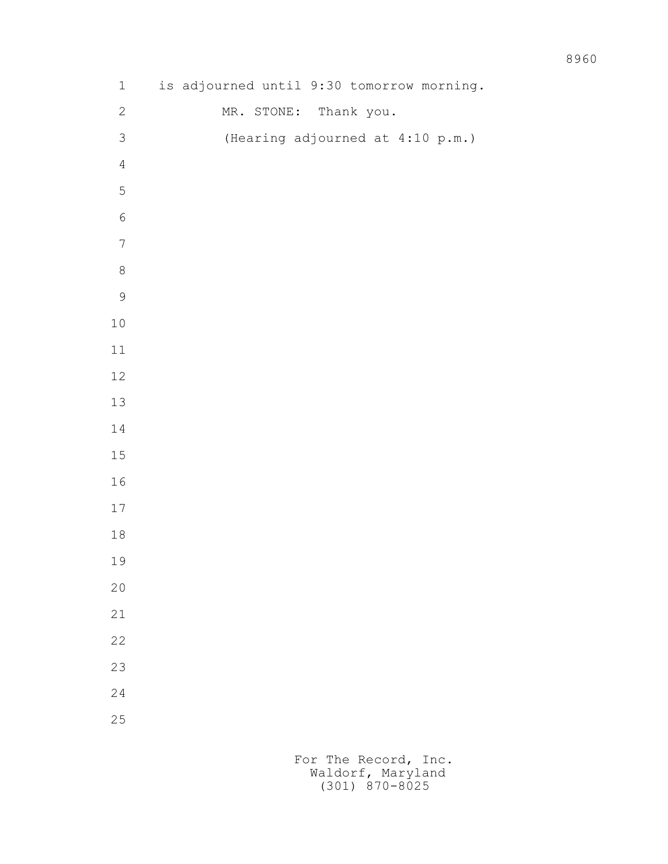| $\ensuremath{\mathbbm{1}}$ | is adjourned until 9:30 tomorrow morning. |  |            |            |  |                                  |  |
|----------------------------|-------------------------------------------|--|------------|------------|--|----------------------------------|--|
| $\sqrt{2}$                 |                                           |  | MR. STONE: | Thank you. |  |                                  |  |
| $\mathfrak{Z}$             |                                           |  |            |            |  | (Hearing adjourned at 4:10 p.m.) |  |
| $\overline{4}$             |                                           |  |            |            |  |                                  |  |
| $\mathsf S$                |                                           |  |            |            |  |                                  |  |
| $\sqrt{6}$                 |                                           |  |            |            |  |                                  |  |
| $\boldsymbol{7}$           |                                           |  |            |            |  |                                  |  |
| $\,8\,$                    |                                           |  |            |            |  |                                  |  |
| $\mathsf 9$                |                                           |  |            |            |  |                                  |  |
| $1\,0$                     |                                           |  |            |            |  |                                  |  |
| $11\,$                     |                                           |  |            |            |  |                                  |  |
| $12\,$                     |                                           |  |            |            |  |                                  |  |
| $13\,$                     |                                           |  |            |            |  |                                  |  |
| $1\,4$                     |                                           |  |            |            |  |                                  |  |
| $15\,$                     |                                           |  |            |            |  |                                  |  |
| $16\,$                     |                                           |  |            |            |  |                                  |  |
| $17\,$                     |                                           |  |            |            |  |                                  |  |
| $1\,8$                     |                                           |  |            |            |  |                                  |  |
| 19                         |                                           |  |            |            |  |                                  |  |
| $20$                       |                                           |  |            |            |  |                                  |  |
| 21                         |                                           |  |            |            |  |                                  |  |
| 22                         |                                           |  |            |            |  |                                  |  |
| 23                         |                                           |  |            |            |  |                                  |  |
| 24                         |                                           |  |            |            |  |                                  |  |
| 25                         |                                           |  |            |            |  |                                  |  |
|                            |                                           |  |            |            |  |                                  |  |